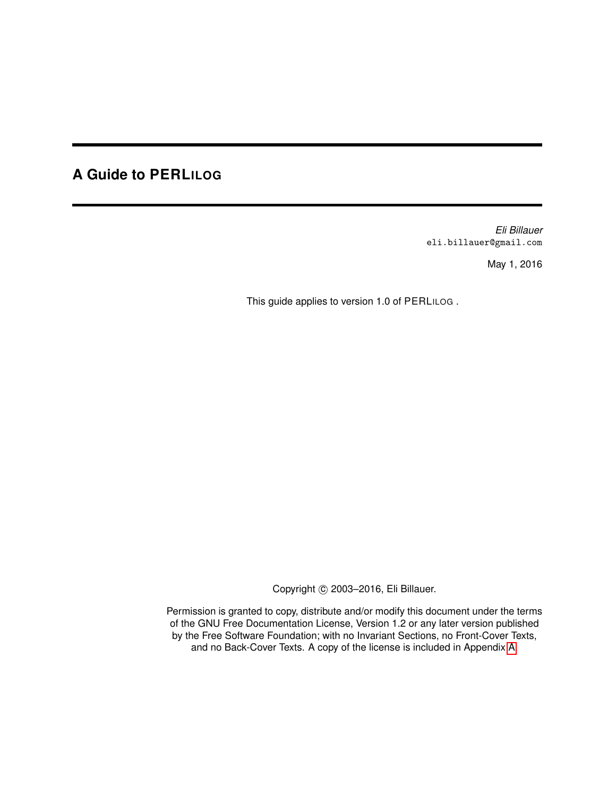# **A Guide to PERLILOG**

*Eli Billauer* eli.billauer@gmail.com

May 1, 2016

This guide applies to version 1.0 of PERLILOG .

Copyright © 2003-2016, Eli Billauer.

Permission is granted to copy, distribute and/or modify this document under the terms of the GNU Free Documentation License, Version 1.2 or any later version published by the Free Software Foundation; with no Invariant Sections, no Front-Cover Texts, and no Back-Cover Texts. A copy of the license is included in Appendix [A.](#page-181-0)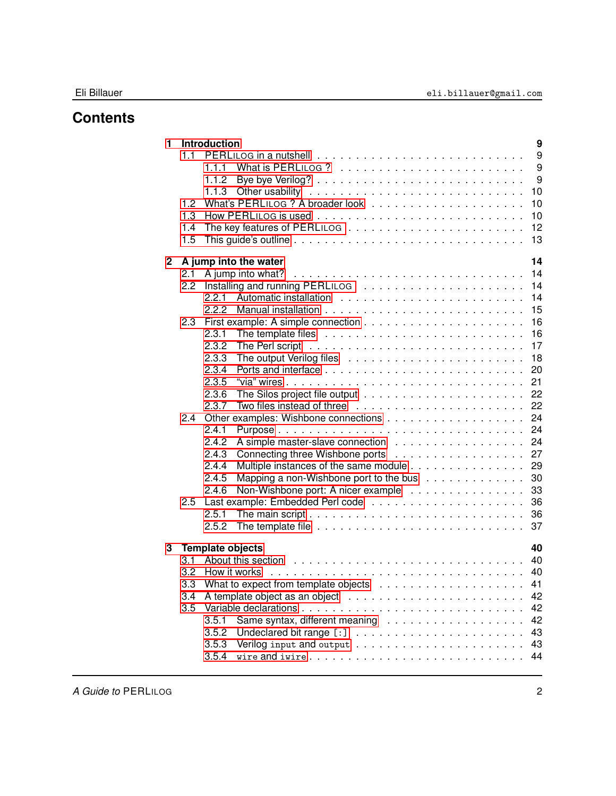# **Contents**

| $\blacksquare$ |               | 9<br><b>Introduction</b>                                                                               |
|----------------|---------------|--------------------------------------------------------------------------------------------------------|
|                | 1.1           | 9                                                                                                      |
|                |               | 9                                                                                                      |
|                |               | 9<br>1.1.2                                                                                             |
|                |               | 10                                                                                                     |
|                | 1.2           | 10                                                                                                     |
|                | 1.3           | 10                                                                                                     |
|                | 1.4           | 12                                                                                                     |
|                | 1.5           | 13                                                                                                     |
| $\overline{2}$ |               | 14<br>A jump into the water                                                                            |
|                | 2.1           | 14                                                                                                     |
|                | $2.2^{\circ}$ | 14                                                                                                     |
|                |               | 14<br>2.2.1                                                                                            |
|                |               | 15<br>2.2.2                                                                                            |
|                | 2.3           | 16                                                                                                     |
|                |               | 16<br>2.3.1                                                                                            |
|                |               | 17<br>2.3.2                                                                                            |
|                |               | 18<br>2.3.3                                                                                            |
|                |               | 20<br>2.3.4                                                                                            |
|                |               | 21<br>2.3.5                                                                                            |
|                |               | 22<br>2.3.6                                                                                            |
|                |               | 22<br>Two files instead of three<br>2.3.7                                                              |
|                |               | 24                                                                                                     |
|                |               | 24<br>2.4.1                                                                                            |
|                |               | 24<br>2.4.2                                                                                            |
|                |               | 27<br>2.4.3                                                                                            |
|                |               | 29<br>Multiple instances of the same module<br>2.4.4                                                   |
|                |               | Mapping a non-Wishbone port to the bus<br>30<br>2.4.5                                                  |
|                |               | 33<br>Non-Wishbone port: A nicer example<br>2.4.6                                                      |
|                | $2.5\,$       | 36                                                                                                     |
|                |               | 2.5.1<br>The main script $\ldots \ldots \ldots \ldots \ldots \ldots \ldots \ldots \ldots \ldots$<br>36 |
|                |               | 37<br>2.5.2                                                                                            |
| 3              |               | 40<br><b>Template objects</b>                                                                          |
|                | 3.1           |                                                                                                        |
|                | 3.2           |                                                                                                        |
|                | 3.3           | 41                                                                                                     |
|                | 3.4           | 42                                                                                                     |
|                | 3.5           | 42                                                                                                     |
|                |               | 42<br>3.5.1                                                                                            |
|                |               | 3.5.2<br>43                                                                                            |
|                |               | 43<br>3.5.3                                                                                            |
|                |               | 3.5.4<br>44<br>wire and iwire                                                                          |
|                |               |                                                                                                        |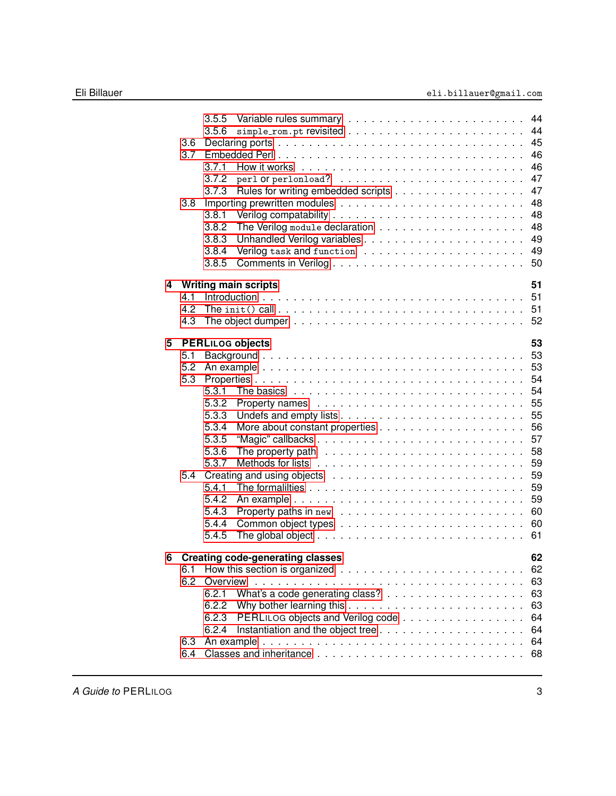|   |     | 3.5.5                                                                                            | 44 |
|---|-----|--------------------------------------------------------------------------------------------------|----|
|   |     | 3.5.6                                                                                            | 44 |
|   | 3.6 |                                                                                                  | 45 |
|   | 3.7 | Embedded Perl                                                                                    | 46 |
|   |     | 3.7.1                                                                                            | 46 |
|   |     | 3.7.2                                                                                            | 47 |
|   |     | Rules for writing embedded scripts<br>3.7.3                                                      | 47 |
|   | 3.8 |                                                                                                  | 48 |
|   |     | 3.8.1                                                                                            | 48 |
|   |     | 3.8.2                                                                                            | 48 |
|   |     | 3.8.3                                                                                            | 49 |
|   |     | 3.8.4                                                                                            | 49 |
|   |     | 3.8.5                                                                                            | 50 |
|   |     |                                                                                                  |    |
| 4 |     | <b>Writing main scripts</b>                                                                      | 51 |
|   | 4.1 |                                                                                                  | 51 |
|   | 4.2 | The init() call $\ldots \ldots \ldots \ldots \ldots \ldots \ldots \ldots \ldots \ldots \ldots$   | 51 |
|   | 4.3 | The object dumper $\ldots \ldots \ldots \ldots \ldots \ldots \ldots \ldots \ldots \ldots \ldots$ | 52 |
|   |     |                                                                                                  |    |
| 5 |     | <b>PERLILOG objects</b>                                                                          | 53 |
|   | 5.1 |                                                                                                  | 53 |
|   | 5.2 |                                                                                                  | 53 |
|   | 5.3 |                                                                                                  | 54 |
|   |     | 5.3.1                                                                                            | 54 |
|   |     | 5.3.2                                                                                            | 55 |
|   |     | 5.3.3                                                                                            | 55 |
|   |     | 5.3.4                                                                                            | 56 |
|   |     | 5.3.5                                                                                            | 57 |
|   |     | 5.3.6                                                                                            | 58 |
|   |     | 5.3.7                                                                                            | 59 |
|   | 5.4 |                                                                                                  | 59 |
|   |     | 5.4.1                                                                                            | 59 |
|   |     | 5.4.2                                                                                            | 59 |
|   |     | 5.4.3                                                                                            | 60 |
|   |     | 5.4.4                                                                                            | 60 |
|   |     | 5.4.5                                                                                            | 61 |
|   |     |                                                                                                  |    |
| 6 |     | <b>Creating code-generating classes</b>                                                          | 62 |
|   | 6.1 | How this section is organized $\ldots \ldots \ldots \ldots \ldots \ldots \ldots \ldots$          | 62 |
|   | 6.2 | Overview                                                                                         | 63 |
|   |     | 6.2.1                                                                                            | 63 |
|   |     | 6.2.2                                                                                            | 63 |
|   |     | PERLILOG objects and Verilog code<br>6.2.3                                                       | 64 |
|   |     | 6.2.4                                                                                            | 64 |
|   | 6.3 |                                                                                                  | 64 |
|   | 6.4 |                                                                                                  | 68 |
|   |     |                                                                                                  |    |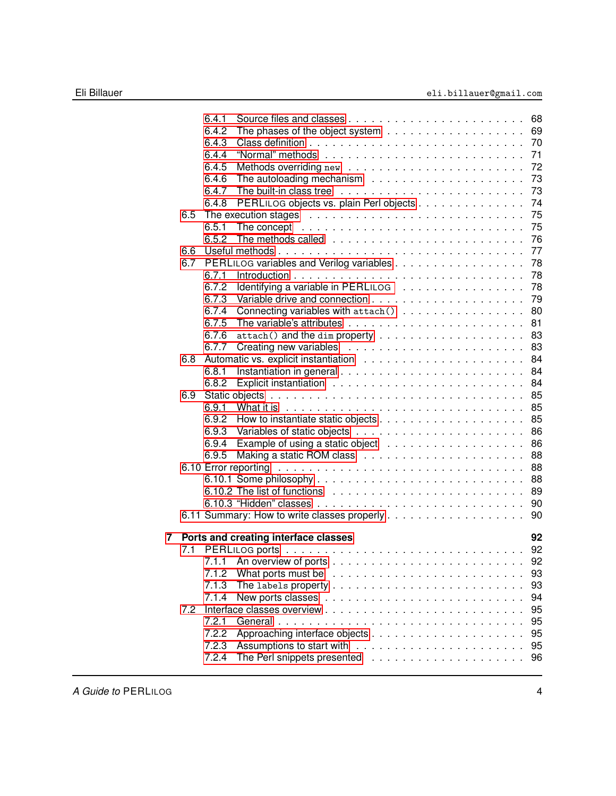|   |     | 6.4.1 |                                                                                     | 68 |
|---|-----|-------|-------------------------------------------------------------------------------------|----|
|   |     | 6.4.2 |                                                                                     | 69 |
|   |     | 6.4.3 |                                                                                     | 70 |
|   |     | 6.4.4 |                                                                                     | 71 |
|   |     | 6.4.5 |                                                                                     | 72 |
|   |     | 6.4.6 |                                                                                     | 73 |
|   |     | 6.4.7 |                                                                                     | 73 |
|   |     | 6.4.8 | PERLILOG objects vs. plain Perl objects                                             | 74 |
|   | 6.5 |       |                                                                                     | 75 |
|   |     | 6.5.1 | The concept $\ldots \ldots \ldots \ldots \ldots \ldots \ldots \ldots \ldots \ldots$ | 75 |
|   |     | 6.5.2 |                                                                                     | 76 |
|   | 6.6 |       |                                                                                     | 77 |
|   | 6.7 |       | PERLILOG variables and Verilog variables                                            | 78 |
|   |     | 6.7.1 |                                                                                     | 78 |
|   |     | 6.7.2 | Identifying a variable in PERLILOG                                                  | 78 |
|   |     | 6.7.3 |                                                                                     | 79 |
|   |     | 6.7.4 | Connecting variables with attach()                                                  | 80 |
|   |     | 6.7.5 |                                                                                     | 81 |
|   |     | 6.7.6 |                                                                                     | 83 |
|   |     | 6.7.7 |                                                                                     | 83 |
|   | 6.8 |       |                                                                                     | 84 |
|   |     | 6.8.1 |                                                                                     | 84 |
|   |     | 6.8.2 |                                                                                     | 84 |
|   | 6.9 |       |                                                                                     | 85 |
|   |     | 6.9.1 |                                                                                     | 85 |
|   |     | 6.9.2 |                                                                                     | 85 |
|   |     | 6.9.3 |                                                                                     | 86 |
|   |     | 6.9.4 |                                                                                     | 86 |
|   |     | 6.9.5 |                                                                                     | 88 |
|   |     |       |                                                                                     | 88 |
|   |     |       |                                                                                     | 88 |
|   |     |       |                                                                                     | 89 |
|   |     |       |                                                                                     | 90 |
|   |     |       |                                                                                     | 90 |
| 7 |     |       | Ports and creating interface classes                                                | 92 |
|   |     |       |                                                                                     | 92 |
|   |     | 7.1.1 |                                                                                     | 92 |
|   |     | 7.1.2 |                                                                                     | 93 |
|   |     | 7.1.3 |                                                                                     | 93 |
|   |     | 7.1.4 |                                                                                     | 94 |
|   | 7.2 |       |                                                                                     | 95 |
|   |     | 7.2.1 | General.                                                                            | 95 |
|   |     | 7.2.2 |                                                                                     | 95 |
|   |     | 7.2.3 |                                                                                     | 95 |
|   |     | 7.2.4 |                                                                                     | 96 |
|   |     |       |                                                                                     |    |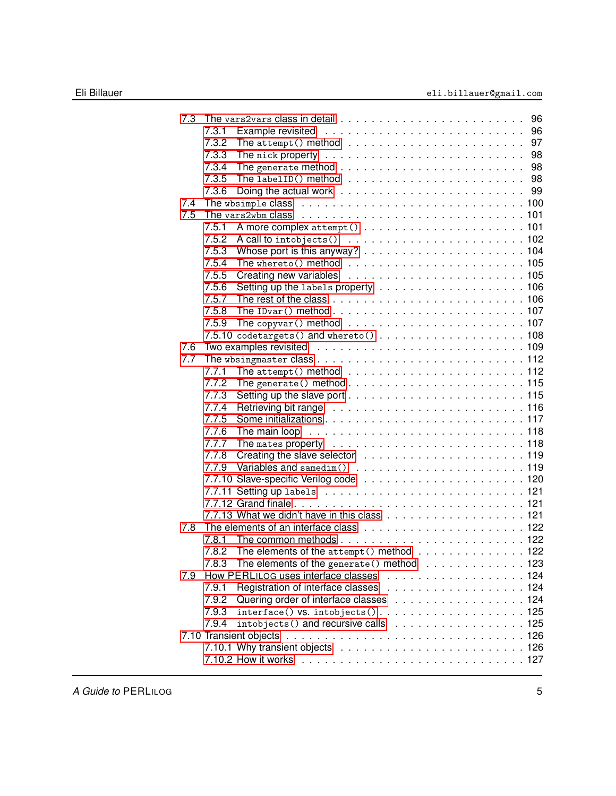| 7.3 |       |                                                                                           |  |
|-----|-------|-------------------------------------------------------------------------------------------|--|
|     | 7.3.1 |                                                                                           |  |
|     | 7.3.2 | The attempt () method $\ldots \ldots \ldots \ldots \ldots \ldots \ldots \ldots$ . 97      |  |
|     | 7.3.3 |                                                                                           |  |
|     | 7.3.4 |                                                                                           |  |
|     | 7.3.5 |                                                                                           |  |
|     | 7.3.6 |                                                                                           |  |
| 7.4 |       |                                                                                           |  |
| 7.5 |       |                                                                                           |  |
|     | 7.5.1 |                                                                                           |  |
|     | 7.5.2 |                                                                                           |  |
|     | 7.5.3 |                                                                                           |  |
|     | 7.5.4 |                                                                                           |  |
|     | 7.5.5 |                                                                                           |  |
|     | 7.5.6 |                                                                                           |  |
|     | 7.5.7 |                                                                                           |  |
|     | 7.5.8 |                                                                                           |  |
|     | 7.5.9 |                                                                                           |  |
|     |       |                                                                                           |  |
| 7.6 |       |                                                                                           |  |
| 7.7 |       |                                                                                           |  |
|     | 7.7.1 |                                                                                           |  |
|     | 7.7.2 |                                                                                           |  |
|     | 7.7.3 |                                                                                           |  |
|     | 7.7.4 |                                                                                           |  |
|     | 7.7.5 |                                                                                           |  |
|     | 7.7.6 |                                                                                           |  |
|     | 7.7.7 |                                                                                           |  |
|     | 7.7.8 |                                                                                           |  |
|     | 7.7.9 |                                                                                           |  |
|     |       |                                                                                           |  |
|     |       |                                                                                           |  |
|     |       |                                                                                           |  |
|     |       |                                                                                           |  |
| 7.8 |       |                                                                                           |  |
|     | 7.8.1 |                                                                                           |  |
|     |       | 7.8.2 The elements of the attempt () method $\ldots$ ,  122                               |  |
|     | 7.8.3 | The elements of the $\texttt{generate}()$ method $\ldots \ldots \ldots \ldots \ldots 123$ |  |
| 7.9 |       |                                                                                           |  |
|     | 7.9.1 |                                                                                           |  |
|     | 7.9.2 | Quering order of interface classes 124                                                    |  |
|     | 7.9.3 |                                                                                           |  |
|     | 7.9.4 | intobjects () and recursive calls 125                                                     |  |
|     |       |                                                                                           |  |
|     |       |                                                                                           |  |
|     |       |                                                                                           |  |
|     |       |                                                                                           |  |

A Guide to PERLILOG **5**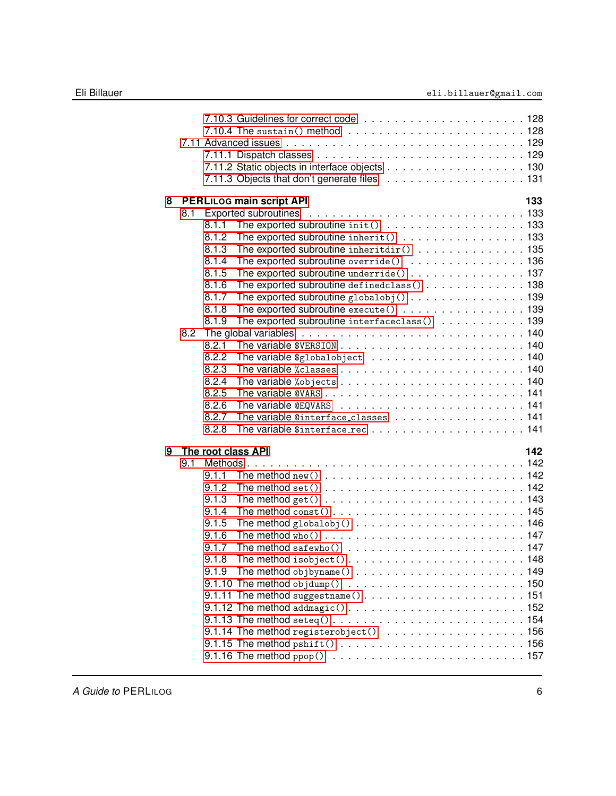| 8 |     |       | PERLILOG main script API                                                                                  | 133 |
|---|-----|-------|-----------------------------------------------------------------------------------------------------------|-----|
|   | 8.1 |       |                                                                                                           |     |
|   |     | 8.1.1 | The exported subroutine init() 133                                                                        |     |
|   |     | 8.1.2 | The exported subroutine inherit() 133                                                                     |     |
|   |     | 8.1.3 | The exported subroutine inheritdir() 135                                                                  |     |
|   |     | 8.1.4 | The exported subroutine override() 136                                                                    |     |
|   |     | 8.1.5 | The exported subroutine underride() 137                                                                   |     |
|   |     | 8.1.6 | The exported subroutine definedclass() 138                                                                |     |
|   |     | 8.1.7 | The exported subroutine globalobj () 139                                                                  |     |
|   |     | 8.1.8 | The exported subroutine execute() 139                                                                     |     |
|   |     | 8.1.9 | The exported subroutine interfaceclass() 139                                                              |     |
|   | 8.2 |       |                                                                                                           |     |
|   |     | 8.2.1 |                                                                                                           |     |
|   |     | 8.2.2 |                                                                                                           |     |
|   |     | 8.2.3 |                                                                                                           |     |
|   |     | 8.2.4 |                                                                                                           |     |
|   |     | 8.2.5 |                                                                                                           |     |
|   |     | 8.2.6 |                                                                                                           |     |
|   |     | 8.2.7 | The variable @interface_classes 141                                                                       |     |
|   |     | 8.2.8 |                                                                                                           |     |
| 9 |     |       | The root class API                                                                                        | 142 |
|   | 9.1 |       |                                                                                                           |     |
|   |     | 9.1.1 | The method new $($ $\ldots$ $\ldots$ $\ldots$ $\ldots$ $\ldots$ $\ldots$ $\ldots$ $\ldots$ $\ldots$ . 142 |     |
|   |     | 9.1.2 |                                                                                                           |     |
|   |     | 9.1.3 |                                                                                                           |     |
|   |     | 9.1.4 |                                                                                                           |     |
|   |     | 9.1.5 |                                                                                                           |     |
|   |     | 9.1.6 |                                                                                                           |     |
|   |     | 9.1.7 |                                                                                                           |     |
|   |     | 9.1.8 | The method isobject()148                                                                                  |     |
|   |     | 9.1.9 |                                                                                                           |     |
|   |     |       |                                                                                                           |     |
|   |     |       |                                                                                                           |     |
|   |     |       |                                                                                                           |     |
|   |     |       |                                                                                                           |     |
|   |     |       | 9.1.14 The method registerobject() 156                                                                    |     |
|   |     |       |                                                                                                           |     |
|   |     |       |                                                                                                           |     |
|   |     |       |                                                                                                           |     |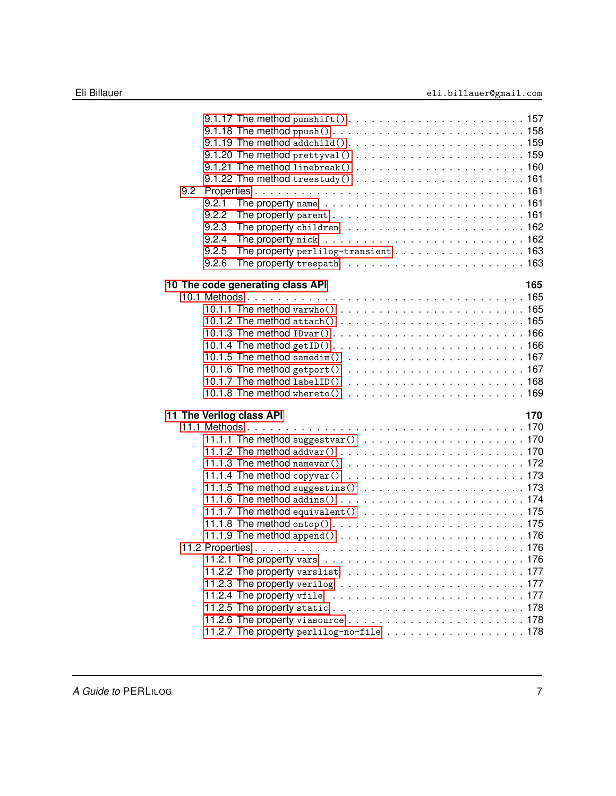| 9.2 | 9.2.1<br>9.2.2           |                                                                                         |  |  |  |  |  |  |     |
|-----|--------------------------|-----------------------------------------------------------------------------------------|--|--|--|--|--|--|-----|
|     | 9.2.3                    |                                                                                         |  |  |  |  |  |  |     |
|     | 9.2.4                    |                                                                                         |  |  |  |  |  |  |     |
|     | 9.2.5<br>9.2.6           | The property perlilog-transient 163                                                     |  |  |  |  |  |  |     |
|     |                          |                                                                                         |  |  |  |  |  |  |     |
|     |                          | 10 The code generating class API                                                        |  |  |  |  |  |  | 165 |
|     |                          |                                                                                         |  |  |  |  |  |  |     |
|     |                          |                                                                                         |  |  |  |  |  |  |     |
|     |                          |                                                                                         |  |  |  |  |  |  |     |
|     |                          |                                                                                         |  |  |  |  |  |  |     |
|     |                          |                                                                                         |  |  |  |  |  |  |     |
|     |                          |                                                                                         |  |  |  |  |  |  |     |
|     |                          |                                                                                         |  |  |  |  |  |  |     |
|     |                          |                                                                                         |  |  |  |  |  |  |     |
|     |                          |                                                                                         |  |  |  |  |  |  |     |
|     | 11 The Verilog class API |                                                                                         |  |  |  |  |  |  | 170 |
|     |                          |                                                                                         |  |  |  |  |  |  |     |
|     |                          |                                                                                         |  |  |  |  |  |  |     |
|     |                          |                                                                                         |  |  |  |  |  |  |     |
|     |                          |                                                                                         |  |  |  |  |  |  |     |
|     |                          |                                                                                         |  |  |  |  |  |  |     |
|     |                          |                                                                                         |  |  |  |  |  |  |     |
|     |                          |                                                                                         |  |  |  |  |  |  |     |
|     |                          |                                                                                         |  |  |  |  |  |  |     |
|     |                          |                                                                                         |  |  |  |  |  |  |     |
|     |                          |                                                                                         |  |  |  |  |  |  |     |
|     |                          |                                                                                         |  |  |  |  |  |  |     |
|     |                          |                                                                                         |  |  |  |  |  |  |     |
|     |                          |                                                                                         |  |  |  |  |  |  |     |
|     |                          |                                                                                         |  |  |  |  |  |  |     |
|     |                          |                                                                                         |  |  |  |  |  |  |     |
|     |                          |                                                                                         |  |  |  |  |  |  |     |
|     |                          |                                                                                         |  |  |  |  |  |  |     |
|     |                          | 11.2.7 The property perlilog-no-file $\ldots \ldots \ldots \ldots \ldots \ldots \ldots$ |  |  |  |  |  |  |     |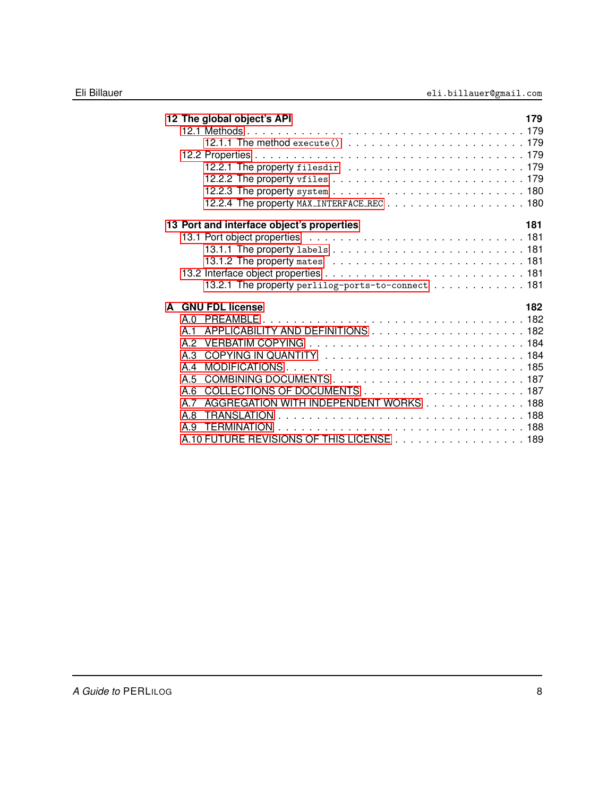| 12 The global object's API                        | 179 |
|---------------------------------------------------|-----|
|                                                   |     |
|                                                   |     |
|                                                   |     |
|                                                   |     |
|                                                   |     |
|                                                   |     |
| 12.2.4 The property MAX_INTERFACE_REC 180         |     |
| 13 Port and interface object's properties         | 181 |
|                                                   |     |
|                                                   |     |
|                                                   |     |
|                                                   |     |
| 13.2.1 The property perlilog-ports-to-connect 181 |     |
| A GNU FDL license                                 | 182 |
| A <sub>0</sub>                                    |     |
| A 1                                               |     |
| A.2                                               |     |
| A.3                                               |     |
| A 4                                               |     |
| A.5                                               |     |
| A.6                                               |     |
| AGGREGATION WITH INDEPENDENT WORKS 188<br>A 7     |     |
| A.8                                               |     |
| A 9                                               |     |
| A.10 FUTURE REVISIONS OF THIS LICENSE 189         |     |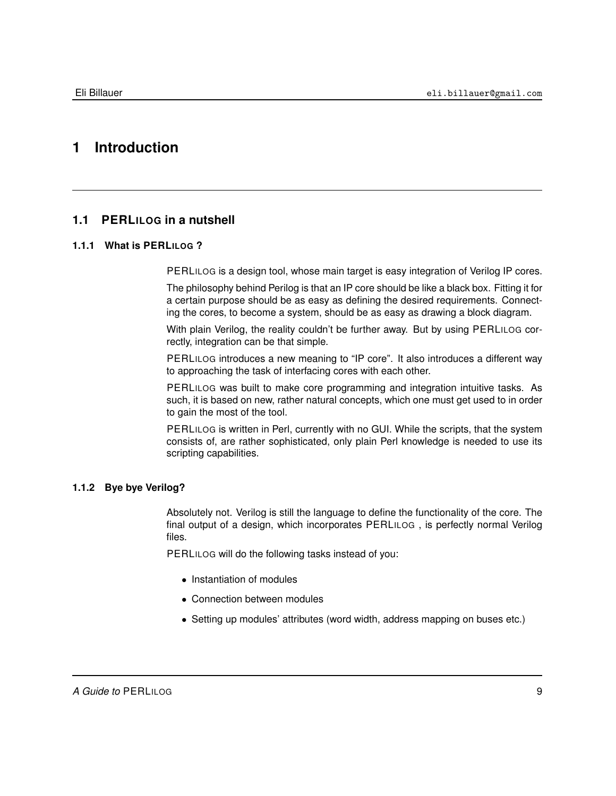# <span id="page-8-0"></span>**1 Introduction**

# **1.1 PERLILOG in a nutshell**

# **1.1.1 What is PERLILOG ?**

<span id="page-8-2"></span><span id="page-8-1"></span>PERLILOG is a design tool, whose main target is easy integration of Verilog IP cores.

The philosophy behind Perilog is that an IP core should be like a black box. Fitting it for a certain purpose should be as easy as defining the desired requirements. Connecting the cores, to become a system, should be as easy as drawing a block diagram.

With plain Verilog, the reality couldn't be further away. But by using PERLILOG correctly, integration can be that simple.

PERLILOG introduces a new meaning to "IP core". It also introduces a different way to approaching the task of interfacing cores with each other.

PERLILOG was built to make core programming and integration intuitive tasks. As such, it is based on new, rather natural concepts, which one must get used to in order to gain the most of the tool.

PERLILOG is written in Perl, currently with no GUI. While the scripts, that the system consists of, are rather sophisticated, only plain Perl knowledge is needed to use its scripting capabilities.

## **1.1.2 Bye bye Verilog?**

<span id="page-8-3"></span>Absolutely not. Verilog is still the language to define the functionality of the core. The final output of a design, which incorporates PERLILOG , is perfectly normal Verilog files.

PERLILOG will do the following tasks instead of you:

- Instantiation of modules
- Connection between modules
- Setting up modules' attributes (word width, address mapping on buses etc.)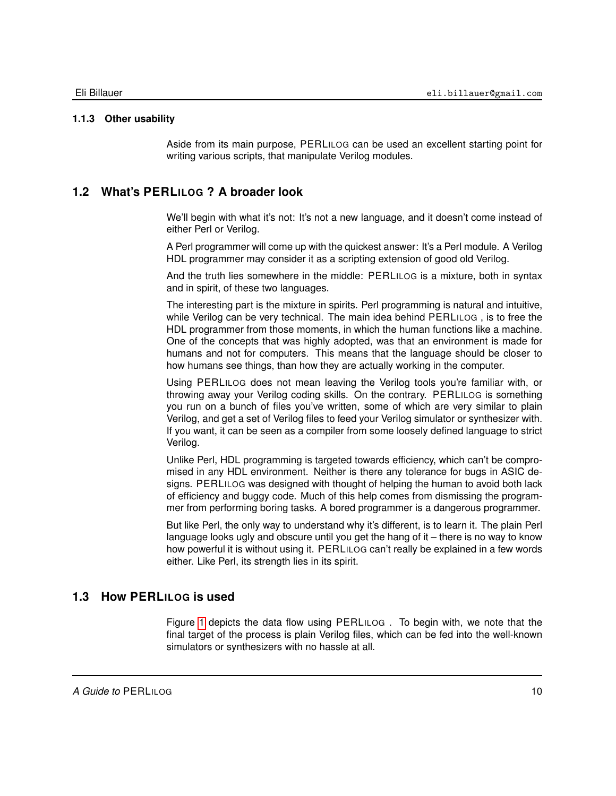## **1.1.3 Other usability**

<span id="page-9-0"></span>Aside from its main purpose, PERLILOG can be used an excellent starting point for writing various scripts, that manipulate Verilog modules.

# **1.2 What's PERLILOG ? A broader look**

<span id="page-9-1"></span>We'll begin with what it's not: It's not a new language, and it doesn't come instead of either Perl or Verilog.

A Perl programmer will come up with the quickest answer: It's a Perl module. A Verilog HDL programmer may consider it as a scripting extension of good old Verilog.

And the truth lies somewhere in the middle: PERLILOG is a mixture, both in syntax and in spirit, of these two languages.

The interesting part is the mixture in spirits. Perl programming is natural and intuitive, while Verilog can be very technical. The main idea behind PERLILOG , is to free the HDL programmer from those moments, in which the human functions like a machine. One of the concepts that was highly adopted, was that an environment is made for humans and not for computers. This means that the language should be closer to how humans see things, than how they are actually working in the computer.

Using PERLILOG does not mean leaving the Verilog tools you're familiar with, or throwing away your Verilog coding skills. On the contrary. PERLILOG is something you run on a bunch of files you've written, some of which are very similar to plain Verilog, and get a set of Verilog files to feed your Verilog simulator or synthesizer with. If you want, it can be seen as a compiler from some loosely defined language to strict Verilog.

Unlike Perl, HDL programming is targeted towards efficiency, which can't be compromised in any HDL environment. Neither is there any tolerance for bugs in ASIC designs. PERLILOG was designed with thought of helping the human to avoid both lack of efficiency and buggy code. Much of this help comes from dismissing the programmer from performing boring tasks. A bored programmer is a dangerous programmer.

But like Perl, the only way to understand why it's different, is to learn it. The plain Perl language looks ugly and obscure until you get the hang of it – there is no way to know how powerful it is without using it. PERLILOG can't really be explained in a few words either. Like Perl, its strength lies in its spirit.

# **1.3 How PERLILOG is used**

<span id="page-9-2"></span>Figure [1](#page-10-0) depicts the data flow using PERLILOG . To begin with, we note that the final target of the process is plain Verilog files, which can be fed into the well-known simulators or synthesizers with no hassle at all.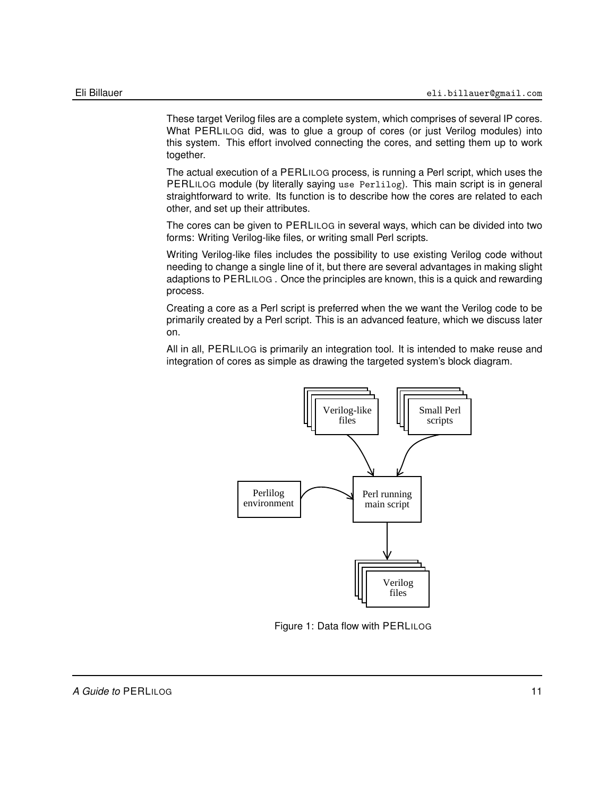These target Verilog files are a complete system, which comprises of several IP cores. What PERLILOG did, was to glue a group of cores (or just Verilog modules) into this system. This effort involved connecting the cores, and setting them up to work together.

The actual execution of a PERLILOG process, is running a Perl script, which uses the PERLILOG module (by literally saying use Perlilog). This main script is in general straightforward to write. Its function is to describe how the cores are related to each other, and set up their attributes.

The cores can be given to PERLILOG in several ways, which can be divided into two forms: Writing Verilog-like files, or writing small Perl scripts.

Writing Verilog-like files includes the possibility to use existing Verilog code without needing to change a single line of it, but there are several advantages in making slight adaptions to PERLILOG . Once the principles are known, this is a quick and rewarding process.

Creating a core as a Perl script is preferred when the we want the Verilog code to be primarily created by a Perl script. This is an advanced feature, which we discuss later on.

All in all, PERLILOG is primarily an integration tool. It is intended to make reuse and integration of cores as simple as drawing the targeted system's block diagram.



<span id="page-10-0"></span>Figure 1: Data flow with PERLILOG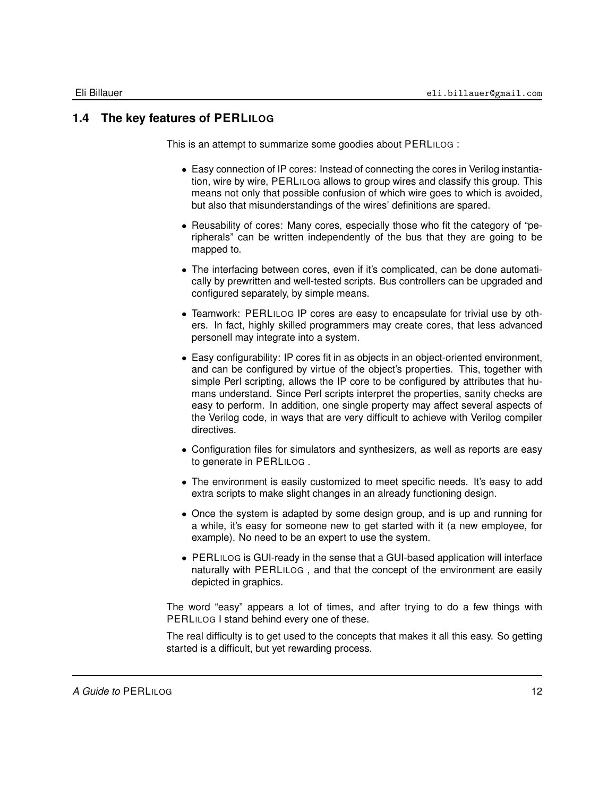# **1.4 The key features of PERLILOG**

<span id="page-11-0"></span>This is an attempt to summarize some goodies about PERLILOG :

- Easy connection of IP cores: Instead of connecting the cores in Verilog instantiation, wire by wire, PERLILOG allows to group wires and classify this group. This means not only that possible confusion of which wire goes to which is avoided, but also that misunderstandings of the wires' definitions are spared.
- Reusability of cores: Many cores, especially those who fit the category of "peripherals" can be written independently of the bus that they are going to be mapped to.
- The interfacing between cores, even if it's complicated, can be done automatically by prewritten and well-tested scripts. Bus controllers can be upgraded and configured separately, by simple means.
- Teamwork: PERLILOG IP cores are easy to encapsulate for trivial use by others. In fact, highly skilled programmers may create cores, that less advanced personell may integrate into a system.
- Easy configurability: IP cores fit in as objects in an object-oriented environment, and can be configured by virtue of the object's properties. This, together with simple Perl scripting, allows the IP core to be configured by attributes that humans understand. Since Perl scripts interpret the properties, sanity checks are easy to perform. In addition, one single property may affect several aspects of the Verilog code, in ways that are very difficult to achieve with Verilog compiler directives.
- Configuration files for simulators and synthesizers, as well as reports are easy to generate in PERLILOG .
- The environment is easily customized to meet specific needs. It's easy to add extra scripts to make slight changes in an already functioning design.
- Once the system is adapted by some design group, and is up and running for a while, it's easy for someone new to get started with it (a new employee, for example). No need to be an expert to use the system.
- PERLILOG is GUI-ready in the sense that a GUI-based application will interface naturally with PERLILOG , and that the concept of the environment are easily depicted in graphics.

The word "easy" appears a lot of times, and after trying to do a few things with PERLILOG I stand behind every one of these.

The real difficulty is to get used to the concepts that makes it all this easy. So getting started is a difficult, but yet rewarding process.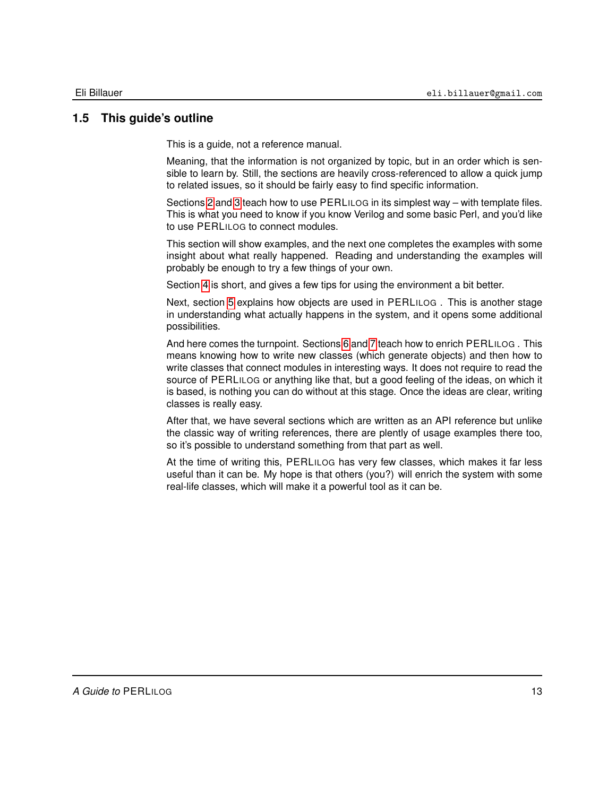# **1.5 This guide's outline**

<span id="page-12-0"></span>This is a guide, not a reference manual.

Meaning, that the information is not organized by topic, but in an order which is sensible to learn by. Still, the sections are heavily cross-referenced to allow a quick jump to related issues, so it should be fairly easy to find specific information.

Sections [2](#page-13-0) and [3](#page-39-0) teach how to use PERLILOG in its simplest way – with template files. This is what you need to know if you know Verilog and some basic Perl, and you'd like to use PERLILOG to connect modules.

This section will show examples, and the next one completes the examples with some insight about what really happened. Reading and understanding the examples will probably be enough to try a few things of your own.

Section [4](#page-50-0) is short, and gives a few tips for using the environment a bit better.

Next, section [5](#page-52-0) explains how objects are used in PERLILOG . This is another stage in understanding what actually happens in the system, and it opens some additional possibilities.

And here comes the turnpoint. Sections [6](#page-61-0) and [7](#page-91-0) teach how to enrich PERLILOG . This means knowing how to write new classes (which generate objects) and then how to write classes that connect modules in interesting ways. It does not require to read the source of PERLILOG or anything like that, but a good feeling of the ideas, on which it is based, is nothing you can do without at this stage. Once the ideas are clear, writing classes is really easy.

After that, we have several sections which are written as an API reference but unlike the classic way of writing references, there are plently of usage examples there too, so it's possible to understand something from that part as well.

At the time of writing this, PERLILOG has very few classes, which makes it far less useful than it can be. My hope is that others (you?) will enrich the system with some real-life classes, which will make it a powerful tool as it can be.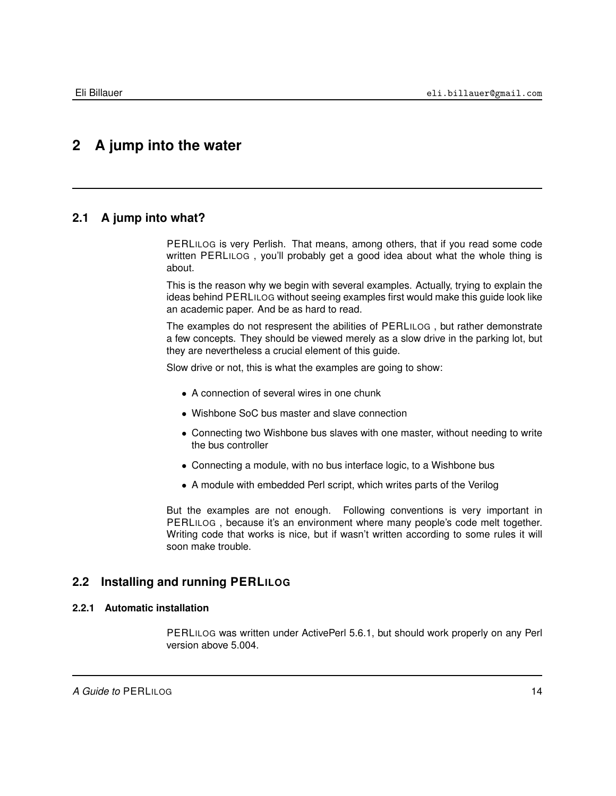# <span id="page-13-0"></span>**2 A jump into the water**

# **2.1 A jump into what?**

<span id="page-13-1"></span>PERLILOG is very Perlish. That means, among others, that if you read some code written PERLILOG , you'll probably get a good idea about what the whole thing is about.

This is the reason why we begin with several examples. Actually, trying to explain the ideas behind PERLILOG without seeing examples first would make this guide look like an academic paper. And be as hard to read.

The examples do not respresent the abilities of PERLILOG , but rather demonstrate a few concepts. They should be viewed merely as a slow drive in the parking lot, but they are nevertheless a crucial element of this guide.

Slow drive or not, this is what the examples are going to show:

- A connection of several wires in one chunk
- Wishbone SoC bus master and slave connection
- Connecting two Wishbone bus slaves with one master, without needing to write the bus controller
- Connecting a module, with no bus interface logic, to a Wishbone bus
- A module with embedded Perl script, which writes parts of the Verilog

<span id="page-13-2"></span>But the examples are not enough. Following conventions is very important in PERLILOG , because it's an environment where many people's code melt together. Writing code that works is nice, but if wasn't written according to some rules it will soon make trouble.

## **2.2 Installing and running PERLILOG**

## **2.2.1 Automatic installation**

<span id="page-13-3"></span>PERLILOG was written under ActivePerl 5.6.1, but should work properly on any Perl version above 5.004.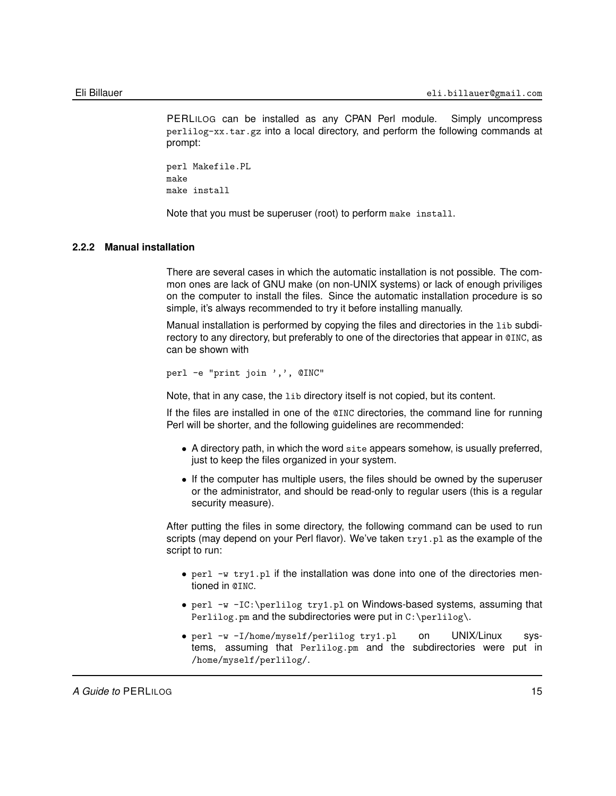PERLILOG can be installed as any CPAN Perl module. Simply uncompress perlilog-xx.tar.gz into a local directory, and perform the following commands at prompt:

perl Makefile.PL make make install

<span id="page-14-0"></span>Note that you must be superuser (root) to perform make install.

#### **2.2.2 Manual installation**

There are several cases in which the automatic installation is not possible. The common ones are lack of GNU make (on non-UNIX systems) or lack of enough priviliges on the computer to install the files. Since the automatic installation procedure is so simple, it's always recommended to try it before installing manually.

Manual installation is performed by copying the files and directories in the lib subdirectory to any directory, but preferably to one of the directories that appear in @INC, as can be shown with

```
perl -e "print join ',', @INC"
```
Note, that in any case, the lib directory itself is not copied, but its content.

If the files are installed in one of the @INC directories, the command line for running Perl will be shorter, and the following guidelines are recommended:

- A directory path, in which the word site appears somehow, is usually preferred, just to keep the files organized in your system.
- If the computer has multiple users, the files should be owned by the superuser or the administrator, and should be read-only to regular users (this is a regular security measure).

After putting the files in some directory, the following command can be used to run scripts (may depend on your Perl flavor). We've taken  $try1.$   $p1$  as the example of the script to run:

- perl -w try1.pl if the installation was done into one of the directories mentioned in @INC.
- perl -w -IC:\perlilog try1.pl on Windows-based systems, assuming that Perlilog.pm and the subdirectories were put in  $C:\Perlilog\$ .
- perl -w -I/home/myself/perlilog try1.pl on UNIX/Linux systems, assuming that Perlilog.pm and the subdirectories were put in /home/myself/perlilog/.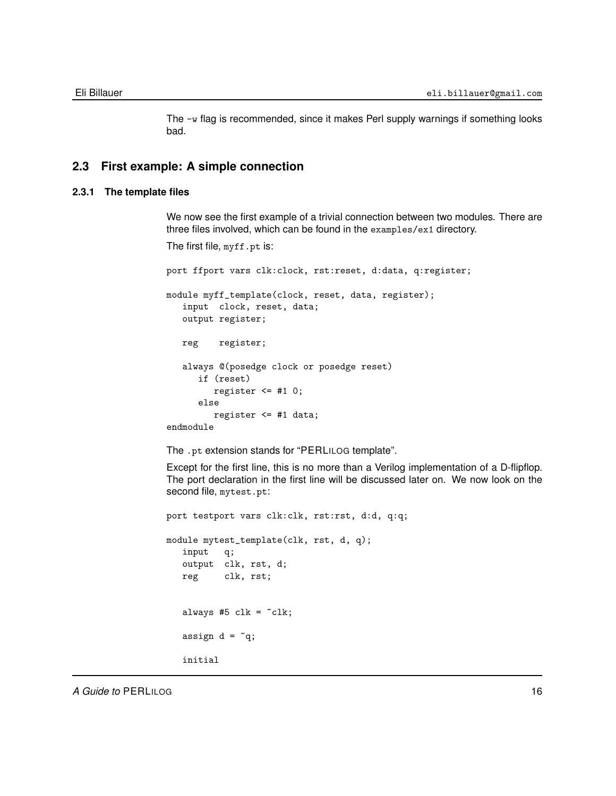<span id="page-15-0"></span>The -w flag is recommended, since it makes Perl supply warnings if something looks bad.

## **2.3 First example: A simple connection**

## **2.3.1 The template files**

<span id="page-15-1"></span>We now see the first example of a trivial connection between two modules. There are three files involved, which can be found in the examples/ex1 directory.

```
The first file, myff.pt is:
```
port ffport vars clk:clock, rst:reset, d:data, q:register; module myff\_template(clock, reset, data, register); input clock, reset, data; output register; reg register; always @(posedge clock or posedge reset) if (reset) register  $\leq$  #1 0; else register <= #1 data; endmodule

The .pt extension stands for "PERLILOG template".

Except for the first line, this is no more than a Verilog implementation of a D-flipflop. The port declaration in the first line will be discussed later on. We now look on the second file, mytest.pt:

```
port testport vars clk:clk, rst:rst, d:d, q:q;
module mytest_template(clk, rst, d, q);
   input q;
   output clk, rst, d;
   reg clk, rst;
   always #5 clk = -clk;
   assign d = \tilde{q};
   initial
```
*A Guide to* **PERLILOG** 16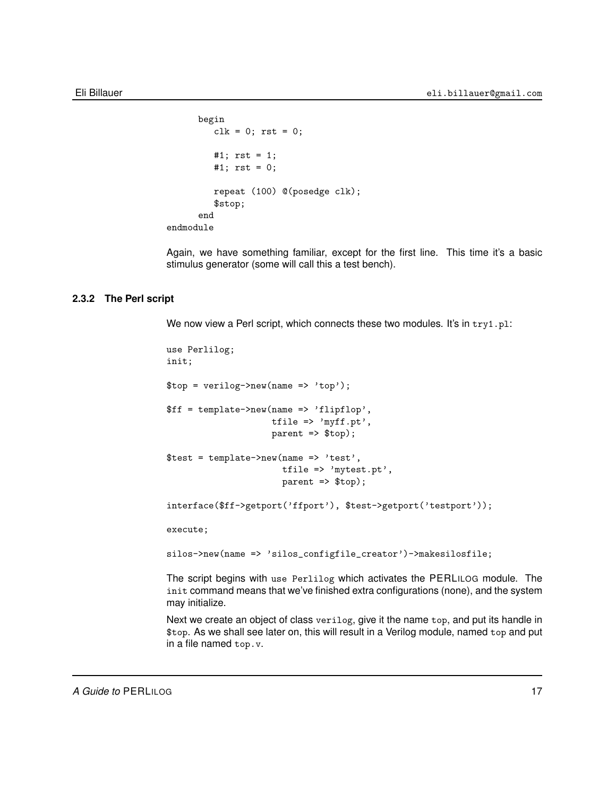```
begin
         clk = 0; rst = 0;#1; rst = 1;
         #1; rst = 0;
         repeat (100) @(posedge clk);
         $stop;
      end
endmodule
```
Again, we have something familiar, except for the first line. This time it's a basic stimulus generator (some will call this a test bench).

## **2.3.2 The Perl script**

<span id="page-16-0"></span>We now view a Perl script, which connects these two modules. It's in try1.pl:

```
use Perlilog;
init;
$top = verilog->new(name => 'top');$ff = template->new(name => 'flipflop',
                    tfile \Rightarrow 'myff.pt',
                     parent => $top);
$test = template->new(name => 'test',
                      tfile => 'mytest.pt',
                      parent => $top);
interface($ff->getport('ffport'), $test->getport('testport'));
execute;
silos->new(name => 'silos_configfile_creator')->makesilosfile;
```
The script begins with use Perlilog which activates the PERLILOG module. The init command means that we've finished extra configurations (none), and the system may initialize.

Next we create an object of class verilog, give it the name top, and put its handle in \$top. As we shall see later on, this will result in a Verilog module, named top and put in a file named top.v.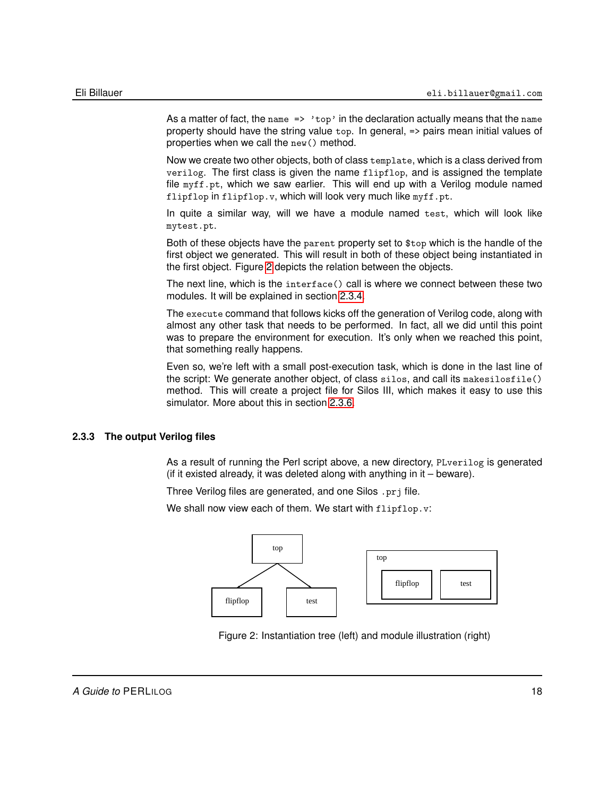As a matter of fact, the name  $\Rightarrow$  'top' in the declaration actually means that the name property should have the string value top. In general, => pairs mean initial values of properties when we call the new() method.

Now we create two other objects, both of class template, which is a class derived from verilog. The first class is given the name flipflop, and is assigned the template file myff.pt, which we saw earlier. This will end up with a Verilog module named flipflop in flipflop.v, which will look very much like myff.pt.

In quite a similar way, will we have a module named test, which will look like mytest.pt.

Both of these objects have the parent property set to \$top which is the handle of the first object we generated. This will result in both of these object being instantiated in the first object. Figure [2](#page-17-1) depicts the relation between the objects.

The next line, which is the interface() call is where we connect between these two modules. It will be explained in section [2.3.4.](#page-19-0)

The execute command that follows kicks off the generation of Verilog code, along with almost any other task that needs to be performed. In fact, all we did until this point was to prepare the environment for execution. It's only when we reached this point, that something really happens.

Even so, we're left with a small post-execution task, which is done in the last line of the script: We generate another object, of class silos, and call its makesilosfile() method. This will create a project file for Silos III, which makes it easy to use this simulator. More about this in section [2.3.6.](#page-21-0)

## **2.3.3 The output Verilog files**

<span id="page-17-0"></span>As a result of running the Perl script above, a new directory, PLverilog is generated (if it existed already, it was deleted along with anything in it – beware).

Three Verilog files are generated, and one Silos .prj file.

We shall now view each of them. We start with flipflop.v:



<span id="page-17-1"></span>Figure 2: Instantiation tree (left) and module illustration (right)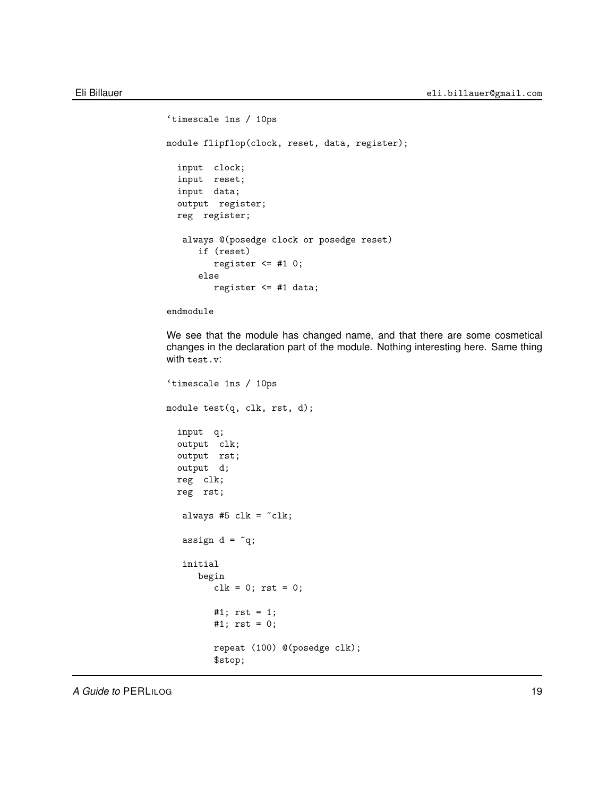```
'timescale 1ns / 10ps
module flipflop(clock, reset, data, register);
  input clock;
  input reset;
  input data;
  output register;
  reg register;
  always @(posedge clock or posedge reset)
      if (reset)
        register <= #1 0;
      else
        register <= #1 data;
```
endmodule

We see that the module has changed name, and that there are some cosmetical changes in the declaration part of the module. Nothing interesting here. Same thing with test.v:

```
'timescale 1ns / 10ps
module test(q, clk, rst, d);
  input q;
  output clk;
  output rst;
  output d;
  reg clk;
  reg rst;
  always #5 clk = -clk;
  assign d = \tilde{q};
   initial
      begin
         clk = 0; rst = 0;#1; rst = 1;
         #1; rst = 0;
         repeat (100) @(posedge clk);
         $stop;
```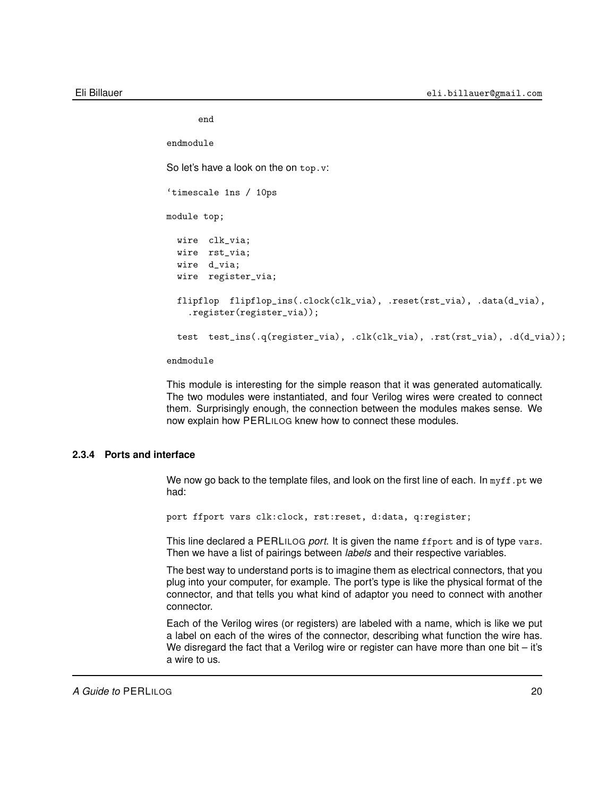end

```
endmodule
So let's have a look on the on top. v:
'timescale 1ns / 10ps
module top;
  wire clk_via;
  wire rst_via;
  wire d_via;
  wire register_via;
  flipflop flipflop_ins(.clock(clk_via), .reset(rst_via), .data(d_via),
    .register(register_via));
  test test_ins(.q(register_via), .clk(clk_via), .rst(rst_via), .d(d_via));
```
endmodule

This module is interesting for the simple reason that it was generated automatically. The two modules were instantiated, and four Verilog wires were created to connect them. Surprisingly enough, the connection between the modules makes sense. We now explain how PERLILOG knew how to connect these modules.

## **2.3.4 Ports and interface**

<span id="page-19-0"></span>We now go back to the template files, and look on the first line of each. In  $m y f f$ .pt we had:

port ffport vars clk:clock, rst:reset, d:data, q:register;

This line declared a PERLILOG *port*. It is given the name ffport and is of type vars. Then we have a list of pairings between *labels* and their respective variables.

The best way to understand ports is to imagine them as electrical connectors, that you plug into your computer, for example. The port's type is like the physical format of the connector, and that tells you what kind of adaptor you need to connect with another connector.

Each of the Verilog wires (or registers) are labeled with a name, which is like we put a label on each of the wires of the connector, describing what function the wire has. We disregard the fact that a Verilog wire or register can have more than one bit  $-$  it's a wire to us.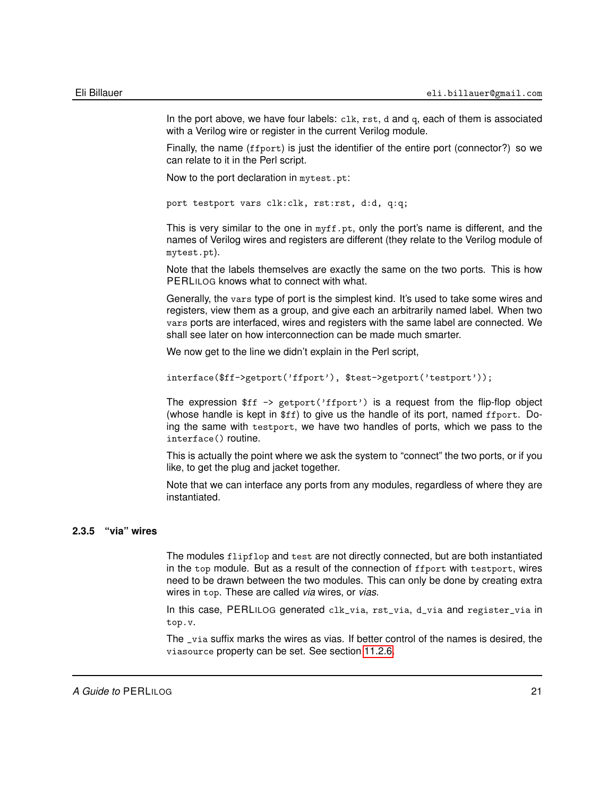In the port above, we have four labels:  $c1k$ ,  $rst$ , d and q, each of them is associated with a Verilog wire or register in the current Verilog module.

Finally, the name (ffport) is just the identifier of the entire port (connector?) so we can relate to it in the Perl script.

Now to the port declaration in mytest.pt:

```
port testport vars clk:clk, rst:rst, d:d, q:q;
```
This is very similar to the one in  $\text{myff}.\text{pt}$ , only the port's name is different, and the names of Verilog wires and registers are different (they relate to the Verilog module of mytest.pt).

Note that the labels themselves are exactly the same on the two ports. This is how PERLILOG knows what to connect with what.

Generally, the vars type of port is the simplest kind. It's used to take some wires and registers, view them as a group, and give each an arbitrarily named label. When two vars ports are interfaced, wires and registers with the same label are connected. We shall see later on how interconnection can be made much smarter.

We now get to the line we didn't explain in the Perl script,

interface(\$ff->getport('ffport'), \$test->getport('testport'));

The expression  $f f \rightarrow getport('ffport')$  is a request from the flip-flop object (whose handle is kept in \$ff) to give us the handle of its port, named ffport. Doing the same with testport, we have two handles of ports, which we pass to the interface() routine.

This is actually the point where we ask the system to "connect" the two ports, or if you like, to get the plug and jacket together.

Note that we can interface any ports from any modules, regardless of where they are instantiated.

## **2.3.5 "via" wires**

<span id="page-20-0"></span>The modules flipflop and test are not directly connected, but are both instantiated in the top module. But as a result of the connection of ffport with testport, wires need to be drawn between the two modules. This can only be done by creating extra wires in top. These are called *via* wires, or *vias*.

In this case, PERLILOG generated clk\_via, rst\_via, d\_via and register\_via in top.v.

The \_via suffix marks the wires as vias. If better control of the names is desired, the viasource property can be set. See section [11.2.6.](#page-177-1)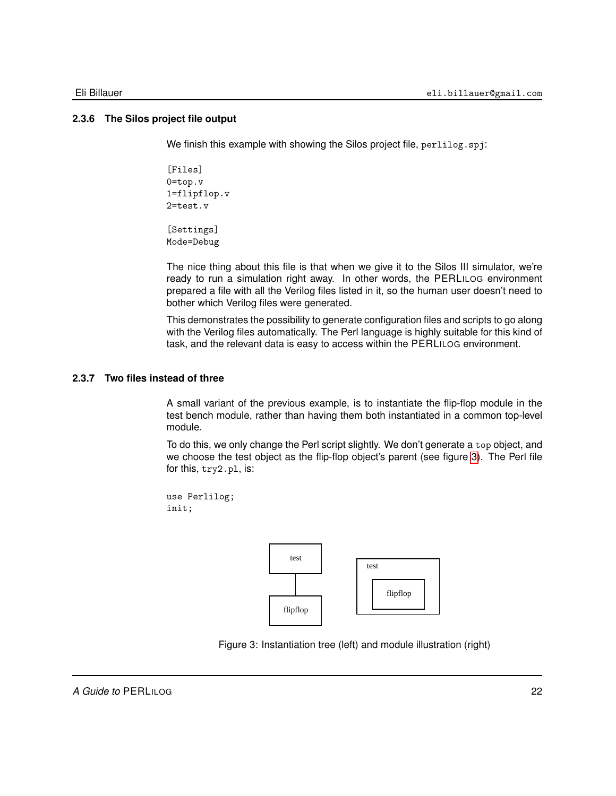## **2.3.6 The Silos project file output**

<span id="page-21-0"></span>We finish this example with showing the Silos project file, perlilog.spj:

```
[Files]
0=top.v
1=flipflop.v
2=test.v
```
[Settings] Mode=Debug

The nice thing about this file is that when we give it to the Silos III simulator, we're ready to run a simulation right away. In other words, the PERLILOG environment prepared a file with all the Verilog files listed in it, so the human user doesn't need to bother which Verilog files were generated.

This demonstrates the possibility to generate configuration files and scripts to go along with the Verilog files automatically. The Perl language is highly suitable for this kind of task, and the relevant data is easy to access within the PERLILOG environment.

## **2.3.7 Two files instead of three**

<span id="page-21-1"></span>A small variant of the previous example, is to instantiate the flip-flop module in the test bench module, rather than having them both instantiated in a common top-level module.

To do this, we only change the Perl script slightly. We don't generate a top object, and we choose the test object as the flip-flop object's parent (see figure [3\)](#page-21-2). The Perl file for this, try2.pl, is:

use Perlilog; init;



<span id="page-21-2"></span>Figure 3: Instantiation tree (left) and module illustration (right)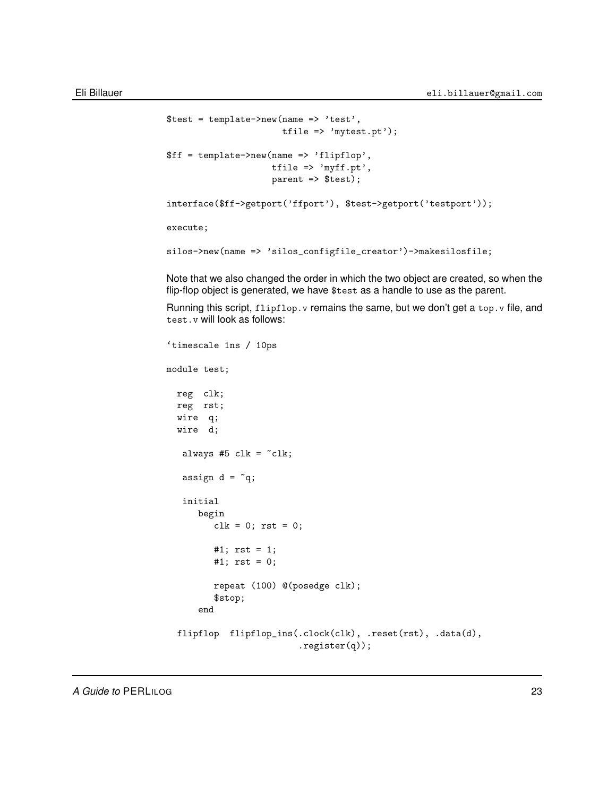```
\text{first} = \text{template} > \text{new}(\text{name} = \text{best}'),tfile => 'mytest.pt');
$ff = template->new(name => 'flipflop',
                      tfile => 'myff.pt',
                      parent => $test);
interface($ff->getport('ffport'), $test->getport('testport'));
execute;
silos->new(name => 'silos_configfile_creator')->makesilosfile;
```
Note that we also changed the order in which the two object are created, so when the flip-flop object is generated, we have \$test as a handle to use as the parent.

Running this script,  $f1ipf1op.$  v remains the same, but we don't get a top. v file, and test.v will look as follows:

```
'timescale 1ns / 10ps
module test;
 reg clk;
 reg rst;
 wire q;
  wire d;
  always #5 clk = -clk;
  assign d = \tilde{q};
   initial
      begin
         clk = 0; rst = 0;#1; rst = 1;
         #1; rst = 0;
         repeat (100) @(posedge clk);
         $stop;
      end
  flipflop flipflop_ins(.clock(clk), .reset(rst), .data(d),
                         .register(q));
```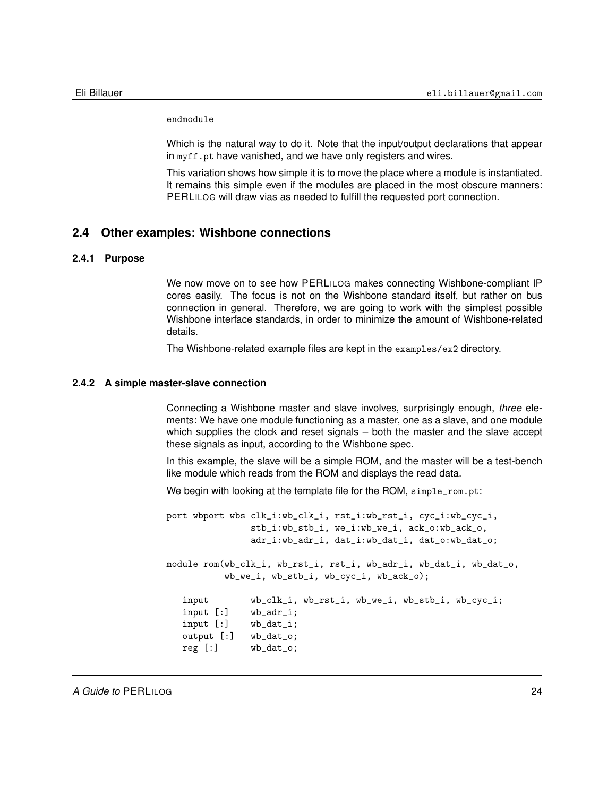endmodule

Which is the natural way to do it. Note that the input/output declarations that appear in myff.pt have vanished, and we have only registers and wires.

<span id="page-23-0"></span>This variation shows how simple it is to move the place where a module is instantiated. It remains this simple even if the modules are placed in the most obscure manners: PERLILOG will draw vias as needed to fulfill the requested port connection.

## **2.4 Other examples: Wishbone connections**

#### **2.4.1 Purpose**

<span id="page-23-1"></span>We now move on to see how PERLILOG makes connecting Wishbone-compliant IP cores easily. The focus is not on the Wishbone standard itself, but rather on bus connection in general. Therefore, we are going to work with the simplest possible Wishbone interface standards, in order to minimize the amount of Wishbone-related details.

<span id="page-23-2"></span>The Wishbone-related example files are kept in the examples/ex2 directory.

### **2.4.2 A simple master-slave connection**

Connecting a Wishbone master and slave involves, surprisingly enough, *three* elements: We have one module functioning as a master, one as a slave, and one module which supplies the clock and reset signals – both the master and the slave accept these signals as input, according to the Wishbone spec.

In this example, the slave will be a simple ROM, and the master will be a test-bench like module which reads from the ROM and displays the read data.

We begin with looking at the template file for the ROM, simple\_rom.pt:

```
port wbport wbs clk_i:wb_clk_i, rst_i:wb_rst_i, cyc_i:wb_cyc_i,
               stb_i:wb_stb_i, we_i:wb_we_i, ack_o:wb_ack_o,
               adr_i:wb_adr_i, dat_i:wb_dat_i, dat_o:wb_dat_o;
module rom(wb_clk_i, wb_rst_i, rst_i, wb_adr_i, wb_dat_i, wb_dat_o,
          wb_we_i, wb_stb_i, wb_cyc_i, wb_ack_o);
   input wb_clk_i, wb_rst_i, wb_we_i, wb_stb_i, wb_cyc_i;
   input [:] wb_adr_i;
   input [:] wb_dat_i;
   output [:] wb_dat_o;
  reg [:] wb_dat_o;
```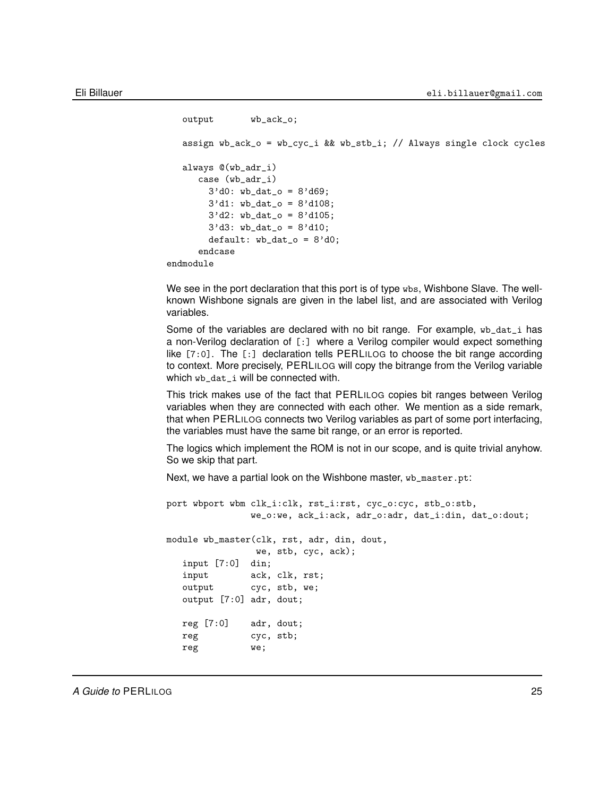```
output wb_ack_o;
   assign wb_ack_o = wb_cyc_i && wb_stb_i; // Always single clock cycles
   always @(wb_adr_i)
     case (wb_adr_i)
       3'd0: wb\_dat\_o = 8'd69;
       3'd1: wb_dat_o = 8'd108;
       3'd2: wb_data_0 = 8'd105;3'd3: wb_data_0 = 8'd10;default: wb_data_o = 8'd0;endcase
endmodule
```
We see in the port declaration that this port is of type wbs, Wishbone Slave. The wellknown Wishbone signals are given in the label list, and are associated with Verilog variables.

Some of the variables are declared with no bit range. For example,  $wb\_dat\_i$  has a non-Verilog declaration of [:] where a Verilog compiler would expect something like [7:0]. The [:] declaration tells PERLILOG to choose the bit range according to context. More precisely, PERLILOG will copy the bitrange from the Verilog variable which wb\_dat\_i will be connected with.

This trick makes use of the fact that PERLILOG copies bit ranges between Verilog variables when they are connected with each other. We mention as a side remark, that when PERLILOG connects two Verilog variables as part of some port interfacing, the variables must have the same bit range, or an error is reported.

The logics which implement the ROM is not in our scope, and is quite trivial anyhow. So we skip that part.

Next, we have a partial look on the Wishbone master, wb\_master.pt:

```
port wbport wbm clk_i:clk, rst_i:rst, cyc_o:cyc, stb_o:stb,
              we_o:we, ack_i:ack, adr_o:adr, dat_i:din, dat_o:dout;
module wb_master(clk, rst, adr, din, dout,
               we, stb, cyc, ack);
  input [7:0] din;
  input ack, clk, rst;
  output cyc, stb, we;
  output [7:0] adr, dout;
  reg [7:0] adr, dout;
  reg cyc, stb;
  reg we;
```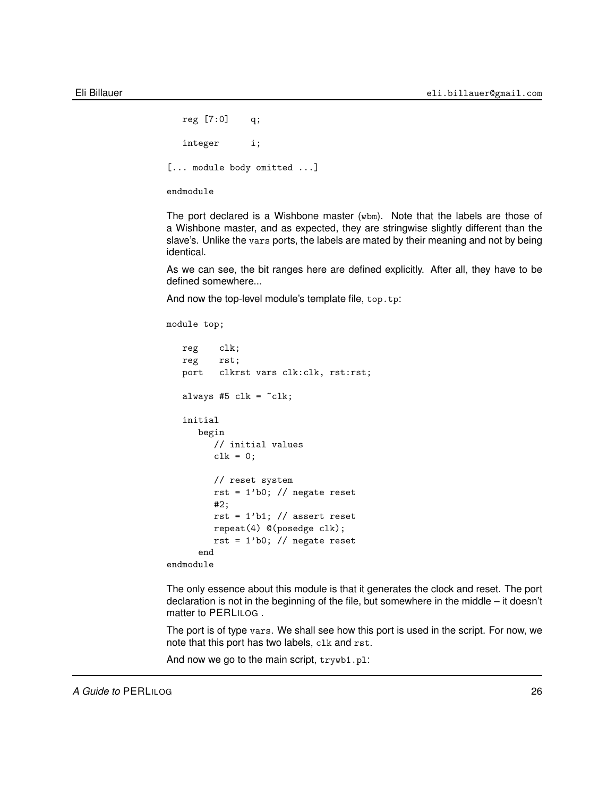```
reg [7:0] q;
  integer i;
[... module body omitted ...]
endmodule
```
The port declared is a Wishbone master (wbm). Note that the labels are those of a Wishbone master, and as expected, they are stringwise slightly different than the slave's. Unlike the vars ports, the labels are mated by their meaning and not by being identical.

As we can see, the bit ranges here are defined explicitly. After all, they have to be defined somewhere...

And now the top-level module's template file, top.tp:

```
module top;
```

```
reg clk;
  reg rst;
  port clkrst vars clk:clk, rst:rst;
  always #5 clk = -clk;
   initial
     begin
        // initial values
        clk = 0;
        // reset system
        rst = 1'b0; // negate reset
        #2;
        rst = 1'b1; // assert reset
        repeat(4) @(posedge clk);
        rst = 1'b0; // negate reset
      end
endmodule
```
The only essence about this module is that it generates the clock and reset. The port declaration is not in the beginning of the file, but somewhere in the middle – it doesn't matter to PERLILOG .

The port is of type vars. We shall see how this port is used in the script. For now, we note that this port has two labels, clk and rst.

And now we go to the main script, trywb1.pl: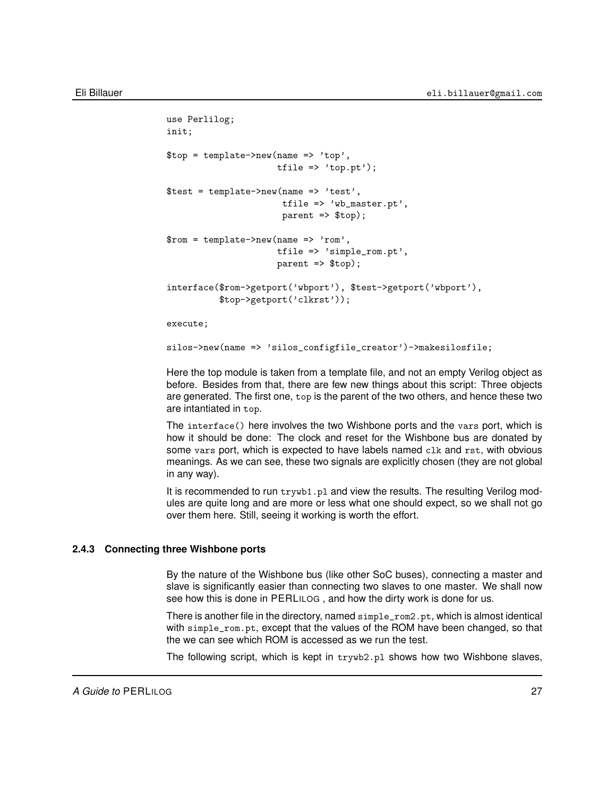```
use Perlilog;
init;
$top = template->new(name => 'top',
                      tfile \Rightarrow 'top.pt');
$test = template->new(name => 'test',
                       tfile => 'wb_master.pt',
                       parent => $top);
$rom = template->new(name => 'rom',
                      tfile => 'simple_rom.pt',
                      parent => $top);
interface($rom->getport('wbport'), $test->getport('wbport'),
          $top->getport('clkrst'));
execute;
```
silos->new(name => 'silos\_configfile\_creator')->makesilosfile;

Here the top module is taken from a template file, and not an empty Verilog object as before. Besides from that, there are few new things about this script: Three objects are generated. The first one, top is the parent of the two others, and hence these two are intantiated in top.

The interface() here involves the two Wishbone ports and the vars port, which is how it should be done: The clock and reset for the Wishbone bus are donated by some vars port, which is expected to have labels named clk and rst, with obvious meanings. As we can see, these two signals are explicitly chosen (they are not global in any way).

It is recommended to run trywb1.pl and view the results. The resulting Verilog modules are quite long and are more or less what one should expect, so we shall not go over them here. Still, seeing it working is worth the effort.

## **2.4.3 Connecting three Wishbone ports**

<span id="page-26-0"></span>By the nature of the Wishbone bus (like other SoC buses), connecting a master and slave is significantly easier than connecting two slaves to one master. We shall now see how this is done in PERLILOG , and how the dirty work is done for us.

There is another file in the directory, named simple\_rom2.pt, which is almost identical with simple\_rom.pt, except that the values of the ROM have been changed, so that the we can see which ROM is accessed as we run the test.

The following script, which is kept in trywb2.pl shows how two Wishbone slaves,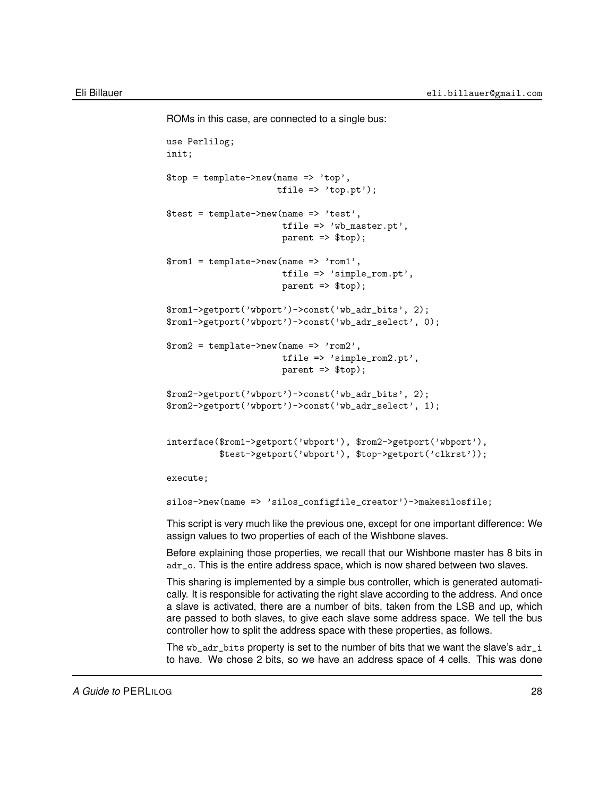ROMs in this case, are connected to a single bus:

```
use Perlilog;
init;
$top = template->new(name => 'top',tfile => 'top.pt');
$test = template->new(name => 'test',
                       tfile => 'wb_master.pt',
                       parent => $top);
$rom1 = template->new(name => 'rom1',tfile => 'simple_rom.pt',
                       parent => $top);
$rom1->getport('wbport')->const('wb_adr_bits', 2);
$rom1->getport('wbport')->const('wb_adr_select', 0);
$rom2 = template->new(name => 'rom2',tfile => 'simple_rom2.pt',
                       parent => $top);
$rom2->getport('wbport')->const('wb_adr_bits', 2);
$rom2->getport('wbport')->const('wb_adr_select', 1);
interface($rom1->getport('wbport'), $rom2->getport('wbport'),
          $test->getport('wbport'), $top->getport('clkrst'));
execute;
silos->new(name => 'silos_configfile_creator')->makesilosfile;
This script is very much like the previous one, except for one important difference: We
assign values to two properties of each of the Wishbone slaves.
Before explaining those properties, we recall that our Wishbone master has 8 bits in
adr_o. This is the entire address space, which is now shared between two slaves.
This sharing is implemented by a simple bus controller, which is generated automati-
```
cally. It is responsible for activating the right slave according to the address. And once a slave is activated, there are a number of bits, taken from the LSB and up, which are passed to both slaves, to give each slave some address space. We tell the bus controller how to split the address space with these properties, as follows.

The wb\_adr\_bits property is set to the number of bits that we want the slave's adr\_i to have. We chose 2 bits, so we have an address space of 4 cells. This was done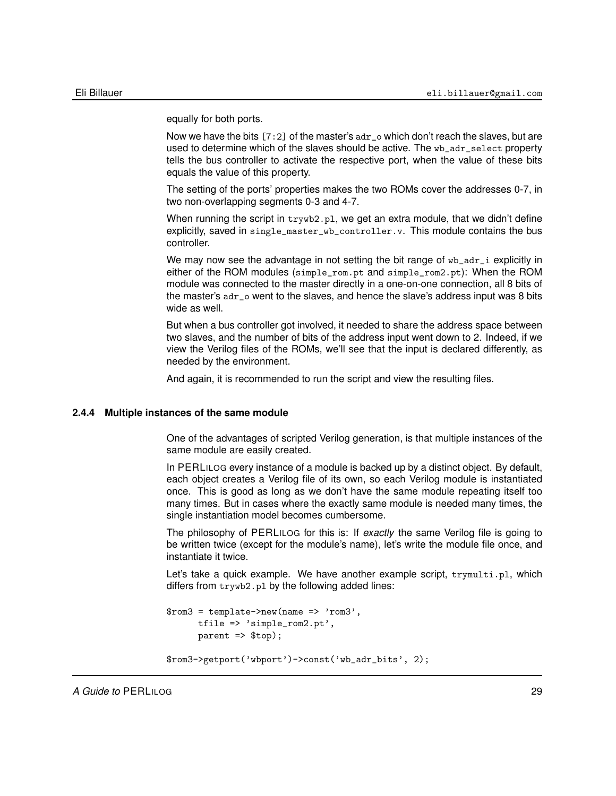equally for both ports.

Now we have the bits  $[7:2]$  of the master's  $adr$ <sub>-</sub> $o$  which don't reach the slaves, but are used to determine which of the slaves should be active. The wb\_adr\_select property tells the bus controller to activate the respective port, when the value of these bits equals the value of this property.

The setting of the ports' properties makes the two ROMs cover the addresses 0-7, in two non-overlapping segments 0-3 and 4-7.

When running the script in  $trywb2.p1$ , we get an extra module, that we didn't define explicitly, saved in single\_master\_wb\_controller.v. This module contains the bus controller.

We may now see the advantage in not setting the bit range of wb\_adr\_i explicitly in either of the ROM modules (simple\_rom.pt and simple\_rom2.pt): When the ROM module was connected to the master directly in a one-on-one connection, all 8 bits of the master's adr\_o went to the slaves, and hence the slave's address input was 8 bits wide as well.

But when a bus controller got involved, it needed to share the address space between two slaves, and the number of bits of the address input went down to 2. Indeed, if we view the Verilog files of the ROMs, we'll see that the input is declared differently, as needed by the environment.

<span id="page-28-0"></span>And again, it is recommended to run the script and view the resulting files.

#### **2.4.4 Multiple instances of the same module**

One of the advantages of scripted Verilog generation, is that multiple instances of the same module are easily created.

In PERLILOG every instance of a module is backed up by a distinct object. By default, each object creates a Verilog file of its own, so each Verilog module is instantiated once. This is good as long as we don't have the same module repeating itself too many times. But in cases where the exactly same module is needed many times, the single instantiation model becomes cumbersome.

The philosophy of PERLILOG for this is: If *exactly* the same Verilog file is going to be written twice (except for the module's name), let's write the module file once, and instantiate it twice.

Let's take a quick example. We have another example script, trymulti.pl, which differs from trywb2.pl by the following added lines:

```
$rom3 = template->new(name => 'rom3',tfile => 'simple_rom2.pt',
      parent \Rightarrow#top);$rom3->getport('wbport')->const('wb_adr_bits', 2);
```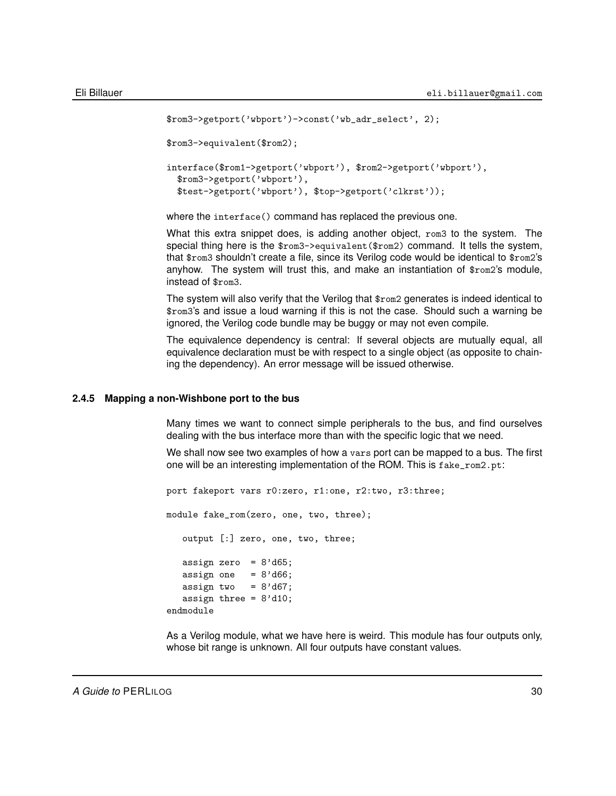```
$rom3->getport('wbport')->const('wb_adr_select', 2);
$rom3->equivalent($rom2);
interface($rom1->getport('wbport'), $rom2->getport('wbport'),
  $rom3->getport('wbport'),
  $test->getport('wbport'), $top->getport('clkrst'));
```
where the interface() command has replaced the previous one.

What this extra snippet does, is adding another object, rom3 to the system. The special thing here is the \$rom3->equivalent(\$rom2) command. It tells the system, that \$rom3 shouldn't create a file, since its Verilog code would be identical to \$rom2's anyhow. The system will trust this, and make an instantiation of \$rom2's module, instead of \$rom3.

The system will also verify that the Verilog that \$rom2 generates is indeed identical to \$rom3's and issue a loud warning if this is not the case. Should such a warning be ignored, the Verilog code bundle may be buggy or may not even compile.

The equivalence dependency is central: If several objects are mutually equal, all equivalence declaration must be with respect to a single object (as opposite to chaining the dependency). An error message will be issued otherwise.

## **2.4.5 Mapping a non-Wishbone port to the bus**

<span id="page-29-0"></span>Many times we want to connect simple peripherals to the bus, and find ourselves dealing with the bus interface more than with the specific logic that we need.

We shall now see two examples of how a vars port can be mapped to a bus. The first one will be an interesting implementation of the ROM. This is fake\_rom2.pt:

port fakeport vars r0:zero, r1:one, r2:two, r3:three; module fake\_rom(zero, one, two, three); output [:] zero, one, two, three; assign zero =  $8' d65$ ; assign one =  $8' d66$ ; assign two =  $8' d67$ ; assign three =  $8'd10$ ; endmodule

As a Verilog module, what we have here is weird. This module has four outputs only, whose bit range is unknown. All four outputs have constant values.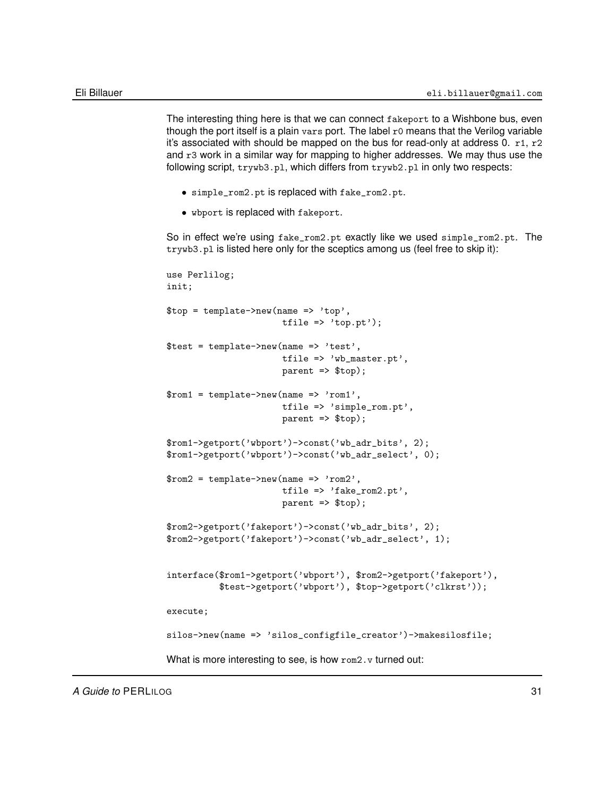The interesting thing here is that we can connect fakeport to a Wishbone bus, even though the port itself is a plain vars port. The label r0 means that the Verilog variable it's associated with should be mapped on the bus for read-only at address 0.  $r1$ ,  $r2$ and r3 work in a similar way for mapping to higher addresses. We may thus use the following script, trywb3.pl, which differs from trywb2.pl in only two respects:

- simple\_rom2.pt is replaced with fake\_rom2.pt.
- wbport is replaced with fakeport.

So in effect we're using fake\_rom2.pt exactly like we used simple\_rom2.pt. The trywb3.pl is listed here only for the sceptics among us (feel free to skip it):

```
use Perlilog;
init;
$top = template->new(name => 'top',
                       tfile \Rightarrow 'top.pt');
$test = template->new(name => 'test',
                       tfile => 'wb_master.pt',
                       parent => $top);
$rom1 = template->new(name =& 'rom1',tfile => 'simple_rom.pt',
                       parent => $top);
$rom1->getport('wbport')->const('wb_adr_bits', 2);
$rom1->getport('wbport')->const('wb_adr_select', 0);
$rom2 = template->new(name => 'rom2',tfile => 'fake_rom2.pt',
                       parent => $top);
$rom2->getport('fakeport')->const('wb_adr_bits', 2);
$rom2->getport('fakeport')->const('wb_adr_select', 1);
interface($rom1->getport('wbport'), $rom2->getport('fakeport'),
          $test->getport('wbport'), $top->getport('clkrst'));
execute;
silos->new(name => 'silos_configfile_creator')->makesilosfile;
What is more interesting to see, is how \text{rom2.}v turned out:
```
*A Guide to* PERLILOG 31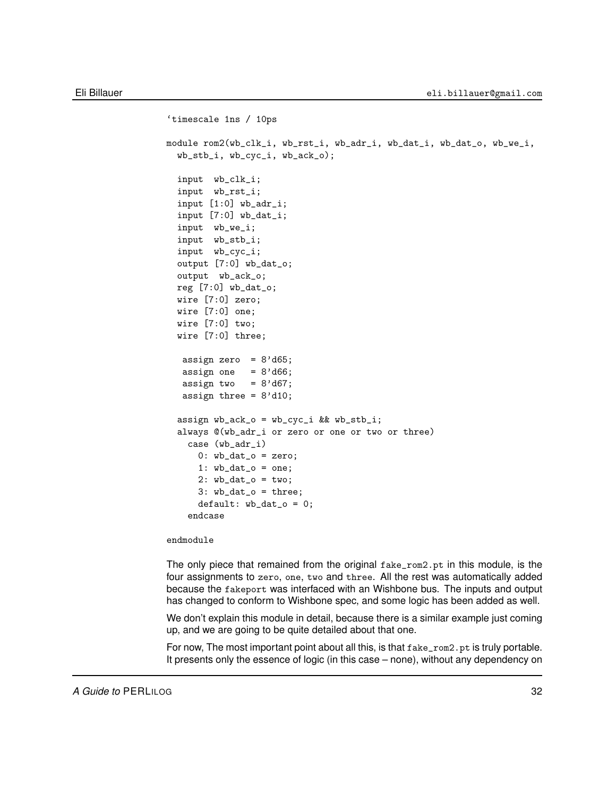```
'timescale 1ns / 10ps
module rom2(wb_clk_i, wb_rst_i, wb_adr_i, wb_dat_i, wb_dat_o, wb_we_i,
  wb_stb_i, wb_cyc_i, wb_ack_o);
  input wb_clk_i;
  input wb_rst_i;
  input [1:0] wb_adr_i;
  input [7:0] wb_dat_i;
  input wb_we_i;
  input wb_stb_i;
  input wb_cyc_i;
  output [7:0] wb_dat_o;
  output wb_ack_o;
 reg [7:0] wb_dat_o;
 wire [7:0] zero;
 wire [7:0] one;
  wire [7:0] two;
  wire [7:0] three;
  assign zero = 8' d65;
  assign one = 8' d66;
  assign two = 8' d67;
  assign three = 8'd10;
  assign wb_ack_o = wb_cyc_i && wb_stb_i;
  always @(wb_adr_i or zero or one or two or three)
   case (wb_adr_i)
     0: wb\_dat\_o = zero;1: wb\_dat\_o = one;2: wb\_dat\_o = two;3: wb_dat_o = three;
      default: wb_data_0 = 0;endcase
```
endmodule

The only piece that remained from the original fake\_rom2.pt in this module, is the four assignments to zero, one, two and three. All the rest was automatically added because the fakeport was interfaced with an Wishbone bus. The inputs and output has changed to conform to Wishbone spec, and some logic has been added as well.

We don't explain this module in detail, because there is a similar example just coming up, and we are going to be quite detailed about that one.

For now, The most important point about all this, is that  $fake\_rom2.$ pt is truly portable. It presents only the essence of logic (in this case – none), without any dependency on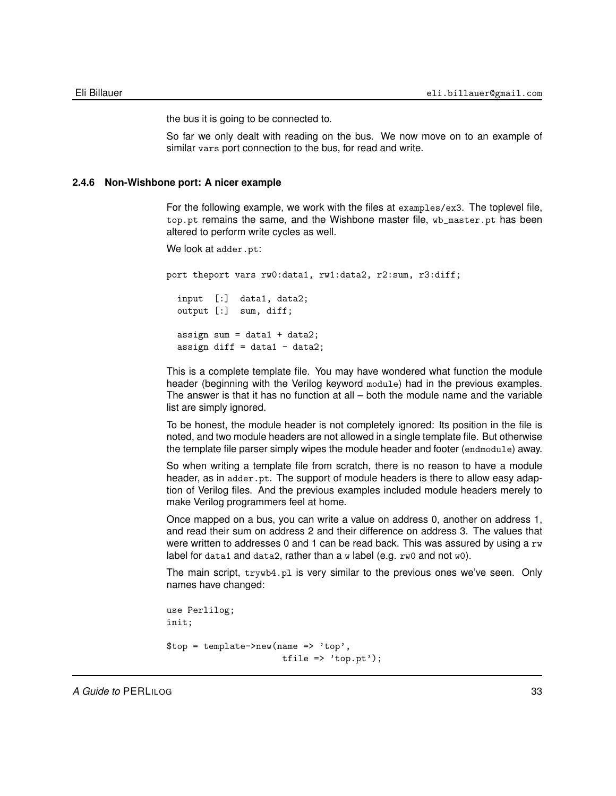the bus it is going to be connected to.

So far we only dealt with reading on the bus. We now move on to an example of similar vars port connection to the bus, for read and write.

### **2.4.6 Non-Wishbone port: A nicer example**

<span id="page-32-0"></span>For the following example, we work with the files at examples/ex3. The toplevel file, top.pt remains the same, and the Wishbone master file, wb\_master.pt has been altered to perform write cycles as well.

We look at adder.pt:

port theport vars rw0:data1, rw1:data2, r2:sum, r3:diff; input [:] data1, data2; output [:] sum, diff; assign sum =  $data1 + data2$ ; assign diff = data1 - data2;

This is a complete template file. You may have wondered what function the module header (beginning with the Verilog keyword module) had in the previous examples. The answer is that it has no function at all – both the module name and the variable list are simply ignored.

To be honest, the module header is not completely ignored: Its position in the file is noted, and two module headers are not allowed in a single template file. But otherwise the template file parser simply wipes the module header and footer (endmodule) away.

So when writing a template file from scratch, there is no reason to have a module header, as in adder.pt. The support of module headers is there to allow easy adaption of Verilog files. And the previous examples included module headers merely to make Verilog programmers feel at home.

Once mapped on a bus, you can write a value on address 0, another on address 1, and read their sum on address 2 and their difference on address 3. The values that were written to addresses 0 and 1 can be read back. This was assured by using a  $rw$ label for data1 and data2, rather than a w label (e.g. rw0 and not w0).

The main script, trywb4.pl is very similar to the previous ones we've seen. Only names have changed:

```
use Perlilog;
init;
$top = template->new(name => 'top',tfile => 'top.pt');
```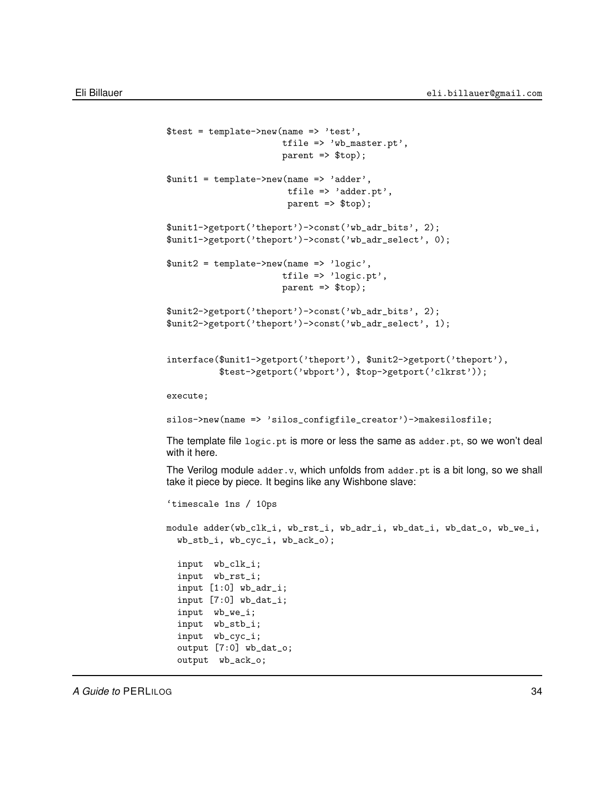```
$test = template->new(name => 'test',
                      tfile => 'wb_master.pt',
                      parent => $top);
$unit1 = template->new(name => 'adder',tfile => 'adder.pt',
                       parent => $top);
$unit1->getport('theport')->const('wb_adr_bits', 2);
$unit1->getport('theport')->const('wb_adr_select', 0);
$unit2 = template->new(name => 'logic',
                      tfile => 'logic.pt',
                      parent => $top);
$unit2->getport('theport')->const('wb_adr_bits', 2);
$unit2->getport('theport')->const('wb_adr_select', 1);
interface($unit1->getport('theport'), $unit2->getport('theport'),
          $test->getport('wbport'), $top->getport('clkrst'));
execute;
silos->new(name => 'silos_configfile_creator')->makesilosfile;
The template file logic.pt is more or less the same as adder.pt, so we won't deal
with it here.
The Verilog module adder.v, which unfolds from adder.pt is a bit long, so we shall
take it piece by piece. It begins like any Wishbone slave:
'timescale 1ns / 10ps
module adder(wb_clk_i, wb_rst_i, wb_adr_i, wb_dat_i, wb_dat_o, wb_we_i,
  wb_stb_i, wb_cyc_i, wb_ack_o);
  input wb_clk_i;
  input wb_rst_i;
  input [1:0] wb_adr_i;
  input [7:0] wb_dat_i;
  input wb_we_i;
  input wb_stb_i;
  input wb_cyc_i;
  output [7:0] wb_dat_o;
  output wb_ack_o;
```
*A Guide to* PERLILOG 34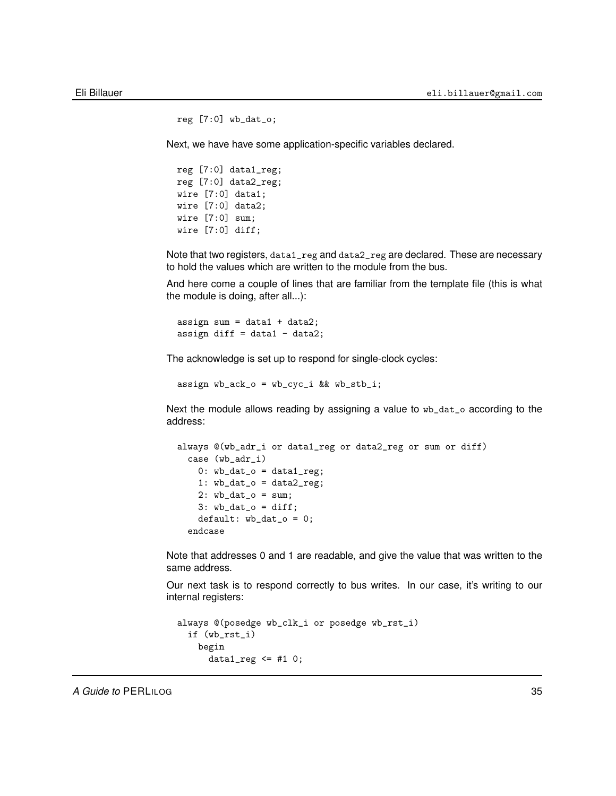```
reg [7:0] wb_dat_o;
```
Next, we have have some application-specific variables declared.

reg [7:0] data1\_reg; reg [7:0] data2\_reg; wire [7:0] data1; wire [7:0] data2; wire [7:0] sum; wire [7:0] diff;

Note that two registers, data1\_reg and data2\_reg are declared. These are necessary to hold the values which are written to the module from the bus.

And here come a couple of lines that are familiar from the template file (this is what the module is doing, after all...):

```
assign sum = data1 + data2;
assign diff = data1 - data2;
```
The acknowledge is set up to respond for single-clock cycles:

assign wb\_ack\_o = wb\_cyc\_i && wb\_stb\_i;

Next the module allows reading by assigning a value to wb\_dat\_o according to the address:

```
always @(wb_adr_i or data1_reg or data2_reg or sum or diff)
  case (wb_adr_i)
    0: wb\_dat\_o = data1\_reg;1: wb\_dat\_o = data2\_reg;2: wb_data_o = sum;3: wb\_dat\_o = diff;default: wb_data_o = 0;endcase
```
Note that addresses 0 and 1 are readable, and give the value that was written to the same address.

Our next task is to respond correctly to bus writes. In our case, it's writing to our internal registers:

```
always @(posedge wb_clk_i or posedge wb_rst_i)
 if (wb_rst_i)
    begin
      data1_reg \leq #1 0;
```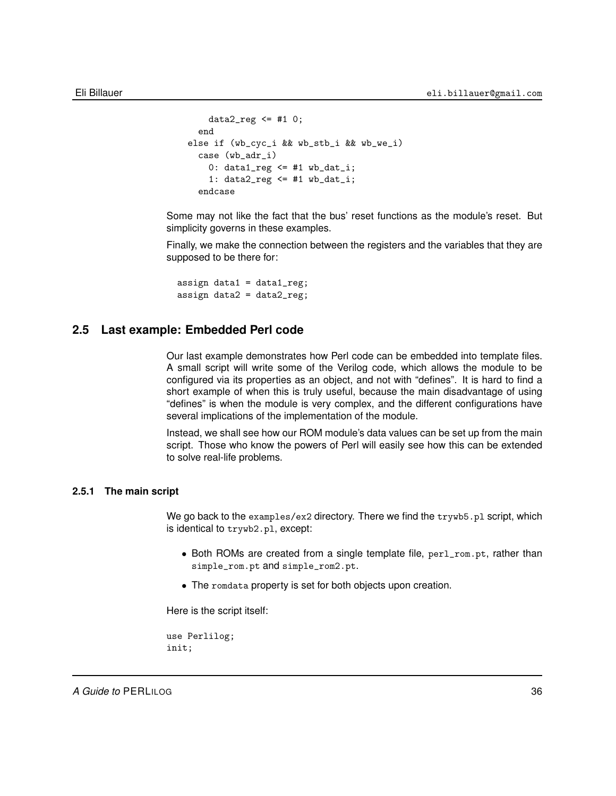```
data2_reg \leq #1 0;
  end
else if (wb_cyc_i && wb_stb_i && wb_we_i)
  case (wb_adr_i)
    0: data1_{reg} \leq #1 wb_data_i;1: data2_{reg} \leq #1 wb_data_i;endcase
```
Some may not like the fact that the bus' reset functions as the module's reset. But simplicity governs in these examples.

Finally, we make the connection between the registers and the variables that they are supposed to be there for:

assign data $1 = data1_{reg}$ ; assign data $2 = data2_{reg}$ ;

## **2.5 Last example: Embedded Perl code**

<span id="page-35-0"></span>Our last example demonstrates how Perl code can be embedded into template files. A small script will write some of the Verilog code, which allows the module to be configured via its properties as an object, and not with "defines". It is hard to find a short example of when this is truly useful, because the main disadvantage of using "defines" is when the module is very complex, and the different configurations have several implications of the implementation of the module.

Instead, we shall see how our ROM module's data values can be set up from the main script. Those who know the powers of Perl will easily see how this can be extended to solve real-life problems.

### **2.5.1 The main script**

<span id="page-35-1"></span>We go back to the examples/ex2 directory. There we find the  $trywb5.pl$  script, which is identical to trywb2.pl, except:

- Both ROMs are created from a single template file,  $perl\_rom.pt$ , rather than simple\_rom.pt and simple\_rom2.pt.
- The romdata property is set for both objects upon creation.

Here is the script itself:

use Perlilog; init;

*A Guide to* PERLILOG 36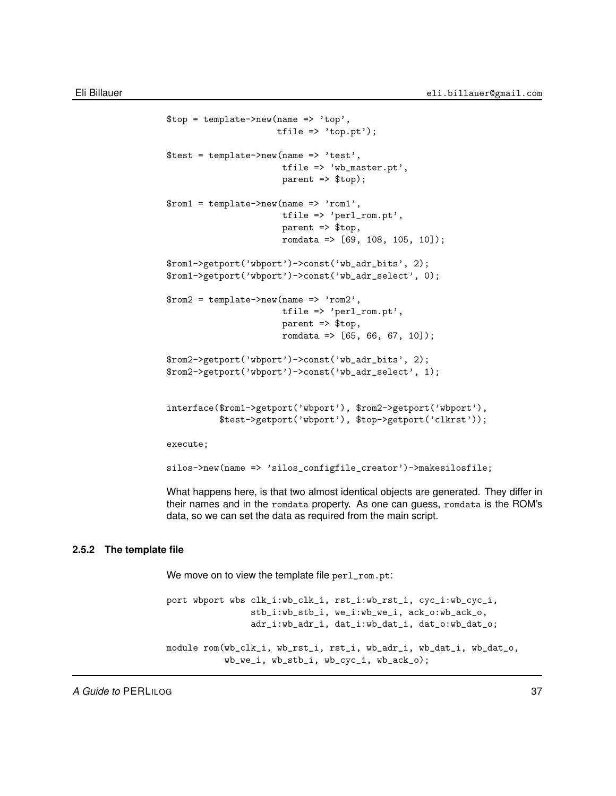```
$top = template->new(name => 'top',tfile \Rightarrow 'top.pt');
$test = template->new(name => 'test',
                      tfile => 'wb_master.pt',
                      parent => $top);
$rom1 = template->new(name => 'rom1',tfile => 'perl_rom.pt',
                      parent => $top,
                      romdata => [69, 108, 105, 10]);
$rom1->getport('wbport')->const('wb_adr_bits', 2);
$rom1->getport('wbport')->const('wb_adr_select', 0);
$rom2 = template->new(name => 'rom2',tfile => 'perl_rom.pt',
                      parent => $top,
                      romdata => [65, 66, 67, 10];
$rom2->getport('wbport')->const('wb_adr_bits', 2);
$rom2->getport('wbport')->const('wb_adr_select', 1);
interface($rom1->getport('wbport'), $rom2->getport('wbport'),
          $test->getport('wbport'), $top->getport('clkrst'));
execute;
silos->new(name => 'silos_configfile_creator')->makesilosfile;
```
What happens here, is that two almost identical objects are generated. They differ in their names and in the romdata property. As one can guess, romdata is the ROM's data, so we can set the data as required from the main script.

### **2.5.2 The template file**

We move on to view the template file perl\_rom.pt:

```
port wbport wbs clk_i:wb_clk_i, rst_i:wb_rst_i, cyc_i:wb_cyc_i,
                stb_i:wb_stb_i, we_i:wb_we_i, ack_o:wb_ack_o,
                adr_i:wb_adr_i, dat_i:wb_dat_i, dat_o:wb_dat_o;
module rom(wb_clk_i, wb_rst_i, rst_i, wb_adr_i, wb_dat_i, wb_dat_o,
           wb_we_i, wb_stb_i, wb_cyc_i, wb_ack_o);
```
*A Guide to* PERLILOG 37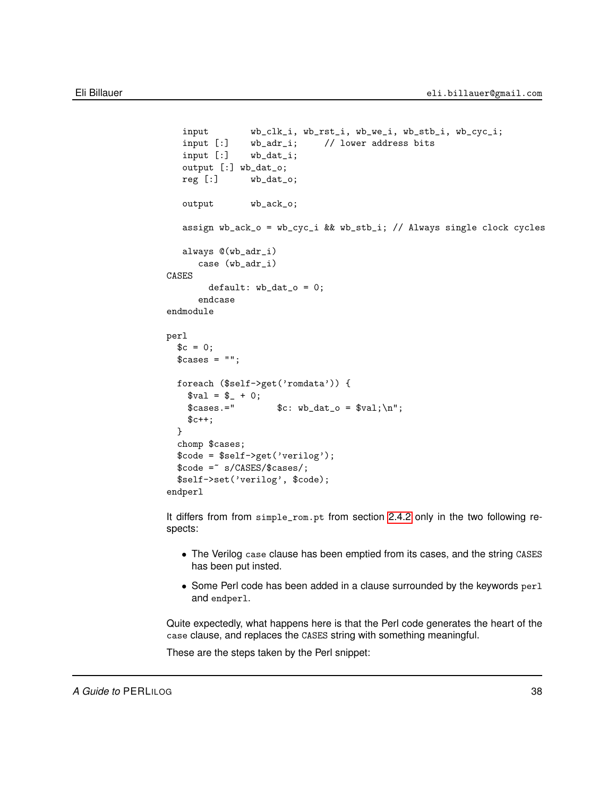```
input wb_clk_i, wb_rst_i, wb_we_i, wb_stb_i, wb_cyc_i;
   input [:] wb_adr_i; // lower address bits
   input [:] wb_dat_i;
   output [:] wb_dat_o;
   reg [:] wb_dat_o;
   output wb_ack_o;
   assign wb_ack_o = wb_cyc_i && wb_stb_i; // Always single clock cycles
   always @(wb_adr_i)
     case (wb_adr_i)
CASES
       default: wb_data_o = 0;endcase
endmodule
perl
  c = 0;
  % cases = "";foreach ($self->get('romdata')) {
    $val = $_ + 0;\text{\$cases.='} $c: \text{wb\_dat\_o} = \text{yal}; \ln";$c++;}
  chomp $cases;
  $code = $self->get('verilog');
  %code =* s/CASES}/\csc/s = *$self->set('verilog', $code);
endperl
```
It differs from from simple\_rom.pt from section [2.4.2](#page-23-0) only in the two following respects:

- The Verilog case clause has been emptied from its cases, and the string CASES has been put insted.
- Some Perl code has been added in a clause surrounded by the keywords perl and endperl.

Quite expectedly, what happens here is that the Perl code generates the heart of the case clause, and replaces the CASES string with something meaningful.

These are the steps taken by the Perl snippet: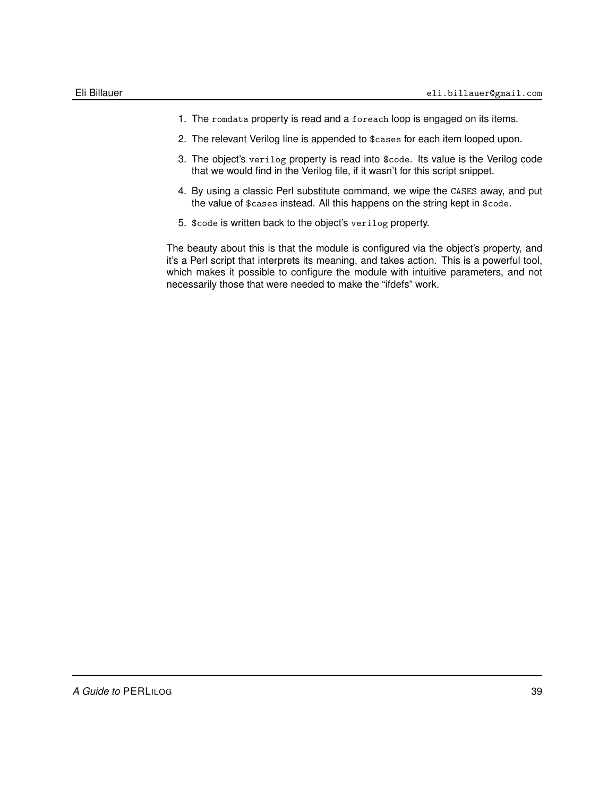- 1. The romdata property is read and a foreach loop is engaged on its items.
- 2. The relevant Verilog line is appended to \$cases for each item looped upon.
- 3. The object's verilog property is read into \$code. Its value is the Verilog code that we would find in the Verilog file, if it wasn't for this script snippet.
- 4. By using a classic Perl substitute command, we wipe the CASES away, and put the value of \$cases instead. All this happens on the string kept in \$code.
- 5. \$code is written back to the object's verilog property.

The beauty about this is that the module is configured via the object's property, and it's a Perl script that interprets its meaning, and takes action. This is a powerful tool, which makes it possible to configure the module with intuitive parameters, and not necessarily those that were needed to make the "ifdefs" work.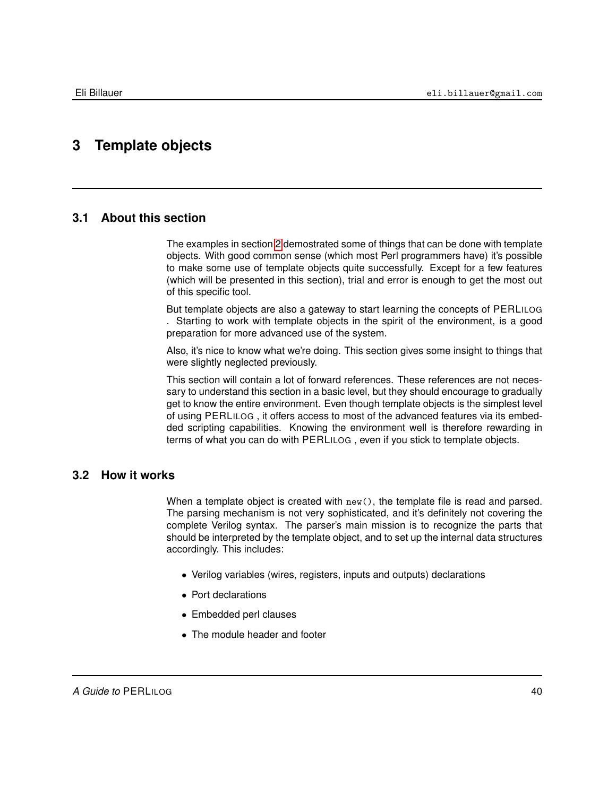# **3 Template objects**

### **3.1 About this section**

The examples in section [2](#page-13-0) demostrated some of things that can be done with template objects. With good common sense (which most Perl programmers have) it's possible to make some use of template objects quite successfully. Except for a few features (which will be presented in this section), trial and error is enough to get the most out of this specific tool.

But template objects are also a gateway to start learning the concepts of PERLILOG . Starting to work with template objects in the spirit of the environment, is a good preparation for more advanced use of the system.

Also, it's nice to know what we're doing. This section gives some insight to things that were slightly neglected previously.

This section will contain a lot of forward references. These references are not necessary to understand this section in a basic level, but they should encourage to gradually get to know the entire environment. Even though template objects is the simplest level of using PERLILOG , it offers access to most of the advanced features via its embedded scripting capabilities. Knowing the environment well is therefore rewarding in terms of what you can do with PERLILOG , even if you stick to template objects.

### **3.2 How it works**

When a template object is created with  $new()$ , the template file is read and parsed. The parsing mechanism is not very sophisticated, and it's definitely not covering the complete Verilog syntax. The parser's main mission is to recognize the parts that should be interpreted by the template object, and to set up the internal data structures accordingly. This includes:

- Verilog variables (wires, registers, inputs and outputs) declarations
- Port declarations
- Embedded perl clauses
- The module header and footer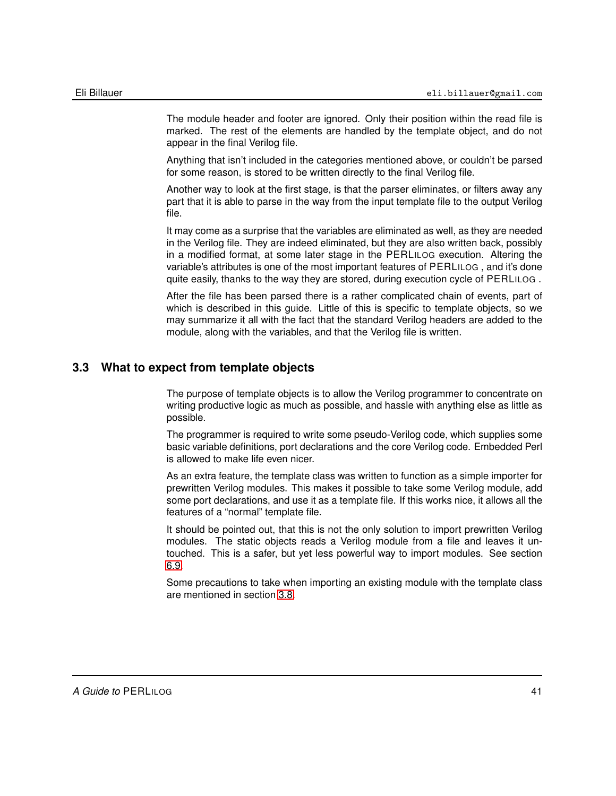The module header and footer are ignored. Only their position within the read file is marked. The rest of the elements are handled by the template object, and do not appear in the final Verilog file.

Anything that isn't included in the categories mentioned above, or couldn't be parsed for some reason, is stored to be written directly to the final Verilog file.

Another way to look at the first stage, is that the parser eliminates, or filters away any part that it is able to parse in the way from the input template file to the output Verilog file.

It may come as a surprise that the variables are eliminated as well, as they are needed in the Verilog file. They are indeed eliminated, but they are also written back, possibly in a modified format, at some later stage in the PERLILOG execution. Altering the variable's attributes is one of the most important features of PERLILOG , and it's done quite easily, thanks to the way they are stored, during execution cycle of PERLILOG .

After the file has been parsed there is a rather complicated chain of events, part of which is described in this guide. Little of this is specific to template objects, so we may summarize it all with the fact that the standard Verilog headers are added to the module, along with the variables, and that the Verilog file is written.

### **3.3 What to expect from template objects**

The purpose of template objects is to allow the Verilog programmer to concentrate on writing productive logic as much as possible, and hassle with anything else as little as possible.

The programmer is required to write some pseudo-Verilog code, which supplies some basic variable definitions, port declarations and the core Verilog code. Embedded Perl is allowed to make life even nicer.

As an extra feature, the template class was written to function as a simple importer for prewritten Verilog modules. This makes it possible to take some Verilog module, add some port declarations, and use it as a template file. If this works nice, it allows all the features of a "normal" template file.

It should be pointed out, that this is not the only solution to import prewritten Verilog modules. The static objects reads a Verilog module from a file and leaves it untouched. This is a safer, but yet less powerful way to import modules. See section [6.9.](#page-84-0)

Some precautions to take when importing an existing module with the template class are mentioned in section [3.8.](#page-47-0)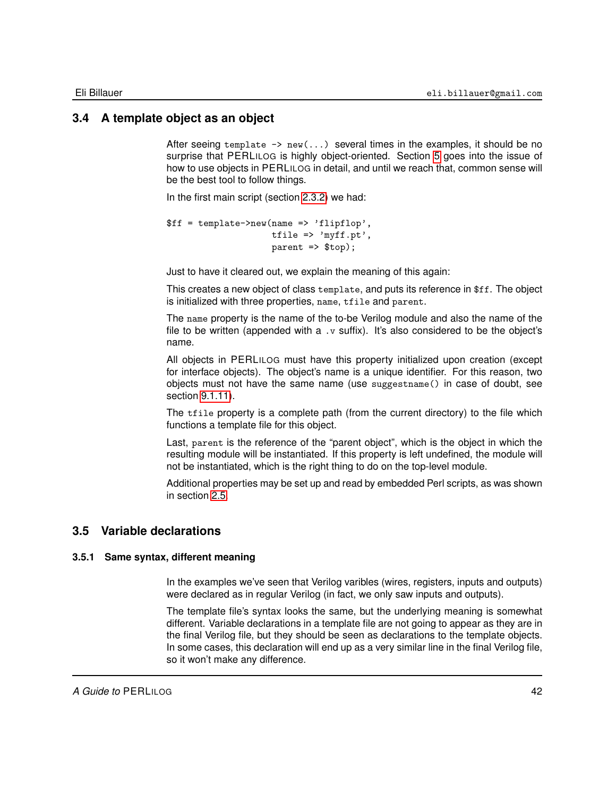### **3.4 A template object as an object**

After seeing template  $\rightarrow$  new(...) several times in the examples, it should be no surprise that PERLILOG is highly object-oriented. Section [5](#page-52-0) goes into the issue of how to use objects in PERLILOG in detail, and until we reach that, common sense will be the best tool to follow things.

In the first main script (section [2.3.2\)](#page-16-0) we had:

```
$ff = template->new(name => 'flipflop',
                   tfile => 'myff.pt',
                    parent => $top);
```
Just to have it cleared out, we explain the meaning of this again:

This creates a new object of class template, and puts its reference in \$ff. The object is initialized with three properties, name, tfile and parent.

The name property is the name of the to-be Verilog module and also the name of the file to be written (appended with a  $\cdot v$  suffix). It's also considered to be the object's name.

All objects in PERLILOG must have this property initialized upon creation (except for interface objects). The object's name is a unique identifier. For this reason, two objects must not have the same name (use suggestname() in case of doubt, see section [9.1.11\)](#page-150-0).

The tfile property is a complete path (from the current directory) to the file which functions a template file for this object.

Last, parent is the reference of the "parent object", which is the object in which the resulting module will be instantiated. If this property is left undefined, the module will not be instantiated, which is the right thing to do on the top-level module.

Additional properties may be set up and read by embedded Perl scripts, as was shown in section [2.5.](#page-35-0)

### **3.5 Variable declarations**

#### **3.5.1 Same syntax, different meaning**

In the examples we've seen that Verilog varibles (wires, registers, inputs and outputs) were declared as in regular Verilog (in fact, we only saw inputs and outputs).

The template file's syntax looks the same, but the underlying meaning is somewhat different. Variable declarations in a template file are not going to appear as they are in the final Verilog file, but they should be seen as declarations to the template objects. In some cases, this declaration will end up as a very similar line in the final Verilog file, so it won't make any difference.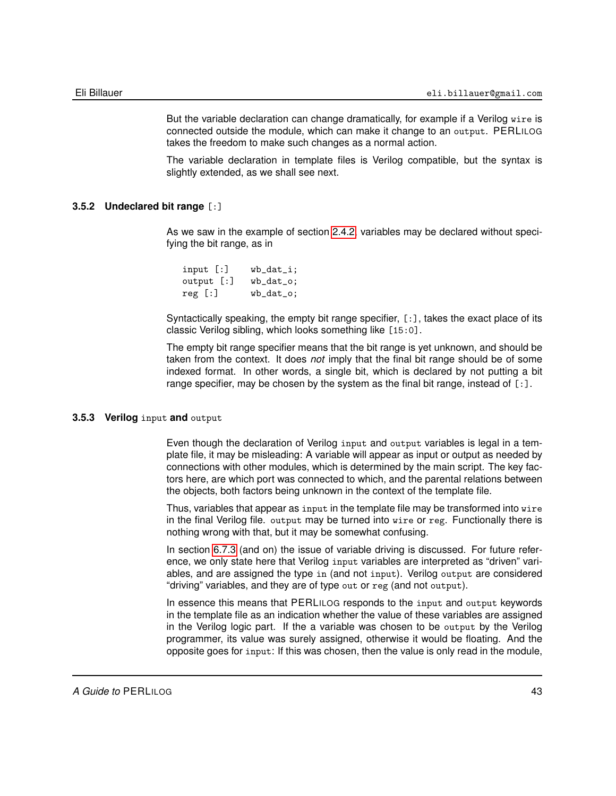But the variable declaration can change dramatically, for example if a Verilog wire is connected outside the module, which can make it change to an output. PERLILOG takes the freedom to make such changes as a normal action.

The variable declaration in template files is Verilog compatible, but the syntax is slightly extended, as we shall see next.

#### **3.5.2 Undeclared bit range** [:]

As we saw in the example of section [2.4.2,](#page-23-0) variables may be declared without specifying the bit range, as in

| input [:]  | $wb_data_i;$  |
|------------|---------------|
| output [:] | $wb\_dat\_o;$ |
| reg [:]    | $wb\_dat\_o;$ |

Syntactically speaking, the empty bit range specifier, [:], takes the exact place of its classic Verilog sibling, which looks something like [15:0].

The empty bit range specifier means that the bit range is yet unknown, and should be taken from the context. It does *not* imply that the final bit range should be of some indexed format. In other words, a single bit, which is declared by not putting a bit range specifier, may be chosen by the system as the final bit range, instead of  $[:]$ .

### **3.5.3 Verilog** input **and** output

Even though the declaration of Verilog input and output variables is legal in a template file, it may be misleading: A variable will appear as input or output as needed by connections with other modules, which is determined by the main script. The key factors here, are which port was connected to which, and the parental relations between the objects, both factors being unknown in the context of the template file.

Thus, variables that appear as input in the template file may be transformed into wire in the final Verilog file. output may be turned into wire or reg. Functionally there is nothing wrong with that, but it may be somewhat confusing.

In section [6.7.3](#page-78-0) (and on) the issue of variable driving is discussed. For future reference, we only state here that Verilog input variables are interpreted as "driven" variables, and are assigned the type in (and not input). Verilog output are considered "driving" variables, and they are of type out or reg (and not output).

In essence this means that PERLILOG responds to the input and output keywords in the template file as an indication whether the value of these variables are assigned in the Verilog logic part. If the a variable was chosen to be output by the Verilog programmer, its value was surely assigned, otherwise it would be floating. And the opposite goes for input: If this was chosen, then the value is only read in the module,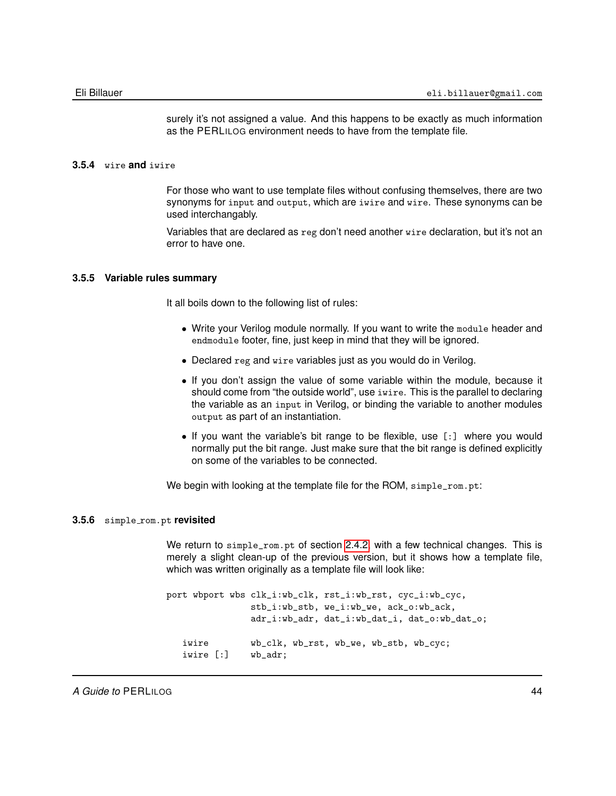surely it's not assigned a value. And this happens to be exactly as much information as the PERLILOG environment needs to have from the template file.

#### **3.5.4** wire **and** iwire

For those who want to use template files without confusing themselves, there are two synonyms for input and output, which are iwire and wire. These synonyms can be used interchangably.

Variables that are declared as reg don't need another wire declaration, but it's not an error to have one.

#### **3.5.5 Variable rules summary**

It all boils down to the following list of rules:

- Write your Verilog module normally. If you want to write the module header and endmodule footer, fine, just keep in mind that they will be ignored.
- Declared reg and wire variables just as you would do in Verilog.
- If you don't assign the value of some variable within the module, because it should come from "the outside world", use iwire. This is the parallel to declaring the variable as an input in Verilog, or binding the variable to another modules output as part of an instantiation.
- If you want the variable's bit range to be flexible, use [:] where you would normally put the bit range. Just make sure that the bit range is defined explicitly on some of the variables to be connected.

We begin with looking at the template file for the ROM, simple\_rom.pt:

#### **3.5.6** simple rom.pt **revisited**

We return to simple\_rom.pt of section [2.4.2,](#page-23-0) with a few technical changes. This is merely a slight clean-up of the previous version, but it shows how a template file, which was written originally as a template file will look like:

port wbport wbs clk\_i:wb\_clk, rst\_i:wb\_rst, cyc\_i:wb\_cyc, stb\_i:wb\_stb, we\_i:wb\_we, ack\_o:wb\_ack, adr\_i:wb\_adr, dat\_i:wb\_dat\_i, dat\_o:wb\_dat\_o; iwire wb\_clk, wb\_rst, wb\_we, wb\_stb, wb\_cyc; iwire [:] wb\_adr;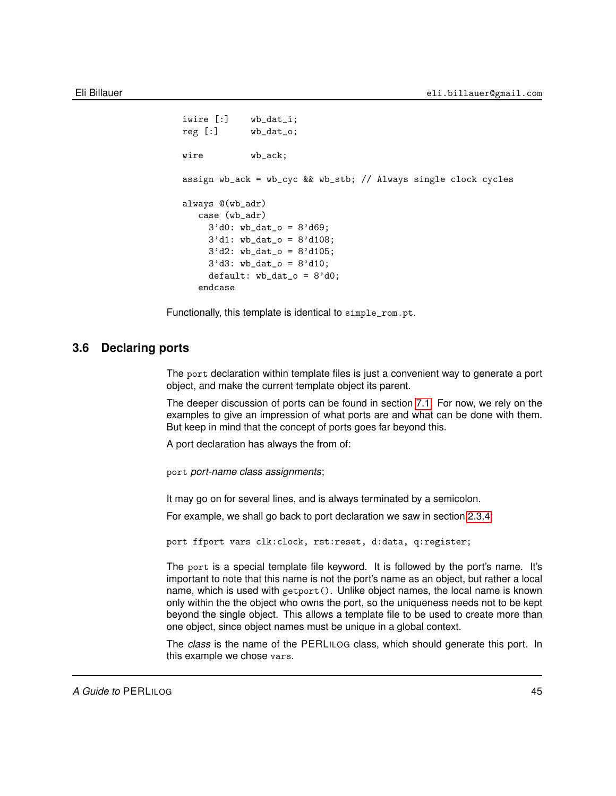```
iwire [:] wb_dat_i;
reg [:] wb_dat_o;
wire wb_ack;
assign wb_ack = wb_cyc && wb_stb; // Always single clock cycles
always @(wb_adr)
  case (wb_adr)
    3'd0: wb\_dat\_o = 8'd69;
    3'd1: wb_data_0 = 8'd108;3'd2: wb_data_0 = 8'd105;3'd3: wb_dat_o = 8'd10;
    default: wb_data_o = 8'd0;endcase
```
Functionally, this template is identical to simple\_rom.pt.

### **3.6 Declaring ports**

The port declaration within template files is just a convenient way to generate a port object, and make the current template object its parent.

The deeper discussion of ports can be found in section [7.1.](#page-91-0) For now, we rely on the examples to give an impression of what ports are and what can be done with them. But keep in mind that the concept of ports goes far beyond this.

A port declaration has always the from of:

port *port-name class assignments*;

It may go on for several lines, and is always terminated by a semicolon.

For example, we shall go back to port declaration we saw in section [2.3.4:](#page-19-0)

port ffport vars clk:clock, rst:reset, d:data, q:register;

The port is a special template file keyword. It is followed by the port's name. It's important to note that this name is not the port's name as an object, but rather a local name, which is used with getport(). Unlike object names, the local name is known only within the the object who owns the port, so the uniqueness needs not to be kept beyond the single object. This allows a template file to be used to create more than one object, since object names must be unique in a global context.

The *class* is the name of the PERLILOG class, which should generate this port. In this example we chose vars.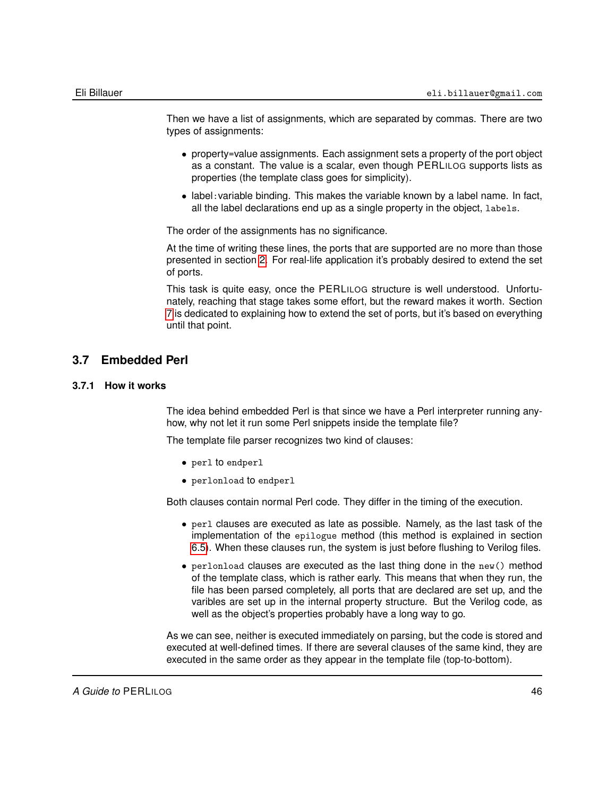Then we have a list of assignments, which are separated by commas. There are two types of assignments:

- property=value assignments. Each assignment sets a property of the port object as a constant. The value is a scalar, even though PERLILOG supports lists as properties (the template class goes for simplicity).
- label:variable binding. This makes the variable known by a label name. In fact, all the label declarations end up as a single property in the object, labels.

The order of the assignments has no significance.

At the time of writing these lines, the ports that are supported are no more than those presented in section [2.](#page-13-0) For real-life application it's probably desired to extend the set of ports.

This task is quite easy, once the PERLILOG structure is well understood. Unfortunately, reaching that stage takes some effort, but the reward makes it worth. Section [7](#page-91-1) is dedicated to explaining how to extend the set of ports, but it's based on everything until that point.

### **3.7 Embedded Perl**

### **3.7.1 How it works**

The idea behind embedded Perl is that since we have a Perl interpreter running anyhow, why not let it run some Perl snippets inside the template file?

The template file parser recognizes two kind of clauses:

- perl to endperl
- perlonload to endperl

Both clauses contain normal Perl code. They differ in the timing of the execution.

- perl clauses are executed as late as possible. Namely, as the last task of the implementation of the epilogue method (this method is explained in section [6.5\)](#page-74-0). When these clauses run, the system is just before flushing to Verilog files.
- perlonload clauses are executed as the last thing done in the new() method of the template class, which is rather early. This means that when they run, the file has been parsed completely, all ports that are declared are set up, and the varibles are set up in the internal property structure. But the Verilog code, as well as the object's properties probably have a long way to go.

As we can see, neither is executed immediately on parsing, but the code is stored and executed at well-defined times. If there are several clauses of the same kind, they are executed in the same order as they appear in the template file (top-to-bottom).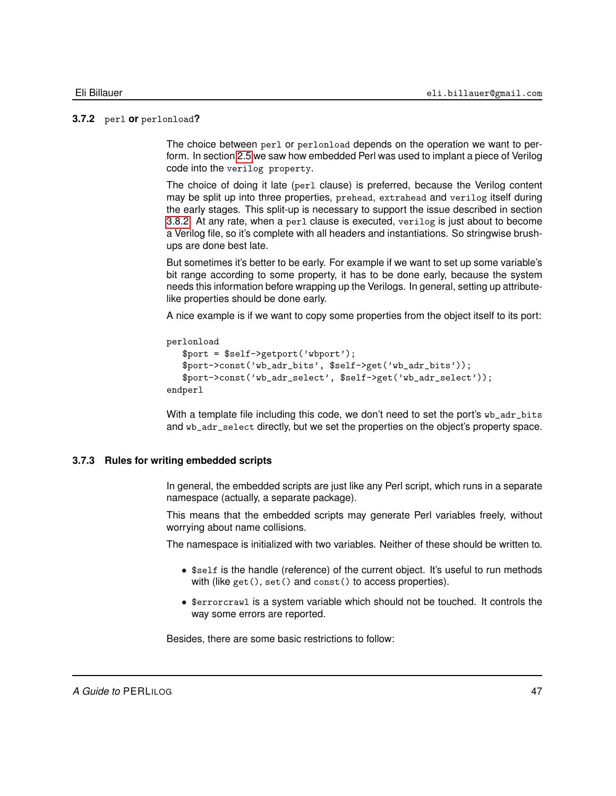#### **3.7.2** perl **or** perlonload**?**

The choice between perl or perlonload depends on the operation we want to perform. In section [2.5](#page-35-0) we saw how embedded Perl was used to implant a piece of Verilog code into the verilog property.

The choice of doing it late (perl clause) is preferred, because the Verilog content may be split up into three properties, prehead, extrahead and verilog itself during the early stages. This split-up is necessary to support the issue described in section [3.8.2.](#page-47-1) At any rate, when a perl clause is executed, verilog is just about to become a Verilog file, so it's complete with all headers and instantiations. So stringwise brushups are done best late.

But sometimes it's better to be early. For example if we want to set up some variable's bit range according to some property, it has to be done early, because the system needs this information before wrapping up the Verilogs. In general, setting up attributelike properties should be done early.

A nice example is if we want to copy some properties from the object itself to its port:

```
perlonload
   $port = $self->getport('wbport');
   $port->const('wb_adr_bits', $self->get('wb_adr_bits'));
   $port->const('wb_adr_select', $self->get('wb_adr_select'));
endperl
```
With a template file including this code, we don't need to set the port's wb\_adr\_bits and wb\_adr\_select directly, but we set the properties on the object's property space.

#### **3.7.3 Rules for writing embedded scripts**

In general, the embedded scripts are just like any Perl script, which runs in a separate namespace (actually, a separate package).

This means that the embedded scripts may generate Perl variables freely, without worrying about name collisions.

The namespace is initialized with two variables. Neither of these should be written to.

- \$self is the handle (reference) of the current object. It's useful to run methods with (like get(), set() and const() to access properties).
- \$errorcrawl is a system variable which should not be touched. It controls the way some errors are reported.

Besides, there are some basic restrictions to follow: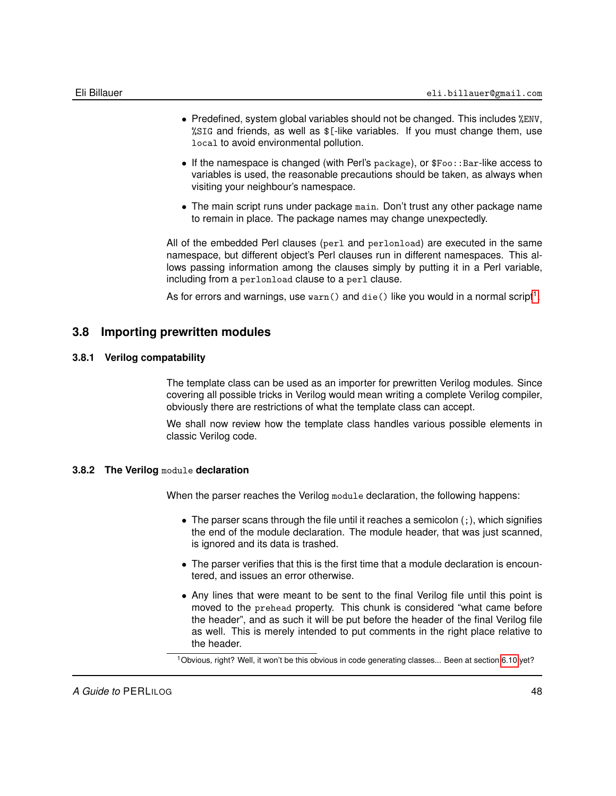- Predefined, system global variables should not be changed. This includes %ENV, %SIG and friends, as well as \$[-like variables. If you must change them, use local to avoid environmental pollution.
- $\bullet$  If the namespace is changed (with Perl's package), or  $$Foo$ : :Bar-like access to variables is used, the reasonable precautions should be taken, as always when visiting your neighbour's namespace.
- The main script runs under package main. Don't trust any other package name to remain in place. The package names may change unexpectedly.

All of the embedded Perl clauses (perl and perlonload) are executed in the same namespace, but different object's Perl clauses run in different namespaces. This allows passing information among the clauses simply by putting it in a Perl variable, including from a perlonload clause to a perl clause.

<span id="page-47-0"></span>As for errors and warnings, use  $\text{wan}()$  and  $\text{die}()$  like you would in a normal script $^1.$  $^1.$  $^1.$ 

### **3.8 Importing prewritten modules**

### **3.8.1 Verilog compatability**

The template class can be used as an importer for prewritten Verilog modules. Since covering all possible tricks in Verilog would mean writing a complete Verilog compiler, obviously there are restrictions of what the template class can accept.

We shall now review how the template class handles various possible elements in classic Verilog code.

### **3.8.2 The Verilog** module **declaration**

<span id="page-47-1"></span>When the parser reaches the Verilog module declaration, the following happens:

- The parser scans through the file until it reaches a semicolon  $($ ;  $)$ , which signifies the end of the module declaration. The module header, that was just scanned, is ignored and its data is trashed.
- The parser verifies that this is the first time that a module declaration is encountered, and issues an error otherwise.
- Any lines that were meant to be sent to the final Verilog file until this point is moved to the prehead property. This chunk is considered "what came before the header", and as such it will be put before the header of the final Verilog file as well. This is merely intended to put comments in the right place relative to the header.

<span id="page-47-2"></span><sup>1</sup>Obvious, right? Well, it won't be this obvious in code generating classes... Been at section [6.10](#page-87-0) yet?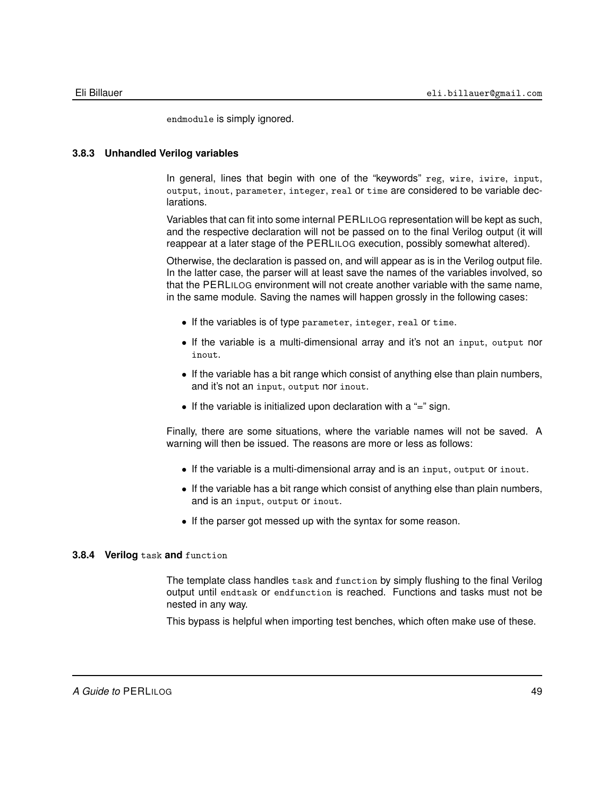endmodule is simply ignored.

### **3.8.3 Unhandled Verilog variables**

In general, lines that begin with one of the "keywords" reg, wire, iwire, input, output, inout, parameter, integer, real or time are considered to be variable declarations.

Variables that can fit into some internal PERLILOG representation will be kept as such, and the respective declaration will not be passed on to the final Verilog output (it will reappear at a later stage of the PERLILOG execution, possibly somewhat altered).

Otherwise, the declaration is passed on, and will appear as is in the Verilog output file. In the latter case, the parser will at least save the names of the variables involved, so that the PERLILOG environment will not create another variable with the same name, in the same module. Saving the names will happen grossly in the following cases:

- If the variables is of type parameter, integer, real or time.
- If the variable is a multi-dimensional array and it's not an input, output nor inout.
- If the variable has a bit range which consist of anything else than plain numbers, and it's not an input, output nor inout.
- If the variable is initialized upon declaration with a "=" sign.

Finally, there are some situations, where the variable names will not be saved. A warning will then be issued. The reasons are more or less as follows:

- If the variable is a multi-dimensional array and is an input, output or inout.
- If the variable has a bit range which consist of anything else than plain numbers, and is an input, output or inout.
- If the parser got messed up with the syntax for some reason.

#### **3.8.4 Verilog** task **and** function

The template class handles task and function by simply flushing to the final Verilog output until endtask or endfunction is reached. Functions and tasks must not be nested in any way.

This bypass is helpful when importing test benches, which often make use of these.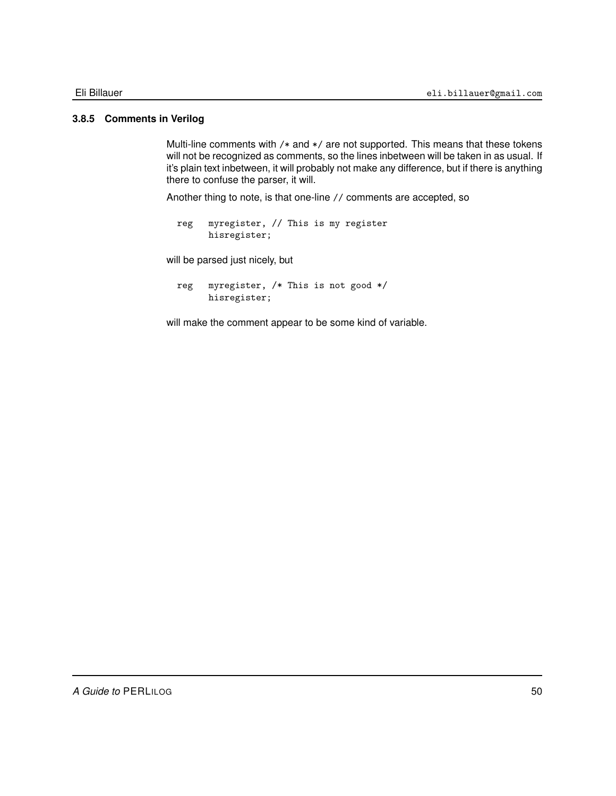### **3.8.5 Comments in Verilog**

Multi-line comments with /\* and \*/ are not supported. This means that these tokens will not be recognized as comments, so the lines inbetween will be taken in as usual. If it's plain text inbetween, it will probably not make any difference, but if there is anything there to confuse the parser, it will.

Another thing to note, is that one-line // comments are accepted, so

reg myregister, // This is my register hisregister;

will be parsed just nicely, but

```
reg myregister, /* This is not good */
     hisregister;
```
will make the comment appear to be some kind of variable.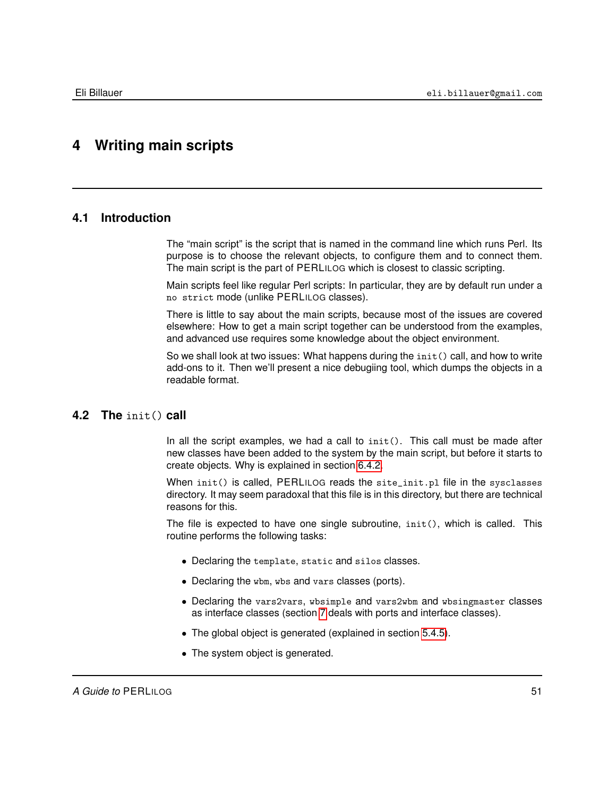# **4 Writing main scripts**

### **4.1 Introduction**

The "main script" is the script that is named in the command line which runs Perl. Its purpose is to choose the relevant objects, to configure them and to connect them. The main script is the part of PERLILOG which is closest to classic scripting.

Main scripts feel like regular Perl scripts: In particular, they are by default run under a no strict mode (unlike PERLILOG classes).

There is little to say about the main scripts, because most of the issues are covered elsewhere: How to get a main script together can be understood from the examples, and advanced use requires some knowledge about the object environment.

So we shall look at two issues: What happens during the  $init()$  call, and how to write add-ons to it. Then we'll present a nice debugiing tool, which dumps the objects in a readable format.

### **4.2 The** init() **call**

In all the script examples, we had a call to init(). This call must be made after new classes have been added to the system by the main script, but before it starts to create objects. Why is explained in section [6.4.2.](#page-68-0)

When init() is called, PERLILOG reads the site\_init.pl file in the sysclasses directory. It may seem paradoxal that this file is in this directory, but there are technical reasons for this.

The file is expected to have one single subroutine, init(), which is called. This routine performs the following tasks:

- Declaring the template, static and silos classes.
- Declaring the wbm, wbs and vars classes (ports).
- Declaring the vars2vars, wbsimple and vars2wbm and wbsingmaster classes as interface classes (section [7](#page-91-1) deals with ports and interface classes).
- The global object is generated (explained in section [5.4.5\)](#page-60-0).
- The system object is generated.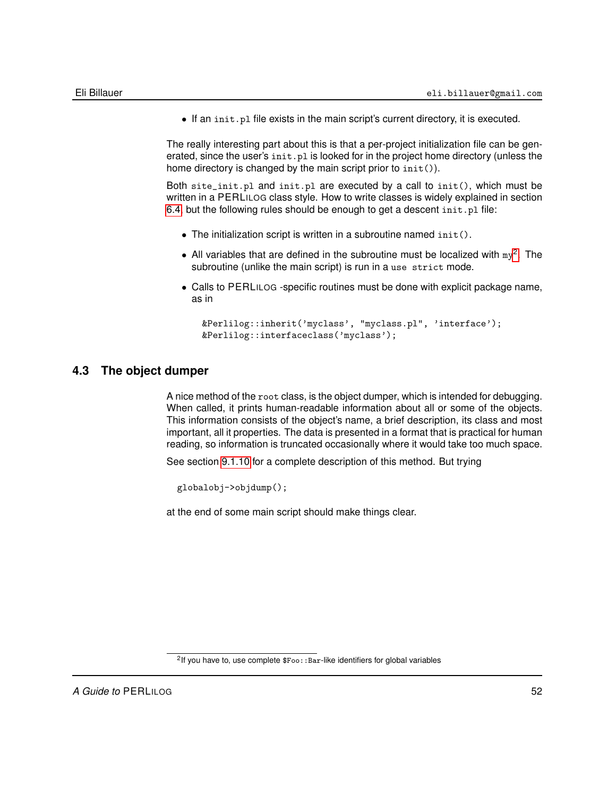• If an init.pl file exists in the main script's current directory, it is executed.

The really interesting part about this is that a per-project initialization file can be generated, since the user's  $init.pl$  is looked for in the project home directory (unless the home directory is changed by the main script prior to  $init()$ .

Both site\_init.pl and init.pl are executed by a call to init(), which must be written in a PERLILOG class style. How to write classes is widely explained in section [6.4,](#page-67-0) but the following rules should be enough to get a descent init.pl file:

- The initialization script is written in a subroutine named init().
- All variables that are defined in the subroutine must be localized with  $my^2$  $my^2$ . The subroutine (unlike the main script) is run in a use strict mode.
- Calls to PERLILOG -specific routines must be done with explicit package name, as in

```
&Perlilog::inherit('myclass', "myclass.pl", 'interface');
&Perlilog::interfaceclass('myclass');
```
### **4.3 The object dumper**

<span id="page-51-1"></span>A nice method of the root class, is the object dumper, which is intended for debugging. When called, it prints human-readable information about all or some of the objects. This information consists of the object's name, a brief description, its class and most important, all it properties. The data is presented in a format that is practical for human reading, so information is truncated occasionally where it would take too much space.

See section [9.1.10](#page-149-0) for a complete description of this method. But trying

globalobj->objdump();

at the end of some main script should make things clear.

<span id="page-51-0"></span><sup>&</sup>lt;sup>2</sup>If you have to, use complete \$Foo:: Bar-like identifiers for global variables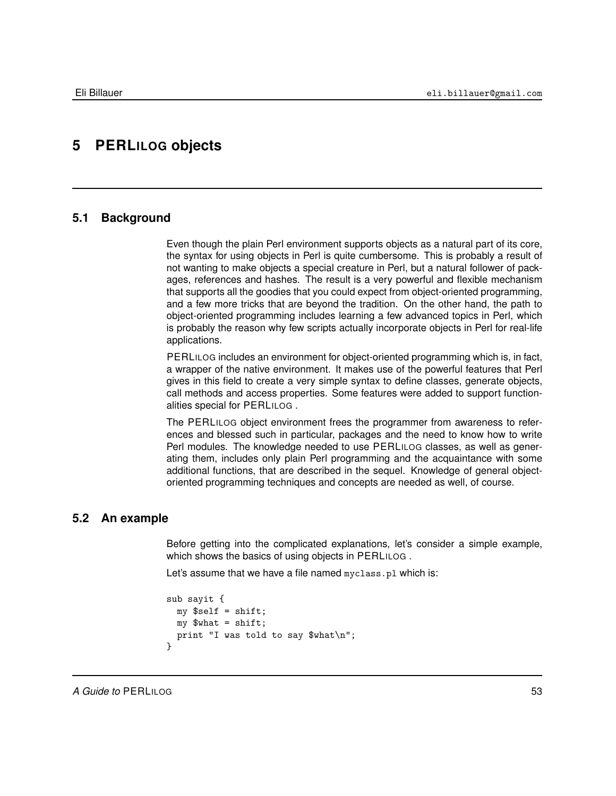# <span id="page-52-0"></span>**5 PERLILOG objects**

### **5.1 Background**

Even though the plain Perl environment supports objects as a natural part of its core, the syntax for using objects in Perl is quite cumbersome. This is probably a result of not wanting to make objects a special creature in Perl, but a natural follower of packages, references and hashes. The result is a very powerful and flexible mechanism that supports all the goodies that you could expect from object-oriented programming, and a few more tricks that are beyond the tradition. On the other hand, the path to object-oriented programming includes learning a few advanced topics in Perl, which is probably the reason why few scripts actually incorporate objects in Perl for real-life applications.

PERLILOG includes an environment for object-oriented programming which is, in fact, a wrapper of the native environment. It makes use of the powerful features that Perl gives in this field to create a very simple syntax to define classes, generate objects, call methods and access properties. Some features were added to support functionalities special for PERLILOG .

The PERLILOG object environment frees the programmer from awareness to references and blessed such in particular, packages and the need to know how to write Perl modules. The knowledge needed to use PERLILOG classes, as well as generating them, includes only plain Perl programming and the acquaintance with some additional functions, that are described in the sequel. Knowledge of general objectoriented programming techniques and concepts are needed as well, of course.

### **5.2 An example**

<span id="page-52-1"></span>Before getting into the complicated explanations, let's consider a simple example, which shows the basics of using objects in PERLILOG.

Let's assume that we have a file named myclass.pl which is:

```
sub sayit {
 my $self = shift;
 my $what = shift;print "I was told to say $what\n";
}
```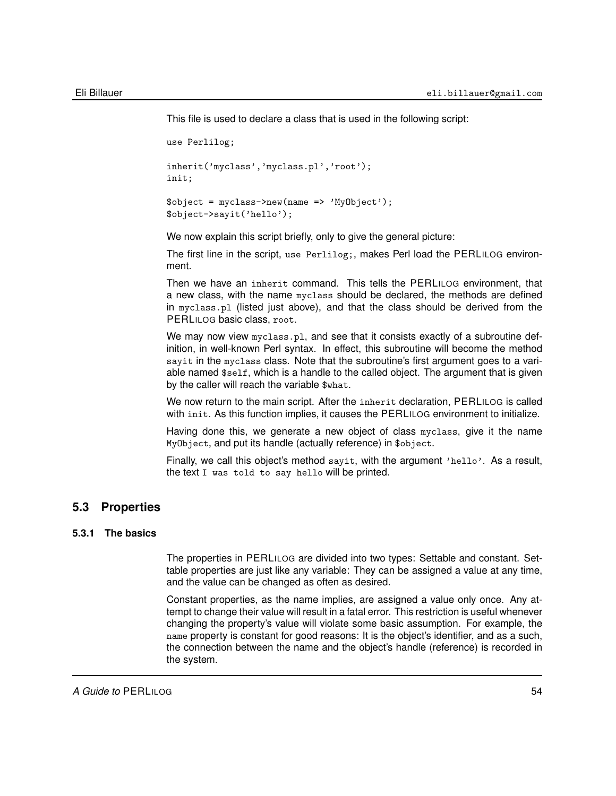This file is used to declare a class that is used in the following script:

```
use Perlilog;
inherit('myclass','myclass.pl','root');
init;
\text{Sobject} = \text{myclass} - \text{new}(\text{name} = \text{y} \text{MyObject};
$object->sayit('hello');
```
We now explain this script briefly, only to give the general picture:

The first line in the script, use Perlilog;, makes Perl load the PERLILOG environment.

Then we have an inherit command. This tells the PERLILOG environment, that a new class, with the name myclass should be declared, the methods are defined in myclass.pl (listed just above), and that the class should be derived from the PERLILOG basic class, root.

We may now view myclass.pl, and see that it consists exactly of a subroutine definition, in well-known Perl syntax. In effect, this subroutine will become the method sayit in the myclass class. Note that the subroutine's first argument goes to a variable named \$self, which is a handle to the called object. The argument that is given by the caller will reach the variable \$what.

We now return to the main script. After the inherit declaration, PERLILOG is called with init. As this function implies, it causes the PERLILOG environment to initialize.

Having done this, we generate a new object of class myclass, give it the name MyObject, and put its handle (actually reference) in \$object.

<span id="page-53-0"></span>Finally, we call this object's method sayit, with the argument 'hello'. As a result, the text I was told to say hello will be printed.

## **5.3 Properties**

### **5.3.1 The basics**

The properties in PERLILOG are divided into two types: Settable and constant. Settable properties are just like any variable: They can be assigned a value at any time, and the value can be changed as often as desired.

Constant properties, as the name implies, are assigned a value only once. Any attempt to change their value will result in a fatal error. This restriction is useful whenever changing the property's value will violate some basic assumption. For example, the name property is constant for good reasons: It is the object's identifier, and as a such, the connection between the name and the object's handle (reference) is recorded in the system.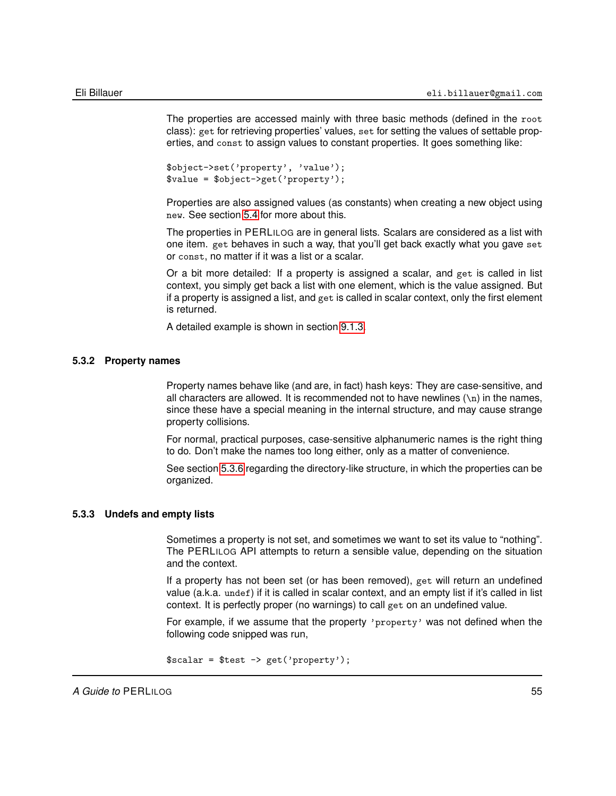The properties are accessed mainly with three basic methods (defined in the root class): get for retrieving properties' values, set for setting the values of settable properties, and const to assign values to constant properties. It goes something like:

```
$object->set('property', 'value');
$value = $object->get('property');
```
Properties are also assigned values (as constants) when creating a new object using new. See section [5.4](#page-58-0) for more about this.

The properties in PERLILOG are in general lists. Scalars are considered as a list with one item. get behaves in such a way, that you'll get back exactly what you gave set or const, no matter if it was a list or a scalar.

Or a bit more detailed: If a property is assigned a scalar, and get is called in list context, you simply get back a list with one element, which is the value assigned. But if a property is assigned a list, and get is called in scalar context, only the first element is returned.

A detailed example is shown in section [9.1.3.](#page-142-0)

#### **5.3.2 Property names**

Property names behave like (and are, in fact) hash keys: They are case-sensitive, and all characters are allowed. It is recommended not to have newlines  $(\nabla)$  in the names, since these have a special meaning in the internal structure, and may cause strange property collisions.

For normal, practical purposes, case-sensitive alphanumeric names is the right thing to do. Don't make the names too long either, only as a matter of convenience.

See section [5.3.6](#page-57-0) regarding the directory-like structure, in which the properties can be organized.

### **5.3.3 Undefs and empty lists**

Sometimes a property is not set, and sometimes we want to set its value to "nothing". The PERLILOG API attempts to return a sensible value, depending on the situation and the context.

If a property has not been set (or has been removed), get will return an undefined value (a.k.a. undef) if it is called in scalar context, and an empty list if it's called in list context. It is perfectly proper (no warnings) to call get on an undefined value.

For example, if we assume that the property 'property' was not defined when the following code snipped was run,

```
$scalar = $test -> get('property');
```
*A Guide to* PERLILOG 55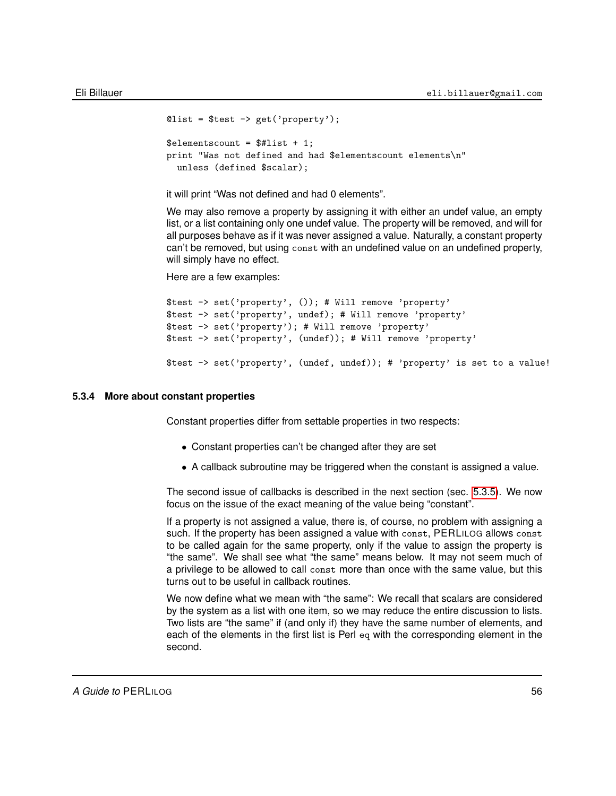```
Qlist = $test -> get('property');
$elementscount = $1:print "Was not defined and had $elementscount elements\n"
 unless (defined $scalar);
```
it will print "Was not defined and had 0 elements".

We may also remove a property by assigning it with either an undef value, an empty list, or a list containing only one undef value. The property will be removed, and will for all purposes behave as if it was never assigned a value. Naturally, a constant property can't be removed, but using const with an undefined value on an undefined property, will simply have no effect.

Here are a few examples:

```
$test -> set('property', ()); # Will remove 'property'
$test -> set('property', undef); # Will remove 'property'
$test -> set('property'); # Will remove 'property'
$test -> set('property', (undef)); # Will remove 'property'
$test -> set('property', (undef, undef)); # 'property' is set to a value!
```
#### **5.3.4 More about constant properties**

Constant properties differ from settable properties in two respects:

- Constant properties can't be changed after they are set
- A callback subroutine may be triggered when the constant is assigned a value.

The second issue of callbacks is described in the next section (sec. [5.3.5\)](#page-56-0). We now focus on the issue of the exact meaning of the value being "constant".

If a property is not assigned a value, there is, of course, no problem with assigning a such. If the property has been assigned a value with const, PERLILOG allows const to be called again for the same property, only if the value to assign the property is "the same". We shall see what "the same" means below. It may not seem much of a privilege to be allowed to call const more than once with the same value, but this turns out to be useful in callback routines.

We now define what we mean with "the same": We recall that scalars are considered by the system as a list with one item, so we may reduce the entire discussion to lists. Two lists are "the same" if (and only if) they have the same number of elements, and each of the elements in the first list is Perl eq with the corresponding element in the second.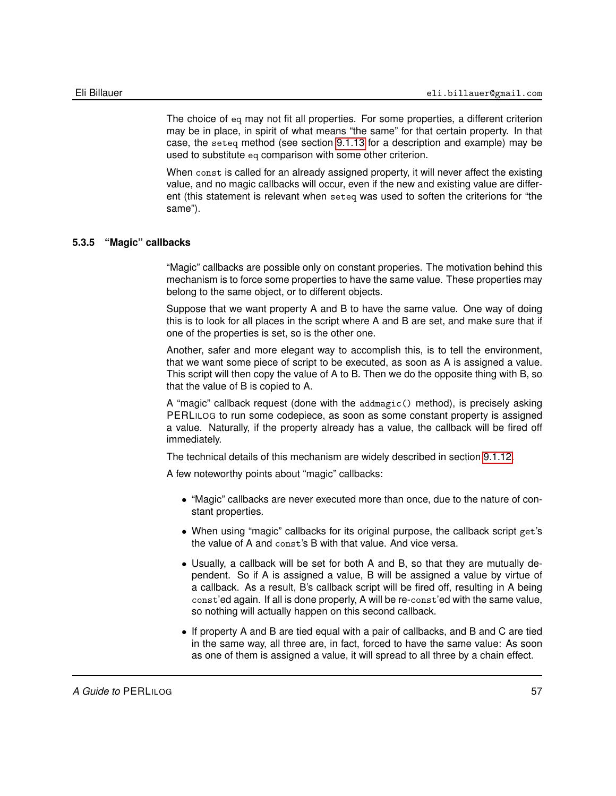The choice of eq may not fit all properties. For some properties, a different criterion may be in place, in spirit of what means "the same" for that certain property. In that case, the seteq method (see section [9.1.13](#page-153-0) for a description and example) may be used to substitute eq comparison with some other criterion.

When const is called for an already assigned property, it will never affect the existing value, and no magic callbacks will occur, even if the new and existing value are different (this statement is relevant when seteq was used to soften the criterions for "the same").

### **5.3.5 "Magic" callbacks**

<span id="page-56-0"></span>"Magic" callbacks are possible only on constant properies. The motivation behind this mechanism is to force some properties to have the same value. These properties may belong to the same object, or to different objects.

Suppose that we want property A and B to have the same value. One way of doing this is to look for all places in the script where A and B are set, and make sure that if one of the properties is set, so is the other one.

Another, safer and more elegant way to accomplish this, is to tell the environment, that we want some piece of script to be executed, as soon as A is assigned a value. This script will then copy the value of A to B. Then we do the opposite thing with B, so that the value of B is copied to A.

A "magic" callback request (done with the addmagic() method), is precisely asking PERLILOG to run some codepiece, as soon as some constant property is assigned a value. Naturally, if the property already has a value, the callback will be fired off immediately.

The technical details of this mechanism are widely described in section [9.1.12.](#page-151-0)

A few noteworthy points about "magic" callbacks:

- "Magic" callbacks are never executed more than once, due to the nature of constant properties.
- When using "magic" callbacks for its original purpose, the callback script get's the value of A and const's B with that value. And vice versa.
- Usually, a callback will be set for both A and B, so that they are mutually dependent. So if A is assigned a value, B will be assigned a value by virtue of a callback. As a result, B's callback script will be fired off, resulting in A being const'ed again. If all is done properly, A will be re-const'ed with the same value, so nothing will actually happen on this second callback.
- If property A and B are tied equal with a pair of callbacks, and B and C are tied in the same way, all three are, in fact, forced to have the same value: As soon as one of them is assigned a value, it will spread to all three by a chain effect.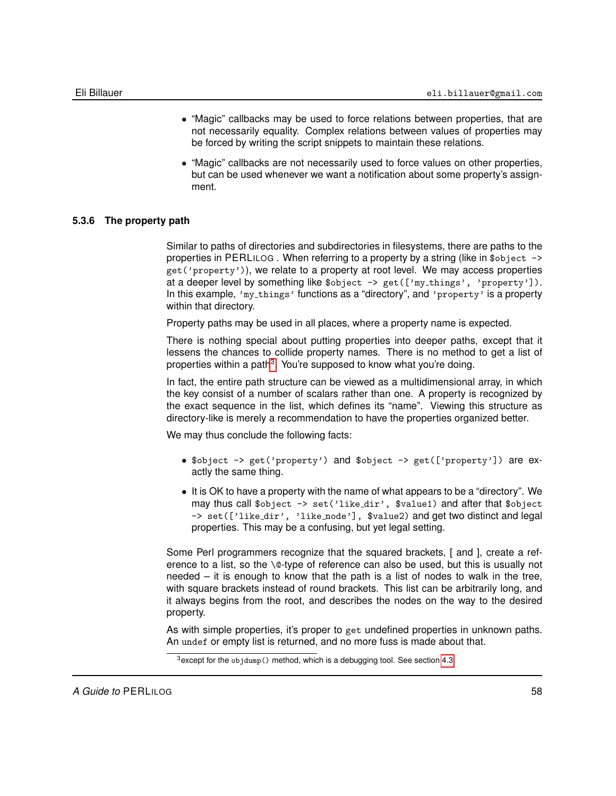- "Magic" callbacks may be used to force relations between properties, that are not necessarily equality. Complex relations between values of properties may be forced by writing the script snippets to maintain these relations.
- "Magic" callbacks are not necessarily used to force values on other properties, but can be used whenever we want a notification about some property's assignment.

### **5.3.6 The property path**

<span id="page-57-0"></span>Similar to paths of directories and subdirectories in filesystems, there are paths to the properties in PERLILOG . When referring to a property by a string (like in \$object -> get('property')), we relate to a property at root level. We may access properties at a deeper level by something like \$object -> get(['my\_things', 'property']). In this example, 'my things' functions as a "directory", and 'property' is a property within that directory.

Property paths may be used in all places, where a property name is expected.

There is nothing special about putting properties into deeper paths, except that it lessens the chances to collide property names. There is no method to get a list of properties within a path<sup>[3](#page-57-1)</sup>. You're supposed to know what you're doing.

In fact, the entire path structure can be viewed as a multidimensional array, in which the key consist of a number of scalars rather than one. A property is recognized by the exact sequence in the list, which defines its "name". Viewing this structure as directory-like is merely a recommendation to have the properties organized better.

We may thus conclude the following facts:

- \$object -> get('property') and \$object -> get(['property']) are exactly the same thing.
- It is OK to have a property with the name of what appears to be a "directory". We may thus call \$object -> set('like dir', \$value1) and after that \$object -> set(['like\_dir', 'like\_node'], \$value2) and get two distinct and legal properties. This may be a confusing, but yet legal setting.

Some Perl programmers recognize that the squared brackets, [ and ], create a reference to a list, so the \@-type of reference can also be used, but this is usually not needed – it is enough to know that the path is a list of nodes to walk in the tree, with square brackets instead of round brackets. This list can be arbitrarily long, and it always begins from the root, and describes the nodes on the way to the desired property.

As with simple properties, it's proper to get undefined properties in unknown paths. An undef or empty list is returned, and no more fuss is made about that.

<span id="page-57-1"></span><sup>3</sup>except for the objdump() method, which is a debugging tool. See section [4.3](#page-51-1)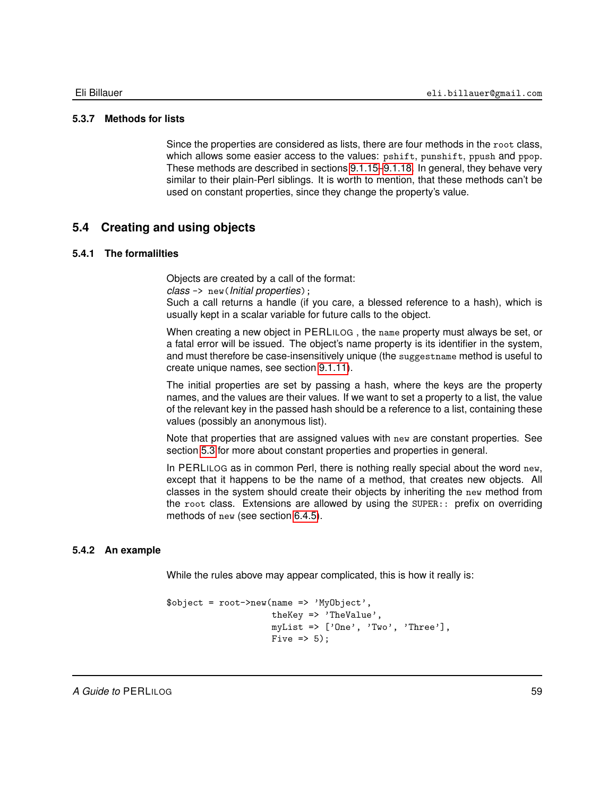### **5.3.7 Methods for lists**

Since the properties are considered as lists, there are four methods in the root class, which allows some easier access to the values: pshift, punshift, ppush and ppop. These methods are described in sections [9.1.15–](#page-155-0)[9.1.18.](#page-157-0) In general, they behave very similar to their plain-Perl siblings. It is worth to mention, that these methods can't be used on constant properties, since they change the property's value.

## **5.4 Creating and using objects**

### **5.4.1 The formalilties**

<span id="page-58-0"></span>Objects are created by a call of the format:

*class* -> new(*Initial properties*);

Such a call returns a handle (if you care, a blessed reference to a hash), which is usually kept in a scalar variable for future calls to the object.

When creating a new object in PERLILOG , the name property must always be set, or a fatal error will be issued. The object's name property is its identifier in the system, and must therefore be case-insensitively unique (the suggestname method is useful to create unique names, see section [9.1.11\)](#page-150-0).

The initial properties are set by passing a hash, where the keys are the property names, and the values are their values. If we want to set a property to a list, the value of the relevant key in the passed hash should be a reference to a list, containing these values (possibly an anonymous list).

Note that properties that are assigned values with new are constant properties. See section [5.3](#page-53-0) for more about constant properties and properties in general.

In PERLILOG as in common Perl, there is nothing really special about the word new, except that it happens to be the name of a method, that creates new objects. All classes in the system should create their objects by inheriting the new method from the root class. Extensions are allowed by using the SUPER:: prefix on overriding methods of new (see section [6.4.5\)](#page-71-0).

### **5.4.2 An example**

While the rules above may appear complicated, this is how it really is:

```
$object = root->new(name => 'MyObject',
                     theKey => 'TheValue',
                     myList => ['One', 'Two', 'Three'],Five \Rightarrow 5);
```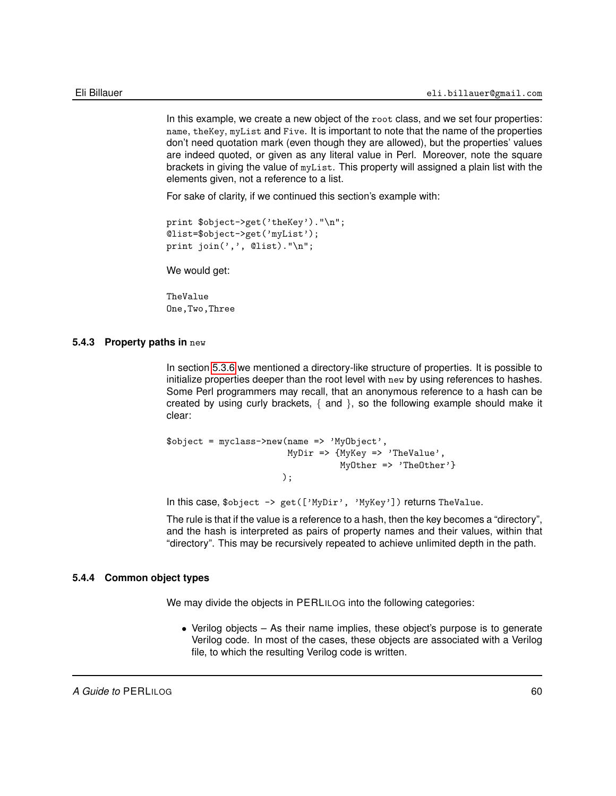In this example, we create a new object of the root class, and we set four properties: name, theKey, myList and Five. It is important to note that the name of the properties don't need quotation mark (even though they are allowed), but the properties' values are indeed quoted, or given as any literal value in Perl. Moreover, note the square brackets in giving the value of myList. This property will assigned a plain list with the elements given, not a reference to a list.

For sake of clarity, if we continued this section's example with:

```
print $object->get('theKey')."\n";
@list=$object->get('myList');
print join(',',', 0list)." \n';
```
We would get:

TheValue One,Two,Three

#### **5.4.3 Property paths in** new

In section [5.3.6](#page-57-0) we mentioned a directory-like structure of properties. It is possible to initialize properties deeper than the root level with new by using references to hashes. Some Perl programmers may recall, that an anonymous reference to a hash can be created by using curly brackets, { and }, so the following example should make it clear:

```
$object = myclass->new(name => 'MyObject',
                       MyDir => {MyKey => 'TheValue',
                                 MyOther => 'TheOther'}
                      );
```
In this case, \$object -> get(['MyDir', 'MyKey']) returns TheValue.

The rule is that if the value is a reference to a hash, then the key becomes a "directory", and the hash is interpreted as pairs of property names and their values, within that "directory". This may be recursively repeated to achieve unlimited depth in the path.

#### **5.4.4 Common object types**

We may divide the objects in PERLILOG into the following categories:

• Verilog objects – As their name implies, these object's purpose is to generate Verilog code. In most of the cases, these objects are associated with a Verilog file, to which the resulting Verilog code is written.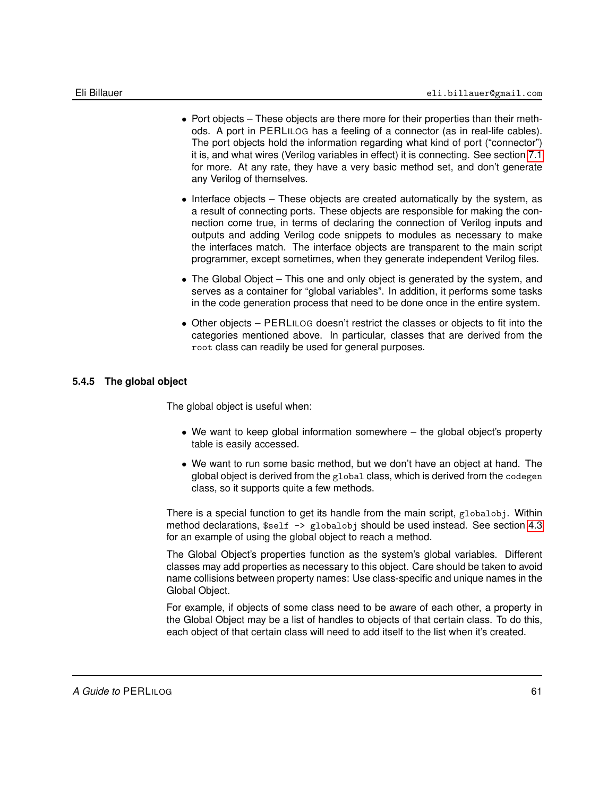- Port objects These objects are there more for their properties than their methods. A port in PERLILOG has a feeling of a connector (as in real-life cables). The port objects hold the information regarding what kind of port ("connector") it is, and what wires (Verilog variables in effect) it is connecting. See section [7.1](#page-91-0) for more. At any rate, they have a very basic method set, and don't generate any Verilog of themselves.
- Interface objects These objects are created automatically by the system, as a result of connecting ports. These objects are responsible for making the connection come true, in terms of declaring the connection of Verilog inputs and outputs and adding Verilog code snippets to modules as necessary to make the interfaces match. The interface objects are transparent to the main script programmer, except sometimes, when they generate independent Verilog files.
- The Global Object This one and only object is generated by the system, and serves as a container for "global variables". In addition, it performs some tasks in the code generation process that need to be done once in the entire system.
- Other objects PERLILOG doesn't restrict the classes or objects to fit into the categories mentioned above. In particular, classes that are derived from the root class can readily be used for general purposes.

### **5.4.5 The global object**

<span id="page-60-0"></span>The global object is useful when:

- We want to keep global information somewhere the global object's property table is easily accessed.
- We want to run some basic method, but we don't have an object at hand. The global object is derived from the global class, which is derived from the codegen class, so it supports quite a few methods.

There is a special function to get its handle from the main script, globalobj. Within method declarations, \$self  $\rightarrow$  globalobj should be used instead. See section [4.3](#page-51-1) for an example of using the global object to reach a method.

The Global Object's properties function as the system's global variables. Different classes may add properties as necessary to this object. Care should be taken to avoid name collisions between property names: Use class-specific and unique names in the Global Object.

For example, if objects of some class need to be aware of each other, a property in the Global Object may be a list of handles to objects of that certain class. To do this, each object of that certain class will need to add itself to the list when it's created.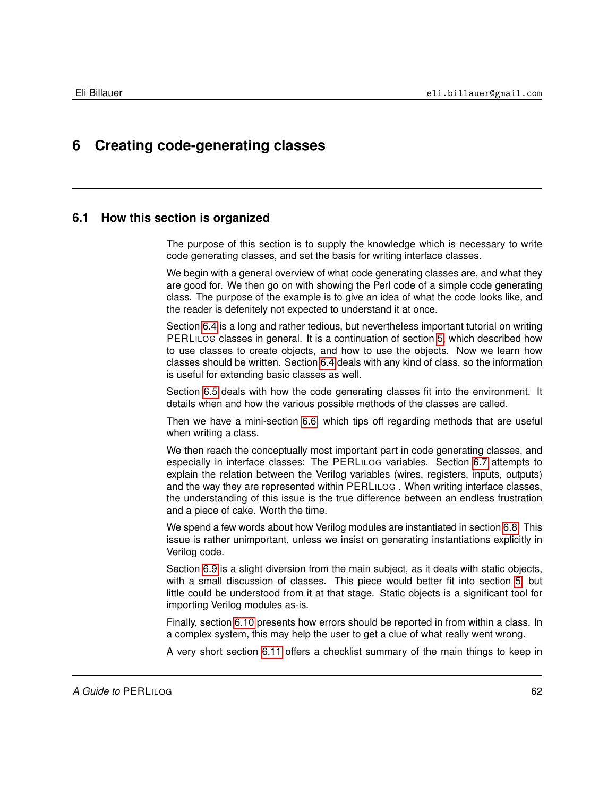# **6 Creating code-generating classes**

### **6.1 How this section is organized**

The purpose of this section is to supply the knowledge which is necessary to write code generating classes, and set the basis for writing interface classes.

We begin with a general overview of what code generating classes are, and what they are good for. We then go on with showing the Perl code of a simple code generating class. The purpose of the example is to give an idea of what the code looks like, and the reader is defenitely not expected to understand it at once.

Section [6.4](#page-67-0) is a long and rather tedious, but nevertheless important tutorial on writing PERLILOG classes in general. It is a continuation of section [5,](#page-52-0) which described how to use classes to create objects, and how to use the objects. Now we learn how classes should be written. Section [6.4](#page-67-0) deals with any kind of class, so the information is useful for extending basic classes as well.

Section [6.5](#page-74-0) deals with how the code generating classes fit into the environment. It details when and how the various possible methods of the classes are called.

Then we have a mini-section [6.6,](#page-76-0) which tips off regarding methods that are useful when writing a class.

We then reach the conceptually most important part in code generating classes, and especially in interface classes: The PERLILOG variables. Section [6.7](#page-77-0) attempts to explain the relation between the Verilog variables (wires, registers, inputs, outputs) and the way they are represented within PERLILOG . When writing interface classes, the understanding of this issue is the true difference between an endless frustration and a piece of cake. Worth the time.

We spend a few words about how Verilog modules are instantiated in section [6.8.](#page-83-0) This issue is rather unimportant, unless we insist on generating instantiations explicitly in Verilog code.

Section [6.9](#page-84-0) is a slight diversion from the main subject, as it deals with static objects, with a small discussion of classes. This piece would better fit into section [5,](#page-52-0) but little could be understood from it at that stage. Static objects is a significant tool for importing Verilog modules as-is.

Finally, section [6.10](#page-87-0) presents how errors should be reported in from within a class. In a complex system, this may help the user to get a clue of what really went wrong.

A very short section [6.11](#page-89-0) offers a checklist summary of the main things to keep in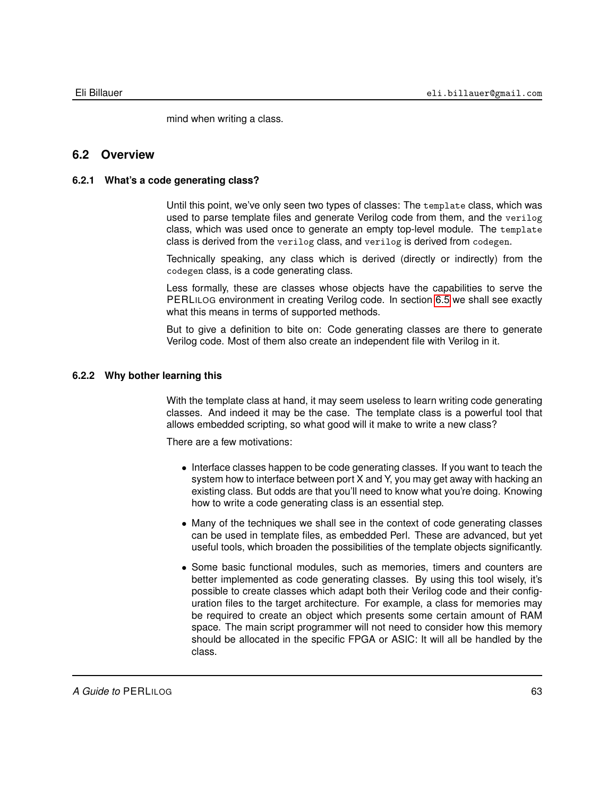mind when writing a class.

### **6.2 Overview**

### **6.2.1 What's a code generating class?**

Until this point, we've only seen two types of classes: The template class, which was used to parse template files and generate Verilog code from them, and the verilog class, which was used once to generate an empty top-level module. The template class is derived from the verilog class, and verilog is derived from codegen.

Technically speaking, any class which is derived (directly or indirectly) from the codegen class, is a code generating class.

Less formally, these are classes whose objects have the capabilities to serve the PERLILOG environment in creating Verilog code. In section [6.5](#page-74-0) we shall see exactly what this means in terms of supported methods.

But to give a definition to bite on: Code generating classes are there to generate Verilog code. Most of them also create an independent file with Verilog in it.

### **6.2.2 Why bother learning this**

With the template class at hand, it may seem useless to learn writing code generating classes. And indeed it may be the case. The template class is a powerful tool that allows embedded scripting, so what good will it make to write a new class?

There are a few motivations:

- Interface classes happen to be code generating classes. If you want to teach the system how to interface between port X and Y, you may get away with hacking an existing class. But odds are that you'll need to know what you're doing. Knowing how to write a code generating class is an essential step.
- Many of the techniques we shall see in the context of code generating classes can be used in template files, as embedded Perl. These are advanced, but yet useful tools, which broaden the possibilities of the template objects significantly.
- Some basic functional modules, such as memories, timers and counters are better implemented as code generating classes. By using this tool wisely, it's possible to create classes which adapt both their Verilog code and their configuration files to the target architecture. For example, a class for memories may be required to create an object which presents some certain amount of RAM space. The main script programmer will not need to consider how this memory should be allocated in the specific FPGA or ASIC: It will all be handled by the class.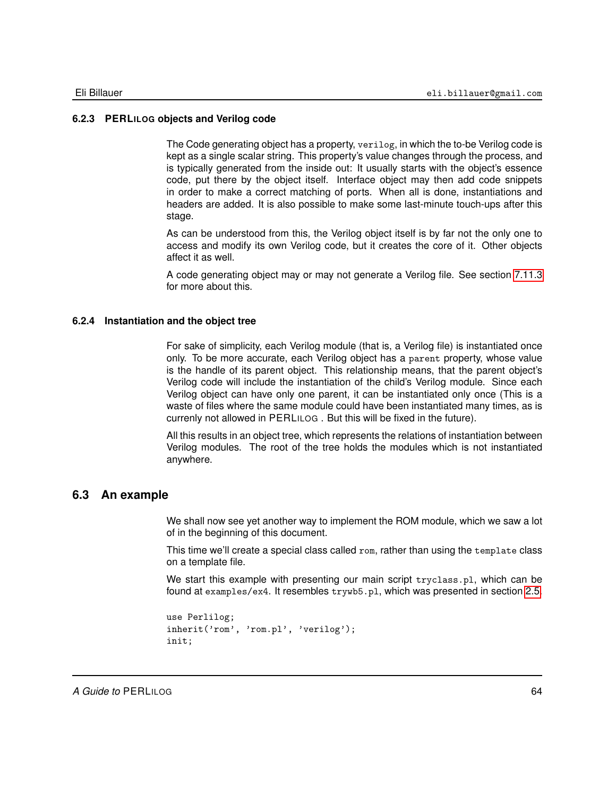### **6.2.3 PERLILOG objects and Verilog code**

The Code generating object has a property, verilog, in which the to-be Verilog code is kept as a single scalar string. This property's value changes through the process, and is typically generated from the inside out: It usually starts with the object's essence code, put there by the object itself. Interface object may then add code snippets in order to make a correct matching of ports. When all is done, instantiations and headers are added. It is also possible to make some last-minute touch-ups after this stage.

As can be understood from this, the Verilog object itself is by far not the only one to access and modify its own Verilog code, but it creates the core of it. Other objects affect it as well.

A code generating object may or may not generate a Verilog file. See section [7.11.3](#page-130-0) for more about this.

#### **6.2.4 Instantiation and the object tree**

For sake of simplicity, each Verilog module (that is, a Verilog file) is instantiated once only. To be more accurate, each Verilog object has a parent property, whose value is the handle of its parent object. This relationship means, that the parent object's Verilog code will include the instantiation of the child's Verilog module. Since each Verilog object can have only one parent, it can be instantiated only once (This is a waste of files where the same module could have been instantiated many times, as is currenly not allowed in PERLILOG . But this will be fixed in the future).

All this results in an object tree, which represents the relations of instantiation between Verilog modules. The root of the tree holds the modules which is not instantiated anywhere.

### **6.3 An example**

We shall now see yet another way to implement the ROM module, which we saw a lot of in the beginning of this document.

This time we'll create a special class called rom, rather than using the template class on a template file.

We start this example with presenting our main script tryclass.pl, which can be found at examples/ex4. It resembles trywb5.pl, which was presented in section [2.5.](#page-35-0)

```
use Perlilog;
inherit('rom', 'rom.pl', 'verilog');
init;
```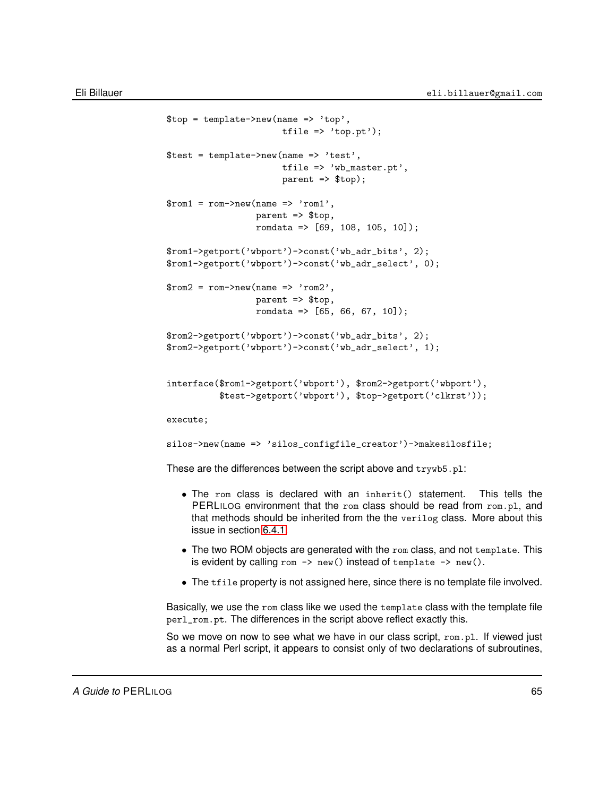```
$top = template->new(name => 'top',tfile \Rightarrow 'top.pt');
$test = template->new(name => 'test',
                      tfile => 'wb_master.pt',
                      parent => $top);
$rom1 = rom->new(name => 'rom1',parent => $top,
                 romdata => [69, 108, 105, 10]);
$rom1->getport('wbport')->const('wb_adr_bits', 2);
$rom1->getport('wbport')->const('wb_adr_select', 0);
$rom2 = rom->new(name => 'rom2',parent => $top,
                 romdata => [65, 66, 67, 10];
$rom2->getport('wbport')->const('wb_adr_bits', 2);
$rom2->getport('wbport')->const('wb_adr_select', 1);
interface($rom1->getport('wbport'), $rom2->getport('wbport'),
          $test->getport('wbport'), $top->getport('clkrst'));
execute;
silos->new(name => 'silos_configfile_creator')->makesilosfile;
```
These are the differences between the script above and trywb5.pl:

- The rom class is declared with an inherit() statement. This tells the PERLILOG environment that the rom class should be read from rom.pl, and that methods should be inherited from the the verilog class. More about this issue in section [6.4.1.](#page-67-1)
- The two ROM objects are generated with the rom class, and not template. This is evident by calling rom  $\rightarrow$  new() instead of template  $\rightarrow$  new().
- The tfile property is not assigned here, since there is no template file involved.

Basically, we use the rom class like we used the template class with the template file perl\_rom.pt. The differences in the script above reflect exactly this.

So we move on now to see what we have in our class script, rom.pl. If viewed just as a normal Perl script, it appears to consist only of two declarations of subroutines,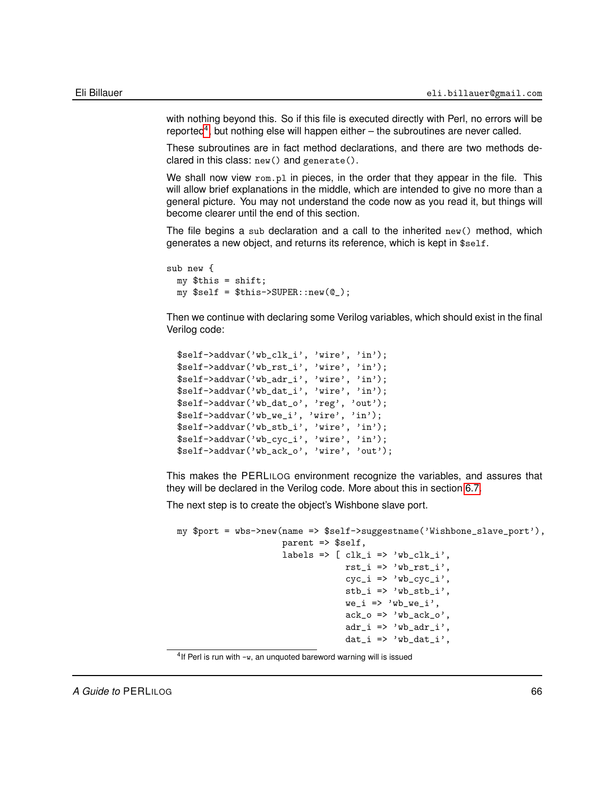with nothing beyond this. So if this file is executed directly with Perl, no errors will be reported<sup>[4](#page-65-0)</sup>, but nothing else will happen either  $-$  the subroutines are never called.

These subroutines are in fact method declarations, and there are two methods declared in this class: new() and generate().

We shall now view rom.pl in pieces, in the order that they appear in the file. This will allow brief explanations in the middle, which are intended to give no more than a general picture. You may not understand the code now as you read it, but things will become clearer until the end of this section.

The file begins a sub declaration and a call to the inherited new() method, which generates a new object, and returns its reference, which is kept in \$self.

```
sub new {
  my $this = shift;
 my $self = $this->SUPER::new(@_);
```
Then we continue with declaring some Verilog variables, which should exist in the final Verilog code:

```
$self->addvar('wb_clk_i', 'wire', 'in');
$self->addvar('wb_rst_i', 'wire', 'in');
$self->addvar('wb_adr_i', 'wire', 'in');
$self->addvar('wb_dat_i', 'wire', 'in');
$self->addvar('wb_dat_o', 'reg', 'out');
$self->addvar('wb_we_i', 'wire', 'in');
$self->addvar('wb_stb_i', 'wire', 'in');
$self->addvar('wb_cyc_i', 'wire', 'in');
$self->addvar('wb_ack_o', 'wire', 'out');
```
This makes the PERLILOG environment recognize the variables, and assures that they will be declared in the Verilog code. More about this in section [6.7.](#page-77-0)

The next step is to create the object's Wishbone slave port.

```
my $port = wbs->new(name => $self->suggestname('Wishbone_slave_port'),
                         parent => $self,
                         labels => [ clk_i => 'wb_clk_i',
                                        rst_i \Rightarrow 'wb_rst_i',cyc_i \Rightarrow 'wb_cyc_i',\text{stb}_i \Rightarrow \text{'wb}_\text{stb}_i',we_i \Rightarrow 'wb_wee_i',ack_0 => 'wb_ack_0',
                                        adr_i \Rightarrow 'wb_a dr_i',dat_i => 'wb_dat_i',
```
<span id="page-65-0"></span> $4$ If Perl is run with  $-w$ , an unquoted bareword warning will is issued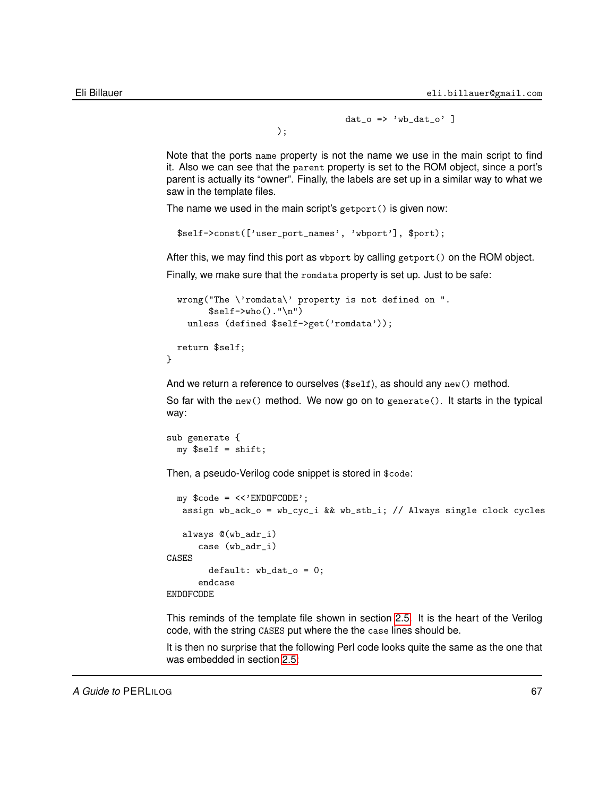$dat_0$  => 'wb\_dat\_o' ]

Note that the ports name property is not the name we use in the main script to find it. Also we can see that the parent property is set to the ROM object, since a port's parent is actually its "owner". Finally, the labels are set up in a similar way to what we saw in the template files.

The name we used in the main script's getport() is given now:

);

```
$self->const(['user_port_names', 'wbport'], $port);
```
After this, we may find this port as wbport by calling getport() on the ROM object.

Finally, we make sure that the romdata property is set up. Just to be safe:

```
wrong("The \'romdata\' property is not defined on ".
      $self->who() . "\n")unless (defined $self->get('romdata'));
return $self;
```
And we return a reference to ourselves (\$self), as should any new() method.

So far with the new() method. We now go on to generate(). It starts in the typical way:

```
sub generate {
 my $self = shift;
```
}

Then, a pseudo-Verilog code snippet is stored in \$code:

```
my $code = <<'ENDOFCODE';
  assign wb_ack_o = wb_cyc_i && wb_stb_i; // Always single clock cycles
  always @(wb_adr_i)
      case (wb_adr_i)
CASES
        default: wb_data_0 = 0;endcase
ENDOFCODE
```
This reminds of the template file shown in section [2.5.](#page-35-0) It is the heart of the Verilog code, with the string CASES put where the the case lines should be.

It is then no surprise that the following Perl code looks quite the same as the one that was embedded in section [2.5:](#page-35-0)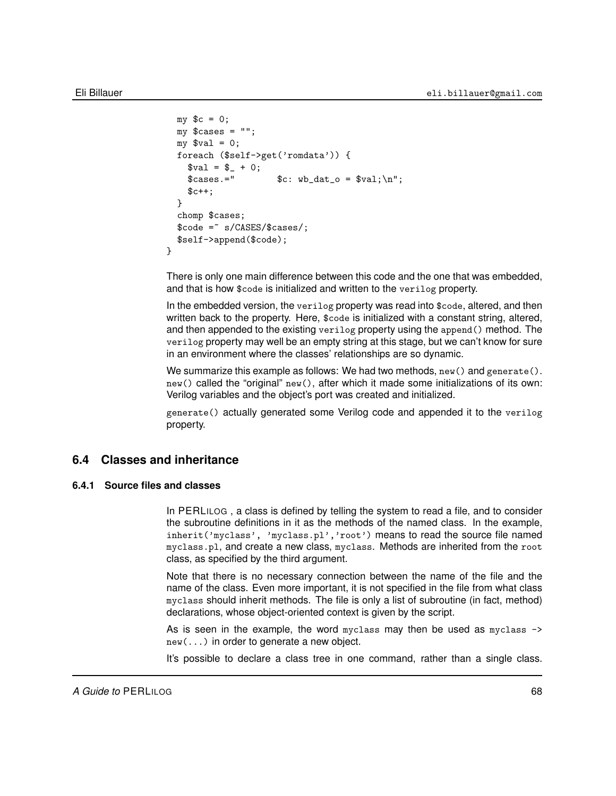```
my \text{ } $c = 0;my \text{Scases} = \text{""};
  my $val = 0;
  foreach ($self->get('romdata')) {
    $val = $_ + 0;\text{\$cases.='} $c: \text{wb\_dat\_o} = \text{yal}; \ln";$c++:
  }
  chomp $cases;
  $code =~ s/CASES/$cases/;
  $self->append($code);
}
```
There is only one main difference between this code and the one that was embedded, and that is how \$code is initialized and written to the verilog property.

In the embedded version, the verilog property was read into \$code, altered, and then written back to the property. Here, \$code is initialized with a constant string, altered, and then appended to the existing verilog property using the append() method. The verilog property may well be an empty string at this stage, but we can't know for sure in an environment where the classes' relationships are so dynamic.

We summarize this example as follows: We had two methods,  $new()$  and generate(). new() called the "original" new(), after which it made some initializations of its own: Verilog variables and the object's port was created and initialized.

<span id="page-67-0"></span>generate() actually generated some Verilog code and appended it to the verilog property.

### **6.4 Classes and inheritance**

#### **6.4.1 Source files and classes**

<span id="page-67-1"></span>In PERLILOG , a class is defined by telling the system to read a file, and to consider the subroutine definitions in it as the methods of the named class. In the example, inherit('myclass', 'myclass.pl','root') means to read the source file named myclass.pl, and create a new class, myclass. Methods are inherited from the root class, as specified by the third argument.

Note that there is no necessary connection between the name of the file and the name of the class. Even more important, it is not specified in the file from what class myclass should inherit methods. The file is only a list of subroutine (in fact, method) declarations, whose object-oriented context is given by the script.

As is seen in the example, the word myclass may then be used as myclass -> new(...) in order to generate a new object.

It's possible to declare a class tree in one command, rather than a single class.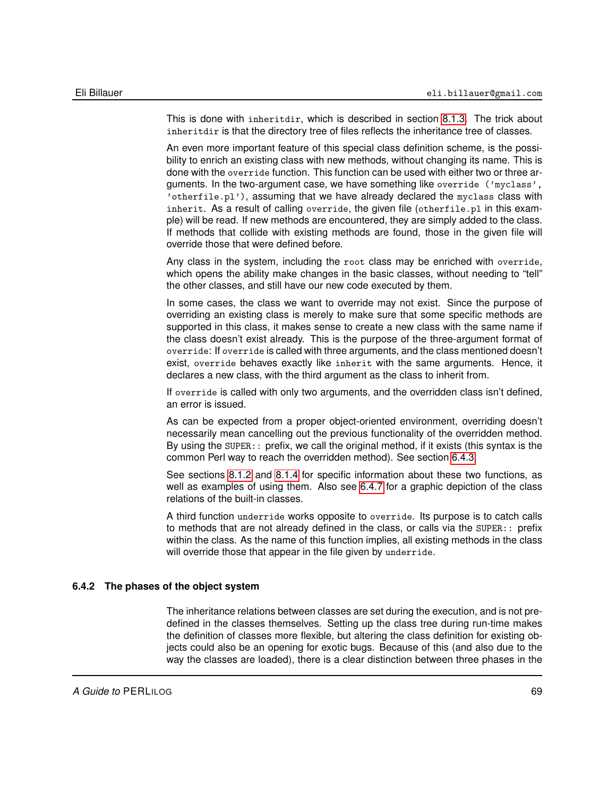This is done with inheritdir, which is described in section [8.1.3.](#page-134-0) The trick about inheritdir is that the directory tree of files reflects the inheritance tree of classes.

An even more important feature of this special class definition scheme, is the possibility to enrich an existing class with new methods, without changing its name. This is done with the override function. This function can be used with either two or three arguments. In the two-argument case, we have something like override ('myclass', 'otherfile.pl'), assuming that we have already declared the myclass class with inherit. As a result of calling override, the given file (otherfile.pl in this example) will be read. If new methods are encountered, they are simply added to the class. If methods that collide with existing methods are found, those in the given file will override those that were defined before.

Any class in the system, including the root class may be enriched with override, which opens the ability make changes in the basic classes, without needing to "tell" the other classes, and still have our new code executed by them.

In some cases, the class we want to override may not exist. Since the purpose of overriding an existing class is merely to make sure that some specific methods are supported in this class, it makes sense to create a new class with the same name if the class doesn't exist already. This is the purpose of the three-argument format of override: If override is called with three arguments, and the class mentioned doesn't exist, override behaves exactly like inherit with the same arguments. Hence, it declares a new class, with the third argument as the class to inherit from.

If override is called with only two arguments, and the overridden class isn't defined, an error is issued.

As can be expected from a proper object-oriented environment, overriding doesn't necessarily mean cancelling out the previous functionality of the overridden method. By using the SUPER:: prefix, we call the original method, if it exists (this syntax is the common Perl way to reach the overridden method). See section [6.4.3.](#page-69-0)

See sections [8.1.2](#page-132-0) and [8.1.4](#page-135-0) for specific information about these two functions, as well as examples of using them. Also see [6.4.7](#page-72-0) for a graphic depiction of the class relations of the built-in classes.

A third function underride works opposite to override. Its purpose is to catch calls to methods that are not already defined in the class, or calls via the SUPER:: prefix within the class. As the name of this function implies, all existing methods in the class will override those that appear in the file given by underride.

### **6.4.2 The phases of the object system**

<span id="page-68-0"></span>The inheritance relations between classes are set during the execution, and is not predefined in the classes themselves. Setting up the class tree during run-time makes the definition of classes more flexible, but altering the class definition for existing objects could also be an opening for exotic bugs. Because of this (and also due to the way the classes are loaded), there is a clear distinction between three phases in the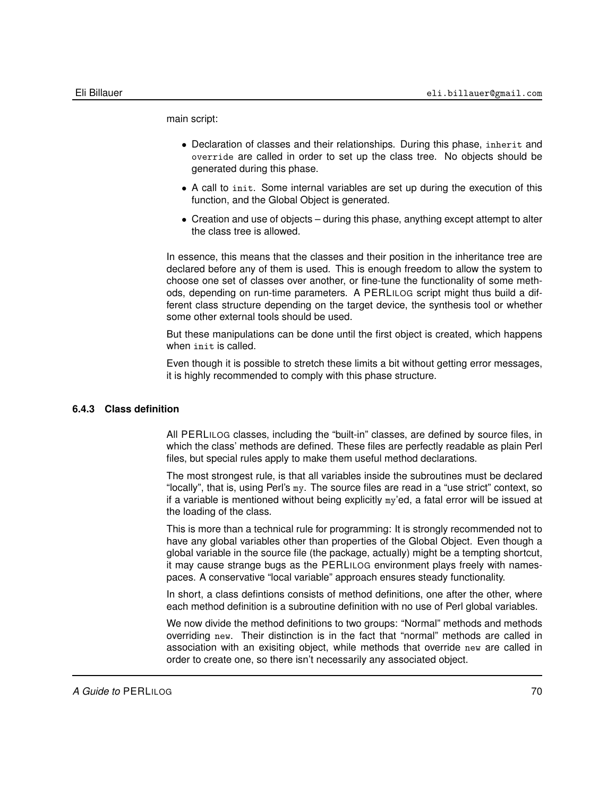main script:

- Declaration of classes and their relationships. During this phase, inherit and override are called in order to set up the class tree. No objects should be generated during this phase.
- A call to init. Some internal variables are set up during the execution of this function, and the Global Object is generated.
- Creation and use of objects during this phase, anything except attempt to alter the class tree is allowed.

In essence, this means that the classes and their position in the inheritance tree are declared before any of them is used. This is enough freedom to allow the system to choose one set of classes over another, or fine-tune the functionality of some methods, depending on run-time parameters. A PERLILOG script might thus build a different class structure depending on the target device, the synthesis tool or whether some other external tools should be used.

But these manipulations can be done until the first object is created, which happens when init is called.

Even though it is possible to stretch these limits a bit without getting error messages, it is highly recommended to comply with this phase structure.

### **6.4.3 Class definition**

<span id="page-69-0"></span>All PERLILOG classes, including the "built-in" classes, are defined by source files, in which the class' methods are defined. These files are perfectly readable as plain Perl files, but special rules apply to make them useful method declarations.

The most strongest rule, is that all variables inside the subroutines must be declared "locally", that is, using Perl's my. The source files are read in a "use strict" context, so if a variable is mentioned without being explicitly my'ed, a fatal error will be issued at the loading of the class.

This is more than a technical rule for programming: It is strongly recommended not to have any global variables other than properties of the Global Object. Even though a global variable in the source file (the package, actually) might be a tempting shortcut, it may cause strange bugs as the PERLILOG environment plays freely with namespaces. A conservative "local variable" approach ensures steady functionality.

In short, a class defintions consists of method definitions, one after the other, where each method definition is a subroutine definition with no use of Perl global variables.

We now divide the method definitions to two groups: "Normal" methods and methods overriding new. Their distinction is in the fact that "normal" methods are called in association with an exisiting object, while methods that override new are called in order to create one, so there isn't necessarily any associated object.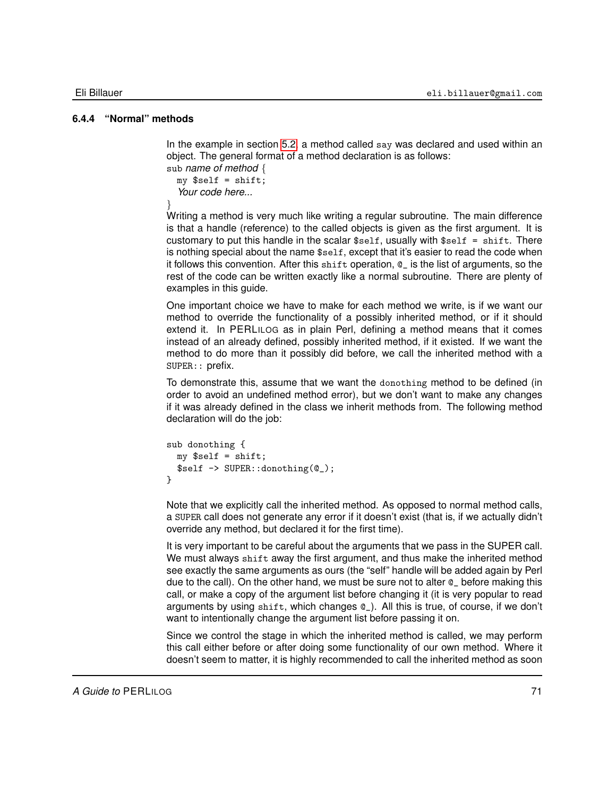### **6.4.4 "Normal" methods**

In the example in section [5.2,](#page-52-1) a method called say was declared and used within an object. The general format of a method declaration is as follows:

```
sub name of method {
  my $self = shift;
  Your code here...
```
}

Writing a method is very much like writing a regular subroutine. The main difference is that a handle (reference) to the called objects is given as the first argument. It is customary to put this handle in the scalar  $$self, usually with  $$self = shift$ . There$ is nothing special about the name \$self, except that it's easier to read the code when it follows this convention. After this shift operation, @\_ is the list of arguments, so the rest of the code can be written exactly like a normal subroutine. There are plenty of examples in this guide.

One important choice we have to make for each method we write, is if we want our method to override the functionality of a possibly inherited method, or if it should extend it. In PERLILOG as in plain Perl, defining a method means that it comes instead of an already defined, possibly inherited method, if it existed. If we want the method to do more than it possibly did before, we call the inherited method with a SUPER:: prefix.

To demonstrate this, assume that we want the donothing method to be defined (in order to avoid an undefined method error), but we don't want to make any changes if it was already defined in the class we inherit methods from. The following method declaration will do the job:

```
sub donothing {
 my $self = shift;$self -> SUPER::donothing(@_);
}
```
Note that we explicitly call the inherited method. As opposed to normal method calls, a SUPER call does not generate any error if it doesn't exist (that is, if we actually didn't override any method, but declared it for the first time).

It is very important to be careful about the arguments that we pass in the SUPER call. We must always shift away the first argument, and thus make the inherited method see exactly the same arguments as ours (the "self" handle will be added again by Perl due to the call). On the other hand, we must be sure not to alter @\_ before making this call, or make a copy of the argument list before changing it (it is very popular to read arguments by using shift, which changes @\_). All this is true, of course, if we don't want to intentionally change the argument list before passing it on.

Since we control the stage in which the inherited method is called, we may perform this call either before or after doing some functionality of our own method. Where it doesn't seem to matter, it is highly recommended to call the inherited method as soon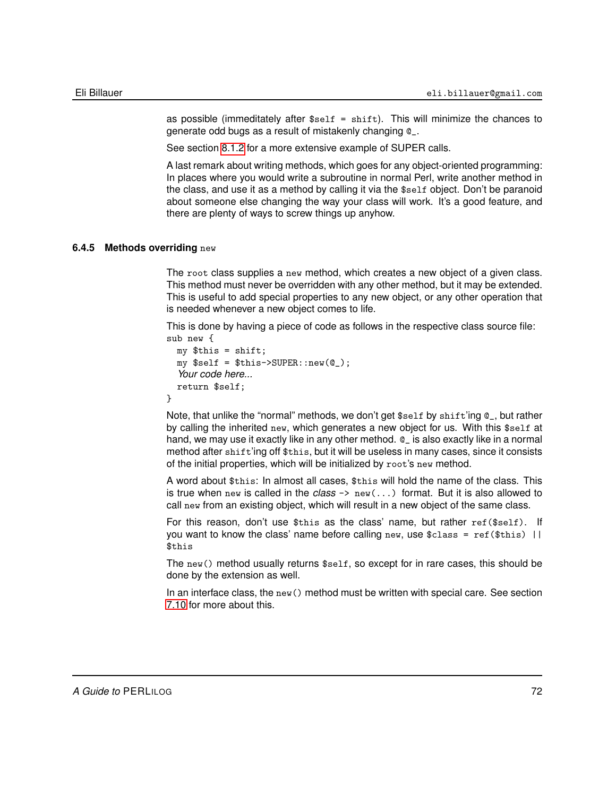as possible (immeditately after  $s_{self} = shift$ ). This will minimize the chances to generate odd bugs as a result of mistakenly changing @\_.

See section [8.1.2](#page-132-0) for a more extensive example of SUPER calls.

A last remark about writing methods, which goes for any object-oriented programming: In places where you would write a subroutine in normal Perl, write another method in the class, and use it as a method by calling it via the \$self object. Don't be paranoid about someone else changing the way your class will work. It's a good feature, and there are plenty of ways to screw things up anyhow.

#### **6.4.5 Methods overriding** new

<span id="page-71-0"></span>The root class supplies a new method, which creates a new object of a given class. This method must never be overridden with any other method, but it may be extended. This is useful to add special properties to any new object, or any other operation that is needed whenever a new object comes to life.

This is done by having a piece of code as follows in the respective class source file: sub new {

```
my $this = shift;
  my $self = $this->SUPER::new(@_);
  Your code here...
  return $self;
}
```
Note, that unlike the "normal" methods, we don't get \$self by shift'ing @\_, but rather by calling the inherited new, which generates a new object for us. With this \$self at hand, we may use it exactly like in any other method. @\_ is also exactly like in a normal method after shift'ing off \$this, but it will be useless in many cases, since it consists of the initial properties, which will be initialized by root's new method.

A word about \$this: In almost all cases, \$this will hold the name of the class. This is true when new is called in the *class* -> new(...) format. But it is also allowed to call new from an existing object, which will result in a new object of the same class.

For this reason, don't use \$this as the class' name, but rather ref(\$self). If you want to know the class' name before calling new, use  $class = ref(fthis)$  || \$this

The new() method usually returns \$self, so except for in rare cases, this should be done by the extension as well.

In an interface class, the  $new()$  method must be written with special care. See section [7.10](#page-125-0) for more about this.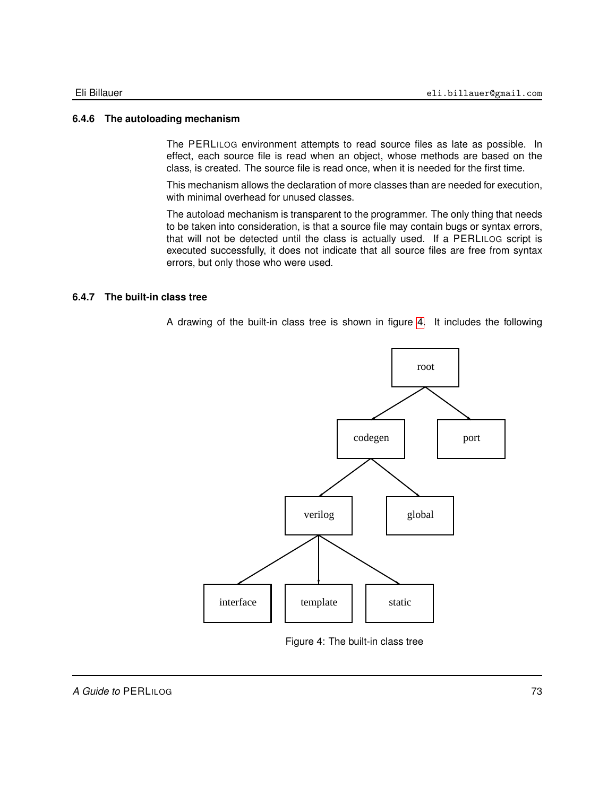#### **6.4.6 The autoloading mechanism**

The PERLILOG environment attempts to read source files as late as possible. In effect, each source file is read when an object, whose methods are based on the class, is created. The source file is read once, when it is needed for the first time.

This mechanism allows the declaration of more classes than are needed for execution, with minimal overhead for unused classes.

The autoload mechanism is transparent to the programmer. The only thing that needs to be taken into consideration, is that a source file may contain bugs or syntax errors, that will not be detected until the class is actually used. If a PERLILOG script is executed successfully, it does not indicate that all source files are free from syntax errors, but only those who were used.

#### **6.4.7 The built-in class tree**

A drawing of the built-in class tree is shown in figure [4.](#page-72-0) It includes the following



<span id="page-72-0"></span>Figure 4: The built-in class tree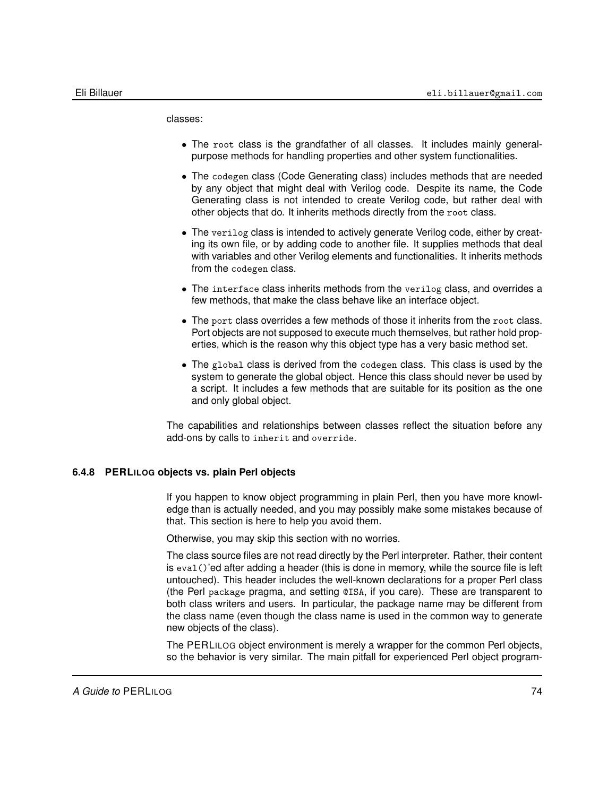classes:

- The root class is the grandfather of all classes. It includes mainly generalpurpose methods for handling properties and other system functionalities.
- The codegen class (Code Generating class) includes methods that are needed by any object that might deal with Verilog code. Despite its name, the Code Generating class is not intended to create Verilog code, but rather deal with other objects that do. It inherits methods directly from the root class.
- The verilog class is intended to actively generate Verilog code, either by creating its own file, or by adding code to another file. It supplies methods that deal with variables and other Verilog elements and functionalities. It inherits methods from the codegen class.
- The interface class inherits methods from the verilog class, and overrides a few methods, that make the class behave like an interface object.
- The port class overrides a few methods of those it inherits from the root class. Port objects are not supposed to execute much themselves, but rather hold properties, which is the reason why this object type has a very basic method set.
- The global class is derived from the codegen class. This class is used by the system to generate the global object. Hence this class should never be used by a script. It includes a few methods that are suitable for its position as the one and only global object.

The capabilities and relationships between classes reflect the situation before any add-ons by calls to inherit and override.

#### **6.4.8 PERLILOG objects vs. plain Perl objects**

If you happen to know object programming in plain Perl, then you have more knowledge than is actually needed, and you may possibly make some mistakes because of that. This section is here to help you avoid them.

Otherwise, you may skip this section with no worries.

The class source files are not read directly by the Perl interpreter. Rather, their content is eval()'ed after adding a header (this is done in memory, while the source file is left untouched). This header includes the well-known declarations for a proper Perl class (the Perl package pragma, and setting @ISA, if you care). These are transparent to both class writers and users. In particular, the package name may be different from the class name (even though the class name is used in the common way to generate new objects of the class).

The PERLILOG object environment is merely a wrapper for the common Perl objects, so the behavior is very similar. The main pitfall for experienced Perl object program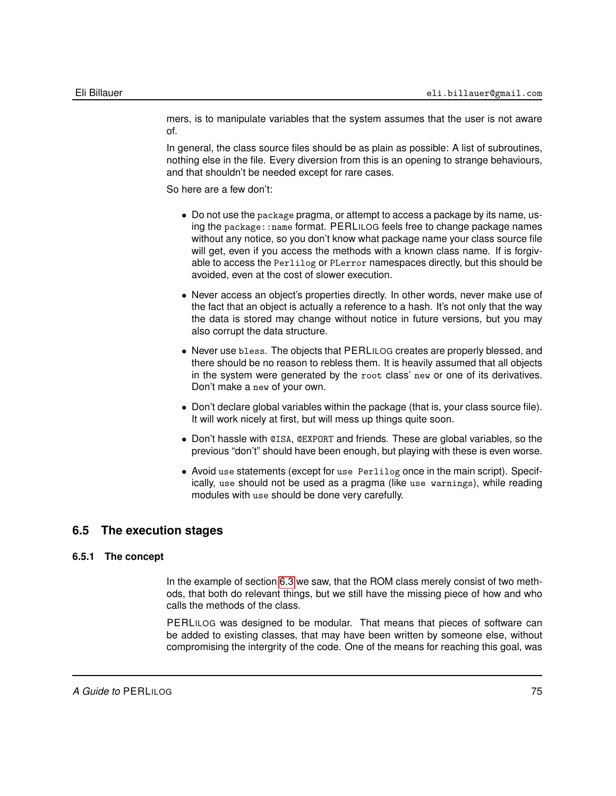mers, is to manipulate variables that the system assumes that the user is not aware of.

In general, the class source files should be as plain as possible: A list of subroutines, nothing else in the file. Every diversion from this is an opening to strange behaviours, and that shouldn't be needed except for rare cases.

So here are a few don't:

- Do not use the package pragma, or attempt to access a package by its name, using the package::name format. PERLILOG feels free to change package names without any notice, so you don't know what package name your class source file will get, even if you access the methods with a known class name. If is forgivable to access the Perlilog or PLerror namespaces directly, but this should be avoided, even at the cost of slower execution.
- Never access an object's properties directly. In other words, never make use of the fact that an object is actually a reference to a hash. It's not only that the way the data is stored may change without notice in future versions, but you may also corrupt the data structure.
- Never use bless. The objects that PERLILOG creates are properly blessed, and there should be no reason to rebless them. It is heavily assumed that all objects in the system were generated by the root class' new or one of its derivatives. Don't make a new of your own.
- Don't declare global variables within the package (that is, your class source file). It will work nicely at first, but will mess up things quite soon.
- Don't hassle with @ISA, @EXPORT and friends. These are global variables, so the previous "don't" should have been enough, but playing with these is even worse.
- Avoid use statements (except for use Perlilog once in the main script). Specifically, use should not be used as a pragma (like use warnings), while reading modules with use should be done very carefully.

# **6.5 The execution stages**

#### **6.5.1 The concept**

In the example of section [6.3](#page-63-0) we saw, that the ROM class merely consist of two methods, that both do relevant things, but we still have the missing piece of how and who calls the methods of the class.

PERLILOG was designed to be modular. That means that pieces of software can be added to existing classes, that may have been written by someone else, without compromising the intergrity of the code. One of the means for reaching this goal, was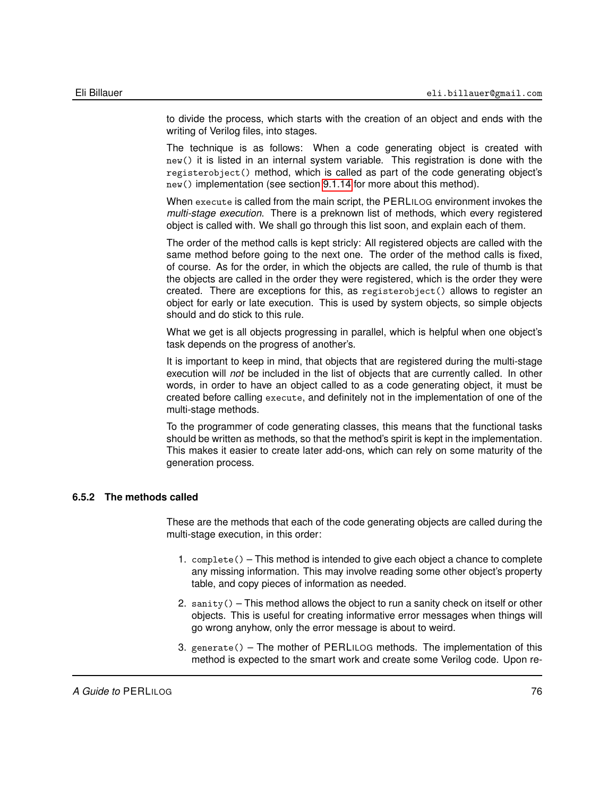to divide the process, which starts with the creation of an object and ends with the writing of Verilog files, into stages.

The technique is as follows: When a code generating object is created with new() it is listed in an internal system variable. This registration is done with the registerobject() method, which is called as part of the code generating object's new() implementation (see section [9.1.14](#page-155-0) for more about this method).

When execute is called from the main script, the PERLILOG environment invokes the *multi-stage execution*. There is a preknown list of methods, which every registered object is called with. We shall go through this list soon, and explain each of them.

The order of the method calls is kept stricly: All registered objects are called with the same method before going to the next one. The order of the method calls is fixed, of course. As for the order, in which the objects are called, the rule of thumb is that the objects are called in the order they were registered, which is the order they were created. There are exceptions for this, as registerobject() allows to register an object for early or late execution. This is used by system objects, so simple objects should and do stick to this rule.

What we get is all objects progressing in parallel, which is helpful when one object's task depends on the progress of another's.

It is important to keep in mind, that objects that are registered during the multi-stage execution will *not* be included in the list of objects that are currently called. In other words, in order to have an object called to as a code generating object, it must be created before calling execute, and definitely not in the implementation of one of the multi-stage methods.

To the programmer of code generating classes, this means that the functional tasks should be written as methods, so that the method's spirit is kept in the implementation. This makes it easier to create later add-ons, which can rely on some maturity of the generation process.

## **6.5.2 The methods called**

These are the methods that each of the code generating objects are called during the multi-stage execution, in this order:

- 1. complete() This method is intended to give each object a chance to complete any missing information. This may involve reading some other object's property table, and copy pieces of information as needed.
- 2. sanity() This method allows the object to run a sanity check on itself or other objects. This is useful for creating informative error messages when things will go wrong anyhow, only the error message is about to weird.
- 3. generate() The mother of PERLILOG methods. The implementation of this method is expected to the smart work and create some Verilog code. Upon re-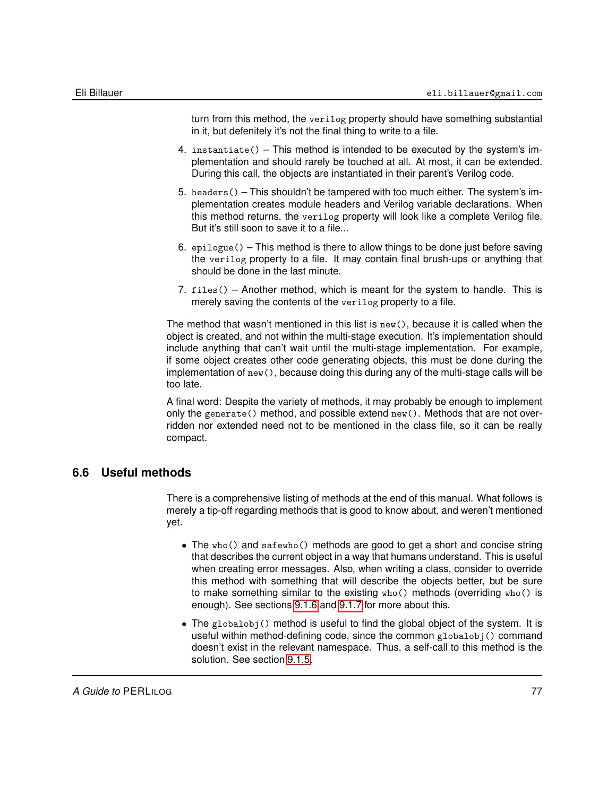turn from this method, the verilog property should have something substantial in it, but defenitely it's not the final thing to write to a file.

- 4. instantiate() This method is intended to be executed by the system's implementation and should rarely be touched at all. At most, it can be extended. During this call, the objects are instantiated in their parent's Verilog code.
- 5. headers() This shouldn't be tampered with too much either. The system's implementation creates module headers and Verilog variable declarations. When this method returns, the verilog property will look like a complete Verilog file. But it's still soon to save it to a file...
- 6.  $epilogue()$  This method is there to allow things to be done just before saving the verilog property to a file. It may contain final brush-ups or anything that should be done in the last minute.
- 7. files() Another method, which is meant for the system to handle. This is merely saving the contents of the verilog property to a file.

The method that wasn't mentioned in this list is new(), because it is called when the object is created, and not within the multi-stage execution. It's implementation should include anything that can't wait until the multi-stage implementation. For example, if some object creates other code generating objects, this must be done during the implementation of new(), because doing this during any of the multi-stage calls will be too late.

A final word: Despite the variety of methods, it may probably be enough to implement only the generate() method, and possible extend  $new()$ . Methods that are not overridden nor extended need not to be mentioned in the class file, so it can be really compact.

# **6.6 Useful methods**

There is a comprehensive listing of methods at the end of this manual. What follows is merely a tip-off regarding methods that is good to know about, and weren't mentioned yet.

- The who() and safewho() methods are good to get a short and concise string that describes the current object in a way that humans understand. This is useful when creating error messages. Also, when writing a class, consider to override this method with something that will describe the objects better, but be sure to make something similar to the existing who() methods (overriding who() is enough). See sections [9.1.6](#page-146-0) and [9.1.7](#page-146-1) for more about this.
- The globalobj() method is useful to find the global object of the system. It is useful within method-defining code, since the common globalobj() command doesn't exist in the relevant namespace. Thus, a self-call to this method is the solution. See section [9.1.5.](#page-145-0)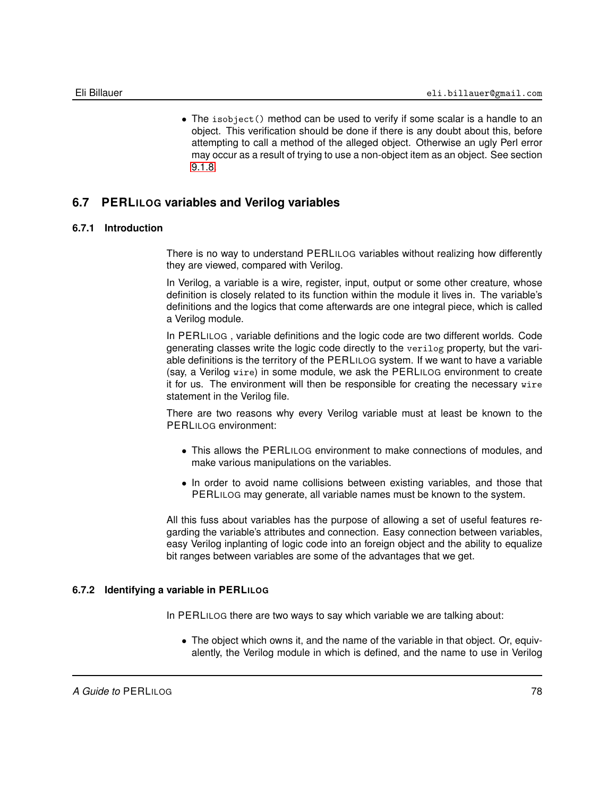• The isobject() method can be used to verify if some scalar is a handle to an object. This verification should be done if there is any doubt about this, before attempting to call a method of the alleged object. Otherwise an ugly Perl error may occur as a result of trying to use a non-object item as an object. See section [9.1.8.](#page-147-0)

# **6.7 PERLILOG variables and Verilog variables**

# **6.7.1 Introduction**

<span id="page-77-0"></span>There is no way to understand PERLILOG variables without realizing how differently they are viewed, compared with Verilog.

In Verilog, a variable is a wire, register, input, output or some other creature, whose definition is closely related to its function within the module it lives in. The variable's definitions and the logics that come afterwards are one integral piece, which is called a Verilog module.

In PERLILOG , variable definitions and the logic code are two different worlds. Code generating classes write the logic code directly to the verilog property, but the variable definitions is the territory of the PERLILOG system. If we want to have a variable (say, a Verilog wire) in some module, we ask the PERLILOG environment to create it for us. The environment will then be responsible for creating the necessary wire statement in the Verilog file.

There are two reasons why every Verilog variable must at least be known to the PERLILOG environment:

- This allows the PERLILOG environment to make connections of modules, and make various manipulations on the variables.
- In order to avoid name collisions between existing variables, and those that PERLILOG may generate, all variable names must be known to the system.

All this fuss about variables has the purpose of allowing a set of useful features regarding the variable's attributes and connection. Easy connection between variables, easy Verilog inplanting of logic code into an foreign object and the ability to equalize bit ranges between variables are some of the advantages that we get.

# **6.7.2 Identifying a variable in PERLILOG**

<span id="page-77-1"></span>In PERLILOG there are two ways to say which variable we are talking about:

• The object which owns it, and the name of the variable in that object. Or, equivalently, the Verilog module in which is defined, and the name to use in Verilog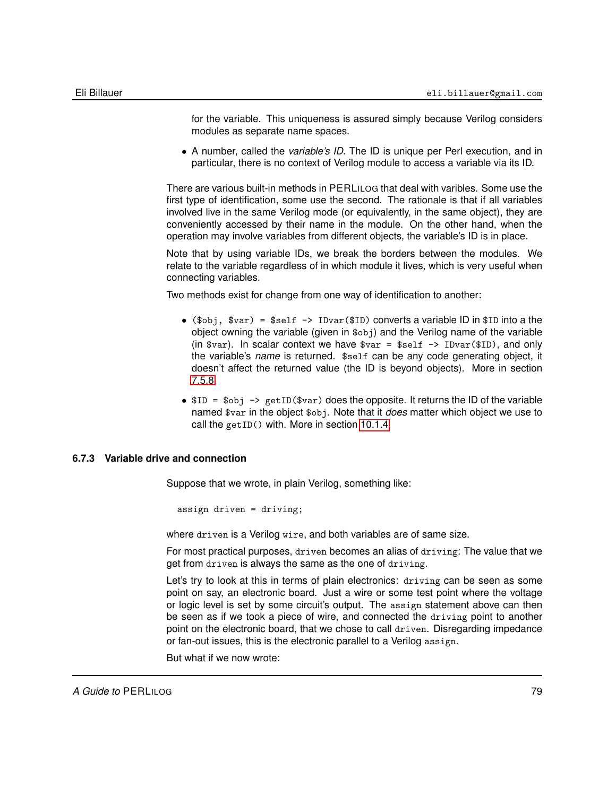for the variable. This uniqueness is assured simply because Verilog considers modules as separate name spaces.

• A number, called the *variable's ID*. The ID is unique per Perl execution, and in particular, there is no context of Verilog module to access a variable via its ID.

There are various built-in methods in PERLILOG that deal with varibles. Some use the first type of identification, some use the second. The rationale is that if all variables involved live in the same Verilog mode (or equivalently, in the same object), they are conveniently accessed by their name in the module. On the other hand, when the operation may involve variables from different objects, the variable's ID is in place.

Note that by using variable IDs, we break the borders between the modules. We relate to the variable regardless of in which module it lives, which is very useful when connecting variables.

Two methods exist for change from one way of identification to another:

- (\$obj, \$var) = \$self  $\rightarrow$  IDvar(\$ID) converts a variable ID in \$ID into a the object owning the variable (given in \$obj) and the Verilog name of the variable (in  $\frac{1}{2}$  or  $\frac{1}{2}$ ). In scalar context we have  $\frac{1}{2}$  or  $\frac{1}{2}$  =  $\frac{1}{2}$   $\frac{1}{2}$   $\frac{1}{2}$   $\frac{1}{2}$   $\frac{1}{2}$   $\frac{1}{2}$   $\frac{1}{2}$   $\frac{1}{2}$   $\frac{1}{2}$   $\frac{1}{2}$   $\frac{1}{2}$   $\frac{1}{2}$   $\frac{1}{2}$   $\frac{1}{2}$  the variable's *name* is returned. \$self can be any code generating object, it doesn't affect the returned value (the ID is beyond objects). More in section [7.5.8.](#page-106-0)
- $ID = $obj \rightarrow getID($var) does the opposite. It returns the ID of the variable$ named \$var in the object \$obj. Note that it *does* matter which object we use to call the getID() with. More in section [10.1.4.](#page-165-0)

#### **6.7.3 Variable drive and connection**

Suppose that we wrote, in plain Verilog, something like:

assign driven = driving;

where driven is a Verilog wire, and both variables are of same size.

For most practical purposes, driven becomes an alias of driving: The value that we get from driven is always the same as the one of driving.

Let's try to look at this in terms of plain electronics: driving can be seen as some point on say, an electronic board. Just a wire or some test point where the voltage or logic level is set by some circuit's output. The assign statement above can then be seen as if we took a piece of wire, and connected the driving point to another point on the electronic board, that we chose to call driven. Disregarding impedance or fan-out issues, this is the electronic parallel to a Verilog assign.

But what if we now wrote: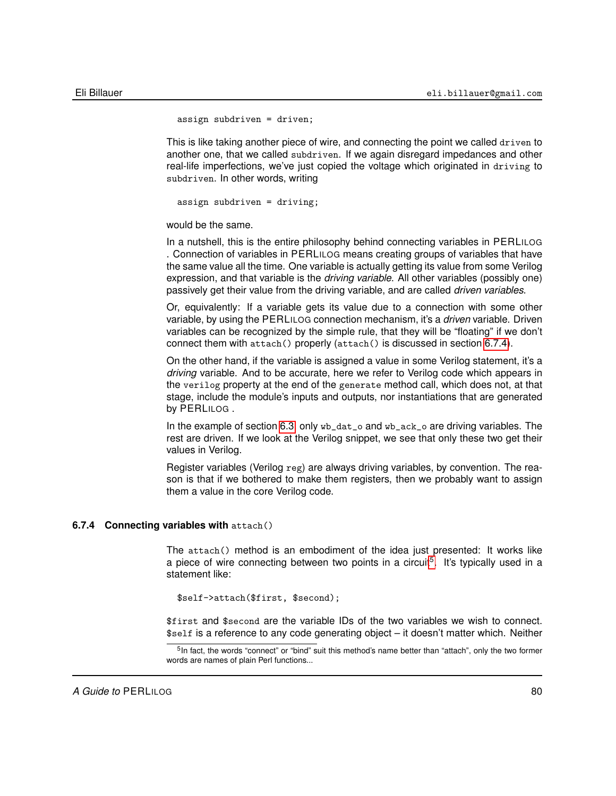assign subdriven = driven;

This is like taking another piece of wire, and connecting the point we called driven to another one, that we called subdriven. If we again disregard impedances and other real-life imperfections, we've just copied the voltage which originated in driving to subdriven. In other words, writing

assign subdriven = driving;

would be the same.

In a nutshell, this is the entire philosophy behind connecting variables in PERLILOG . Connection of variables in PERLILOG means creating groups of variables that have the same value all the time. One variable is actually getting its value from some Verilog expression, and that variable is the *driving variable*. All other variables (possibly one) passively get their value from the driving variable, and are called *driven variables*.

Or, equivalently: If a variable gets its value due to a connection with some other variable, by using the PERLILOG connection mechanism, it's a *driven* variable. Driven variables can be recognized by the simple rule, that they will be "floating" if we don't connect them with attach() properly (attach() is discussed in section [6.7.4\)](#page-79-0).

On the other hand, if the variable is assigned a value in some Verilog statement, it's a *driving* variable. And to be accurate, here we refer to Verilog code which appears in the verilog property at the end of the generate method call, which does not, at that stage, include the module's inputs and outputs, nor instantiations that are generated by PERLILOG .

In the example of section [6.3,](#page-63-0) only wb\_dat\_o and wb\_ack\_o are driving variables. The rest are driven. If we look at the Verilog snippet, we see that only these two get their values in Verilog.

Register variables (Verilog reg) are always driving variables, by convention. The reason is that if we bothered to make them registers, then we probably want to assign them a value in the core Verilog code.

#### **6.7.4 Connecting variables with** attach()

<span id="page-79-0"></span>The attach() method is an embodiment of the idea just presented: It works like a piece of wire connecting between two points in a circuit<sup>[5](#page-79-1)</sup>. It's typically used in a statement like:

\$self->attach(\$first, \$second);

\$first and \$second are the variable IDs of the two variables we wish to connect. \$self is a reference to any code generating object – it doesn't matter which. Neither

<span id="page-79-1"></span><sup>&</sup>lt;sup>5</sup>In fact, the words "connect" or "bind" suit this method's name better than "attach", only the two former words are names of plain Perl functions...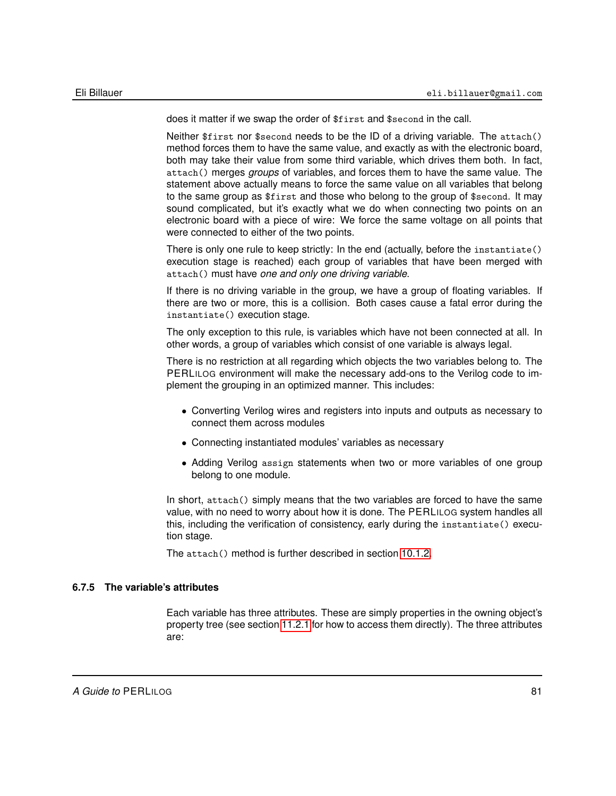does it matter if we swap the order of \$first and \$second in the call.

Neither \$first nor \$second needs to be the ID of a driving variable. The attach() method forces them to have the same value, and exactly as with the electronic board, both may take their value from some third variable, which drives them both. In fact, attach() merges *groups* of variables, and forces them to have the same value. The statement above actually means to force the same value on all variables that belong to the same group as \$first and those who belong to the group of \$second. It may sound complicated, but it's exactly what we do when connecting two points on an electronic board with a piece of wire: We force the same voltage on all points that were connected to either of the two points.

There is only one rule to keep strictly: In the end (actually, before the instantiate() execution stage is reached) each group of variables that have been merged with attach() must have *one and only one driving variable*.

If there is no driving variable in the group, we have a group of floating variables. If there are two or more, this is a collision. Both cases cause a fatal error during the instantiate() execution stage.

The only exception to this rule, is variables which have not been connected at all. In other words, a group of variables which consist of one variable is always legal.

There is no restriction at all regarding which objects the two variables belong to. The PERLILOG environment will make the necessary add-ons to the Verilog code to implement the grouping in an optimized manner. This includes:

- Converting Verilog wires and registers into inputs and outputs as necessary to connect them across modules
- Connecting instantiated modules' variables as necessary
- Adding Verilog assign statements when two or more variables of one group belong to one module.

In short, attach() simply means that the two variables are forced to have the same value, with no need to worry about how it is done. The PERLILOG system handles all this, including the verification of consistency, early during the instantiate() execution stage.

The attach() method is further described in section [10.1.2.](#page-164-0)

# **6.7.5 The variable's attributes**

Each variable has three attributes. These are simply properties in the owning object's property tree (see section [11.2.1](#page-175-0) for how to access them directly). The three attributes are: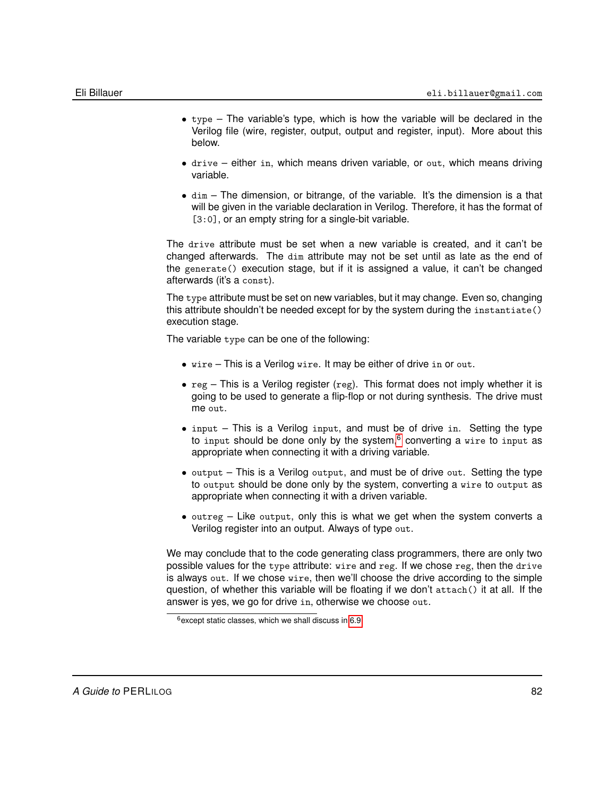- type The variable's type, which is how the variable will be declared in the Verilog file (wire, register, output, output and register, input). More about this below.
- drive either in, which means driven variable, or out, which means driving variable.
- dim The dimension, or bitrange, of the variable. It's the dimension is a that will be given in the variable declaration in Verilog. Therefore, it has the format of [3:0], or an empty string for a single-bit variable.

The drive attribute must be set when a new variable is created, and it can't be changed afterwards. The dim attribute may not be set until as late as the end of the generate() execution stage, but if it is assigned a value, it can't be changed afterwards (it's a const).

The type attribute must be set on new variables, but it may change. Even so, changing this attribute shouldn't be needed except for by the system during the instantiate() execution stage.

The variable type can be one of the following:

- wire This is a Verilog wire. It may be either of drive in or out.
- $\text{reg}$  This is a Verilog register (reg). This format does not imply whether it is going to be used to generate a flip-flop or not during synthesis. The drive must me out.
- input This is a Verilog input, and must be of drive in. Setting the type to input should be done only by the system, $6$  converting a wire to input as appropriate when connecting it with a driving variable.
- output This is a Verilog output, and must be of drive out. Setting the type to output should be done only by the system, converting a wire to output as appropriate when connecting it with a driven variable.
- outreg Like output, only this is what we get when the system converts a Verilog register into an output. Always of type out.

We may conclude that to the code generating class programmers, there are only two possible values for the type attribute: wire and reg. If we chose reg, then the drive is always out. If we chose wire, then we'll choose the drive according to the simple question, of whether this variable will be floating if we don't attach() it at all. If the answer is yes, we go for drive in, otherwise we choose out.

<span id="page-81-0"></span> $6$  except static classes, which we shall discuss in [6.9](#page-84-0)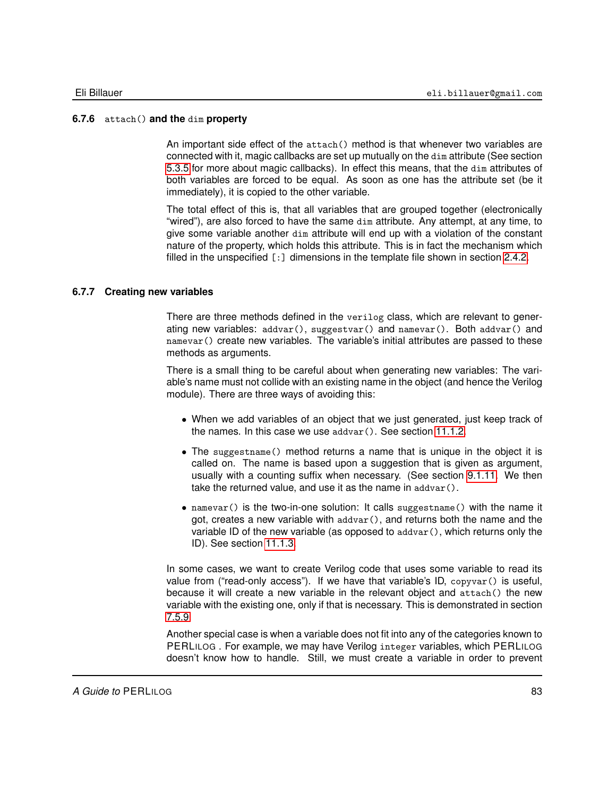#### **6.7.6** attach() **and the** dim **property**

An important side effect of the attach() method is that whenever two variables are connected with it, magic callbacks are set up mutually on the dim attribute (See section [5.3.5](#page-56-0) for more about magic callbacks). In effect this means, that the dim attributes of both variables are forced to be equal. As soon as one has the attribute set (be it immediately), it is copied to the other variable.

The total effect of this is, that all variables that are grouped together (electronically "wired"), are also forced to have the same dim attribute. Any attempt, at any time, to give some variable another dim attribute will end up with a violation of the constant nature of the property, which holds this attribute. This is in fact the mechanism which filled in the unspecified [:] dimensions in the template file shown in section [2.4.2.](#page-23-0)

#### **6.7.7 Creating new variables**

There are three methods defined in the verilog class, which are relevant to generating new variables: addvar(), suggestvar() and namevar(). Both addvar() and namevar() create new variables. The variable's initial attributes are passed to these methods as arguments.

There is a small thing to be careful about when generating new variables: The variable's name must not collide with an existing name in the object (and hence the Verilog module). There are three ways of avoiding this:

- When we add variables of an object that we just generated, just keep track of the names. In this case we use addvar(). See section [11.1.2.](#page-169-0)
- The suggestname() method returns a name that is unique in the object it is called on. The name is based upon a suggestion that is given as argument, usually with a counting suffix when necessary. (See section [9.1.11.](#page-150-0) We then take the returned value, and use it as the name in addvar().
- namevar() is the two-in-one solution: It calls suggestname() with the name it got, creates a new variable with  $advar()$ , and returns both the name and the variable ID of the new variable (as opposed to  $advar()$ , which returns only the ID). See section [11.1.3.](#page-171-0)

In some cases, we want to create Verilog code that uses some variable to read its value from ("read-only access"). If we have that variable's ID, copyvar() is useful, because it will create a new variable in the relevant object and attach() the new variable with the existing one, only if that is necessary. This is demonstrated in section [7.5.9.](#page-106-1)

Another special case is when a variable does not fit into any of the categories known to PERLILOG . For example, we may have Verilog integer variables, which PERLILOG doesn't know how to handle. Still, we must create a variable in order to prevent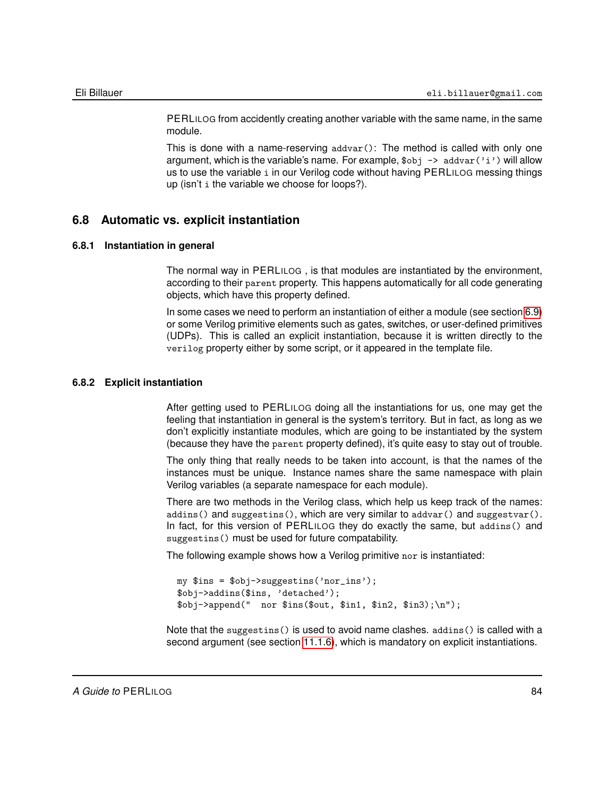PERLILOG from accidently creating another variable with the same name, in the same module.

This is done with a name-reserving  $advar()$ : The method is called with only one argument, which is the variable's name. For example,  $\text{Sobj} \rightarrow \text{addr}('i')$  will allow us to use the variable i in our Verilog code without having PERLILOG messing things up (isn't i the variable we choose for loops?).

# **6.8 Automatic vs. explicit instantiation**

#### **6.8.1 Instantiation in general**

The normal way in PERLILOG , is that modules are instantiated by the environment, according to their parent property. This happens automatically for all code generating objects, which have this property defined.

In some cases we need to perform an instantiation of either a module (see section [6.9\)](#page-84-0) or some Verilog primitive elements such as gates, switches, or user-defined primitives (UDPs). This is called an explicit instantiation, because it is written directly to the verilog property either by some script, or it appeared in the template file.

#### **6.8.2 Explicit instantiation**

<span id="page-83-0"></span>After getting used to PERLILOG doing all the instantiations for us, one may get the feeling that instantiation in general is the system's territory. But in fact, as long as we don't explicitly instantiate modules, which are going to be instantiated by the system (because they have the parent property defined), it's quite easy to stay out of trouble.

The only thing that really needs to be taken into account, is that the names of the instances must be unique. Instance names share the same namespace with plain Verilog variables (a separate namespace for each module).

There are two methods in the Verilog class, which help us keep track of the names: addins() and suggestins(), which are very similar to addvar() and suggestvar(). In fact, for this version of PERLILOG they do exactly the same, but addins() and suggestins() must be used for future compatability.

The following example shows how a Verilog primitive nor is instantiated:

```
my $ins = $obj->suggestins('nor_ins');
$obj->addins($ins, 'detached');
$obj->append(" nor $ins($out, $in1, $in2, $in3);\n");
```
Note that the suggestins() is used to avoid name clashes. addins() is called with a second argument (see section [11.1.6\)](#page-173-0), which is mandatory on explicit instantiations.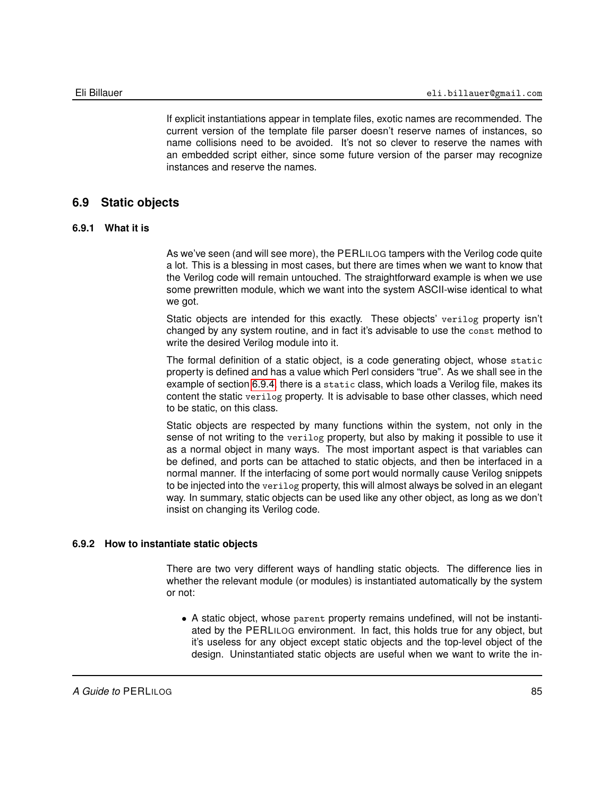If explicit instantiations appear in template files, exotic names are recommended. The current version of the template file parser doesn't reserve names of instances, so name collisions need to be avoided. It's not so clever to reserve the names with an embedded script either, since some future version of the parser may recognize instances and reserve the names.

# **6.9 Static objects**

#### **6.9.1 What it is**

<span id="page-84-0"></span>As we've seen (and will see more), the PERLILOG tampers with the Verilog code quite a lot. This is a blessing in most cases, but there are times when we want to know that the Verilog code will remain untouched. The straightforward example is when we use some prewritten module, which we want into the system ASCII-wise identical to what we got.

Static objects are intended for this exactly. These objects' verilog property isn't changed by any system routine, and in fact it's advisable to use the const method to write the desired Verilog module into it.

The formal definition of a static object, is a code generating object, whose static property is defined and has a value which Perl considers "true". As we shall see in the example of section [6.9.4,](#page-85-0) there is a static class, which loads a Verilog file, makes its content the static verilog property. It is advisable to base other classes, which need to be static, on this class.

Static objects are respected by many functions within the system, not only in the sense of not writing to the verilog property, but also by making it possible to use it as a normal object in many ways. The most important aspect is that variables can be defined, and ports can be attached to static objects, and then be interfaced in a normal manner. If the interfacing of some port would normally cause Verilog snippets to be injected into the verilog property, this will almost always be solved in an elegant way. In summary, static objects can be used like any other object, as long as we don't insist on changing its Verilog code.

#### **6.9.2 How to instantiate static objects**

There are two very different ways of handling static objects. The difference lies in whether the relevant module (or modules) is instantiated automatically by the system or not:

• A static object, whose parent property remains undefined, will not be instantiated by the PERLILOG environment. In fact, this holds true for any object, but it's useless for any object except static objects and the top-level object of the design. Uninstantiated static objects are useful when we want to write the in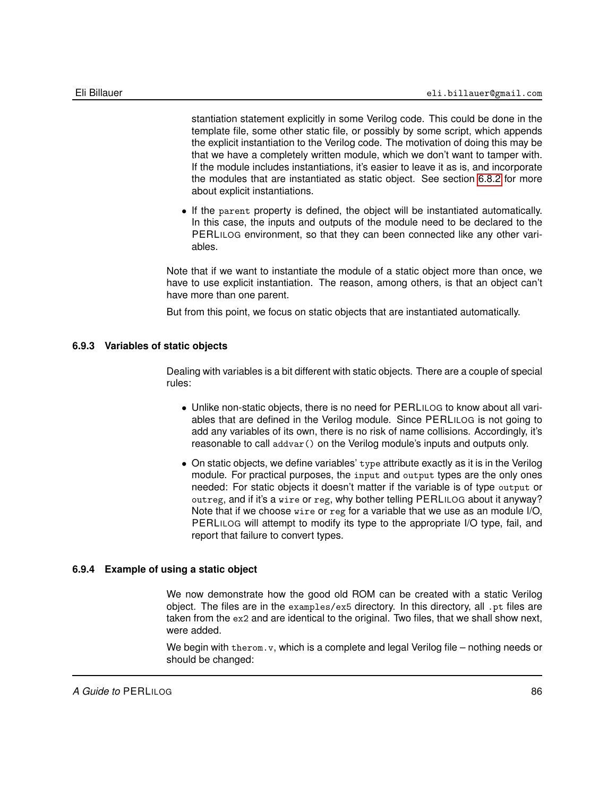stantiation statement explicitly in some Verilog code. This could be done in the template file, some other static file, or possibly by some script, which appends the explicit instantiation to the Verilog code. The motivation of doing this may be that we have a completely written module, which we don't want to tamper with. If the module includes instantiations, it's easier to leave it as is, and incorporate the modules that are instantiated as static object. See section [6.8.2](#page-83-0) for more about explicit instantiations.

• If the parent property is defined, the object will be instantiated automatically. In this case, the inputs and outputs of the module need to be declared to the PERLILOG environment, so that they can been connected like any other variables.

Note that if we want to instantiate the module of a static object more than once, we have to use explicit instantiation. The reason, among others, is that an object can't have more than one parent.

But from this point, we focus on static objects that are instantiated automatically.

#### **6.9.3 Variables of static objects**

Dealing with variables is a bit different with static objects. There are a couple of special rules:

- Unlike non-static objects, there is no need for PERLILOG to know about all variables that are defined in the Verilog module. Since PERLILOG is not going to add any variables of its own, there is no risk of name collisions. Accordingly, it's reasonable to call addvar() on the Verilog module's inputs and outputs only.
- On static objects, we define variables' type attribute exactly as it is in the Verilog module. For practical purposes, the input and output types are the only ones needed: For static objects it doesn't matter if the variable is of type output or outreg, and if it's a wire or reg, why bother telling PERLILOG about it anyway? Note that if we choose wire or reg for a variable that we use as an module I/O, PERLILOG will attempt to modify its type to the appropriate I/O type, fail, and report that failure to convert types.

#### **6.9.4 Example of using a static object**

<span id="page-85-0"></span>We now demonstrate how the good old ROM can be created with a static Verilog object. The files are in the examples/ex5 directory. In this directory, all .pt files are taken from the  $ex2$  and are identical to the original. Two files, that we shall show next, were added.

We begin with therom.v, which is a complete and legal Verilog file – nothing needs or should be changed: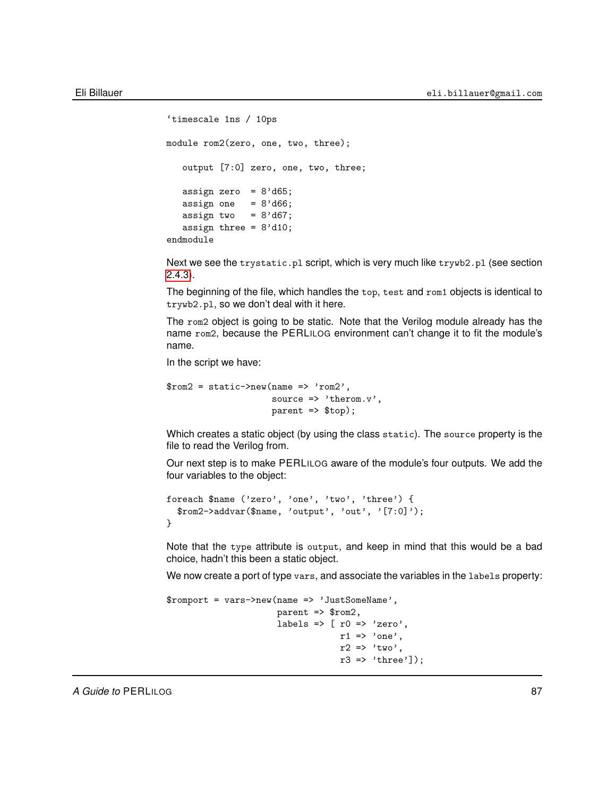```
'timescale 1ns / 10ps
module rom2(zero, one, two, three);
  output [7:0] zero, one, two, three;
   assign zero = 8' d65;
  assign one = 8' d66;
  assign two = 8' d67;
  assign three = 8'd10;
endmodule
```
Next we see the trystatic.pl script, which is very much like trywb2.pl (see section [2.4.3\)](#page-26-0).

The beginning of the file, which handles the top, test and rom1 objects is identical to trywb2.pl, so we don't deal with it here.

The rom2 object is going to be static. Note that the Verilog module already has the name rom2, because the PERLILOG environment can't change it to fit the module's name.

In the script we have:

```
$rom2 = static->new(name => 'rom2',source => 'therom.v',
                    parent => $top);
```
Which creates a static object (by using the class static). The source property is the file to read the Verilog from.

Our next step is to make PERLILOG aware of the module's four outputs. We add the four variables to the object:

```
foreach $name ('zero', 'one', 'two', 'three') {
  $rom2->addvar($name, 'output', 'out', '[7:0]');
}
```
Note that the type attribute is output, and keep in mind that this would be a bad choice, hadn't this been a static object.

We now create a port of type vars, and associate the variables in the labels property:

```
$romport = vars->new(name => 'JustSomeName',
                            parent => $rom2,
                            labels \Rightarrow [ r0 \Rightarrow 'zero',
                                            r1 \Rightarrow'one',
                                            r2 \Rightarrow 'two',r3 \Rightarrow 'three']);
```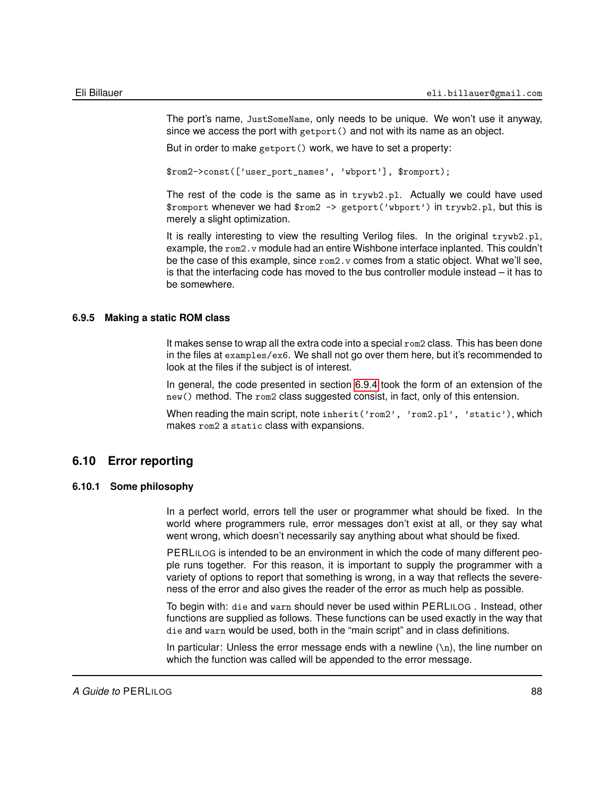The port's name, JustSomeName, only needs to be unique. We won't use it anyway, since we access the port with getport() and not with its name as an object.

But in order to make getport() work, we have to set a property:

\$rom2->const(['user\_port\_names', 'wbport'], \$romport);

The rest of the code is the same as in trywb2.pl. Actually we could have used \$romport whenever we had \$rom2 -> getport('wbport') in trywb2.pl, but this is merely a slight optimization.

It is really interesting to view the resulting Verilog files. In the original trywb2.pl, example, the rom2. v module had an entire Wishbone interface inplanted. This couldn't be the case of this example, since  $\text{rom2.}v$  comes from a static object. What we'll see, is that the interfacing code has moved to the bus controller module instead – it has to be somewhere.

#### **6.9.5 Making a static ROM class**

It makes sense to wrap all the extra code into a special rom2 class. This has been done in the files at examples/ex6. We shall not go over them here, but it's recommended to look at the files if the subject is of interest.

In general, the code presented in section [6.9.4](#page-85-0) took the form of an extension of the new() method. The rom2 class suggested consist, in fact, only of this entension.

When reading the main script, note inherit('rom2', 'rom2.pl', 'static'), which makes rom2 a static class with expansions.

# **6.10 Error reporting**

#### **6.10.1 Some philosophy**

In a perfect world, errors tell the user or programmer what should be fixed. In the world where programmers rule, error messages don't exist at all, or they say what went wrong, which doesn't necessarily say anything about what should be fixed.

PERLILOG is intended to be an environment in which the code of many different people runs together. For this reason, it is important to supply the programmer with a variety of options to report that something is wrong, in a way that reflects the severeness of the error and also gives the reader of the error as much help as possible.

To begin with: die and warn should never be used within PERLILOG . Instead, other functions are supplied as follows. These functions can be used exactly in the way that die and warn would be used, both in the "main script" and in class definitions.

In particular: Unless the error message ends with a newline  $(\nabla n)$ , the line number on which the function was called will be appended to the error message.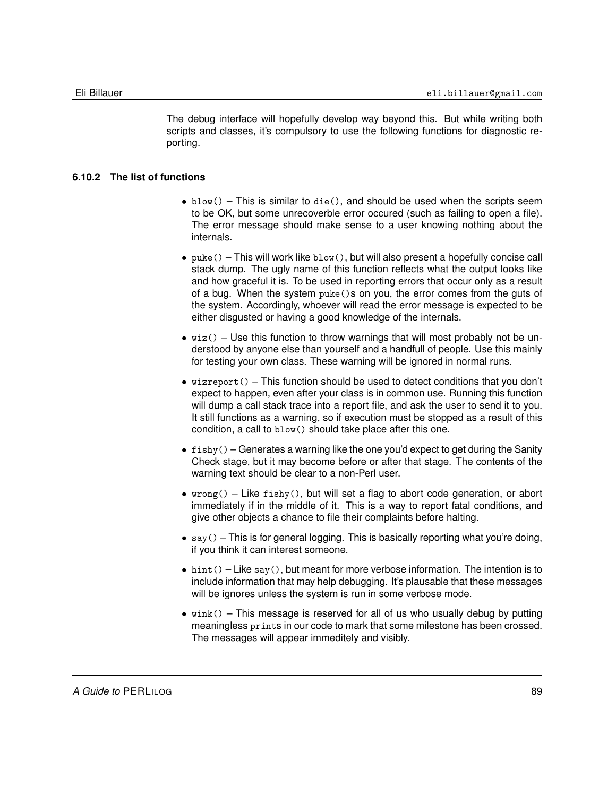The debug interface will hopefully develop way beyond this. But while writing both scripts and classes, it's compulsory to use the following functions for diagnostic reporting.

#### **6.10.2 The list of functions**

- blow() This is similar to die(), and should be used when the scripts seem to be OK, but some unrecoverble error occured (such as failing to open a file). The error message should make sense to a user knowing nothing about the internals.
- puke() This will work like  $blow()$ , but will also present a hopefully concise call stack dump. The ugly name of this function reflects what the output looks like and how graceful it is. To be used in reporting errors that occur only as a result of a bug. When the system puke()s on you, the error comes from the guts of the system. Accordingly, whoever will read the error message is expected to be either disgusted or having a good knowledge of the internals.
- $wiz()$  Use this function to throw warnings that will most probably not be understood by anyone else than yourself and a handfull of people. Use this mainly for testing your own class. These warning will be ignored in normal runs.
- $\bullet$  wizreport() This function should be used to detect conditions that you don't expect to happen, even after your class is in common use. Running this function will dump a call stack trace into a report file, and ask the user to send it to you. It still functions as a warning, so if execution must be stopped as a result of this condition, a call to blow() should take place after this one.
- $\bullet$  fishy() Generates a warning like the one you'd expect to get during the Sanity Check stage, but it may become before or after that stage. The contents of the warning text should be clear to a non-Perl user.
- $wrong()$  Like fishy(), but will set a flag to abort code generation, or abort immediately if in the middle of it. This is a way to report fatal conditions, and give other objects a chance to file their complaints before halting.
- $\text{say}()$  This is for general logging. This is basically reporting what you're doing, if you think it can interest someone.
- $\bullet$  hint() Like say(), but meant for more verbose information. The intention is to include information that may help debugging. It's plausable that these messages will be ignores unless the system is run in some verbose mode.
- wink() This message is reserved for all of us who usually debug by putting meaningless prints in our code to mark that some milestone has been crossed. The messages will appear immeditely and visibly.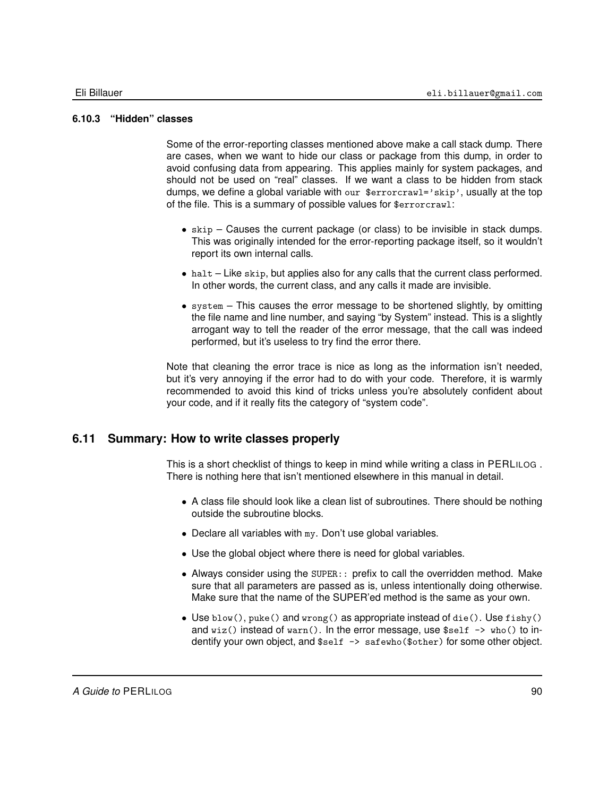# **6.10.3 "Hidden" classes**

Some of the error-reporting classes mentioned above make a call stack dump. There are cases, when we want to hide our class or package from this dump, in order to avoid confusing data from appearing. This applies mainly for system packages, and should not be used on "real" classes. If we want a class to be hidden from stack dumps, we define a global variable with our \$errorcrawl='skip', usually at the top of the file. This is a summary of possible values for \$errorcrawl:

- skip Causes the current package (or class) to be invisible in stack dumps. This was originally intended for the error-reporting package itself, so it wouldn't report its own internal calls.
- $\bullet$  halt Like skip, but applies also for any calls that the current class performed. In other words, the current class, and any calls it made are invisible.
- $\bullet$  system  $-$  This causes the error message to be shortened slightly, by omitting the file name and line number, and saying "by System" instead. This is a slightly arrogant way to tell the reader of the error message, that the call was indeed performed, but it's useless to try find the error there.

Note that cleaning the error trace is nice as long as the information isn't needed, but it's very annoying if the error had to do with your code. Therefore, it is warmly recommended to avoid this kind of tricks unless you're absolutely confident about your code, and if it really fits the category of "system code".

# **6.11 Summary: How to write classes properly**

This is a short checklist of things to keep in mind while writing a class in PERLILOG . There is nothing here that isn't mentioned elsewhere in this manual in detail.

- A class file should look like a clean list of subroutines. There should be nothing outside the subroutine blocks.
- Declare all variables with my. Don't use global variables.
- Use the global object where there is need for global variables.
- Always consider using the SUPER:: prefix to call the overridden method. Make sure that all parameters are passed as is, unless intentionally doing otherwise. Make sure that the name of the SUPER'ed method is the same as your own.
- Use  $\text{blow}()$ , puke() and  $\text{wrong}()$  as appropriate instead of die(). Use  $\text{fishy}()$ and  $wiz()$  instead of  $warn()$ . In the error message, use  $sself \rightarrow who()$  to indentify your own object, and \$self -> safewho(\$other) for some other object.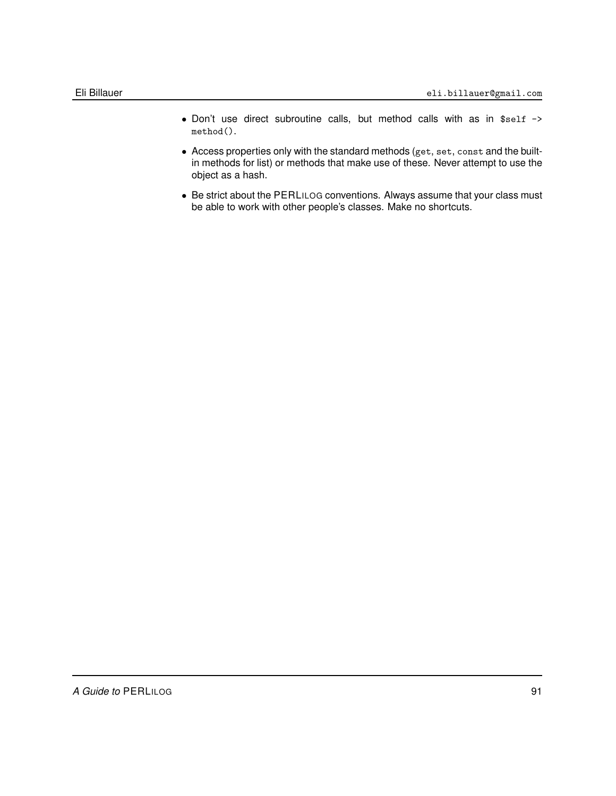- Don't use direct subroutine calls, but method calls with as in \$self -> method().
- Access properties only with the standard methods (get, set, const and the builtin methods for list) or methods that make use of these. Never attempt to use the object as a hash.
- Be strict about the PERLILOG conventions. Always assume that your class must be able to work with other people's classes. Make no shortcuts.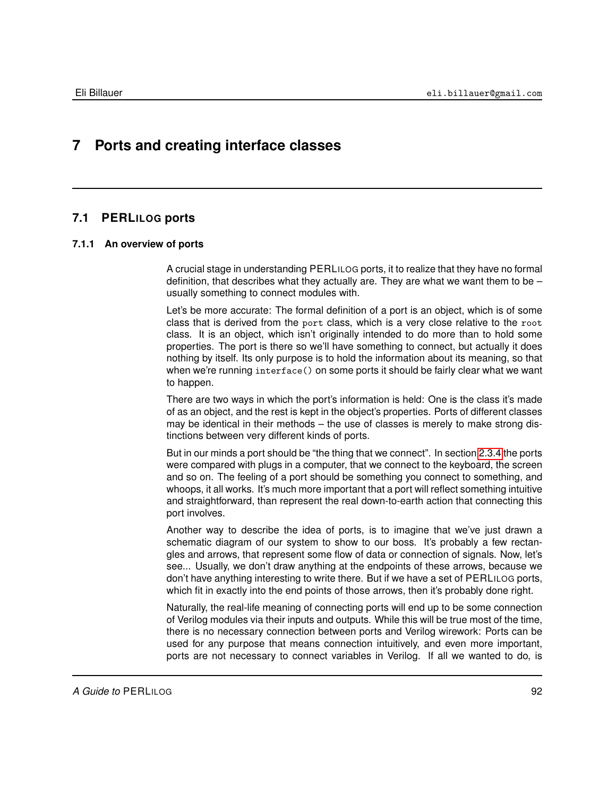# **7 Ports and creating interface classes**

# **7.1 PERLILOG ports**

# **7.1.1 An overview of ports**

A crucial stage in understanding PERLILOG ports, it to realize that they have no formal definition, that describes what they actually are. They are what we want them to be  $$ usually something to connect modules with.

Let's be more accurate: The formal definition of a port is an object, which is of some class that is derived from the port class, which is a very close relative to the root class. It is an object, which isn't originally intended to do more than to hold some properties. The port is there so we'll have something to connect, but actually it does nothing by itself. Its only purpose is to hold the information about its meaning, so that when we're running interface() on some ports it should be fairly clear what we want to happen.

There are two ways in which the port's information is held: One is the class it's made of as an object, and the rest is kept in the object's properties. Ports of different classes may be identical in their methods – the use of classes is merely to make strong distinctions between very different kinds of ports.

But in our minds a port should be "the thing that we connect". In section [2.3.4](#page-19-0) the ports were compared with plugs in a computer, that we connect to the keyboard, the screen and so on. The feeling of a port should be something you connect to something, and whoops, it all works. It's much more important that a port will reflect something intuitive and straightforward, than represent the real down-to-earth action that connecting this port involves.

Another way to describe the idea of ports, is to imagine that we've just drawn a schematic diagram of our system to show to our boss. It's probably a few rectangles and arrows, that represent some flow of data or connection of signals. Now, let's see... Usually, we don't draw anything at the endpoints of these arrows, because we don't have anything interesting to write there. But if we have a set of PERLILOG ports, which fit in exactly into the end points of those arrows, then it's probably done right.

Naturally, the real-life meaning of connecting ports will end up to be some connection of Verilog modules via their inputs and outputs. While this will be true most of the time, there is no necessary connection between ports and Verilog wirework: Ports can be used for any purpose that means connection intuitively, and even more important, ports are not necessary to connect variables in Verilog. If all we wanted to do, is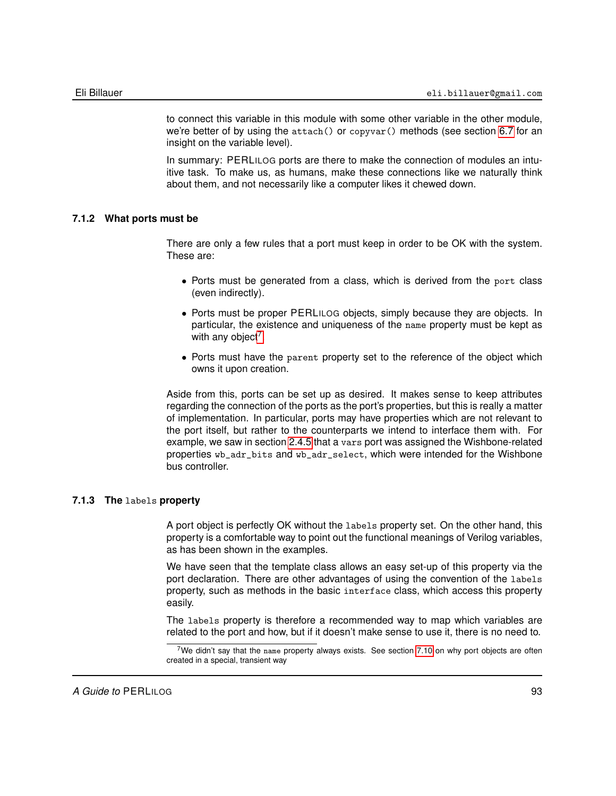to connect this variable in this module with some other variable in the other module, we're better of by using the attach() or copyvar() methods (see section [6.7](#page-77-0) for an insight on the variable level).

In summary: PERLILOG ports are there to make the connection of modules an intuitive task. To make us, as humans, make these connections like we naturally think about them, and not necessarily like a computer likes it chewed down.

#### **7.1.2 What ports must be**

There are only a few rules that a port must keep in order to be OK with the system. These are:

- Ports must be generated from a class, which is derived from the port class (even indirectly).
- Ports must be proper PERLILOG objects, simply because they are objects. In particular, the existence and uniqueness of the name property must be kept as with any object<sup>[7](#page-92-0)</sup>.
- Ports must have the parent property set to the reference of the object which owns it upon creation.

Aside from this, ports can be set up as desired. It makes sense to keep attributes regarding the connection of the ports as the port's properties, but this is really a matter of implementation. In particular, ports may have properties which are not relevant to the port itself, but rather to the counterparts we intend to interface them with. For example, we saw in section [2.4.5](#page-29-0) that a vars port was assigned the Wishbone-related properties wb\_adr\_bits and wb\_adr\_select, which were intended for the Wishbone bus controller.

#### **7.1.3 The** labels **property**

A port object is perfectly OK without the labels property set. On the other hand, this property is a comfortable way to point out the functional meanings of Verilog variables, as has been shown in the examples.

We have seen that the template class allows an easy set-up of this property via the port declaration. There are other advantages of using the convention of the labels property, such as methods in the basic interface class, which access this property easily.

The labels property is therefore a recommended way to map which variables are related to the port and how, but if it doesn't make sense to use it, there is no need to.

<span id="page-92-0"></span><sup>&</sup>lt;sup>7</sup>We didn't say that the name property always exists. See section [7.10](#page-125-0) on why port objects are often created in a special, transient way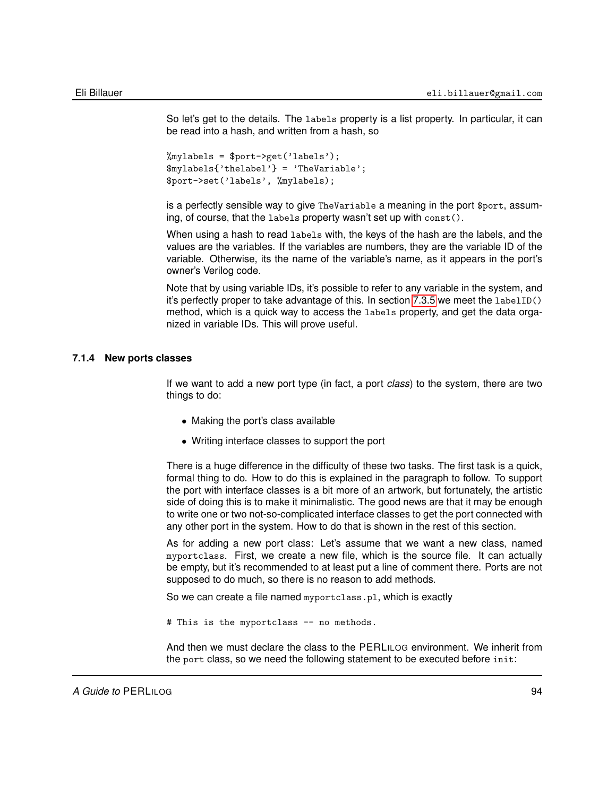So let's get to the details. The labels property is a list property. In particular, it can be read into a hash, and written from a hash, so

```
%mylabels = $port->get('labels');
$mylabels{'thelabel'} = 'TheVariable';
$port->set('labels', %mylabels);
```
is a perfectly sensible way to give TheVariable a meaning in the port \$port, assuming, of course, that the labels property wasn't set up with const().

When using a hash to read labels with, the keys of the hash are the labels, and the values are the variables. If the variables are numbers, they are the variable ID of the variable. Otherwise, its the name of the variable's name, as it appears in the port's owner's Verilog code.

Note that by using variable IDs, it's possible to refer to any variable in the system, and it's perfectly proper to take advantage of this. In section [7.3.5](#page-97-0) we meet the labelID() method, which is a quick way to access the labels property, and get the data organized in variable IDs. This will prove useful.

#### **7.1.4 New ports classes**

If we want to add a new port type (in fact, a port *class*) to the system, there are two things to do:

- Making the port's class available
- Writing interface classes to support the port

There is a huge difference in the difficulty of these two tasks. The first task is a quick, formal thing to do. How to do this is explained in the paragraph to follow. To support the port with interface classes is a bit more of an artwork, but fortunately, the artistic side of doing this is to make it minimalistic. The good news are that it may be enough to write one or two not-so-complicated interface classes to get the port connected with any other port in the system. How to do that is shown in the rest of this section.

As for adding a new port class: Let's assume that we want a new class, named myportclass. First, we create a new file, which is the source file. It can actually be empty, but it's recommended to at least put a line of comment there. Ports are not supposed to do much, so there is no reason to add methods.

So we can create a file named myportclass.pl, which is exactly

# This is the myportclass -- no methods.

And then we must declare the class to the PERLILOG environment. We inherit from the port class, so we need the following statement to be executed before init: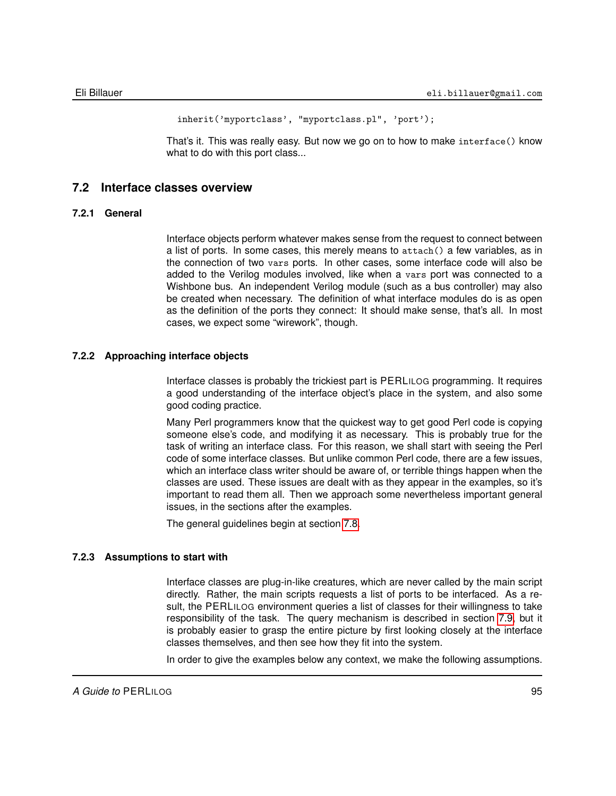```
inherit('myportclass', "myportclass.pl", 'port');
```
That's it. This was really easy. But now we go on to how to make interface() know what to do with this port class...

#### **7.2 Interface classes overview**

#### **7.2.1 General**

Interface objects perform whatever makes sense from the request to connect between a list of ports. In some cases, this merely means to attach() a few variables, as in the connection of two vars ports. In other cases, some interface code will also be added to the Verilog modules involved, like when a vars port was connected to a Wishbone bus. An independent Verilog module (such as a bus controller) may also be created when necessary. The definition of what interface modules do is as open as the definition of the ports they connect: It should make sense, that's all. In most cases, we expect some "wirework", though.

#### **7.2.2 Approaching interface objects**

Interface classes is probably the trickiest part is PERLILOG programming. It requires a good understanding of the interface object's place in the system, and also some good coding practice.

Many Perl programmers know that the quickest way to get good Perl code is copying someone else's code, and modifying it as necessary. This is probably true for the task of writing an interface class. For this reason, we shall start with seeing the Perl code of some interface classes. But unlike common Perl code, there are a few issues, which an interface class writer should be aware of, or terrible things happen when the classes are used. These issues are dealt with as they appear in the examples, so it's important to read them all. Then we approach some nevertheless important general issues, in the sections after the examples.

The general guidelines begin at section [7.8.](#page-121-0)

#### **7.2.3 Assumptions to start with**

Interface classes are plug-in-like creatures, which are never called by the main script directly. Rather, the main scripts requests a list of ports to be interfaced. As a result, the PERLILOG environment queries a list of classes for their willingness to take responsibility of the task. The query mechanism is described in section [7.9,](#page-123-0) but it is probably easier to grasp the entire picture by first looking closely at the interface classes themselves, and then see how they fit into the system.

In order to give the examples below any context, we make the following assumptions.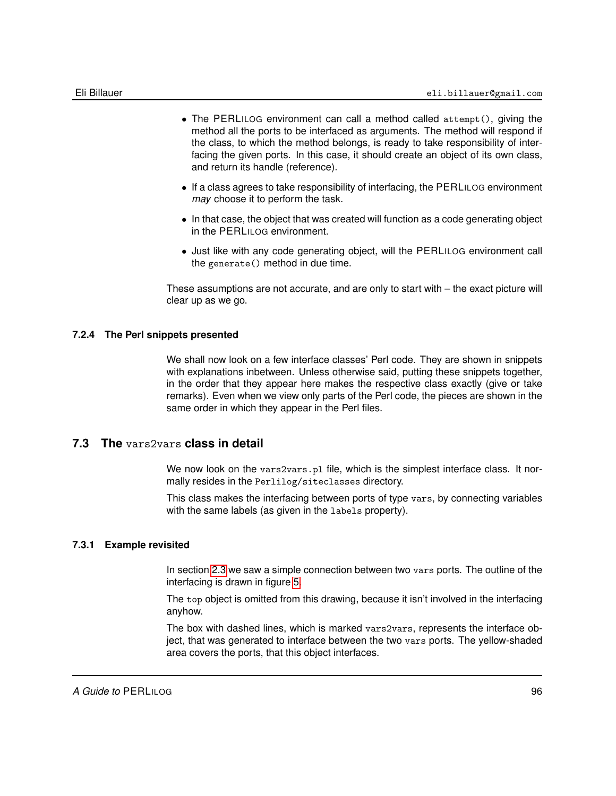- The PERLILOG environment can call a method called attempt(), giving the method all the ports to be interfaced as arguments. The method will respond if the class, to which the method belongs, is ready to take responsibility of interfacing the given ports. In this case, it should create an object of its own class, and return its handle (reference).
- If a class agrees to take responsibility of interfacing, the PERLILOG environment *may* choose it to perform the task.
- In that case, the object that was created will function as a code generating object in the PERLILOG environment.
- Just like with any code generating object, will the PERLILOG environment call the generate() method in due time.

These assumptions are not accurate, and are only to start with – the exact picture will clear up as we go.

#### **7.2.4 The Perl snippets presented**

We shall now look on a few interface classes' Perl code. They are shown in snippets with explanations inbetween. Unless otherwise said, putting these snippets together, in the order that they appear here makes the respective class exactly (give or take remarks). Even when we view only parts of the Perl code, the pieces are shown in the same order in which they appear in the Perl files.

# **7.3 The** vars2vars **class in detail**

We now look on the vars2vars.pl file, which is the simplest interface class. It normally resides in the Perlilog/siteclasses directory.

This class makes the interfacing between ports of type vars, by connecting variables with the same labels (as given in the labels property).

#### **7.3.1 Example revisited**

In section [2.3](#page-15-0) we saw a simple connection between two vars ports. The outline of the interfacing is drawn in figure [5.](#page-96-0)

The top object is omitted from this drawing, because it isn't involved in the interfacing anyhow.

The box with dashed lines, which is marked vars2vars, represents the interface object, that was generated to interface between the two vars ports. The yellow-shaded area covers the ports, that this object interfaces.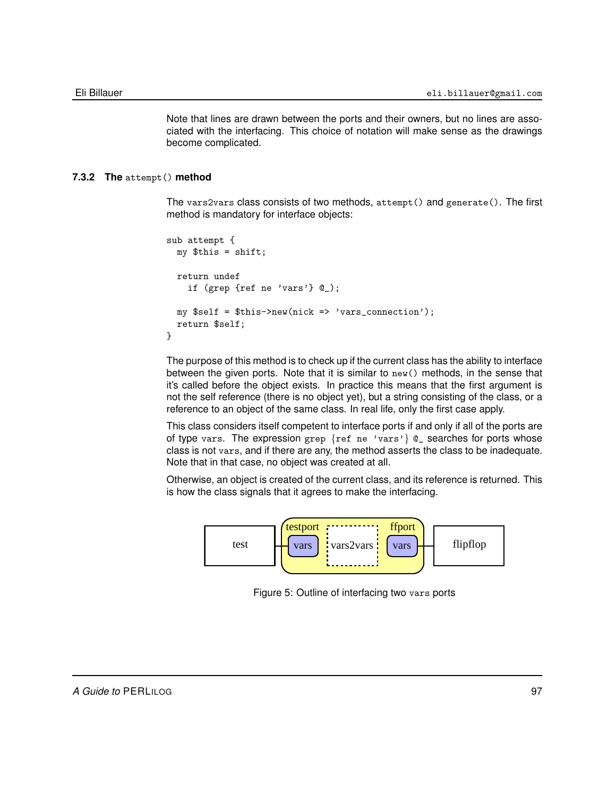Note that lines are drawn between the ports and their owners, but no lines are associated with the interfacing. This choice of notation will make sense as the drawings become complicated.

#### **7.3.2 The** attempt() **method**

The vars2vars class consists of two methods, attempt() and generate(). The first method is mandatory for interface objects:

```
sub attempt {
 my $this = shift;
  return undef
    if (grep {ref ne 'vars'} @_);
 my $self = $this->new(nick => 'vars_connection');
  return $self;
}
```
The purpose of this method is to check up if the current class has the ability to interface between the given ports. Note that it is similar to new() methods, in the sense that it's called before the object exists. In practice this means that the first argument is not the self reference (there is no object yet), but a string consisting of the class, or a reference to an object of the same class. In real life, only the first case apply.

This class considers itself competent to interface ports if and only if all of the ports are of type vars. The expression grep  $\{ref\ ne\ 'vars'\}$  @\_ searches for ports whose class is not vars, and if there are any, the method asserts the class to be inadequate. Note that in that case, no object was created at all.

Otherwise, an object is created of the current class, and its reference is returned. This is how the class signals that it agrees to make the interfacing.



<span id="page-96-0"></span>Figure 5: Outline of interfacing two vars ports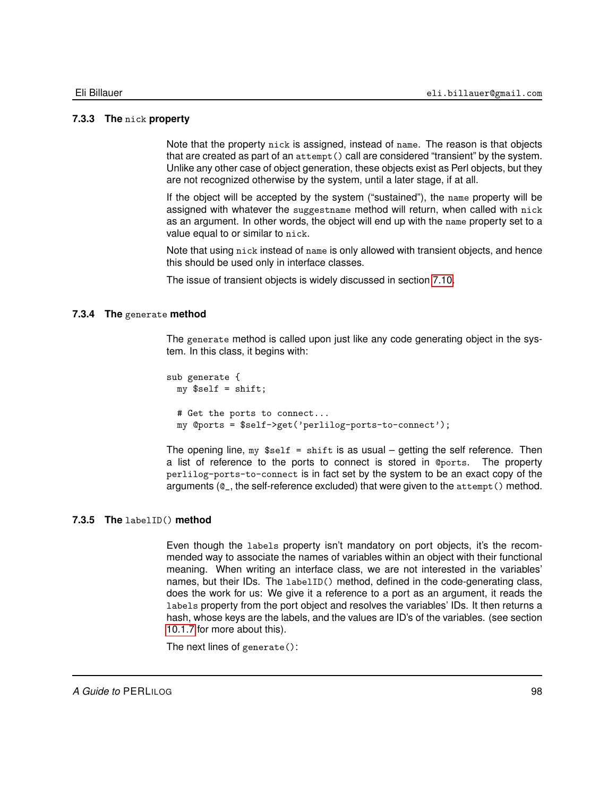#### **7.3.3 The** nick **property**

Note that the property nick is assigned, instead of name. The reason is that objects that are created as part of an attempt() call are considered "transient" by the system. Unlike any other case of object generation, these objects exist as Perl objects, but they are not recognized otherwise by the system, until a later stage, if at all.

If the object will be accepted by the system ("sustained"), the name property will be assigned with whatever the suggestname method will return, when called with nick as an argument. In other words, the object will end up with the name property set to a value equal to or similar to nick.

Note that using nick instead of name is only allowed with transient objects, and hence this should be used only in interface classes.

The issue of transient objects is widely discussed in section [7.10.](#page-125-0)

#### **7.3.4 The** generate **method**

The generate method is called upon just like any code generating object in the system. In this class, it begins with:

```
sub generate {
  my $self = shift;# Get the ports to connect...
  my @ports = $self->get('perlilog-ports-to-connect');
```
The opening line,  $my$   $$self = shift$  is as usual – getting the self reference. Then a list of reference to the ports to connect is stored in @ports. The property perlilog-ports-to-connect is in fact set by the system to be an exact copy of the arguments (@\_, the self-reference excluded) that were given to the attempt() method.

#### **7.3.5 The** labelID() **method**

<span id="page-97-0"></span>Even though the labels property isn't mandatory on port objects, it's the recommended way to associate the names of variables within an object with their functional meaning. When writing an interface class, we are not interested in the variables' names, but their IDs. The labelID() method, defined in the code-generating class, does the work for us: We give it a reference to a port as an argument, it reads the labels property from the port object and resolves the variables' IDs. It then returns a hash, whose keys are the labels, and the values are ID's of the variables. (see section [10.1.7](#page-167-0) for more about this).

The next lines of generate():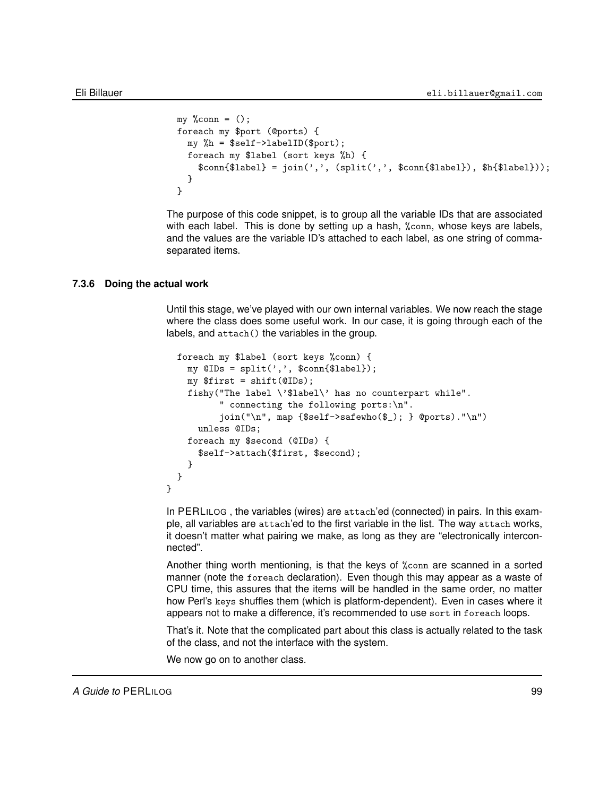```
my %conn = ();
foreach my $port (@ports) {
 my %h = $self->labelID($port);
 foreach my $label (sort keys %h) {
    \text{Sconn}{$label} = join(',', (split(',', $conn{$label}), $h{$label}));
 }
}
```
The purpose of this code snippet, is to group all the variable IDs that are associated with each label. This is done by setting up a hash, %conn, whose keys are labels, and the values are the variable ID's attached to each label, as one string of commaseparated items.

#### **7.3.6 Doing the actual work**

}

Until this stage, we've played with our own internal variables. We now reach the stage where the class does some useful work. In our case, it is going through each of the labels, and attach() the variables in the group.

```
foreach my $label (sort keys %conn) {
  my @IDs = split(',', %conn{flabel});my $first = shift(@IDs);
  fishy("The label \'$label\' has no counterpart while".
        " connecting the following ports:\n".
        \overline{\phi}(m), map \{\$self->safewho(\); \} @ports)."\n")
    unless @IDs;
  foreach my $second (@IDs) {
    $self->attach($first, $second);
  }
}
```
In PERLILOG , the variables (wires) are attach'ed (connected) in pairs. In this example, all variables are attach'ed to the first variable in the list. The way attach works, it doesn't matter what pairing we make, as long as they are "electronically interconnected".

Another thing worth mentioning, is that the keys of %conn are scanned in a sorted manner (note the foreach declaration). Even though this may appear as a waste of CPU time, this assures that the items will be handled in the same order, no matter how Perl's keys shuffles them (which is platform-dependent). Even in cases where it appears not to make a difference, it's recommended to use sort in foreach loops.

That's it. Note that the complicated part about this class is actually related to the task of the class, and not the interface with the system.

We now go on to another class.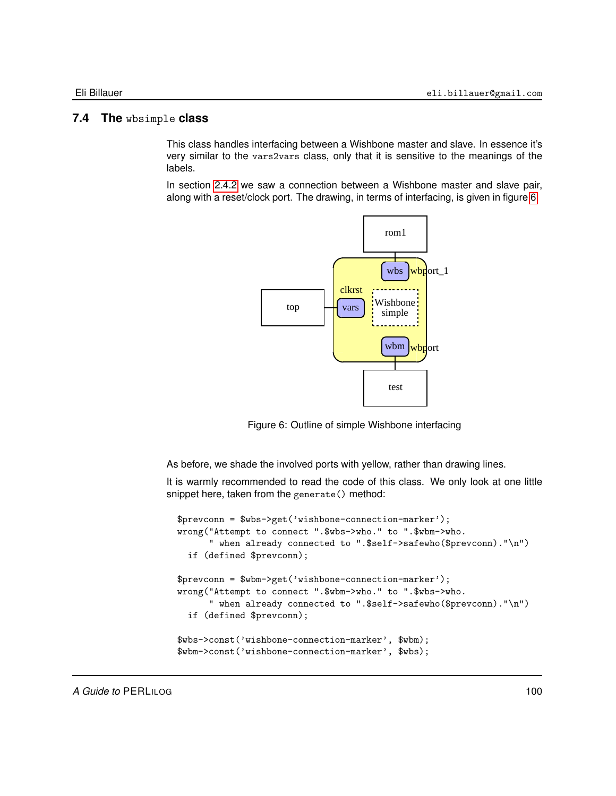# **7.4 The** wbsimple **class**

This class handles interfacing between a Wishbone master and slave. In essence it's very similar to the vars2vars class, only that it is sensitive to the meanings of the labels.

In section [2.4.2](#page-23-0) we saw a connection between a Wishbone master and slave pair, along with a reset/clock port. The drawing, in terms of interfacing, is given in figure [6.](#page-99-0)



<span id="page-99-0"></span>Figure 6: Outline of simple Wishbone interfacing

As before, we shade the involved ports with yellow, rather than drawing lines.

It is warmly recommended to read the code of this class. We only look at one little snippet here, taken from the generate() method:

```
$prevconn = $wbs->get('wishbone-connection-marker');
wrong("Attempt to connect ".$wbs->who." to ".$wbm->who.
      " when already connected to ".$self->safewho($prevconn)."\n")
 if (defined $prevconn);
$prevconn = $wbm->get('wishbone-connection-marker');
wrong("Attempt to connect ".$wbm->who." to ".$wbs->who.
      " when already connected to ".$self->safewho($prevconn)."\n")
 if (defined $prevconn);
$wbs->const('wishbone-connection-marker', $wbm);
$wbm->const('wishbone-connection-marker', $wbs);
```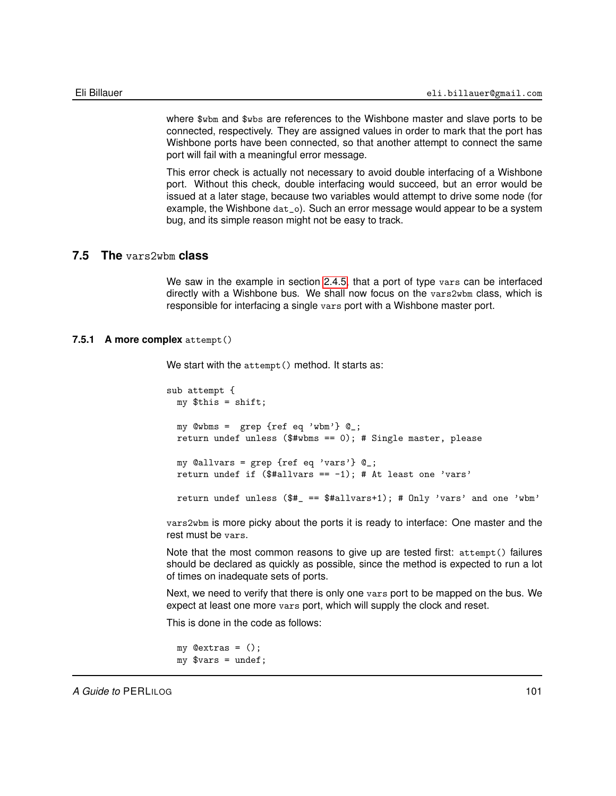where  $w_{\text{b}}$  and  $w_{\text{b}}$  are references to the Wishbone master and slave ports to be connected, respectively. They are assigned values in order to mark that the port has Wishbone ports have been connected, so that another attempt to connect the same port will fail with a meaningful error message.

This error check is actually not necessary to avoid double interfacing of a Wishbone port. Without this check, double interfacing would succeed, but an error would be issued at a later stage, because two variables would attempt to drive some node (for example, the Wishbone dat\_o). Such an error message would appear to be a system bug, and its simple reason might not be easy to track.

#### **7.5 The** vars2wbm **class**

We saw in the example in section [2.4.5,](#page-29-0) that a port of type vars can be interfaced directly with a Wishbone bus. We shall now focus on the vars2wbm class, which is responsible for interfacing a single vars port with a Wishbone master port.

#### **7.5.1 A more complex** attempt()

We start with the attempt () method. It starts as:

sub attempt { my \$this = shift; my  $@wbms = grep {ref eq 'wbm'} @_.$ return undef unless (\$#wbms == 0); # Single master, please my @allvars = grep {ref eq 'vars'} @\_; return undef if  $($#allvars == -1); # At least one 'vars'$ return undef unless (\$#\_ == \$#allvars+1); # Only 'vars' and one 'wbm'

vars2wbm is more picky about the ports it is ready to interface: One master and the rest must be vars.

Note that the most common reasons to give up are tested first: attempt() failures should be declared as quickly as possible, since the method is expected to run a lot of times on inadequate sets of ports.

Next, we need to verify that there is only one vars port to be mapped on the bus. We expect at least one more vars port, which will supply the clock and reset.

This is done in the code as follows:

```
my @extras = ();
my \text{Fvars} = \text{undef};
```
*A Guide to* PERLILOG 101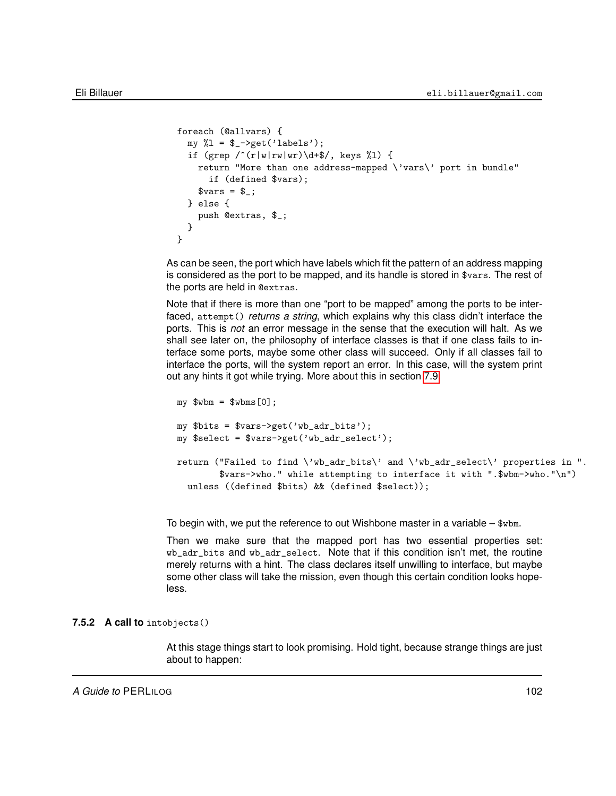```
foreach (@allvars) {
  my 1 = $ - \text{2} \cdot (\text{labels'});
  if (grep \f(\rVert w \Vert rw) \dagger \/, keys %l) {
    return "More than one address-mapped \'vars\' port in bundle"
       if (defined $vars);
     \text{Fvars} = \text{\$}\_;
  } else {
    push @extras, $_;
  }
}
```
As can be seen, the port which have labels which fit the pattern of an address mapping is considered as the port to be mapped, and its handle is stored in \$vars. The rest of the ports are held in @extras.

Note that if there is more than one "port to be mapped" among the ports to be interfaced, attempt() *returns a string*, which explains why this class didn't interface the ports. This is *not* an error message in the sense that the execution will halt. As we shall see later on, the philosophy of interface classes is that if one class fails to interface some ports, maybe some other class will succeed. Only if all classes fail to interface the ports, will the system report an error. In this case, will the system print out any hints it got while trying. More about this in section [7.9.](#page-123-0)

```
my $whm = $whms[0];my $bits = $vars->get('wb_adr_bits');
my $select = $vars->get('wb_adr_select');
return ("Failed to find \'wb_adr_bits\' and \'wb_adr_select\' properties in ".
        $vars->who." while attempting to interface it with ".$wbm->who."\n")
  unless ((defined $bits) && (defined $select));
```
To begin with, we put the reference to out Wishbone master in a variable – \$wbm.

Then we make sure that the mapped port has two essential properties set: wb\_adr\_bits and wb\_adr\_select. Note that if this condition isn't met, the routine merely returns with a hint. The class declares itself unwilling to interface, but maybe some other class will take the mission, even though this certain condition looks hopeless.

#### **7.5.2 A call to** intobjects()

At this stage things start to look promising. Hold tight, because strange things are just about to happen: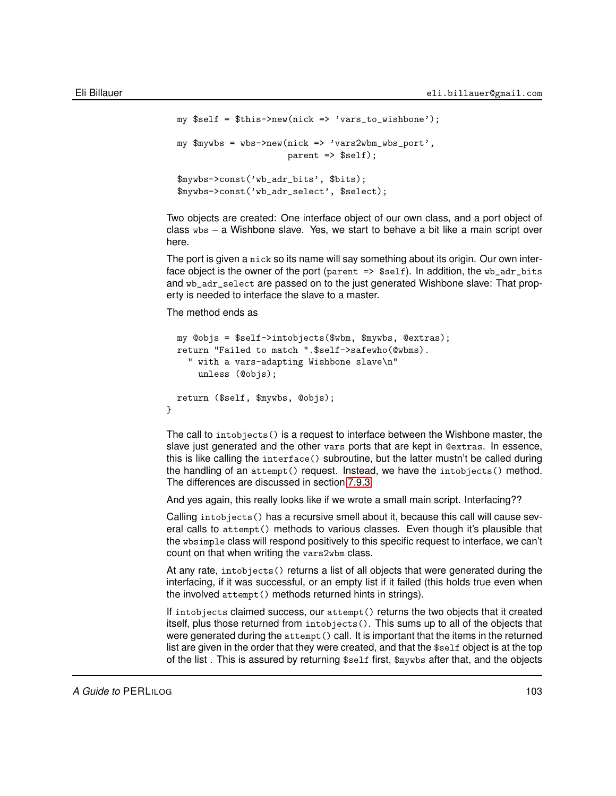```
my $self = $this->new(nick => 'vars_to_wishbone');
my m \times m = wbs->new(nick => 'vars2wbm_wbs_port',
                     parent => $self);
$mywbs->const('wb_adr_bits', $bits);
$mywbs->const('wb_adr_select', $select);
```
Two objects are created: One interface object of our own class, and a port object of class wbs – a Wishbone slave. Yes, we start to behave a bit like a main script over here.

The port is given a nick so its name will say something about its origin. Our own interface object is the owner of the port (parent  $\Rightarrow$  \$self). In addition, the wb\_adr\_bits and wb\_adr\_select are passed on to the just generated Wishbone slave: That property is needed to interface the slave to a master.

The method ends as

}

```
my @objs = $self->intobjects($wbm, $mywbs, @extras);
return "Failed to match ".$self->safewho(@wbms).
  " with a vars-adapting Wishbone slave\n"
    unless (@objs);
return ($self, $mywbs, @objs);
```
The call to intobjects() is a request to interface between the Wishbone master, the slave just generated and the other vars ports that are kept in @extras. In essence, this is like calling the interface() subroutine, but the latter mustn't be called during the handling of an attempt() request. Instead, we have the intobjects() method. The differences are discussed in section [7.9.3.](#page-124-0)

And yes again, this really looks like if we wrote a small main script. Interfacing??

Calling intobjects() has a recursive smell about it, because this call will cause several calls to attempt() methods to various classes. Even though it's plausible that the wbsimple class will respond positively to this specific request to interface, we can't count on that when writing the vars2wbm class.

At any rate, intobjects() returns a list of all objects that were generated during the interfacing, if it was successful, or an empty list if it failed (this holds true even when the involved attempt() methods returned hints in strings).

If intobjects claimed success, our attempt() returns the two objects that it created itself, plus those returned from intobjects(). This sums up to all of the objects that were generated during the attempt () call. It is important that the items in the returned list are given in the order that they were created, and that the \$self object is at the top of the list . This is assured by returning \$self first, \$mywbs after that, and the objects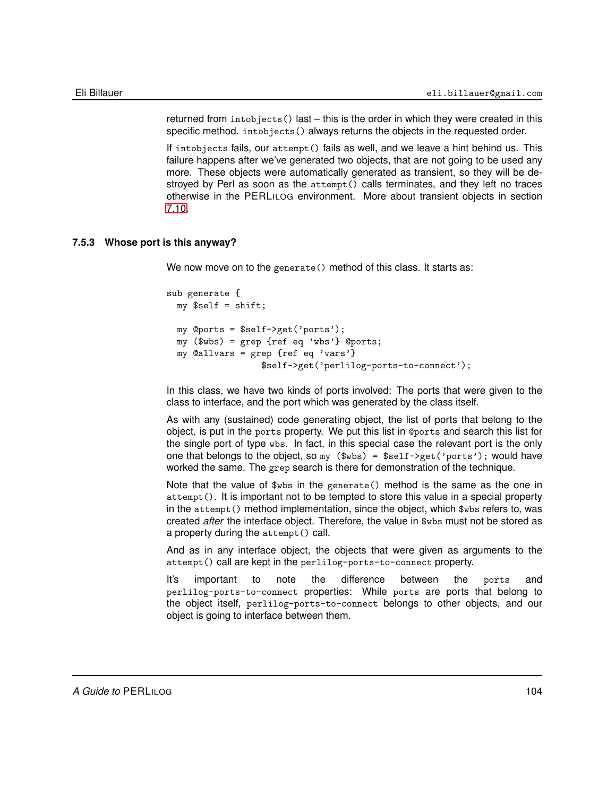returned from intobjects() last – this is the order in which they were created in this specific method. intobjects() always returns the objects in the requested order.

If intobjects fails, our attempt() fails as well, and we leave a hint behind us. This failure happens after we've generated two objects, that are not going to be used any more. These objects were automatically generated as transient, so they will be destroyed by Perl as soon as the attempt() calls terminates, and they left no traces otherwise in the PERLILOG environment. More about transient objects in section [7.10.](#page-125-0)

#### **7.5.3 Whose port is this anyway?**

We now move on to the generate() method of this class. It starts as:

```
sub generate {
 my $self = shift;my @ports = $self->get('ports');
  my ($wbs) = grep {ref eq 'wbs'} @ports;
  my @allvars = grep {ref eq 'vars'}
                  $self->get('perlilog-ports-to-connect');
```
In this class, we have two kinds of ports involved: The ports that were given to the class to interface, and the port which was generated by the class itself.

As with any (sustained) code generating object, the list of ports that belong to the object, is put in the ports property. We put this list in @ports and search this list for the single port of type wbs. In fact, in this special case the relevant port is the only one that belongs to the object, so  $my$  ( $wbs$ ) =  $sself$ ->get('ports'); would have worked the same. The grep search is there for demonstration of the technique.

Note that the value of \$wbs in the generate() method is the same as the one in attempt(). It is important not to be tempted to store this value in a special property in the attempt() method implementation, since the object, which \$wbs refers to, was created *after* the interface object. Therefore, the value in \$wbs must not be stored as a property during the attempt() call.

And as in any interface object, the objects that were given as arguments to the attempt() call are kept in the perlilog-ports-to-connect property.

It's important to note the difference between the ports and perlilog-ports-to-connect properties: While ports are ports that belong to the object itself, perlilog-ports-to-connect belongs to other objects, and our object is going to interface between them.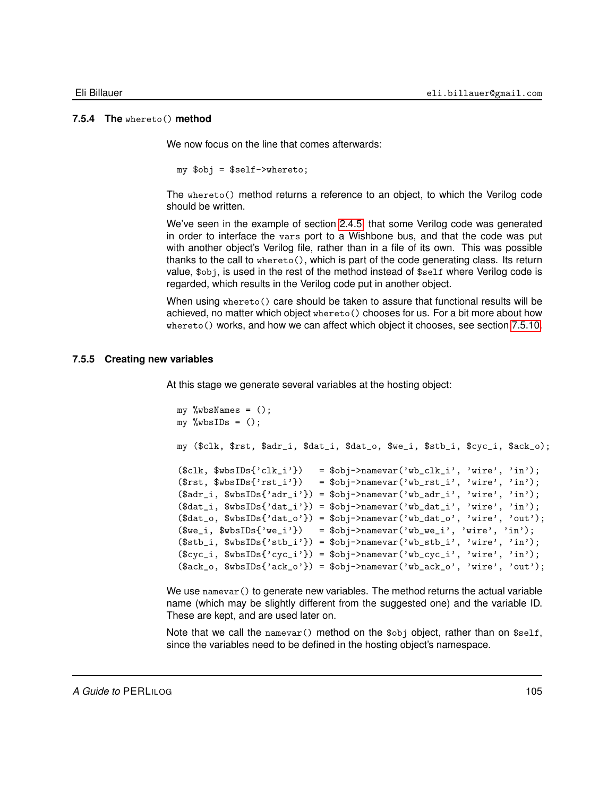#### **7.5.4 The** whereto() **method**

<span id="page-104-0"></span>We now focus on the line that comes afterwards:

my \$obj = \$self->whereto;

The whereto() method returns a reference to an object, to which the Verilog code should be written.

We've seen in the example of section [2.4.5,](#page-29-0) that some Verilog code was generated in order to interface the vars port to a Wishbone bus, and that the code was put with another object's Verilog file, rather than in a file of its own. This was possible thanks to the call to whereto(), which is part of the code generating class. Its return value, \$obj, is used in the rest of the method instead of \$self where Verilog code is regarded, which results in the Verilog code put in another object.

When using whereto() care should be taken to assure that functional results will be achieved, no matter which object whereto() chooses for us. For a bit more about how whereto() works, and how we can affect which object it chooses, see section [7.5.10.](#page-107-0)

#### **7.5.5 Creating new variables**

At this stage we generate several variables at the hosting object:

```
my %wbsNames = ();
my %wbsIDs = ();
my ($clk, $rst, $adr_i, $dat_i, $dat_o, $we_i, $stb_i, $cyc_i, $ack_o);
($clk, $wbsIDs{'clk_i'}) = $obj->namevar('wb_clk_i', 'wire', 'in');
(\text{first}, \text{#wbsIDs}{'rst_i'}) = \text{Sobj}->namevar('wb_rst_i', 'wire', 'in');
(\text{4adr}_i, \text{4wbs} \text{ and } \text{'adr}_i') = \text{4obj} ->namevar('wb_adr_i', 'wire', 'in');
(\text{data}_i, \text{swbsIDs}{'data_i'} ) = \text{sobj-}namevar('wb_data_i', 'wire', 'in');($dat_0, $wbsIDs{'dat_0'}$ = $obj>namevar('wb_data_0', 'wire', 'out');($we_i, $wbsIDs{'we_i'}\) = $obj>namevar('wb_wej', 'wire', 'in');($stb_i, $wbsIDs{'stb_i'}$ = $obj>namevar('wb_stb_i', 'wire', 'in');(\text{fcyc}_i, \text{wbs1Ds}{'cyc_i'} ) = \text{Bobj-Ynamevar}' \text{wbcyc_i'}, 'wire', 'in');($ack_0, $wbsIDs{'ack_0'}$) = $obj>namevar('wb_ack_0', 'wire', 'out');
```
We use namevar () to generate new variables. The method returns the actual variable name (which may be slightly different from the suggested one) and the variable ID. These are kept, and are used later on.

Note that we call the namevar() method on the  $\delta$ obj object, rather than on  $\delta$ self, since the variables need to be defined in the hosting object's namespace.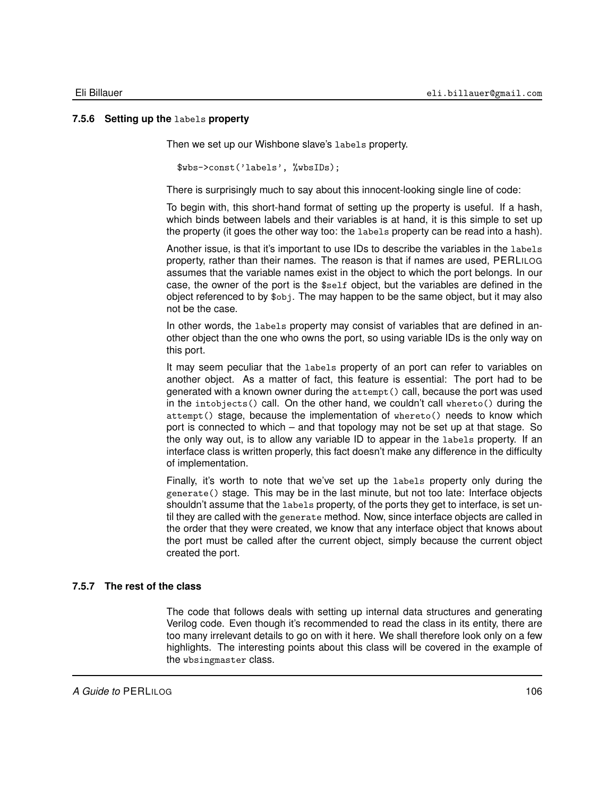#### **7.5.6 Setting up the** labels **property**

Then we set up our Wishbone slave's labels property.

\$wbs->const('labels', %wbsIDs);

There is surprisingly much to say about this innocent-looking single line of code:

To begin with, this short-hand format of setting up the property is useful. If a hash, which binds between labels and their variables is at hand, it is this simple to set up the property (it goes the other way too: the labels property can be read into a hash).

Another issue, is that it's important to use IDs to describe the variables in the labels property, rather than their names. The reason is that if names are used, PERLILOG assumes that the variable names exist in the object to which the port belongs. In our case, the owner of the port is the \$self object, but the variables are defined in the object referenced to by \$obj. The may happen to be the same object, but it may also not be the case.

In other words, the labels property may consist of variables that are defined in another object than the one who owns the port, so using variable IDs is the only way on this port.

It may seem peculiar that the labels property of an port can refer to variables on another object. As a matter of fact, this feature is essential: The port had to be generated with a known owner during the attempt() call, because the port was used in the intobjects() call. On the other hand, we couldn't call whereto() during the attempt() stage, because the implementation of whereto() needs to know which port is connected to which – and that topology may not be set up at that stage. So the only way out, is to allow any variable ID to appear in the labels property. If an interface class is written properly, this fact doesn't make any difference in the difficulty of implementation.

Finally, it's worth to note that we've set up the labels property only during the generate() stage. This may be in the last minute, but not too late: Interface objects shouldn't assume that the labels property, of the ports they get to interface, is set until they are called with the generate method. Now, since interface objects are called in the order that they were created, we know that any interface object that knows about the port must be called after the current object, simply because the current object created the port.

#### **7.5.7 The rest of the class**

The code that follows deals with setting up internal data structures and generating Verilog code. Even though it's recommended to read the class in its entity, there are too many irrelevant details to go on with it here. We shall therefore look only on a few highlights. The interesting points about this class will be covered in the example of the wbsingmaster class.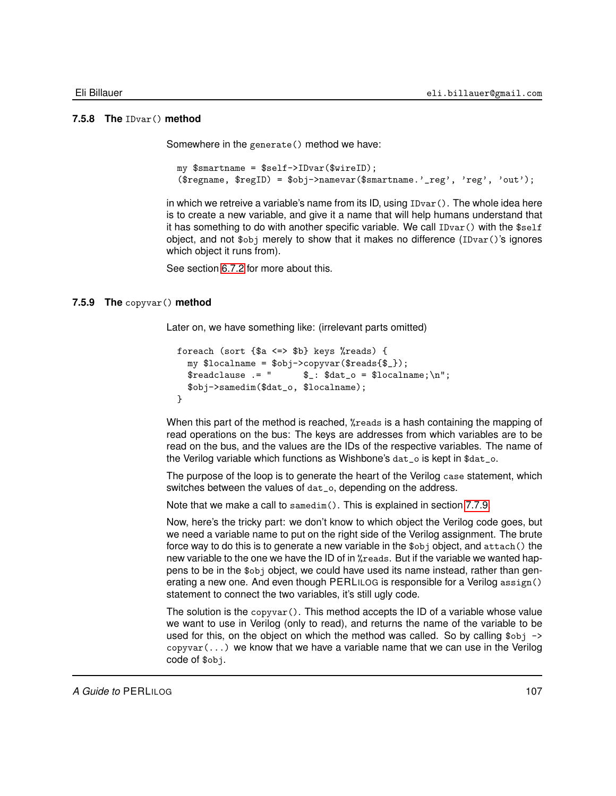#### **7.5.8 The** IDvar() **method**

<span id="page-106-0"></span>Somewhere in the generate() method we have:

```
my $smartname = $self->IDvar($wireID);
($regname, $regID) = $obj->namevar($smartname.'_reg', 'reg', 'out');
```
in which we retreive a variable's name from its ID, using  $\text{IDvar}()$ . The whole idea here is to create a new variable, and give it a name that will help humans understand that it has something to do with another specific variable. We call  $\text{IDvar}()$  with the  $$self$ object, and not  $\phi$ <sub>obj</sub> merely to show that it makes no difference (IDvar()'s ignores which object it runs from).

<span id="page-106-1"></span>See section [6.7.2](#page-77-1) for more about this.

#### **7.5.9 The** copyvar() **method**

Later on, we have something like: (irrelevant parts omitted)

```
foreach (sort {$a <=> $b} keys %reads) {
  my $localname = $obj->copyvar($reads{$_});<br>$readclause .= " $_: $dat_o = $localne
                                 \<br>: \deltadat_o = \lambdalocalname;\n";
  $obj->samedim($dat_o, $localname);
}
```
When this part of the method is reached, %reads is a hash containing the mapping of read operations on the bus: The keys are addresses from which variables are to be read on the bus, and the values are the IDs of the respective variables. The name of the Verilog variable which functions as Wishbone's dat\_o is kept in \$dat\_o.

The purpose of the loop is to generate the heart of the Verilog case statement, which switches between the values of dat\_o, depending on the address.

Note that we make a call to samedim(). This is explained in section [7.7.9.](#page-118-0)

Now, here's the tricky part: we don't know to which object the Verilog code goes, but we need a variable name to put on the right side of the Verilog assignment. The brute force way to do this is to generate a new variable in the \$obj object, and attach() the new variable to the one we have the ID of in %reads. But if the variable we wanted happens to be in the \$obj object, we could have used its name instead, rather than generating a new one. And even though PERLILOG is responsible for a Verilog assign() statement to connect the two variables, it's still ugly code.

The solution is the copyvar(). This method accepts the ID of a variable whose value we want to use in Verilog (only to read), and returns the name of the variable to be used for this, on the object on which the method was called. So by calling \$0bj ->  $copyvar(...)$  we know that we have a variable name that we can use in the Verilog code of \$obj.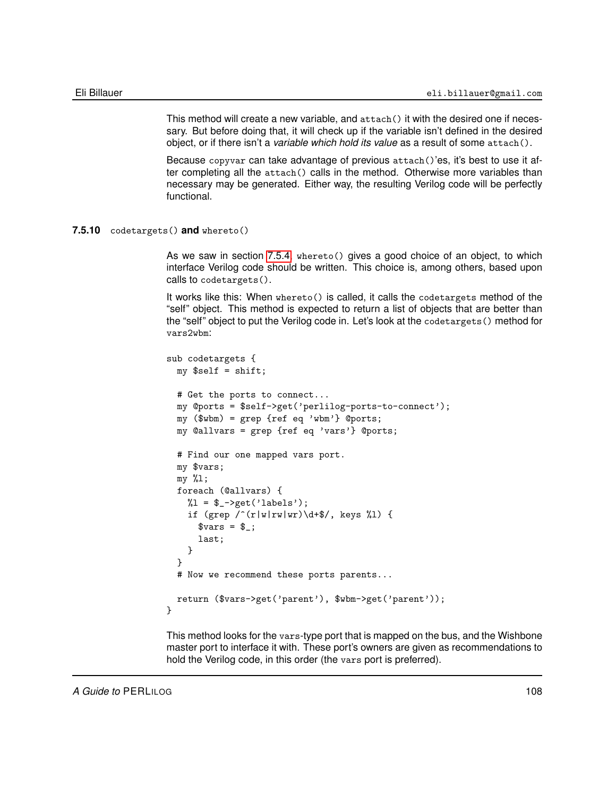This method will create a new variable, and attach() it with the desired one if necessary. But before doing that, it will check up if the variable isn't defined in the desired object, or if there isn't a *variable which hold its value* as a result of some attach().

Because copyvar can take advantage of previous attach()'es, it's best to use it after completing all the attach() calls in the method. Otherwise more variables than necessary may be generated. Either way, the resulting Verilog code will be perfectly functional.

#### **7.5.10** codetargets() **and** whereto()

<span id="page-107-0"></span>As we saw in section [7.5.4,](#page-104-0) whereto() gives a good choice of an object, to which interface Verilog code should be written. This choice is, among others, based upon calls to codetargets().

It works like this: When whereto() is called, it calls the codetargets method of the "self" object. This method is expected to return a list of objects that are better than the "self" object to put the Verilog code in. Let's look at the codetargets() method for vars2wbm:

```
sub codetargets {
  my $self = shift;
  # Get the ports to connect...
  my @ports = $self->get('perlilog-ports-to-connect');
  my ($wbm) = grep {ref eq 'wbm'} @ports;
  my @allvars = grep {ref eq 'vars'} @ports;
  # Find our one mapped vars port.
  my $vars;
  my %l;
  foreach (@allvars) {
    %1 = $ -\text{2} \cdot (\text{labels'});
    if (grep \f(\rVert w \Vert rw) \dagger \/, keys %l) {
      vars = $;
      last;
    }
  }
  # Now we recommend these ports parents...
  return ($vars->get('parent'), $wbm->get('parent'));
}
```
This method looks for the vars-type port that is mapped on the bus, and the Wishbone master port to interface it with. These port's owners are given as recommendations to hold the Verilog code, in this order (the vars port is preferred).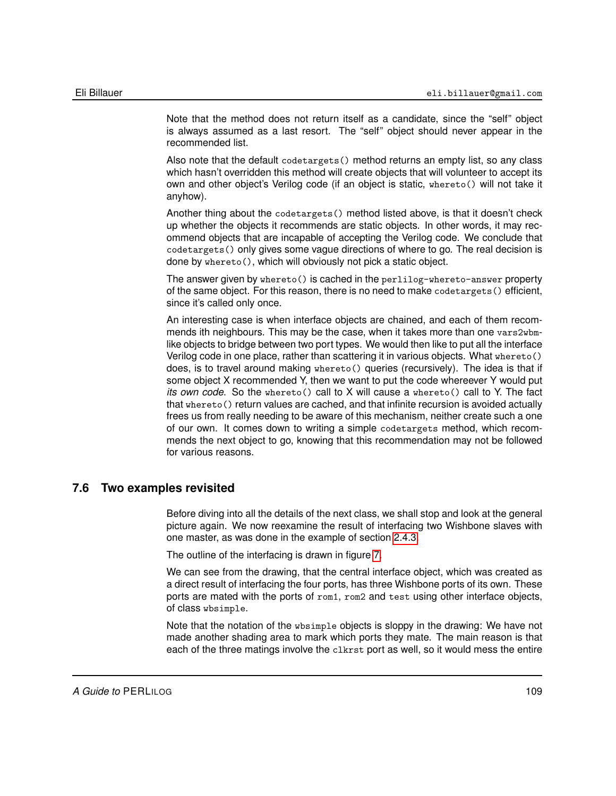Note that the method does not return itself as a candidate, since the "self" object is always assumed as a last resort. The "self" object should never appear in the recommended list.

Also note that the default codetargets() method returns an empty list, so any class which hasn't overridden this method will create objects that will volunteer to accept its own and other object's Verilog code (if an object is static, whereto() will not take it anyhow).

Another thing about the codetargets() method listed above, is that it doesn't check up whether the objects it recommends are static objects. In other words, it may recommend objects that are incapable of accepting the Verilog code. We conclude that codetargets() only gives some vague directions of where to go. The real decision is done by whereto(), which will obviously not pick a static object.

The answer given by whereto() is cached in the perlilog-whereto-answer property of the same object. For this reason, there is no need to make codetargets() efficient, since it's called only once.

An interesting case is when interface objects are chained, and each of them recommends ith neighbours. This may be the case, when it takes more than one vars2wbmlike objects to bridge between two port types. We would then like to put all the interface Verilog code in one place, rather than scattering it in various objects. What whereto() does, is to travel around making whereto() queries (recursively). The idea is that if some object X recommended Y, then we want to put the code whereever Y would put *its own code*. So the whereto() call to X will cause a whereto() call to Y. The fact that whereto() return values are cached, and that infinite recursion is avoided actually frees us from really needing to be aware of this mechanism, neither create such a one of our own. It comes down to writing a simple codetargets method, which recommends the next object to go, knowing that this recommendation may not be followed for various reasons.

# **7.6 Two examples revisited**

Before diving into all the details of the next class, we shall stop and look at the general picture again. We now reexamine the result of interfacing two Wishbone slaves with one master, as was done in the example of section [2.4.3.](#page-26-0)

The outline of the interfacing is drawn in figure [7.](#page-109-0)

We can see from the drawing, that the central interface object, which was created as a direct result of interfacing the four ports, has three Wishbone ports of its own. These ports are mated with the ports of rom1, rom2 and test using other interface objects, of class wbsimple.

Note that the notation of the wbsimple objects is sloppy in the drawing: We have not made another shading area to mark which ports they mate. The main reason is that each of the three matings involve the clkrst port as well, so it would mess the entire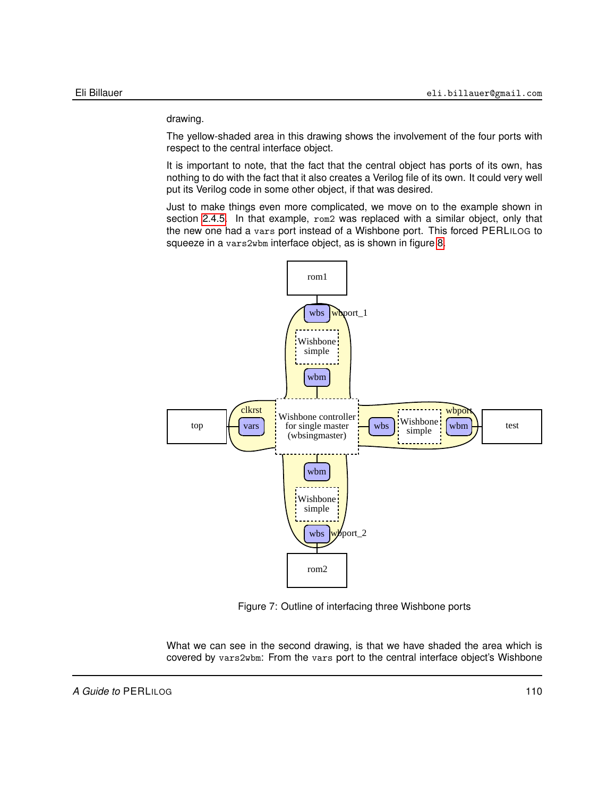drawing.

The yellow-shaded area in this drawing shows the involvement of the four ports with respect to the central interface object.

It is important to note, that the fact that the central object has ports of its own, has nothing to do with the fact that it also creates a Verilog file of its own. It could very well put its Verilog code in some other object, if that was desired.

Just to make things even more complicated, we move on to the example shown in section [2.4.5.](#page-29-0) In that example, rom2 was replaced with a similar object, only that the new one had a vars port instead of a Wishbone port. This forced PERLILOG to squeeze in a vars2wbm interface object, as is shown in figure [8.](#page-110-0)



<span id="page-109-0"></span>Figure 7: Outline of interfacing three Wishbone ports

What we can see in the second drawing, is that we have shaded the area which is covered by vars2wbm: From the vars port to the central interface object's Wishbone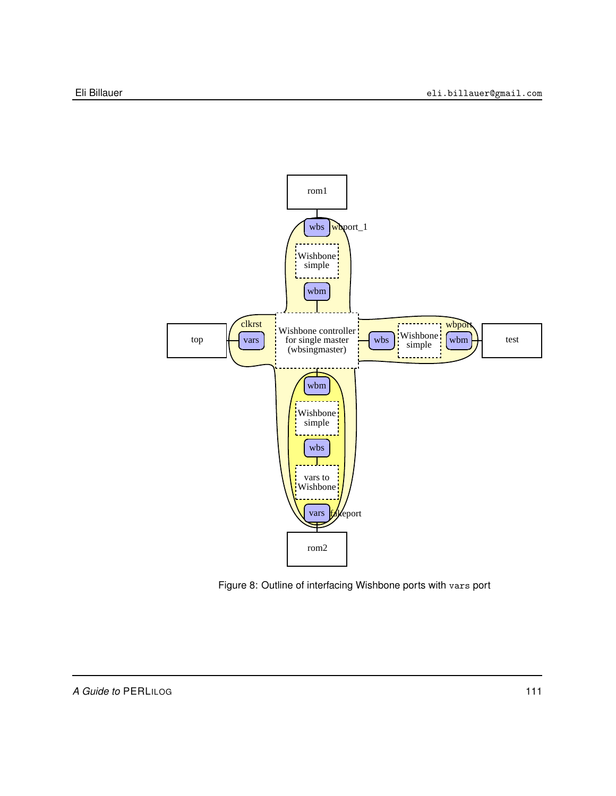

<span id="page-110-0"></span>Figure 8: Outline of interfacing Wishbone ports with vars port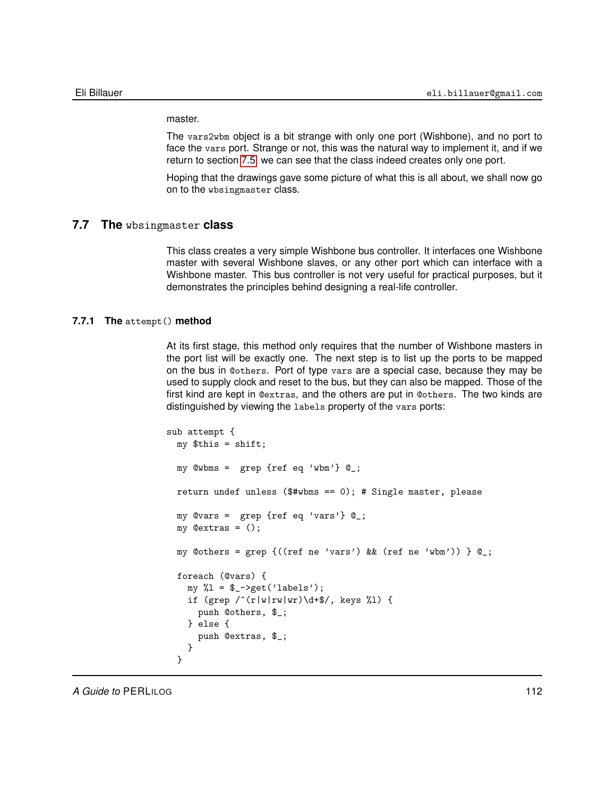master.

The vars2wbm object is a bit strange with only one port (Wishbone), and no port to face the vars port. Strange or not, this was the natural way to implement it, and if we return to section [7.5,](#page-100-0) we can see that the class indeed creates only one port.

Hoping that the drawings gave some picture of what this is all about, we shall now go on to the wbsingmaster class.

### **7.7 The** wbsingmaster **class**

This class creates a very simple Wishbone bus controller. It interfaces one Wishbone master with several Wishbone slaves, or any other port which can interface with a Wishbone master. This bus controller is not very useful for practical purposes, but it demonstrates the principles behind designing a real-life controller.

# **7.7.1 The** attempt() **method**

At its first stage, this method only requires that the number of Wishbone masters in the port list will be exactly one. The next step is to list up the ports to be mapped on the bus in @others. Port of type vars are a special case, because they may be used to supply clock and reset to the bus, but they can also be mapped. Those of the first kind are kept in @extras, and the others are put in @others. The two kinds are distinguished by viewing the labels property of the vars ports:

```
sub attempt {
 my $this = shift;
 my @wbms = grep {ref eq 'wbm'} @_;
 return undef unless ($#wbms == 0); # Single master, please
 my @vars = grep {ref eq 'vars'} @_;
 my @extras = ();
  my @others = grep {((ref ne 'vars') \& & (ref ne 'whm')) } @;
  foreach (@vars) {
    my %1 = $_->get('labels');
    if (grep \f(\rVert w \Vert rw) \dagger \/, keys %l) {
      push @others, $_;
    } else {
      push @extras, $_;
    }
  }
```
*A Guide to* PERLILOG 112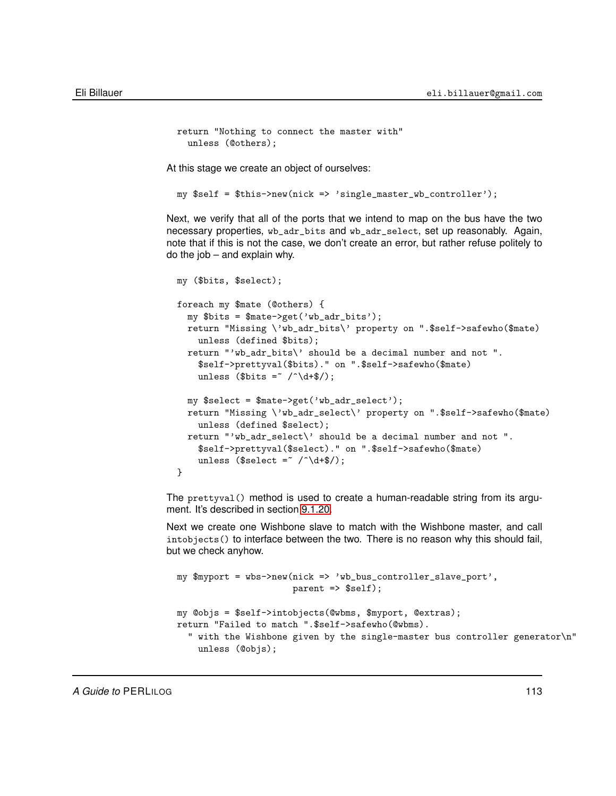```
return "Nothing to connect the master with"
  unless (@others);
```
At this stage we create an object of ourselves:

my \$self = \$this->new(nick => 'single\_master\_wb\_controller');

Next, we verify that all of the ports that we intend to map on the bus have the two necessary properties, wb\_adr\_bits and wb\_adr\_select, set up reasonably. Again, note that if this is not the case, we don't create an error, but rather refuse politely to do the job – and explain why.

```
my ($bits, $select);
foreach my $mate (@others) {
  my $bits = $mate->get('wb_adr_bits');
  return "Missing \'wb_adr_bits\' property on ".$self->safewho($mate)
    unless (defined $bits);
  return "'wb_adr_bits\' should be a decimal number and not ".
    $self->prettyval($bits)." on ".$self->safewho($mate)
    unless ($bits = \sqrt{\hat{C}} /\hat{C} +$/);
  my $select = $mate->get('wb_adr_select');
  return "Missing \'wb_adr_select\' property on ".$self->safewho($mate)
    unless (defined $select);
  return "'wb_adr_select\' should be a decimal number and not ".
    $self->prettyval($select)." on ".$self->safewho($mate)
    unless ($select = \sqrt{\det 4});
}
```
The prettyval() method is used to create a human-readable string from its argument. It's described in section [9.1.20.](#page-158-0)

Next we create one Wishbone slave to match with the Wishbone master, and call intobjects() to interface between the two. There is no reason why this should fail, but we check anyhow.

```
my $myport = wbs->new(nick => 'wb_bus_controller_slave_port',
                      parent => $self);
my @objs = $self->intobjects(@wbms, $myport, @extras);
return "Failed to match ".$self->safewho(@wbms).
  " with the Wishbone given by the single-master bus controller generator\n"
   unless (@objs);
```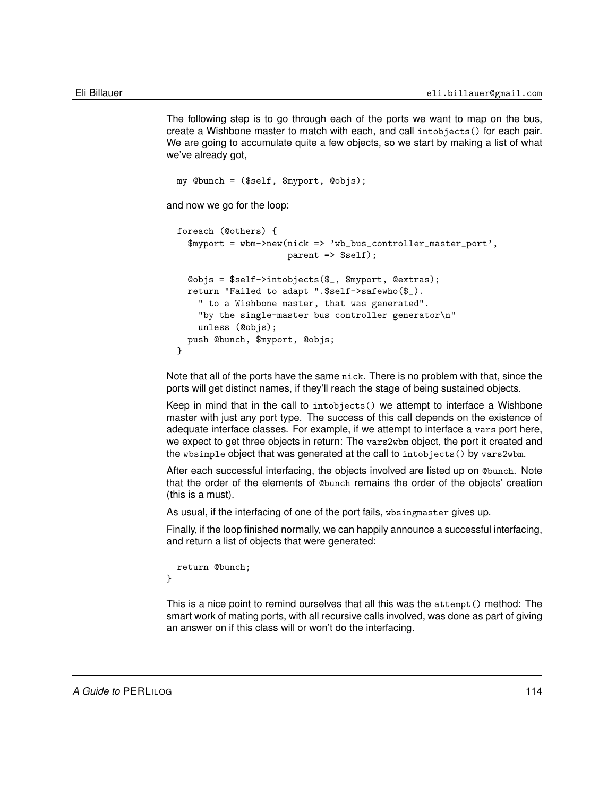The following step is to go through each of the ports we want to map on the bus, create a Wishbone master to match with each, and call intobjects() for each pair. We are going to accumulate quite a few objects, so we start by making a list of what we've already got,

```
my @bunch = ($self, $myport, @objs);
and now we go for the loop:
  foreach (@others) {
    $myport = wbm->new(nick => 'wb_bus_controller_master_port',
                       parent => $self);
   @objs = $self->intobjects($_, $myport, @extras);
   return "Failed to adapt ".$self->safewho($_).
      " to a Wishbone master, that was generated".
      "by the single-master bus controller generator\n"
      unless (@objs);
   push @bunch, $myport, @objs;
  }
```
Note that all of the ports have the same nick. There is no problem with that, since the ports will get distinct names, if they'll reach the stage of being sustained objects.

Keep in mind that in the call to intobjects() we attempt to interface a Wishbone master with just any port type. The success of this call depends on the existence of adequate interface classes. For example, if we attempt to interface a vars port here, we expect to get three objects in return: The vars2wbm object, the port it created and the wbsimple object that was generated at the call to intobjects() by vars2wbm.

After each successful interfacing, the objects involved are listed up on @bunch. Note that the order of the elements of @bunch remains the order of the objects' creation (this is a must).

As usual, if the interfacing of one of the port fails, wbsingmaster gives up.

Finally, if the loop finished normally, we can happily announce a successful interfacing, and return a list of objects that were generated:

```
return @bunch;
}
```
This is a nice point to remind ourselves that all this was the attempt() method: The smart work of mating ports, with all recursive calls involved, was done as part of giving an answer on if this class will or won't do the interfacing.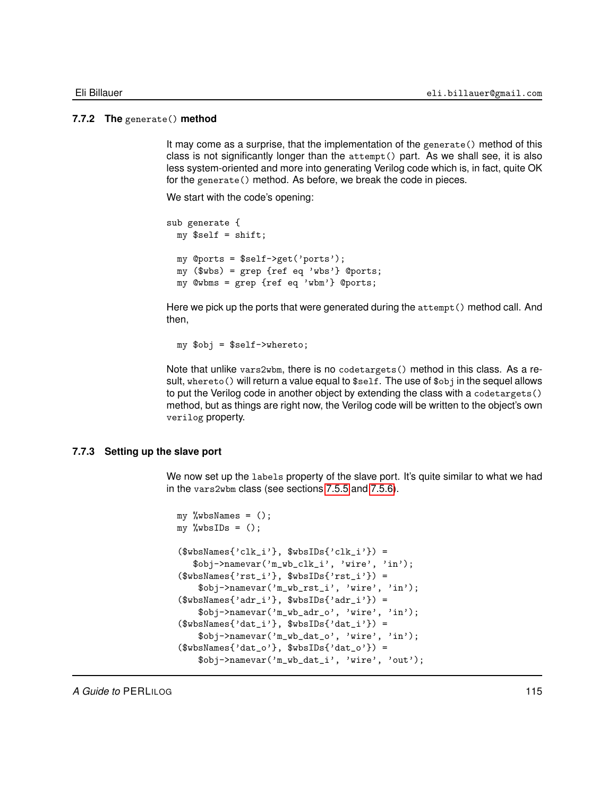### **7.7.2 The** generate() **method**

It may come as a surprise, that the implementation of the generate() method of this class is not significantly longer than the attempt() part. As we shall see, it is also less system-oriented and more into generating Verilog code which is, in fact, quite OK for the generate() method. As before, we break the code in pieces.

We start with the code's opening:

```
sub generate {
 my $self = shift;
 my @ports = $self->get('ports');
 my ($wbs) = grep {ref eq 'wbs'} @ports;
 my @wbms = grep {ref eq 'wbm'} @ports;
```
Here we pick up the ports that were generated during the attempt() method call. And then,

my \$obj = \$self->whereto;

Note that unlike vars2wbm, there is no codetargets() method in this class. As a result, whereto() will return a value equal to \$self. The use of \$obj in the sequel allows to put the Verilog code in another object by extending the class with a codetargets() method, but as things are right now, the Verilog code will be written to the object's own verilog property.

#### **7.7.3 Setting up the slave port**

We now set up the labels property of the slave port. It's quite similar to what we had in the vars2wbm class (see sections [7.5.5](#page-104-0) and [7.5.6\)](#page-105-0).

```
my %wbsNames = ();
my %wbsIDs = ();
($wbsNames{'clk_i'}, $wbsIDs{'clk_i'}) =
   $obj->namevar('m_wb_clk_i', 'wire', 'in');
($wbsNames{'rst_i'}}, $wbsIDs{'rst_i'}}) =$obj->namevar('m_wb_rst_i', 'wire', 'in');
($wbsNames{'adr_i'}}, $wbsIBs{'adr_i'}}) =$obj->namevar('m_wb_adr_o', 'wire', 'in');
($wbsNames{'dat_i'}}, $wbsIDs{'dat_i'}}) =$obj->namevar('m_wb_dat_o', 'wire', 'in');
($wbsNames{'data_o'}}, $wbsIBs{'data_o'}}) =$obj->namevar('m_wb_dat_i', 'wire', 'out');
```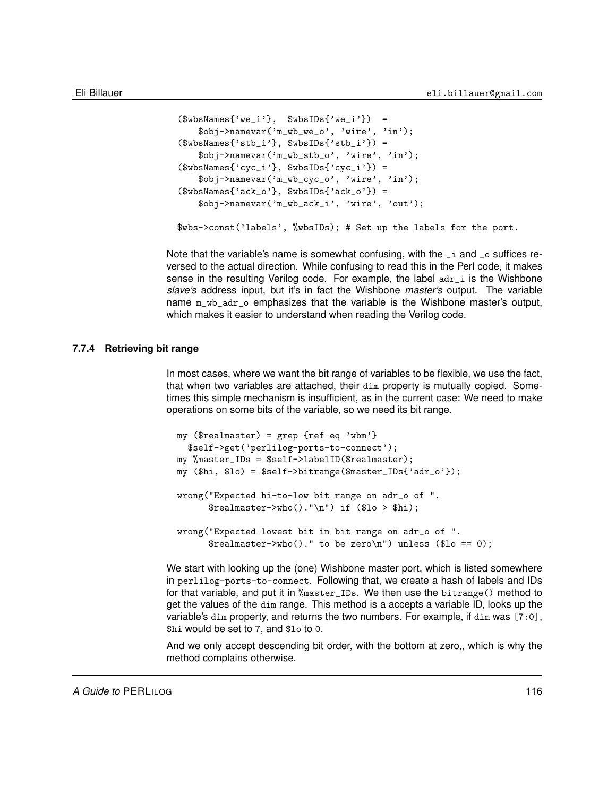```
($wbsNames{'we_i'}, $wbsIDs{'we_i'} =
    $obj->namevar('m_wb_we_o', 'wire', 'in');
($wbsNames{'stb_i'}}, $wbsIBs{'stb_i'}$obj->namevar('m_wb_stb_o', 'wire', 'in');
($wbsNames{'cyc_i'}}, $wbsIBs{'cyc_i'}}) =$obj->namevar('m_wb_cyc_o', 'wire', 'in');
($wbsNames{'ack_0'}$, $wbsIDs{'ack_0'}$ =
    $obj->namevar('m_wb_ack_i', 'wire', 'out');
$wbs->const('labels', %wbsIDs); # Set up the labels for the port.
```
Note that the variable's name is somewhat confusing, with the  $\pm i$  and  $\pm o$  suffices reversed to the actual direction. While confusing to read this in the Perl code, it makes sense in the resulting Verilog code. For example, the label  $\frac{adr}{dr}$  is the Wishbone *slave's* address input, but it's in fact the Wishbone *master's* output. The variable name  $m_w$ <sub>b</sub><sub>adr\_o</sub> emphasizes that the variable is the Wishbone master's output, which makes it easier to understand when reading the Verilog code.

# **7.7.4 Retrieving bit range**

In most cases, where we want the bit range of variables to be flexible, we use the fact, that when two variables are attached, their dim property is mutually copied. Sometimes this simple mechanism is insufficient, as in the current case: We need to make operations on some bits of the variable, so we need its bit range.

```
my ($realmaster) = grep {ref eq 'wbm'}
 $self->get('perlilog-ports-to-connect');
my %master_IDs = $self->labelID($realmaster);
my ($hi, $lo) = $self->bitrange($master_IDs{'adr_o'});
wrong("Expected hi-to-low bit range on adr_o of ".
     $realmaster->who() . "\n") if ($lo > $hi);wrong("Expected lowest bit in bit range on adr_o of ".
      $realmaster->who()." to be zero\n") unless ($lo == 0);
```
We start with looking up the (one) Wishbone master port, which is listed somewhere in perlilog-ports-to-connect. Following that, we create a hash of labels and IDs for that variable, and put it in %master\_IDs. We then use the bitrange() method to get the values of the dim range. This method is a accepts a variable ID, looks up the variable's dim property, and returns the two numbers. For example, if dim was [7:0], \$hi would be set to 7, and \$lo to 0.

And we only accept descending bit order, with the bottom at zero,, which is why the method complains otherwise.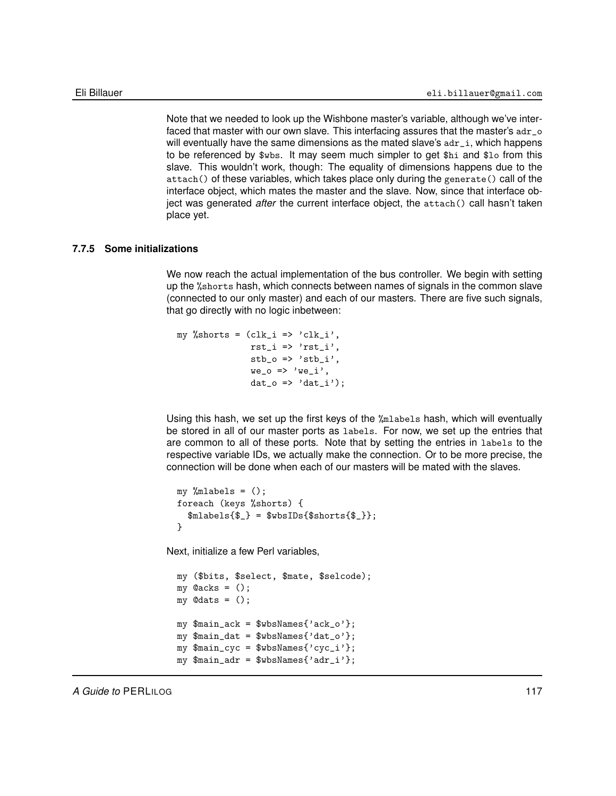Note that we needed to look up the Wishbone master's variable, although we've interfaced that master with our own slave. This interfacing assures that the master's adr\_o will eventually have the same dimensions as the mated slave's  $a$ dr $_i$ , which happens to be referenced by \$wbs. It may seem much simpler to get \$hi and \$lo from this slave. This wouldn't work, though: The equality of dimensions happens due to the attach() of these variables, which takes place only during the generate() call of the interface object, which mates the master and the slave. Now, since that interface object was generated *after* the current interface object, the attach() call hasn't taken place yet.

# **7.7.5 Some initializations**

We now reach the actual implementation of the bus controller. We begin with setting up the %shorts hash, which connects between names of signals in the common slave (connected to our only master) and each of our masters. There are five such signals, that go directly with no logic inbetween:

```
my %shorts = (clk_i \Rightarrow 'clk_i',rst_i \Rightarrow 'rst_i',\text{stb}_0 \Rightarrow \text{'stb}_i',we_0 \Rightarrow 'we_i',dat_0 \Rightarrow 'dat_i');
```
Using this hash, we set up the first keys of the %mlabels hash, which will eventually be stored in all of our master ports as labels. For now, we set up the entries that are common to all of these ports. Note that by setting the entries in labels to the respective variable IDs, we actually make the connection. Or to be more precise, the connection will be done when each of our masters will be mated with the slaves.

```
my %mlabels = ();
foreach (keys %shorts) {
  $mlabels{$_} = $wbsIDs{$shorts{$_}};
}
```
Next, initialize a few Perl variables,

```
my ($bits, $select, $mate, $selcode);
my @acks = ();
my \mathcal{Q}_{\text{dats}} = ();
my $main_ack = $wbsNames{'ack_o'};
my $main_dat = $wbsNames{'dat_o'};
my $main_cyc = $wbsNames{'cyc_i'};
my $main\_adr = $wbsNames{'adr_i'};
```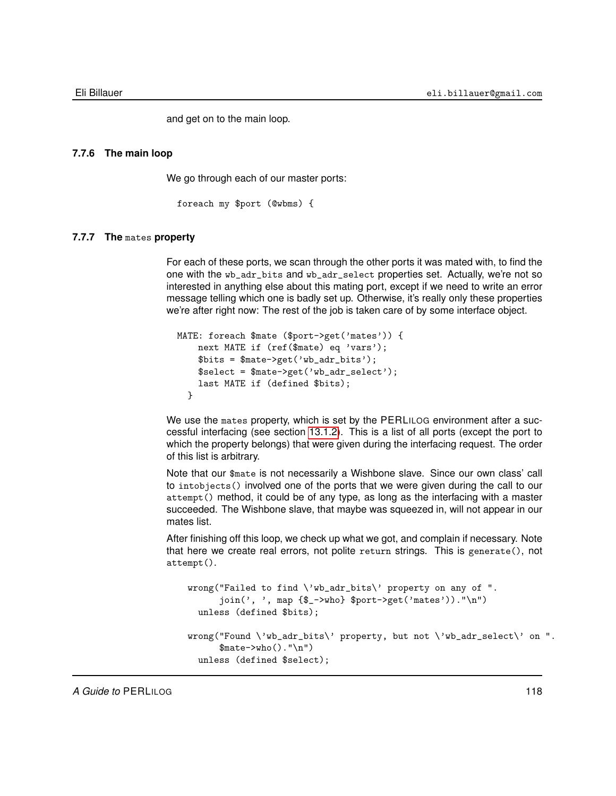and get on to the main loop.

#### **7.7.6 The main loop**

We go through each of our master ports:

foreach my \$port (@wbms) {

# **7.7.7 The** mates **property**

For each of these ports, we scan through the other ports it was mated with, to find the one with the wb\_adr\_bits and wb\_adr\_select properties set. Actually, we're not so interested in anything else about this mating port, except if we need to write an error message telling which one is badly set up. Otherwise, it's really only these properties we're after right now: The rest of the job is taken care of by some interface object.

```
MATE: foreach $mate ($port->get('mates')) {
   next MATE if (ref($mate) eq 'vars');
   $bits = $mate->get('wb_adr_bits');
   $select = $mate->get('wb\_adr\_select');last MATE if (defined $bits);
 }
```
We use the mates property, which is set by the PERLILOG environment after a successful interfacing (see section [13.1.2\)](#page-180-0). This is a list of all ports (except the port to which the property belongs) that were given during the interfacing request. The order of this list is arbitrary.

Note that our \$mate is not necessarily a Wishbone slave. Since our own class' call to intobjects() involved one of the ports that we were given during the call to our attempt() method, it could be of any type, as long as the interfacing with a master succeeded. The Wishbone slave, that maybe was squeezed in, will not appear in our mates list.

After finishing off this loop, we check up what we got, and complain if necessary. Note that here we create real errors, not polite return strings. This is generate(), not attempt().

```
wrong("Failed to find \'wb_adr_bits\' property on any of ".
      join(', ', map {$_->who} $port->get('mates'))."\n")
  unless (defined $bits);
wrong("Found \'wb_adr_bits\' property, but not \'wb_adr_select\' on ".
      \mathcal{F}mate->who()."\n")
  unless (defined $select);
```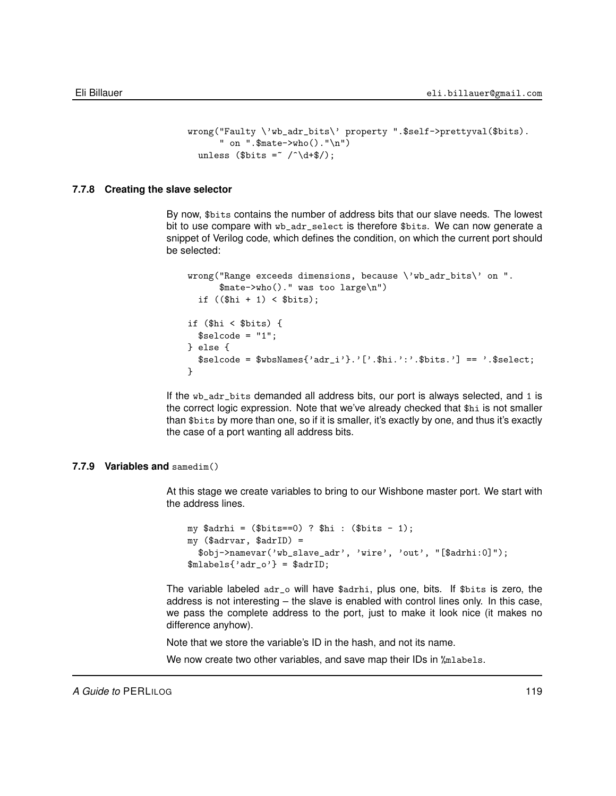```
wrong("Faulty \'wb_adr_bits\' property ".$self->prettyval($bits).
       " on ".$mate->who()."\n")
  unless ($bits = \sqrt{\det(1 + \frac{1}{3})};
```
### **7.7.8 Creating the slave selector**

By now, \$bits contains the number of address bits that our slave needs. The lowest bit to use compare with wb\_adr\_select is therefore \$bits. We can now generate a snippet of Verilog code, which defines the condition, on which the current port should be selected:

```
wrong("Range exceeds dimensions, because \'wb_adr_bits\' on ".
     $mate->who()." was too large\n")
 if ((\text{Shi} + 1) < \text{Bbits});if ($hi < $bits) {
 $selectode = "1";} else {
 $select;<br>$select;}
```
If the wb\_adr\_bits demanded all address bits, our port is always selected, and 1 is the correct logic expression. Note that we've already checked that \$hi is not smaller than \$bits by more than one, so if it is smaller, it's exactly by one, and thus it's exactly the case of a port wanting all address bits.

# **7.7.9 Variables and** samedim()

At this stage we create variables to bring to our Wishbone master port. We start with the address lines.

```
my $adrhi = ($bits == 0) ? $hi : ($bits - 1);my ($adrvar, $adrID) =
  $obj->namevar('wb_slave_adr', 'wire', 'out', "[$adrhi:0]");
$mlabels{'adr_0'} = $adrID;
```
The variable labeled adr\_o will have \$adrhi, plus one, bits. If \$bits is zero, the address is not interesting – the slave is enabled with control lines only. In this case, we pass the complete address to the port, just to make it look nice (it makes no difference anyhow).

Note that we store the variable's ID in the hash, and not its name.

We now create two other variables, and save map their IDs in  $\gamma$ mlabels.

*A Guide to* PERLILOG 119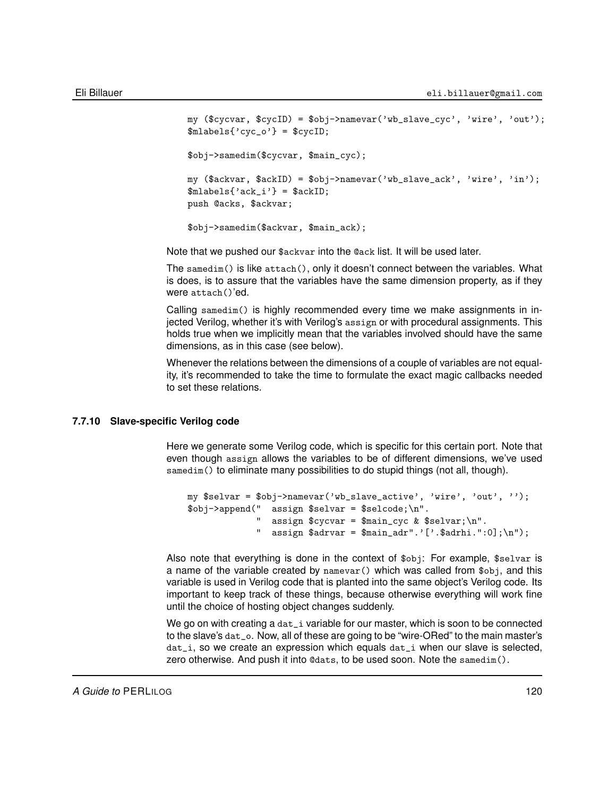```
my ($cycvar, $cycID) = $obj->namevar('wb_slave_cyc', 'wire', 'out');
$mlabels{'cyc_0'} = $cycID;$obj->samedim($cycvar, $main_cyc);
my ($ackvar, $ackID) = $obj->namevar('wb_slave_ack', 'wire', 'in');
$mlabels{'ack_i'} = $ackID;push @acks, $ackvar;
$obj->samedim($ackvar, $main_ack);
```
Note that we pushed our \$ackvar into the @ack list. It will be used later.

The samedim() is like attach(), only it doesn't connect between the variables. What is does, is to assure that the variables have the same dimension property, as if they were attach()'ed.

Calling samedim() is highly recommended every time we make assignments in injected Verilog, whether it's with Verilog's assign or with procedural assignments. This holds true when we implicitly mean that the variables involved should have the same dimensions, as in this case (see below).

Whenever the relations between the dimensions of a couple of variables are not equality, it's recommended to take the time to formulate the exact magic callbacks needed to set these relations.

# **7.7.10 Slave-specific Verilog code**

Here we generate some Verilog code, which is specific for this certain port. Note that even though assign allows the variables to be of different dimensions, we've used samedim() to eliminate many possibilities to do stupid things (not all, though).

```
my $selvar = $obj->namevar('wb_slave_active', 'wire', 'out', '');
$obj->append(" assign $selvar = $selcode;\n".
             " assign $cycvar = $main_cyc & $selvar;\n".
             " assign $advvar = $main\_adr".'['.$advhi."]; \n");
```
Also note that everything is done in the context of \$obj: For example, \$selvar is a name of the variable created by namevar() which was called from \$obj, and this variable is used in Verilog code that is planted into the same object's Verilog code. Its important to keep track of these things, because otherwise everything will work fine until the choice of hosting object changes suddenly.

We go on with creating a dat\_i variable for our master, which is soon to be connected to the slave's dat\_o. Now, all of these are going to be "wire-ORed" to the main master's dat\_i, so we create an expression which equals dat\_i when our slave is selected, zero otherwise. And push it into @dats, to be used soon. Note the samedim().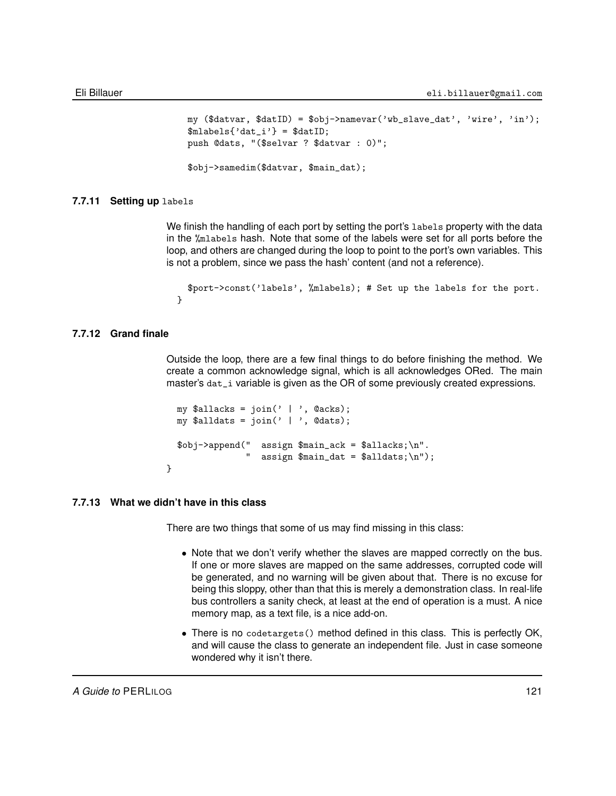```
my (\text{Sdatvar}, \text{SdatID}) = \text{Sobi} ->namevar(\forall \text{wb\_slave\_dat}', \forall \text{wire}', \forall \text{in}'');
$mlabels{'dat_i'} = $datID;push @dats, "($selvar ? $datvar : 0)";
$obj->samedim($datvar, $main_dat);
```
### **7.7.11 Setting up** labels

We finish the handling of each port by setting the port's labels property with the data in the %mlabels hash. Note that some of the labels were set for all ports before the loop, and others are changed during the loop to point to the port's own variables. This is not a problem, since we pass the hash' content (and not a reference).

```
$port->const('labels', %mlabels); # Set up the labels for the port.
}
```
# **7.7.12 Grand finale**

Outside the loop, there are a few final things to do before finishing the method. We create a common acknowledge signal, which is all acknowledges ORed. The main master's dat\_i variable is given as the OR of some previously created expressions.

```
my $allacks = \text{join}' | ', @acks);
my $alldats = \text{join}(' | ', \text{0} \text{dats});\text{Sob}i-\text{append}(" assign \text{Small} ack = \text{Ballacks}; \n".
                     " assign \frac{\tan - \theta}{\tan - \theta} = \frac{\alpha}{\cdot} \cdot \cdot;
```
# **7.7.13 What we didn't have in this class**

}

There are two things that some of us may find missing in this class:

- Note that we don't verify whether the slaves are mapped correctly on the bus. If one or more slaves are mapped on the same addresses, corrupted code will be generated, and no warning will be given about that. There is no excuse for being this sloppy, other than that this is merely a demonstration class. In real-life bus controllers a sanity check, at least at the end of operation is a must. A nice memory map, as a text file, is a nice add-on.
- There is no codetargets() method defined in this class. This is perfectly OK, and will cause the class to generate an independent file. Just in case someone wondered why it isn't there.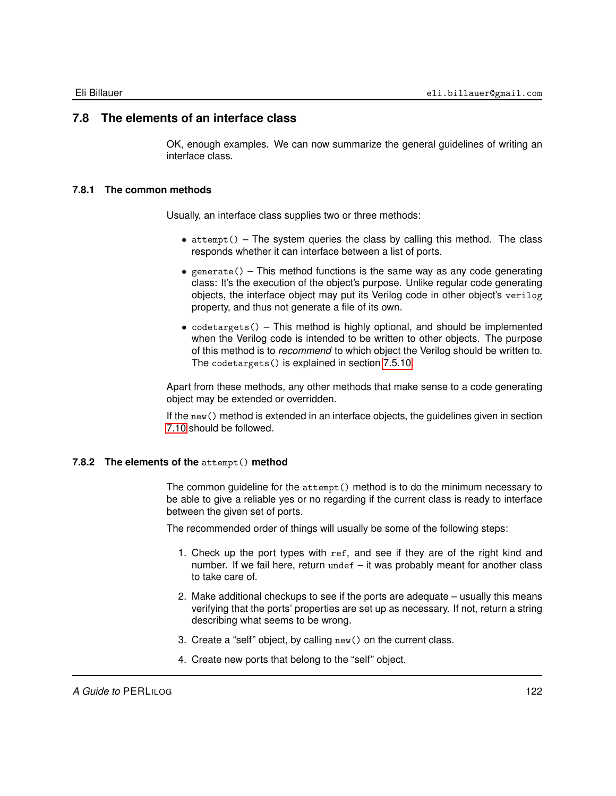# **7.8 The elements of an interface class**

OK, enough examples. We can now summarize the general guidelines of writing an interface class.

# **7.8.1 The common methods**

Usually, an interface class supplies two or three methods:

- $\bullet$  attempt() The system queries the class by calling this method. The class responds whether it can interface between a list of ports.
- generate() This method functions is the same way as any code generating class: It's the execution of the object's purpose. Unlike regular code generating objects, the interface object may put its Verilog code in other object's verilog property, and thus not generate a file of its own.
- codetargets() This method is highly optional, and should be implemented when the Verilog code is intended to be written to other objects. The purpose of this method is to *recommend* to which object the Verilog should be written to. The codetargets() is explained in section [7.5.10.](#page-107-0)

Apart from these methods, any other methods that make sense to a code generating object may be extended or overridden.

If the new() method is extended in an interface objects, the guidelines given in section [7.10](#page-125-0) should be followed.

# **7.8.2 The elements of the** attempt() **method**

The common guideline for the attempt() method is to do the minimum necessary to be able to give a reliable yes or no regarding if the current class is ready to interface between the given set of ports.

The recommended order of things will usually be some of the following steps:

- 1. Check up the port types with ref, and see if they are of the right kind and number. If we fail here, return undef – it was probably meant for another class to take care of.
- 2. Make additional checkups to see if the ports are adequate usually this means verifying that the ports' properties are set up as necessary. If not, return a string describing what seems to be wrong.
- 3. Create a "self" object, by calling new() on the current class.
- 4. Create new ports that belong to the "self" object.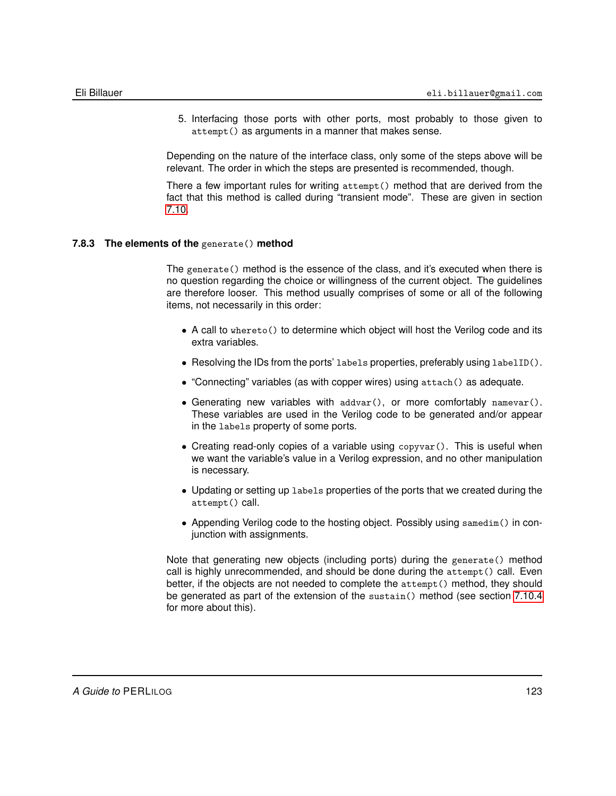5. Interfacing those ports with other ports, most probably to those given to attempt() as arguments in a manner that makes sense.

Depending on the nature of the interface class, only some of the steps above will be relevant. The order in which the steps are presented is recommended, though.

There a few important rules for writing attempt() method that are derived from the fact that this method is called during "transient mode". These are given in section [7.10.](#page-125-0)

# **7.8.3 The elements of the** generate() **method**

The generate() method is the essence of the class, and it's executed when there is no question regarding the choice or willingness of the current object. The guidelines are therefore looser. This method usually comprises of some or all of the following items, not necessarily in this order:

- A call to whereto() to determine which object will host the Verilog code and its extra variables.
- Resolving the IDs from the ports' labels properties, preferably using labelID().
- "Connecting" variables (as with copper wires) using attach() as adequate.
- Generating new variables with  $addvar()$ , or more comfortably  $namevar()$ . These variables are used in the Verilog code to be generated and/or appear in the labels property of some ports.
- Creating read-only copies of a variable using copyvar(). This is useful when we want the variable's value in a Verilog expression, and no other manipulation is necessary.
- Updating or setting up labels properties of the ports that we created during the attempt() call.
- Appending Verilog code to the hosting object. Possibly using samedim() in conjunction with assignments.

Note that generating new objects (including ports) during the generate() method call is highly unrecommended, and should be done during the attempt() call. Even better, if the objects are not needed to complete the attempt() method, they should be generated as part of the extension of the sustain() method (see section [7.10.4](#page-127-0) for more about this).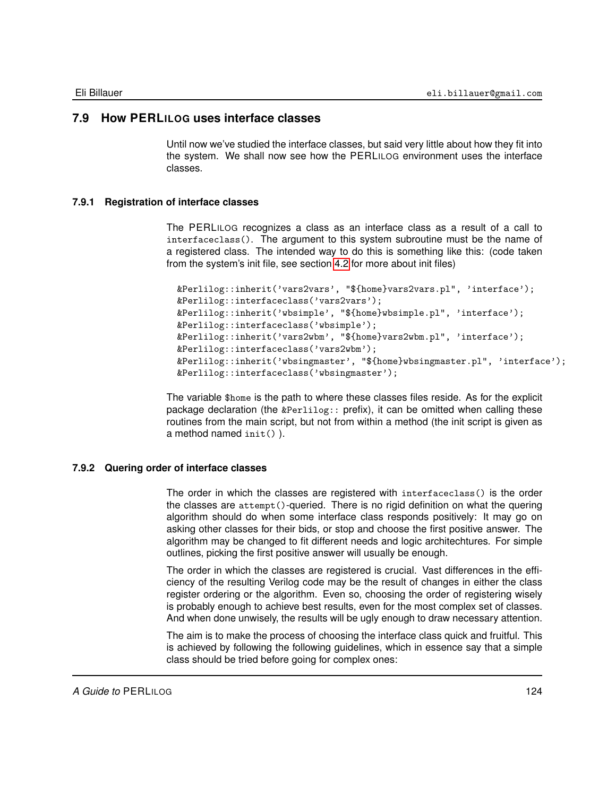# **7.9 How PERLILOG uses interface classes**

<span id="page-123-0"></span>Until now we've studied the interface classes, but said very little about how they fit into the system. We shall now see how the PERLILOG environment uses the interface classes.

# **7.9.1 Registration of interface classes**

The PERLILOG recognizes a class as an interface class as a result of a call to interfaceclass(). The argument to this system subroutine must be the name of a registered class. The intended way to do this is something like this: (code taken from the system's init file, see section [4.2](#page-50-0) for more about init files)

```
&Perlilog::inherit('vars2vars', "${home}vars2vars.pl", 'interface');
&Perlilog::interfaceclass('vars2vars');
&Perlilog::inherit('wbsimple', "${home}wbsimple.pl", 'interface');
&Perlilog::interfaceclass('wbsimple');
&Perlilog::inherit('vars2wbm', "${home}vars2wbm.pl", 'interface');
&Perlilog::interfaceclass('vars2wbm');
&Perlilog::inherit('wbsingmaster', "${home}wbsingmaster.pl", 'interface');
&Perlilog::interfaceclass('wbsingmaster');
```
The variable \$home is the path to where these classes files reside. As for the explicit package declaration (the &Perlilog:: prefix), it can be omitted when calling these routines from the main script, but not from within a method (the init script is given as a method named init() ).

# **7.9.2 Quering order of interface classes**

The order in which the classes are registered with interfaceclass() is the order the classes are attempt()-queried. There is no rigid definition on what the quering algorithm should do when some interface class responds positively: It may go on asking other classes for their bids, or stop and choose the first positive answer. The algorithm may be changed to fit different needs and logic architechtures. For simple outlines, picking the first positive answer will usually be enough.

The order in which the classes are registered is crucial. Vast differences in the efficiency of the resulting Verilog code may be the result of changes in either the class register ordering or the algorithm. Even so, choosing the order of registering wisely is probably enough to achieve best results, even for the most complex set of classes. And when done unwisely, the results will be ugly enough to draw necessary attention.

The aim is to make the process of choosing the interface class quick and fruitful. This is achieved by following the following guidelines, which in essence say that a simple class should be tried before going for complex ones: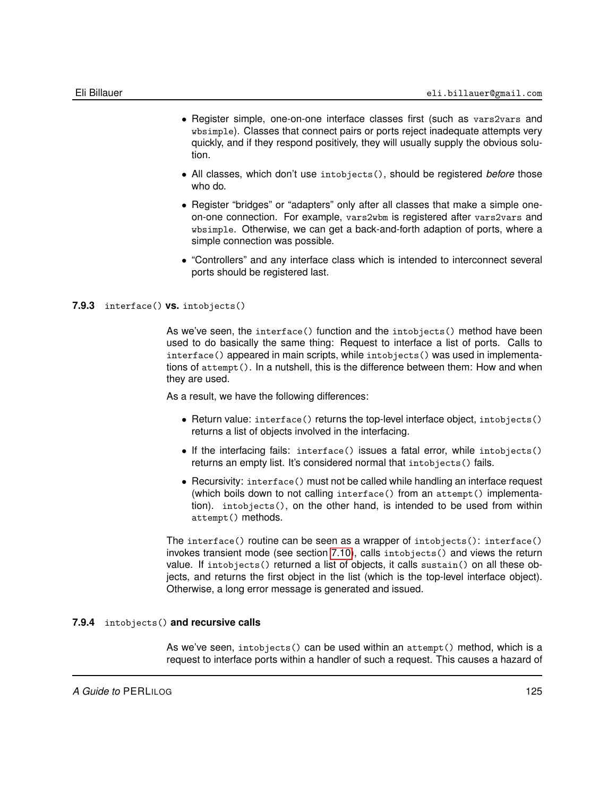- Register simple, one-on-one interface classes first (such as vars2vars and wbsimple). Classes that connect pairs or ports reject inadequate attempts very quickly, and if they respond positively, they will usually supply the obvious solution.
- All classes, which don't use intobjects(), should be registered *before* those who do.
- Register "bridges" or "adapters" only after all classes that make a simple oneon-one connection. For example, vars2wbm is registered after vars2vars and wbsimple. Otherwise, we can get a back-and-forth adaption of ports, where a simple connection was possible.
- "Controllers" and any interface class which is intended to interconnect several ports should be registered last.

#### **7.9.3** interface() **vs.** intobjects()

As we've seen, the interface() function and the intobjects() method have been used to do basically the same thing: Request to interface a list of ports. Calls to interface() appeared in main scripts, while intobjects() was used in implementations of attempt(). In a nutshell, this is the difference between them: How and when they are used.

As a result, we have the following differences:

- Return value: interface() returns the top-level interface object, intobjects() returns a list of objects involved in the interfacing.
- If the interfacing fails: interface() issues a fatal error, while intobjects() returns an empty list. It's considered normal that intobjects() fails.
- Recursivity: interface() must not be called while handling an interface request (which boils down to not calling interface() from an attempt() implementation). intobjects(), on the other hand, is intended to be used from within attempt() methods.

The interface() routine can be seen as a wrapper of intobjects(): interface() invokes transient mode (see section [7.10\)](#page-125-0), calls intobjects() and views the return value. If intobjects() returned a list of objects, it calls sustain() on all these objects, and returns the first object in the list (which is the top-level interface object). Otherwise, a long error message is generated and issued.

# **7.9.4** intobjects() **and recursive calls**

As we've seen, intobjects() can be used within an attempt() method, which is a request to interface ports within a handler of such a request. This causes a hazard of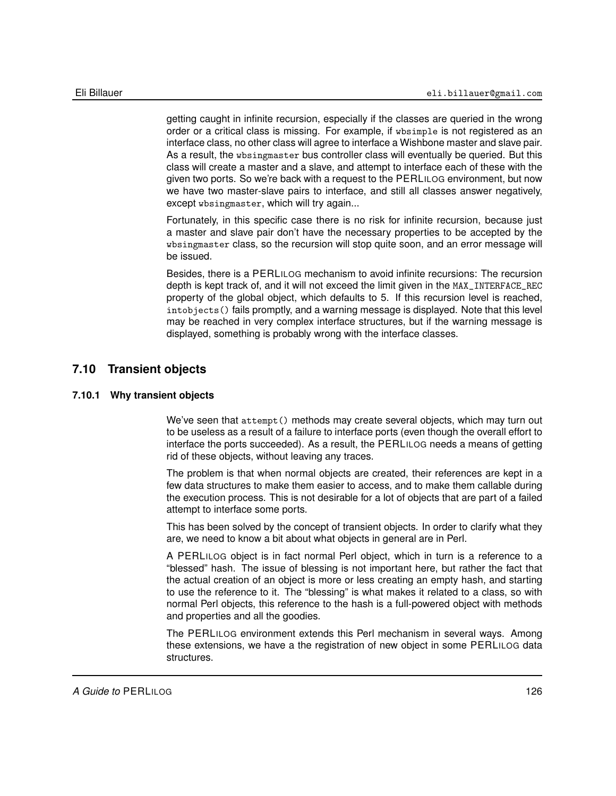getting caught in infinite recursion, especially if the classes are queried in the wrong order or a critical class is missing. For example, if wbsimple is not registered as an interface class, no other class will agree to interface a Wishbone master and slave pair. As a result, the wbsingmaster bus controller class will eventually be queried. But this class will create a master and a slave, and attempt to interface each of these with the given two ports. So we're back with a request to the PERLILOG environment, but now we have two master-slave pairs to interface, and still all classes answer negatively, except wbsingmaster, which will try again...

Fortunately, in this specific case there is no risk for infinite recursion, because just a master and slave pair don't have the necessary properties to be accepted by the wbsingmaster class, so the recursion will stop quite soon, and an error message will be issued.

Besides, there is a PERLILOG mechanism to avoid infinite recursions: The recursion depth is kept track of, and it will not exceed the limit given in the MAX\_INTERFACE\_REC property of the global object, which defaults to 5. If this recursion level is reached, intobjects() fails promptly, and a warning message is displayed. Note that this level may be reached in very complex interface structures, but if the warning message is displayed, something is probably wrong with the interface classes.

# **7.10 Transient objects**

# **7.10.1 Why transient objects**

<span id="page-125-0"></span>We've seen that attempt() methods may create several objects, which may turn out to be useless as a result of a failure to interface ports (even though the overall effort to interface the ports succeeded). As a result, the PERLILOG needs a means of getting rid of these objects, without leaving any traces.

The problem is that when normal objects are created, their references are kept in a few data structures to make them easier to access, and to make them callable during the execution process. This is not desirable for a lot of objects that are part of a failed attempt to interface some ports.

This has been solved by the concept of transient objects. In order to clarify what they are, we need to know a bit about what objects in general are in Perl.

A PERLILOG object is in fact normal Perl object, which in turn is a reference to a "blessed" hash. The issue of blessing is not important here, but rather the fact that the actual creation of an object is more or less creating an empty hash, and starting to use the reference to it. The "blessing" is what makes it related to a class, so with normal Perl objects, this reference to the hash is a full-powered object with methods and properties and all the goodies.

The PERLILOG environment extends this Perl mechanism in several ways. Among these extensions, we have a the registration of new object in some PERLILOG data structures.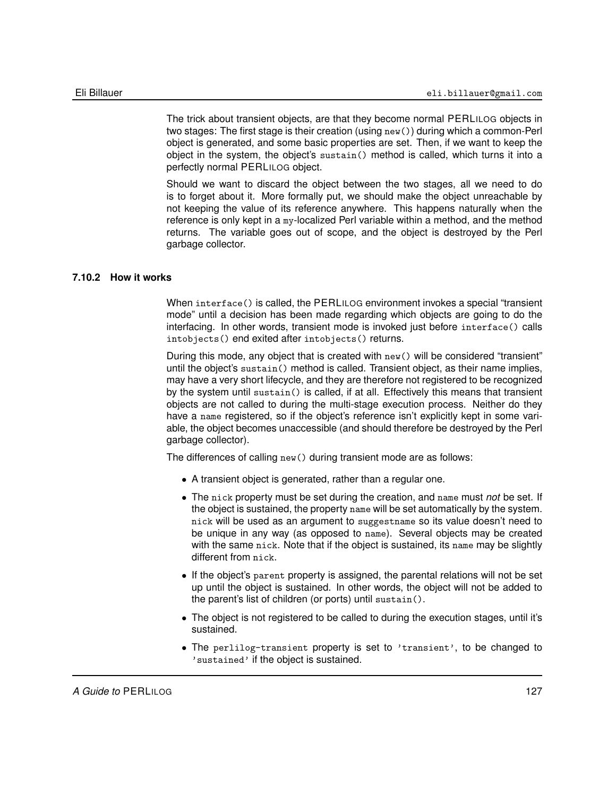The trick about transient objects, are that they become normal PERLILOG objects in two stages: The first stage is their creation (using new()) during which a common-Perl object is generated, and some basic properties are set. Then, if we want to keep the object in the system, the object's sustain() method is called, which turns it into a perfectly normal PERLILOG object.

Should we want to discard the object between the two stages, all we need to do is to forget about it. More formally put, we should make the object unreachable by not keeping the value of its reference anywhere. This happens naturally when the reference is only kept in a my-localized Perl variable within a method, and the method returns. The variable goes out of scope, and the object is destroyed by the Perl garbage collector.

# **7.10.2 How it works**

When interface() is called, the PERLILOG environment invokes a special "transient mode" until a decision has been made regarding which objects are going to do the interfacing. In other words, transient mode is invoked just before interface() calls intobjects() end exited after intobjects() returns.

During this mode, any object that is created with new() will be considered "transient" until the object's sustain() method is called. Transient object, as their name implies, may have a very short lifecycle, and they are therefore not registered to be recognized by the system until sustain() is called, if at all. Effectively this means that transient objects are not called to during the multi-stage execution process. Neither do they have a name registered, so if the object's reference isn't explicitly kept in some variable, the object becomes unaccessible (and should therefore be destroyed by the Perl garbage collector).

The differences of calling new() during transient mode are as follows:

- A transient object is generated, rather than a regular one.
- The nick property must be set during the creation, and name must *not* be set. If the object is sustained, the property name will be set automatically by the system. nick will be used as an argument to suggestname so its value doesn't need to be unique in any way (as opposed to name). Several objects may be created with the same nick. Note that if the object is sustained, its name may be slightly different from nick.
- If the object's parent property is assigned, the parental relations will not be set up until the object is sustained. In other words, the object will not be added to the parent's list of children (or ports) until sustain().
- The object is not registered to be called to during the execution stages, until it's sustained.
- The perlilog-transient property is set to 'transient', to be changed to 'sustained' if the object is sustained.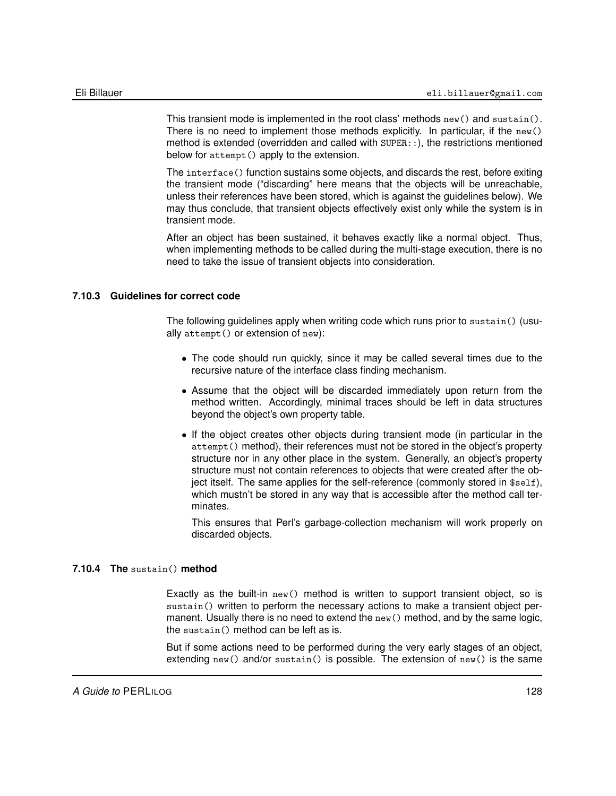This transient mode is implemented in the root class' methods  $new()$  and sustain(). There is no need to implement those methods explicitly. In particular, if the new() method is extended (overridden and called with SUPER::), the restrictions mentioned below for attempt() apply to the extension.

The interface() function sustains some objects, and discards the rest, before exiting the transient mode ("discarding" here means that the objects will be unreachable, unless their references have been stored, which is against the guidelines below). We may thus conclude, that transient objects effectively exist only while the system is in transient mode.

After an object has been sustained, it behaves exactly like a normal object. Thus, when implementing methods to be called during the multi-stage execution, there is no need to take the issue of transient objects into consideration.

# **7.10.3 Guidelines for correct code**

The following guidelines apply when writing code which runs prior to sustain() (usually attempt() or extension of new):

- The code should run quickly, since it may be called several times due to the recursive nature of the interface class finding mechanism.
- Assume that the object will be discarded immediately upon return from the method written. Accordingly, minimal traces should be left in data structures beyond the object's own property table.
- If the object creates other objects during transient mode (in particular in the attempt() method), their references must not be stored in the object's property structure nor in any other place in the system. Generally, an object's property structure must not contain references to objects that were created after the object itself. The same applies for the self-reference (commonly stored in \$self), which mustn't be stored in any way that is accessible after the method call terminates.

This ensures that Perl's garbage-collection mechanism will work properly on discarded objects.

### **7.10.4 The** sustain() **method**

<span id="page-127-0"></span>Exactly as the built-in  $new()$  method is written to support transient object, so is sustain() written to perform the necessary actions to make a transient object permanent. Usually there is no need to extend the new() method, and by the same logic, the sustain() method can be left as is.

But if some actions need to be performed during the very early stages of an object, extending new() and/or sustain() is possible. The extension of new() is the same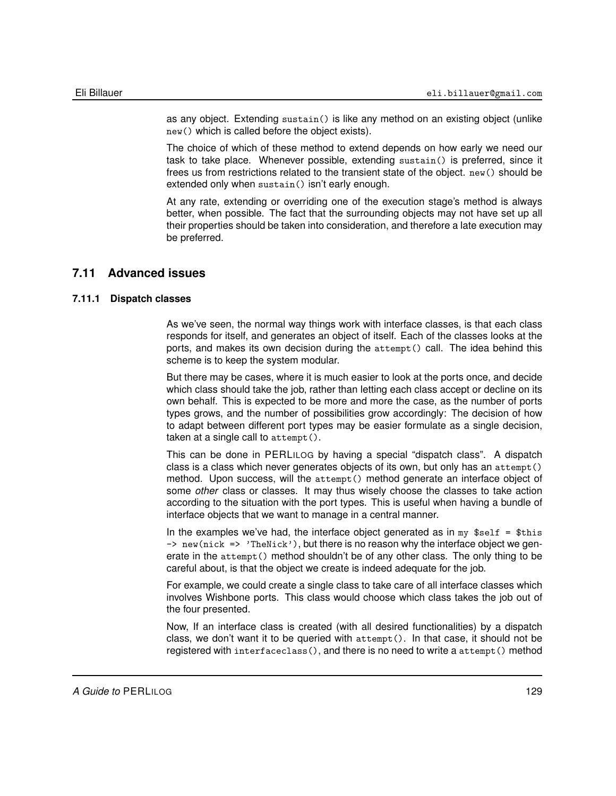as any object. Extending sustain() is like any method on an existing object (unlike new() which is called before the object exists).

The choice of which of these method to extend depends on how early we need our task to take place. Whenever possible, extending sustain() is preferred, since it frees us from restrictions related to the transient state of the object. new() should be extended only when sustain() isn't early enough.

At any rate, extending or overriding one of the execution stage's method is always better, when possible. The fact that the surrounding objects may not have set up all their properties should be taken into consideration, and therefore a late execution may be preferred.

# **7.11 Advanced issues**

# **7.11.1 Dispatch classes**

As we've seen, the normal way things work with interface classes, is that each class responds for itself, and generates an object of itself. Each of the classes looks at the ports, and makes its own decision during the attempt() call. The idea behind this scheme is to keep the system modular.

But there may be cases, where it is much easier to look at the ports once, and decide which class should take the job, rather than letting each class accept or decline on its own behalf. This is expected to be more and more the case, as the number of ports types grows, and the number of possibilities grow accordingly: The decision of how to adapt between different port types may be easier formulate as a single decision, taken at a single call to attempt().

This can be done in PERLILOG by having a special "dispatch class". A dispatch class is a class which never generates objects of its own, but only has an attempt() method. Upon success, will the attempt() method generate an interface object of some *other* class or classes. It may thus wisely choose the classes to take action according to the situation with the port types. This is useful when having a bundle of interface objects that we want to manage in a central manner.

In the examples we've had, the interface object generated as in  $my$  \$self = \$this  $\rightarrow$  new(nick => 'TheNick'), but there is no reason why the interface object we generate in the attempt () method shouldn't be of any other class. The only thing to be careful about, is that the object we create is indeed adequate for the job.

For example, we could create a single class to take care of all interface classes which involves Wishbone ports. This class would choose which class takes the job out of the four presented.

Now, If an interface class is created (with all desired functionalities) by a dispatch class, we don't want it to be queried with attempt(). In that case, it should not be registered with interfaceclass(), and there is no need to write a attempt() method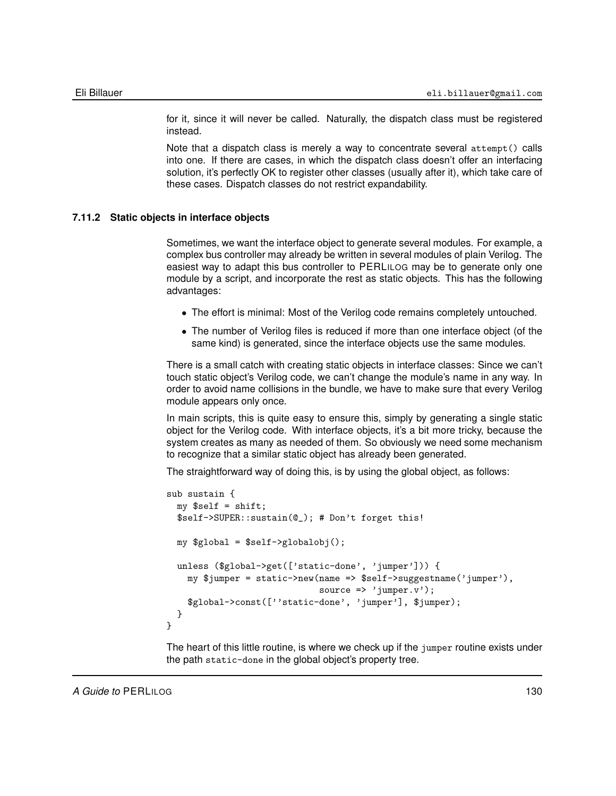for it, since it will never be called. Naturally, the dispatch class must be registered instead.

Note that a dispatch class is merely a way to concentrate several attempt() calls into one. If there are cases, in which the dispatch class doesn't offer an interfacing solution, it's perfectly OK to register other classes (usually after it), which take care of these cases. Dispatch classes do not restrict expandability.

# **7.11.2 Static objects in interface objects**

Sometimes, we want the interface object to generate several modules. For example, a complex bus controller may already be written in several modules of plain Verilog. The easiest way to adapt this bus controller to PERLILOG may be to generate only one module by a script, and incorporate the rest as static objects. This has the following advantages:

- The effort is minimal: Most of the Verilog code remains completely untouched.
- The number of Verilog files is reduced if more than one interface object (of the same kind) is generated, since the interface objects use the same modules.

There is a small catch with creating static objects in interface classes: Since we can't touch static object's Verilog code, we can't change the module's name in any way. In order to avoid name collisions in the bundle, we have to make sure that every Verilog module appears only once.

In main scripts, this is quite easy to ensure this, simply by generating a single static object for the Verilog code. With interface objects, it's a bit more tricky, because the system creates as many as needed of them. So obviously we need some mechanism to recognize that a similar static object has already been generated.

The straightforward way of doing this, is by using the global object, as follows:

```
sub sustain {
 my $self = shift;$self->SUPER::sustain(@_); # Don't forget this!
 my $global = $self->globalobj();
  unless ($global->get(['static-done', 'jumper'])) {
    my $jumper = static->new(name => $self->suggestname('jumper'),
                              source \Rightarrow 'jumper.v');
    $global->const([''static-done', 'jumper'], $jumper);
  }
}
```
The heart of this little routine, is where we check up if the jumper routine exists under the path static-done in the global object's property tree.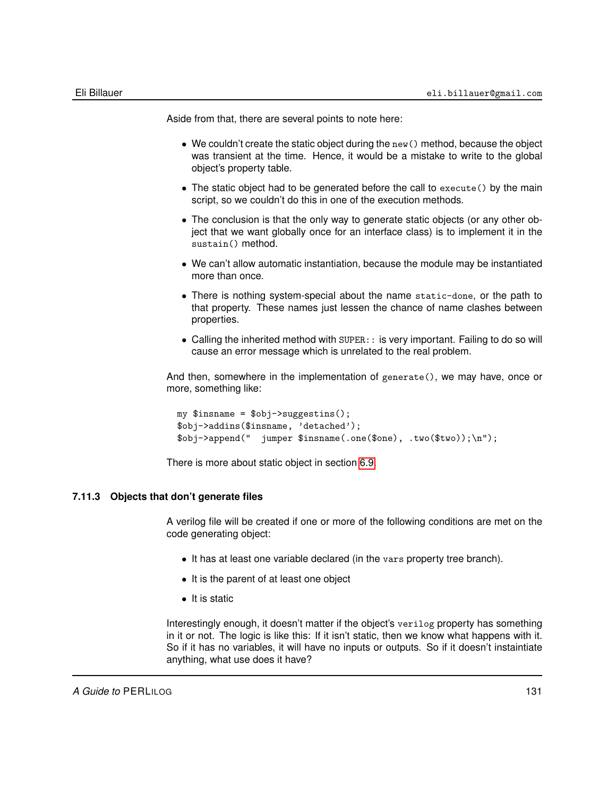Aside from that, there are several points to note here:

- We couldn't create the static object during the new() method, because the object was transient at the time. Hence, it would be a mistake to write to the global object's property table.
- The static object had to be generated before the call to execute() by the main script, so we couldn't do this in one of the execution methods.
- The conclusion is that the only way to generate static objects (or any other object that we want globally once for an interface class) is to implement it in the sustain() method.
- We can't allow automatic instantiation, because the module may be instantiated more than once.
- There is nothing system-special about the name static-done, or the path to that property. These names just lessen the chance of name clashes between properties.
- Calling the inherited method with SUPER: : is very important. Failing to do so will cause an error message which is unrelated to the real problem.

And then, somewhere in the implementation of generate(), we may have, once or more, something like:

```
my $insname = $obj->suggestins();
$obj->addins($insname, 'detached');
$obj->append(" jumper $insname(.one($one), .two($two));\n");
```
There is more about static object in section [6.9.](#page-84-0)

### **7.11.3 Objects that don't generate files**

A verilog file will be created if one or more of the following conditions are met on the code generating object:

- It has at least one variable declared (in the vars property tree branch).
- It is the parent of at least one object
- It is static

Interestingly enough, it doesn't matter if the object's verilog property has something in it or not. The logic is like this: If it isn't static, then we know what happens with it. So if it has no variables, it will have no inputs or outputs. So if it doesn't instaintiate anything, what use does it have?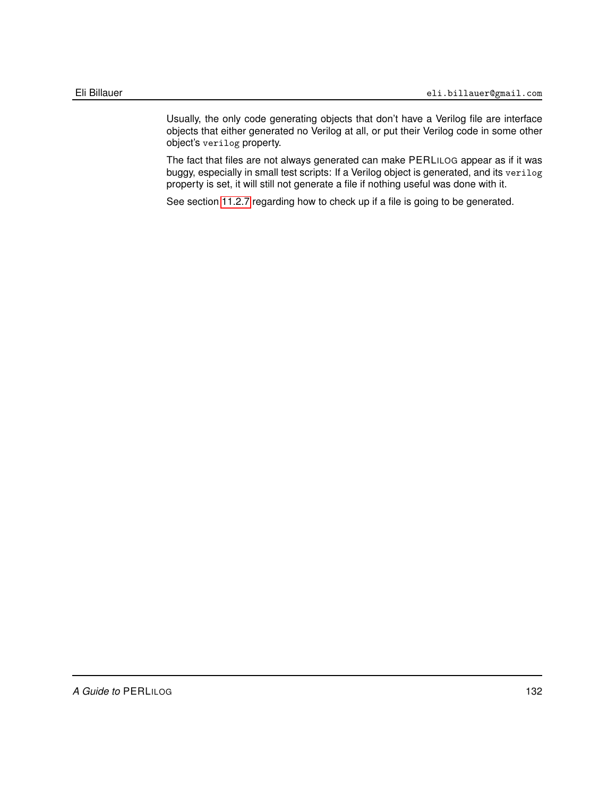Usually, the only code generating objects that don't have a Verilog file are interface objects that either generated no Verilog at all, or put their Verilog code in some other object's verilog property.

The fact that files are not always generated can make PERLILOG appear as if it was buggy, especially in small test scripts: If a Verilog object is generated, and its verilog property is set, it will still not generate a file if nothing useful was done with it.

See section [11.2.7](#page-177-0) regarding how to check up if a file is going to be generated.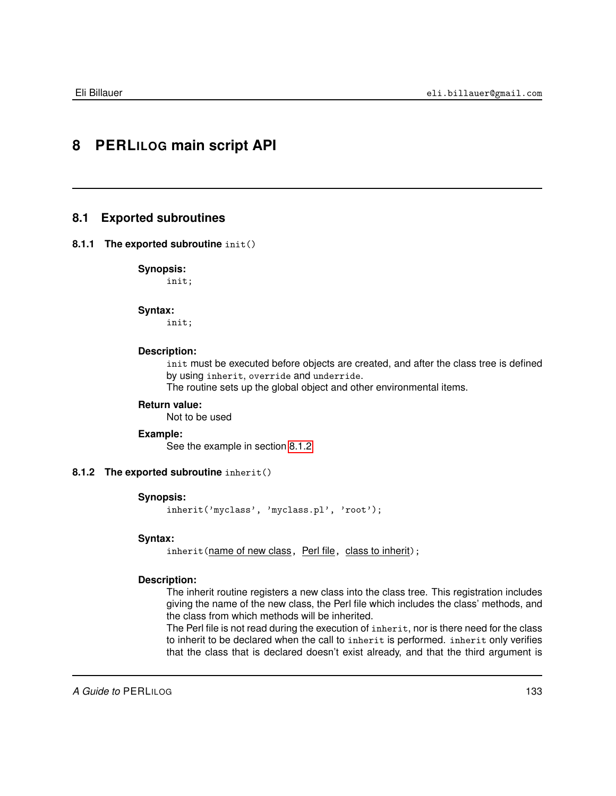# **8 PERLILOG main script API**

# **8.1 Exported subroutines**

# **8.1.1 The exported subroutine** init()

**Synopsis:**

init;

#### **Syntax:**

init;

### **Description:**

init must be executed before objects are created, and after the class tree is defined by using inherit, override and underride.

The routine sets up the global object and other environmental items.

# **Return value:**

Not to be used

# **Example:**

<span id="page-132-0"></span>See the example in section [8.1.2](#page-132-0)

# **8.1.2 The exported subroutine** inherit()

# **Synopsis:**

inherit('myclass', 'myclass.pl', 'root');

#### **Syntax:**

inherit(name of new class, Perl file, class to inherit);

# **Description:**

The inherit routine registers a new class into the class tree. This registration includes giving the name of the new class, the Perl file which includes the class' methods, and the class from which methods will be inherited.

The Perl file is not read during the execution of inherit, nor is there need for the class to inherit to be declared when the call to inherit is performed. inherit only verifies that the class that is declared doesn't exist already, and that the third argument is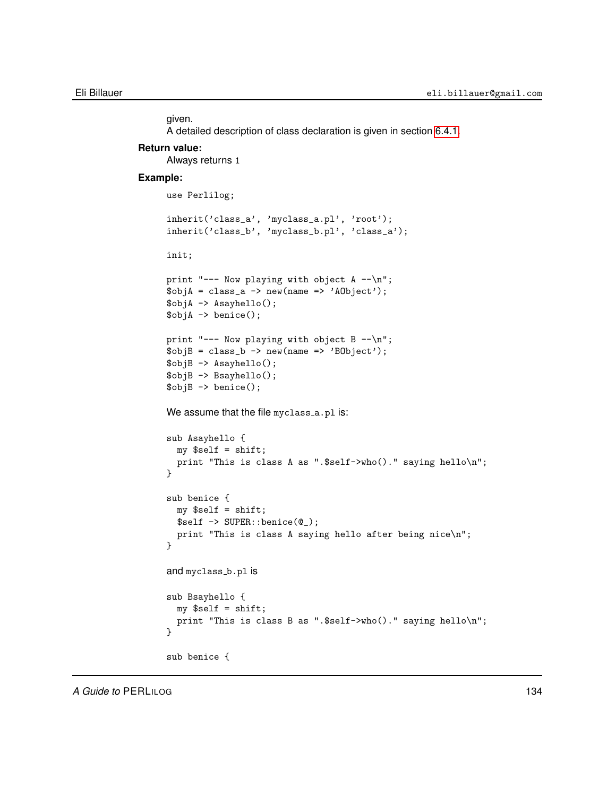given. A detailed description of class declaration is given in section [6.4.1.](#page-67-0)

# **Return value:** Always returns 1

#### **Example:**

```
use Perlilog;
inherit('class_a', 'myclass_a.pl', 'root');
inherit('class_b', 'myclass_b.pl', 'class_a');
init;
print "--- Now playing with object A --\n";
\text{SobjA} = \text{class}_a \rightarrow \text{new}(\text{name} \Rightarrow \text{'AObject'});
$objA -> Asayhello();
$objA -> benice();
print "--- Now playing with object B -\n\alpha";
\text{SobjB} = \text{class_b} \rightarrow \text{new(name => 'BObject'); }$objB -> Asayhello();
$objB -> Bsayhello();
$objB -> benice();
We assume that the file myclass_a.pl is:
sub Asayhello {
  my $self = shift;
  print "This is class A as ".$self->who()." saying hello\n";
}
sub benice {
 my $self = shift;
  $self -> SUPER::benice(@_);
  print "This is class A saying hello after being nice\n";
}
and myclass_b.pl is
sub Bsayhello {
  my $self = shift;
  print "This is class B as ".$self->who()." saying hello\n";
}
sub benice {
```
A Guide to PERLILOG **134**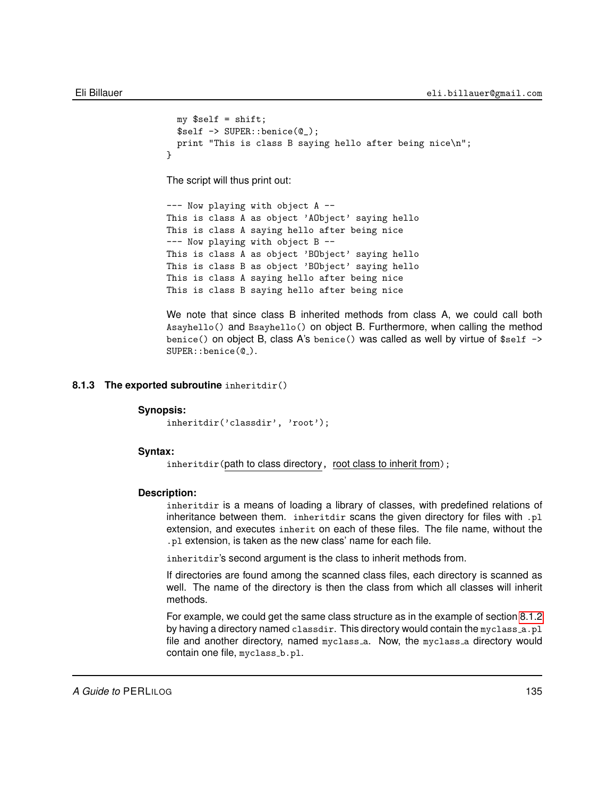```
my $self = shift;$self -> SUPER::benice(@_);
 print "This is class B saying hello after being nice\n";
}
```
The script will thus print out:

```
--- Now playing with object A --
This is class A as object 'AObject' saying hello
This is class A saying hello after being nice
--- Now playing with object B --
This is class A as object 'BObject' saying hello
This is class B as object 'BObject' saying hello
This is class A saying hello after being nice
This is class B saying hello after being nice
```

```
We note that since class B inherited methods from class A, we could call both
Asayhello() and Bsayhello() on object B. Furthermore, when calling the method
benice() on object B, class A's benice() was called as well by virtue of $self ->
SUPER::benice(0).
```
# **8.1.3 The exported subroutine** inheritdir()

#### **Synopsis:**

inheritdir('classdir', 'root');

#### **Syntax:**

inheritdir(path to class directory, root class to inherit from);

#### **Description:**

inheritdir is a means of loading a library of classes, with predefined relations of inheritance between them. inheritdir scans the given directory for files with .pl extension, and executes inherit on each of these files. The file name, without the .pl extension, is taken as the new class' name for each file.

inheritdir's second argument is the class to inherit methods from.

If directories are found among the scanned class files, each directory is scanned as well. The name of the directory is then the class from which all classes will inherit methods.

For example, we could get the same class structure as in the example of section [8.1.2](#page-132-0) by having a directory named classdir. This directory would contain the myclass\_a.pl file and another directory, named myclass\_a. Now, the myclass\_a directory would contain one file, myclass\_b.pl.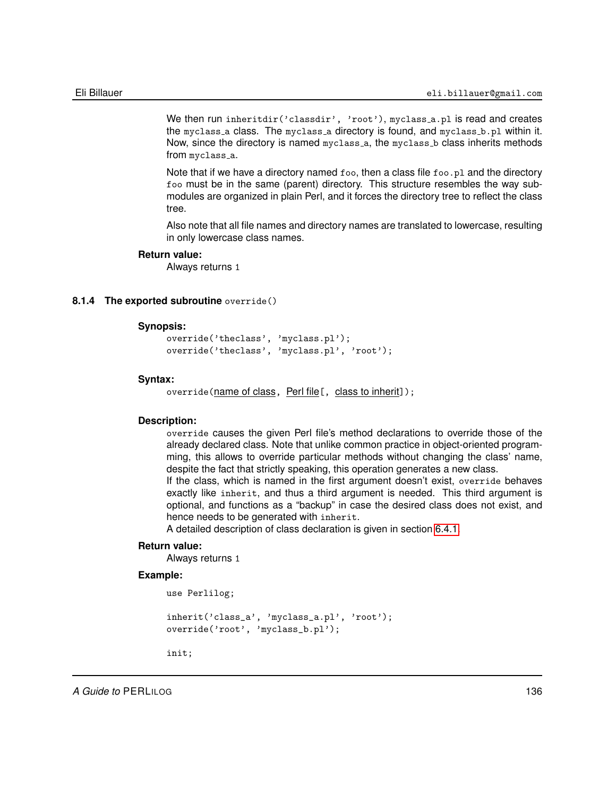We then run inheritdir('classdir', 'root'), myclass\_a.pl is read and creates the myclass a class. The myclass a directory is found, and myclass b.pl within it. Now, since the directory is named myclass a, the myclass b class inherits methods from myclass a.

Note that if we have a directory named  $f \circ \circ f$ , then a class file  $f \circ \circ f$ . and the directory foo must be in the same (parent) directory. This structure resembles the way submodules are organized in plain Perl, and it forces the directory tree to reflect the class tree.

Also note that all file names and directory names are translated to lowercase, resulting in only lowercase class names.

# **Return value:**

Always returns 1

## **8.1.4 The exported subroutine** override()

## **Synopsis:**

```
override('theclass', 'myclass.pl');
override('theclass', 'myclass.pl', 'root');
```
#### **Syntax:**

override(name of class, Perl file[, class to inherit]);

# **Description:**

override causes the given Perl file's method declarations to override those of the already declared class. Note that unlike common practice in object-oriented programming, this allows to override particular methods without changing the class' name, despite the fact that strictly speaking, this operation generates a new class.

If the class, which is named in the first argument doesn't exist, override behaves exactly like inherit, and thus a third argument is needed. This third argument is optional, and functions as a "backup" in case the desired class does not exist, and hence needs to be generated with inherit.

A detailed description of class declaration is given in section [6.4.1.](#page-67-0)

# **Return value:**

Always returns 1

#### **Example:**

```
use Perlilog;
```

```
inherit('class_a', 'myclass_a.pl', 'root');
override('root', 'myclass_b.pl');
```
init;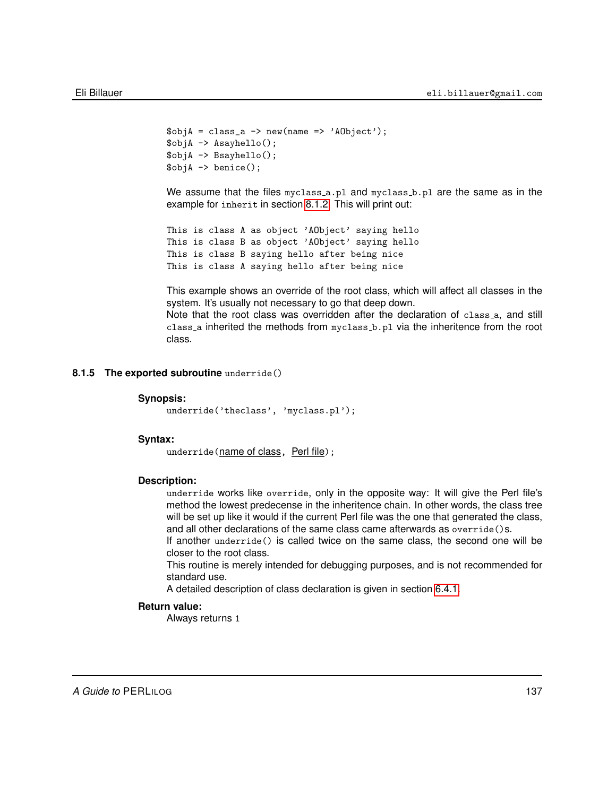```
\text{SobjA} = \text{class}_a \rightarrow \text{new}(\text{name} \Rightarrow \text{'AObject'});
$objA -> Asayhello();
$objA -> Bsayhello();
\text{SobiA} \rightarrow \text{benice}();
```
We assume that the files myclass<sub>-a.pl</sub> and myclass<sub>-b.pl</sub> are the same as in the example for inherit in section [8.1.2.](#page-132-0) This will print out:

```
This is class A as object 'AObject' saying hello
This is class B as object 'AObject' saying hello
This is class B saying hello after being nice
This is class A saying hello after being nice
```
This example shows an override of the root class, which will affect all classes in the system. It's usually not necessary to go that deep down.

Note that the root class was overridden after the declaration of class a, and still class a inherited the methods from myclass b.pl via the inheritence from the root class.

#### **8.1.5 The exported subroutine** underride()

#### **Synopsis:**

underride('theclass', 'myclass.pl');

#### **Syntax:**

underride(name of class, Perl file);

### **Description:**

underride works like override, only in the opposite way: It will give the Perl file's method the lowest predecense in the inheritence chain. In other words, the class tree will be set up like it would if the current Perl file was the one that generated the class, and all other declarations of the same class came afterwards as override()s.

If another underride() is called twice on the same class, the second one will be closer to the root class.

This routine is merely intended for debugging purposes, and is not recommended for standard use.

A detailed description of class declaration is given in section [6.4.1.](#page-67-0)

#### **Return value:**

Always returns 1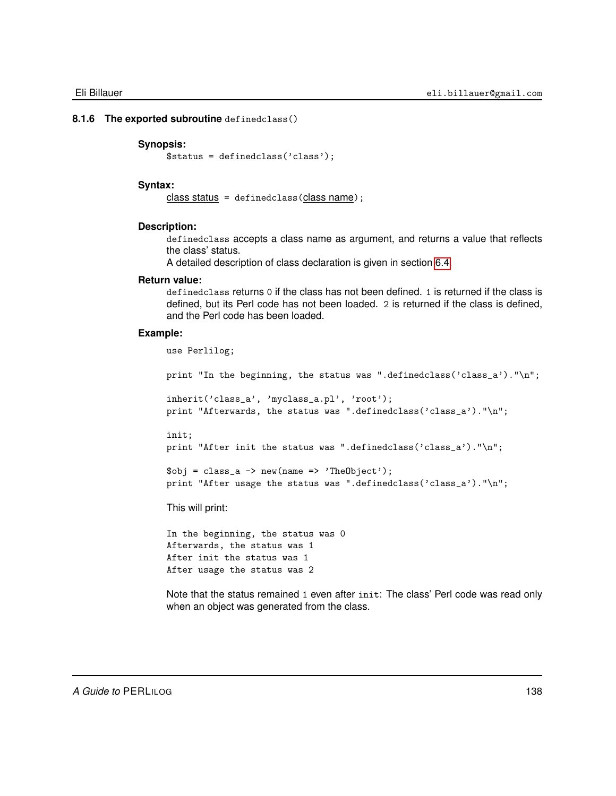#### **8.1.6 The exported subroutine** definedclass()

### **Synopsis:**

\$status = definedclass('class');

#### **Syntax:**

class status = definedclass(class name);

#### **Description:**

definedclass accepts a class name as argument, and returns a value that reflects the class' status.

A detailed description of class declaration is given in section [6.4.](#page-67-1)

# **Return value:**

definedclass returns 0 if the class has not been defined. 1 is returned if the class is defined, but its Perl code has not been loaded. 2 is returned if the class is defined, and the Perl code has been loaded.

### **Example:**

```
use Perlilog;
print "In the beginning, the status was ".definedclass('class_a')."\n";
inherit('class_a', 'myclass_a.pl', 'root');
print "Afterwards, the status was ".definedclass('class_a')."\n";
init;
print "After init the status was ".definedclass('class_a')."\n";
\text{Sobj} = \text{class}_a \rightarrow \text{new}(\text{name} \Rightarrow \text{'TheObject'});print "After usage the status was ".definedclass('class_a')."\n";
This will print:
```
In the beginning, the status was 0 Afterwards, the status was 1 After init the status was 1 After usage the status was 2

Note that the status remained 1 even after init: The class' Perl code was read only when an object was generated from the class.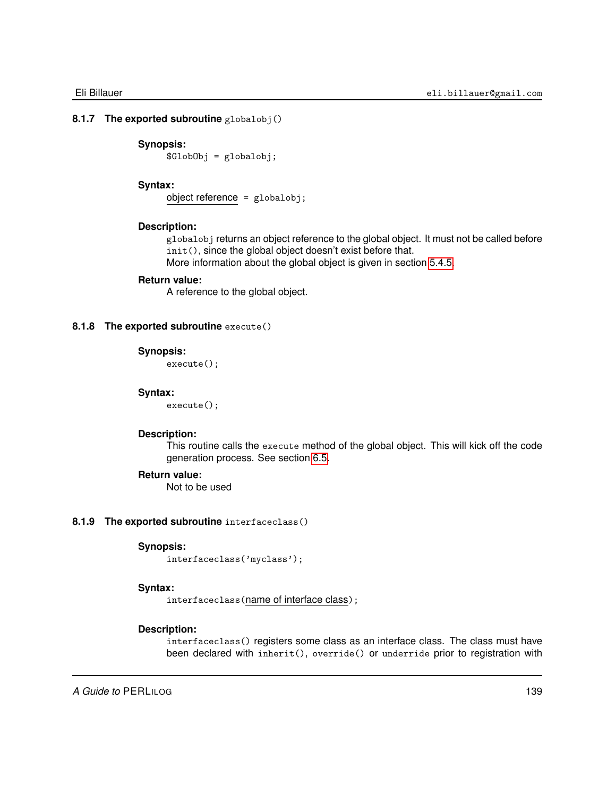# **8.1.7 The exported subroutine** globalobj()

# **Synopsis:**

\$GlobObj = globalobj;

# **Syntax:**

object reference = globalobj;

# **Description:**

globalobj returns an object reference to the global object. It must not be called before init(), since the global object doesn't exist before that.

More information about the global object is given in section [5.4.5.](#page-60-0)

# **Return value:**

A reference to the global object.

# **8.1.8 The exported subroutine** execute()

# **Synopsis:**

execute();

# **Syntax:**

execute();

#### **Description:**

This routine calls the execute method of the global object. This will kick off the code generation process. See section [6.5.](#page-74-0)

## **Return value:**

Not to be used

### **8.1.9 The exported subroutine** interfaceclass()

# **Synopsis:**

interfaceclass('myclass');

#### **Syntax:**

interfaceclass(name of interface class);

# **Description:**

interfaceclass() registers some class as an interface class. The class must have been declared with inherit(), override() or underride prior to registration with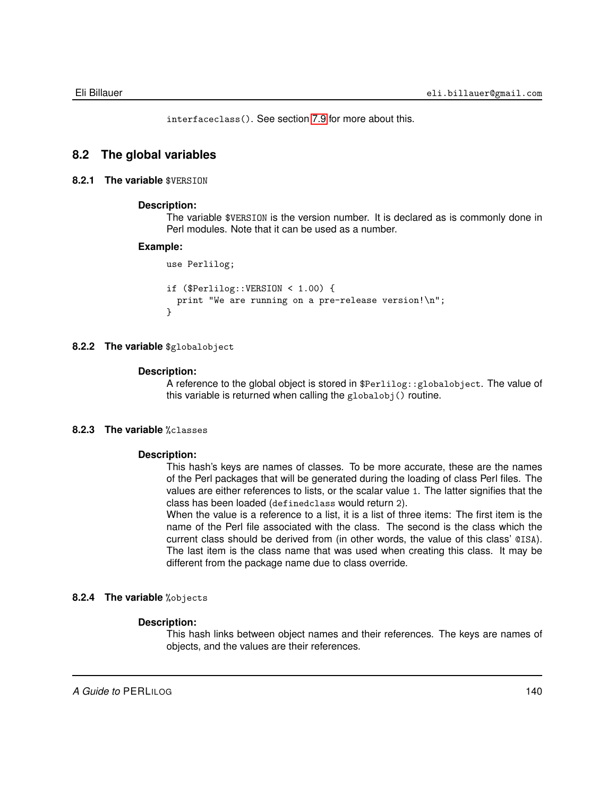interfaceclass(). See section [7.9](#page-123-0) for more about this.

# **8.2 The global variables**

# **8.2.1 The variable** \$VERSION

# **Description:**

The variable \$VERSION is the version number. It is declared as is commonly done in Perl modules. Note that it can be used as a number.

#### **Example:**

```
use Perlilog;
if ($Perlilog::VERSION < 1.00) {
  print "We are running on a pre-release version!\n";
}
```
# **8.2.2 The variable** \$globalobject

# **Description:**

A reference to the global object is stored in \$Perlilog::globalobject. The value of this variable is returned when calling the globalobj() routine.

# **8.2.3 The variable** %classes

#### **Description:**

This hash's keys are names of classes. To be more accurate, these are the names of the Perl packages that will be generated during the loading of class Perl files. The values are either references to lists, or the scalar value 1. The latter signifies that the class has been loaded (definedclass would return 2).

When the value is a reference to a list, it is a list of three items: The first item is the name of the Perl file associated with the class. The second is the class which the current class should be derived from (in other words, the value of this class' @ISA). The last item is the class name that was used when creating this class. It may be different from the package name due to class override.

# **8.2.4 The variable** %objects

### **Description:**

This hash links between object names and their references. The keys are names of objects, and the values are their references.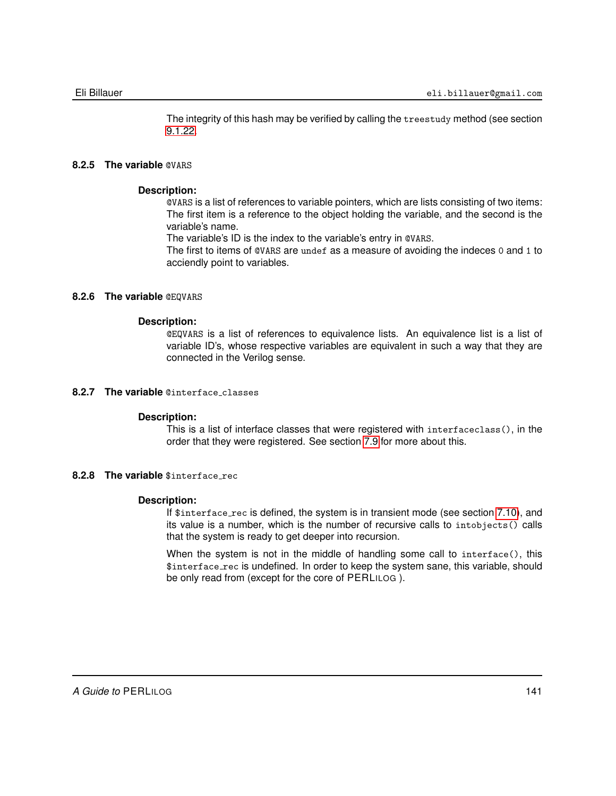The integrity of this hash may be verified by calling the treestudy method (see section [9.1.22.](#page-160-0)

# **8.2.5 The variable** @VARS

# **Description:**

@VARS is a list of references to variable pointers, which are lists consisting of two items: The first item is a reference to the object holding the variable, and the second is the variable's name.

The variable's ID is the index to the variable's entry in @VARS.

The first to items of @VARS are undef as a measure of avoiding the indeces 0 and 1 to acciendly point to variables.

# **8.2.6 The variable** @EQVARS

# **Description:**

@EQVARS is a list of references to equivalence lists. An equivalence list is a list of variable ID's, whose respective variables are equivalent in such a way that they are connected in the Verilog sense.

# **8.2.7 The variable** @interface classes

#### **Description:**

This is a list of interface classes that were registered with interfaceclass(), in the order that they were registered. See section [7.9](#page-123-0) for more about this.

# **8.2.8 The variable** \$interface rec

# **Description:**

If \$interface\_rec is defined, the system is in transient mode (see section [7.10\)](#page-125-0), and its value is a number, which is the number of recursive calls to intobjects() calls that the system is ready to get deeper into recursion.

When the system is not in the middle of handling some call to interface(), this \$interface rec is undefined. In order to keep the system sane, this variable, should be only read from (except for the core of PERLILOG ).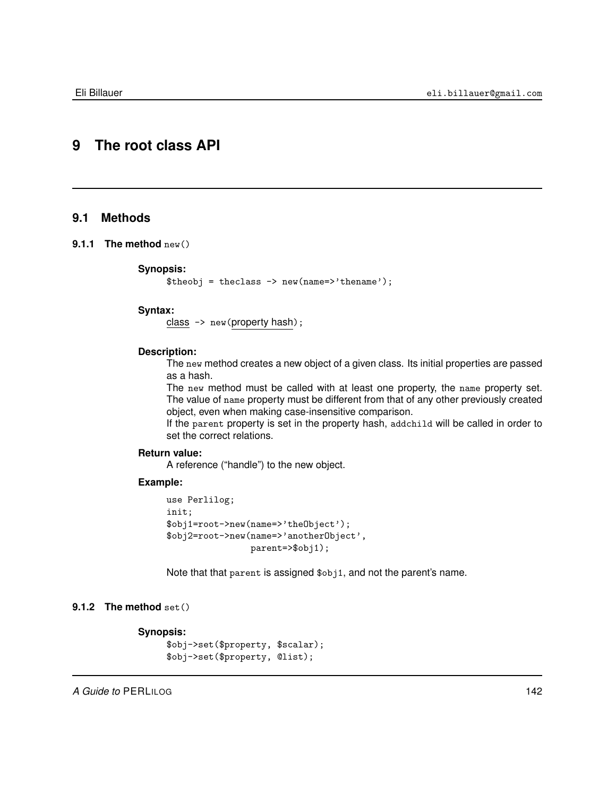# **9 The root class API**

# **9.1 Methods**

# **9.1.1 The method** new()

#### **Synopsis:**

 $$theobi = theclass -> new(name=>'thename');$ 

# **Syntax:**

class -> new(property hash);

# **Description:**

The new method creates a new object of a given class. Its initial properties are passed as a hash.

The new method must be called with at least one property, the name property set. The value of name property must be different from that of any other previously created object, even when making case-insensitive comparison.

If the parent property is set in the property hash, addchild will be called in order to set the correct relations.

# **Return value:**

A reference ("handle") to the new object.

# **Example:**

```
use Perlilog;
init;
$obj1=root->new(name=>'theObject');
$obj2=root->new(name=>'anotherObject',
                parent=>$obj1);
```
Note that that parent is assigned \$obj1, and not the parent's name.

# **9.1.2 The method** set()

```
Synopsis:
     $obj->set($property, $scalar);
     $obj->set($property, @list);
```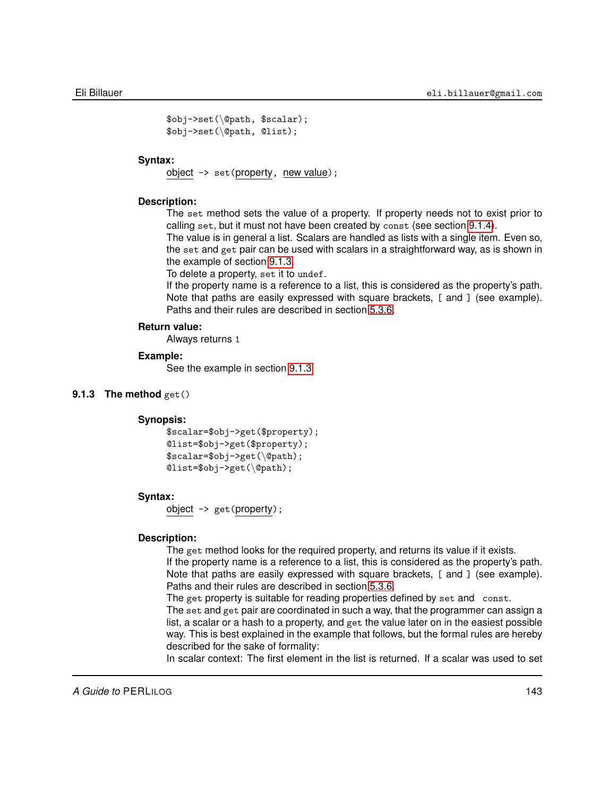```
$obj->set(\@path, $scalar);
$obj->set(\@path, @list);
```
# **Syntax:**

object -> set(property, new value);

# **Description:**

The set method sets the value of a property. If property needs not to exist prior to calling set, but it must not have been created by const (see section [9.1.4\)](#page-144-0).

The value is in general a list. Scalars are handled as lists with a single item. Even so, the set and get pair can be used with scalars in a straightforward way, as is shown in the example of section [9.1.3.](#page-142-0)

To delete a property, set it to undef.

If the property name is a reference to a list, this is considered as the property's path. Note that paths are easily expressed with square brackets, [ and ] (see example). Paths and their rules are described in section [5.3.6.](#page-57-0)

# **Return value:**

Always returns 1

# **Example:**

<span id="page-142-0"></span>See the example in section [9.1.3](#page-142-0)

# **9.1.3 The method** get()

# **Synopsis:**

```
$scalar=$obj->get($property);
@list=$obj->get($property);
$scalar=$obj->get(\@path);
@list=$obj->get(\@path);
```
### **Syntax:**

object -> get(property);

# **Description:**

The get method looks for the required property, and returns its value if it exists.

If the property name is a reference to a list, this is considered as the property's path. Note that paths are easily expressed with square brackets, [ and ] (see example). Paths and their rules are described in section [5.3.6.](#page-57-0)

The get property is suitable for reading properties defined by set and const.

The set and get pair are coordinated in such a way, that the programmer can assign a list, a scalar or a hash to a property, and get the value later on in the easiest possible way. This is best explained in the example that follows, but the formal rules are hereby described for the sake of formality:

In scalar context: The first element in the list is returned. If a scalar was used to set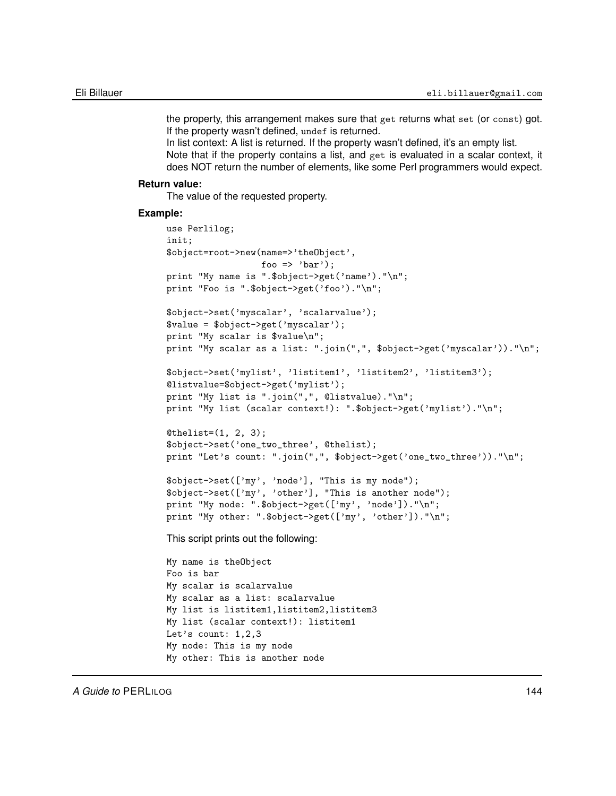the property, this arrangement makes sure that get returns what set (or const) got. If the property wasn't defined, undef is returned.

In list context: A list is returned. If the property wasn't defined, it's an empty list.

Note that if the property contains a list, and get is evaluated in a scalar context, it does NOT return the number of elements, like some Perl programmers would expect.

# **Return value:**

The value of the requested property.

#### **Example:**

```
use Perlilog;
init;
$object=root->new(name=>'theObject',
                  foo => 'bar');
print "My name is ".$object->get('name')."\n";
print "Foo is ".$object->get('foo')."\n";
$object->set('myscalar', 'scalarvalue');
$value = $object->get('myscalar');
print "My scalar is $value\n";
print "My scalar as a list: ".join(",", $object->get('myscalar'))."\n";
$object->set('mylist', 'listitem1', 'listitem2', 'listitem3');
@listvalue=$object->get('mylist');
print "My list is ".join(",", @listvalue)."\n";
print "My list (scalar context!): ".$object->get('mylist')."\n";
[0]thelist=(1, 2, 3);
$object->set('one_two_three', @thelist);
print "Let's count: ".join(",", $object->get('one_two_three'))."\n";
$object->set(['my', 'node'], "This is my node");
$object->set(['my', 'other'], "This is another node");
print "My node: ".$object->get(['my', 'node'])."\n";
print "My other: ".$object->get(['my', 'other'])."\n";
This script prints out the following:
My name is theObject
Foo is bar
My scalar is scalarvalue
My scalar as a list: scalarvalue
My list is listitem1,listitem2,listitem3
My list (scalar context!): listitem1
Let's count: 1,2,3
My node: This is my node
My other: This is another node
```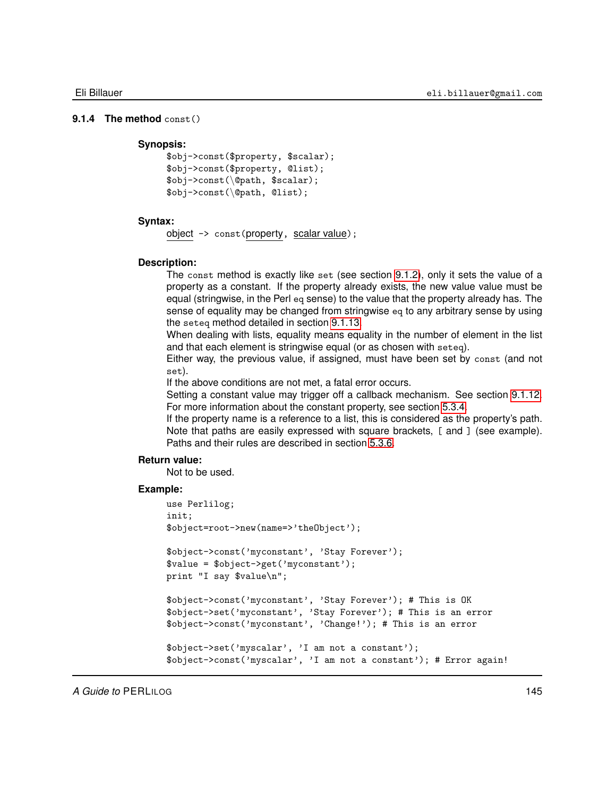## **9.1.4 The method** const()

## **Synopsis:**

```
$obj->const($property, $scalar);
$obj->const($property, @list);
$obj->const(\@path, $scalar);
$obj->const(\@path, @list);
```
## **Syntax:**

object -> const(property, scalar value);

### **Description:**

The const method is exactly like set (see section [9.1.2\)](#page-141-0), only it sets the value of a property as a constant. If the property already exists, the new value value must be equal (stringwise, in the Perl eq sense) to the value that the property already has. The sense of equality may be changed from stringwise eq to any arbitrary sense by using the seteq method detailed in section [9.1.13.](#page-153-0)

When dealing with lists, equality means equality in the number of element in the list and that each element is stringwise equal (or as chosen with seteq).

Either way, the previous value, if assigned, must have been set by const (and not set).

If the above conditions are not met, a fatal error occurs.

Setting a constant value may trigger off a callback mechanism. See section [9.1.12.](#page-151-0) For more information about the constant property, see section [5.3.4.](#page-55-0)

If the property name is a reference to a list, this is considered as the property's path. Note that paths are easily expressed with square brackets, [ and ] (see example). Paths and their rules are described in section [5.3.6.](#page-57-0)

## **Return value:**

Not to be used.

```
use Perlilog;
init;
$object=root->new(name=>'theObject');
$object->const('myconstant', 'Stay Forever');
$value = $object->get('myconstant');
print "I say $value\n";
$object->const('myconstant', 'Stay Forever'); # This is OK
$object->set('myconstant', 'Stay Forever'); # This is an error
$object->const('myconstant', 'Change!'); # This is an error
$object->set('myscalar', 'I am not a constant');
$object->const('myscalar', 'I am not a constant'); # Error again!
```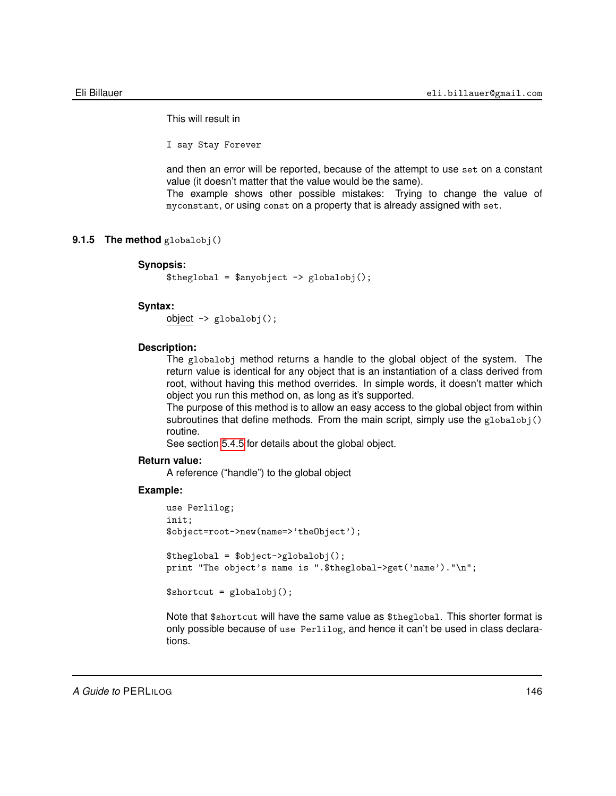This will result in

I say Stay Forever

and then an error will be reported, because of the attempt to use set on a constant value (it doesn't matter that the value would be the same).

The example shows other possible mistakes: Trying to change the value of myconstant, or using const on a property that is already assigned with set.

## **9.1.5 The method** globalobj()

## **Synopsis:**

 $$theglobal = $anyobject -> globalobj();$ 

### **Syntax:**

```
object -> globalobj();
```
## **Description:**

The globalobj method returns a handle to the global object of the system. The return value is identical for any object that is an instantiation of a class derived from root, without having this method overrides. In simple words, it doesn't matter which object you run this method on, as long as it's supported.

The purpose of this method is to allow an easy access to the global object from within subroutines that define methods. From the main script, simply use the  $g$ lobalobj() routine.

See section [5.4.5](#page-60-0) for details about the global object.

#### **Return value:**

A reference ("handle") to the global object

### **Example:**

```
use Perlilog;
init;
$object=root->new(name=>'theObject');
$the global = $object->globalobj();print "The object's name is ".$theglobal->get('name')."\n";
$shortcut = globalobj();
```
Note that \$shortcut will have the same value as \$theglobal. This shorter format is only possible because of use Perlilog, and hence it can't be used in class declarations.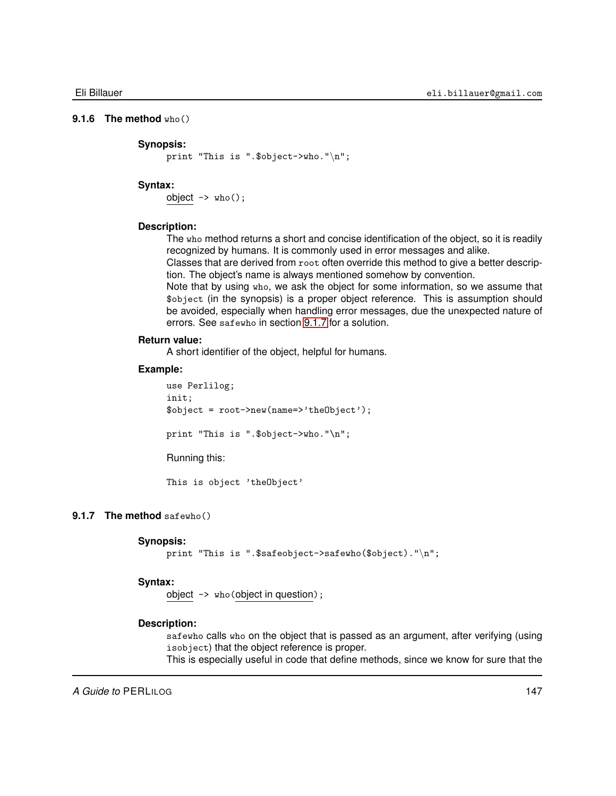## **9.1.6 The method** who()

### **Synopsis:**

print "This is ".\$object->who."\n";

## **Syntax:**

 $object \rightarrow who()$ ;

## **Description:**

The who method returns a short and concise identification of the object, so it is readily recognized by humans. It is commonly used in error messages and alike.

Classes that are derived from root often override this method to give a better description. The object's name is always mentioned somehow by convention.

Note that by using who, we ask the object for some information, so we assume that \$object (in the synopsis) is a proper object reference. This is assumption should be avoided, especially when handling error messages, due the unexpected nature of errors. See safewho in section [9.1.7](#page-146-0) for a solution.

## **Return value:**

A short identifier of the object, helpful for humans.

### **Example:**

use Perlilog; init; \$object = root->new(name=>'theObject'); print "This is ".\$object->who."\n"; Running this: This is object 'theObject'

## **9.1.7 The method** safewho()

## <span id="page-146-0"></span>**Synopsis:**

```
print "This is ".$safeobject->safewho($object)."\n";
```
## **Syntax:**

object -> who(object in question);

### **Description:**

safewho calls who on the object that is passed as an argument, after verifying (using isobject) that the object reference is proper.

This is especially useful in code that define methods, since we know for sure that the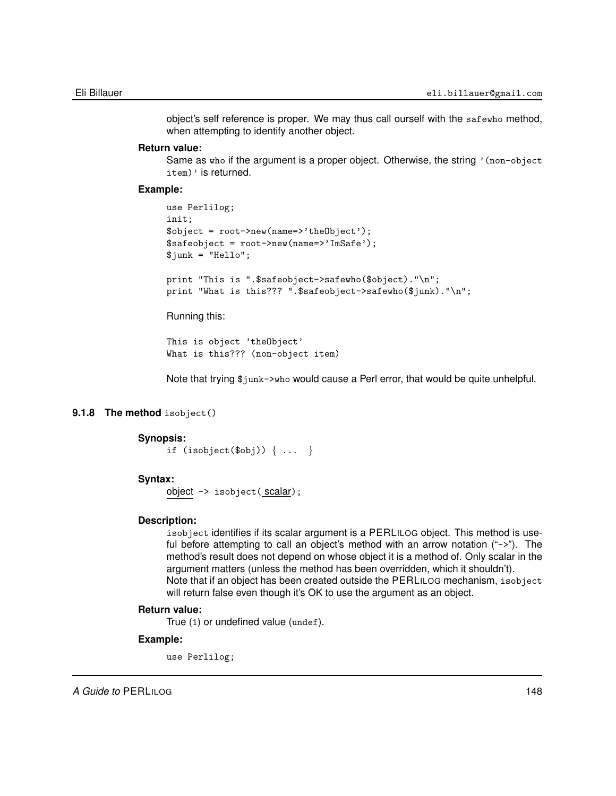object's self reference is proper. We may thus call ourself with the safewho method, when attempting to identify another object.

### **Return value:**

Same as who if the argument is a proper object. Otherwise, the string '(non-object item)' is returned.

## **Example:**

```
use Perlilog;
init;
$object = root->new(name=>'theObject');
$safeobject = root->new(name=>'ImSafe');
$junk = "Hello";
print "This is ".$safeobject->safewho($object)."\n";
print "What is this??? ".$safeobject->safewho($junk)."\n";
```
Running this:

```
This is object 'theObject'
What is this??? (non-object item)
```
Note that trying \$junk->who would cause a Perl error, that would be quite unhelpful.

## **9.1.8 The method** isobject()

## **Synopsis:**

```
if (isobject($obj)) { ... }
```
### **Syntax:**

object -> isobject(scalar);

### **Description:**

isobject identifies if its scalar argument is a PERLILOG object. This method is useful before attempting to call an object's method with an arrow notation ("->"). The method's result does not depend on whose object it is a method of. Only scalar in the argument matters (unless the method has been overridden, which it shouldn't). Note that if an object has been created outside the PERLILOG mechanism, isobject will return false even though it's OK to use the argument as an object.

#### **Return value:**

True (1) or undefined value (undef).

#### **Example:**

use Perlilog;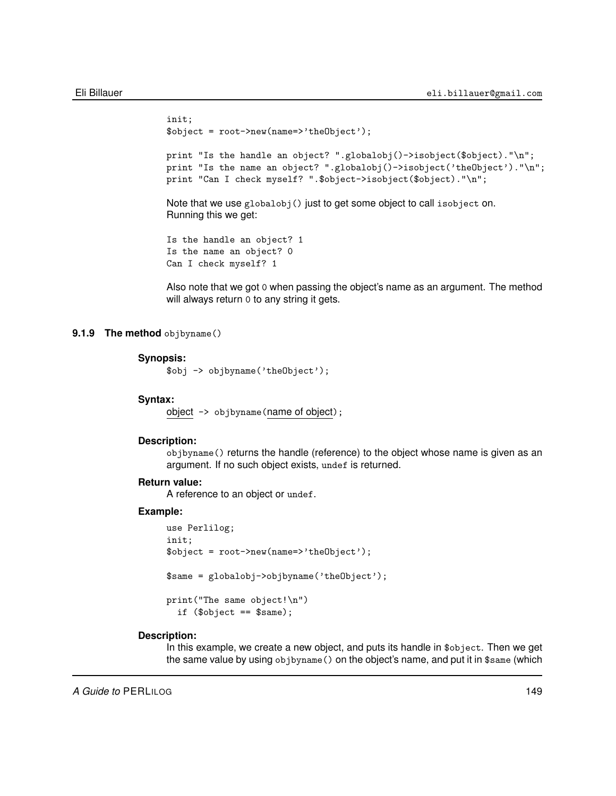```
init;
$object = root->new(name=>'theObject');
print "Is the handle an object? ".globalobj()->isobject($object)."\n";
print "Is the name an object? ".globalobj()->isobject('theObject')."\n";
print "Can I check myself? ".$object->isobject($object)."\n";
Note that we use globalobj() just to get some object to call isobject on.
Running this we get:
Is the handle an object? 1
Is the name an object? 0
```
Can I check myself? 1

Also note that we got 0 when passing the object's name as an argument. The method will always return 0 to any string it gets.

## **9.1.9 The method** objbyname()

### **Synopsis:**

\$obj -> objbyname('theObject');

#### **Syntax:**

object -> objbyname(name of object);

#### **Description:**

objbyname() returns the handle (reference) to the object whose name is given as an argument. If no such object exists, undef is returned.

## **Return value:**

A reference to an object or undef.

### **Example:**

```
use Perlilog;
init;
$object = root->new(name=>'theObject');
$same = globalobj->objbyname('theObject');
print("The same object!\n")
  if ($object == $same);
```
## **Description:**

In this example, we create a new object, and puts its handle in \$object. Then we get the same value by using objbyname() on the object's name, and put it in \$same (which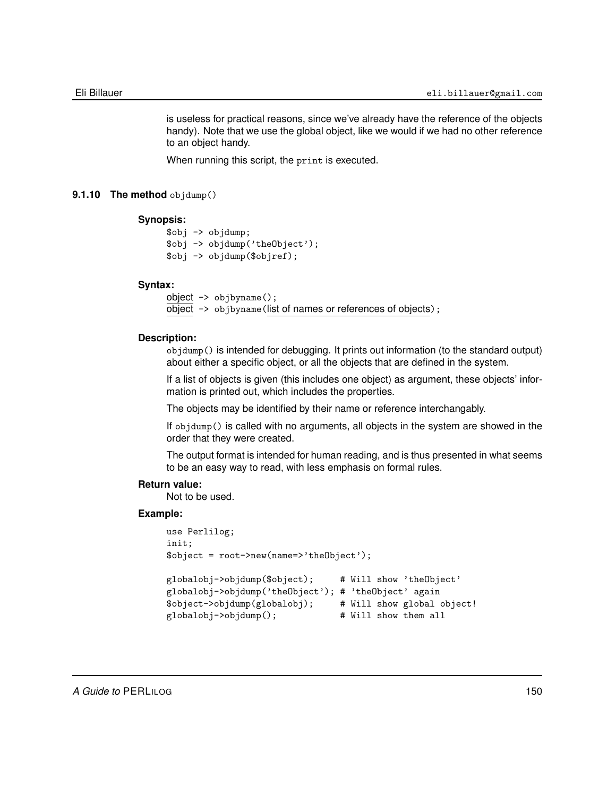is useless for practical reasons, since we've already have the reference of the objects handy). Note that we use the global object, like we would if we had no other reference to an object handy.

When running this script, the print is executed.

## **9.1.10 The method** objdump()

### **Synopsis:**

```
$obj -> objdump;
$obj -> objdump('theObject');
$obj -> objdump($objref);
```
## **Syntax:**

```
object -> objbyname();
\overline{object} -> objbyname (list of names or references of objects);
```
### **Description:**

objdump() is intended for debugging. It prints out information (to the standard output) about either a specific object, or all the objects that are defined in the system.

If a list of objects is given (this includes one object) as argument, these objects' information is printed out, which includes the properties.

The objects may be identified by their name or reference interchangably.

If objdump() is called with no arguments, all objects in the system are showed in the order that they were created.

The output format is intended for human reading, and is thus presented in what seems to be an easy way to read, with less emphasis on formal rules.

### **Return value:**

Not to be used.

```
use Perlilog;
init;
$object = root->new(name=>'theObject');
globalobj->objdump($object); # Will show 'theObject'
globalobj->objdump('theObject'); # 'theObject' again
$object->objdump(globalobj); # Will show global object!
globalobj->objdump(); # Will show them all
```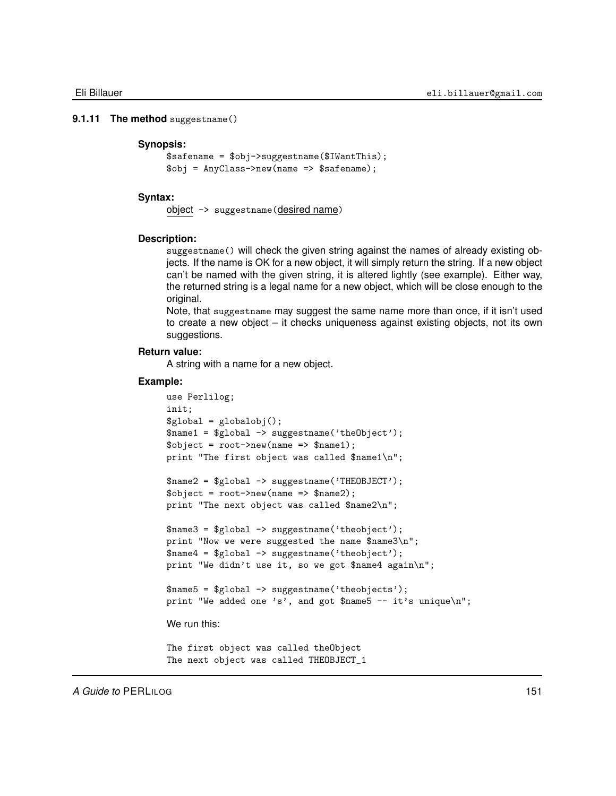### **9.1.11 The method** suggestname()

### <span id="page-150-0"></span>**Synopsis:**

```
$safename = $obj->suggestname($IWantThis);
$obj = AnyClass->new(name => $safename);
```
#### **Syntax:**

object -> suggestname(desired name)

### **Description:**

suggestname() will check the given string against the names of already existing objects. If the name is OK for a new object, it will simply return the string. If a new object can't be named with the given string, it is altered lightly (see example). Either way, the returned string is a legal name for a new object, which will be close enough to the original.

Note, that suggestname may suggest the same name more than once, if it isn't used to create a new object – it checks uniqueness against existing objects, not its own suggestions.

## **Return value:**

A string with a name for a new object.

```
use Perlilog;
init;
$global = globalobj();$name1 = $global -> suggestname('theObject');
\text{Sobject} = \text{root} ->new(name => \text{Shame1)};
print "The first object was called $name1\n";
$name2 = $global -> suggestname('THEOBJECT');
\text{Sobject} = \text{root} ->new(name => \text{络});
print "The next object was called $name2\n";
$name3 = $global -> suggestname('theobject');
print "Now we were suggested the name $name3\n";
$name4 = $global -> suggestname('theobject');
print "We didn't use it, so we got $name4 again\n";
$name5 = $global -> suggestname('theobjects');
print "We added one 's', and got $name5 -- it's unique\n";
We run this:
The first object was called theObject
The next object was called THEOBJECT_1
```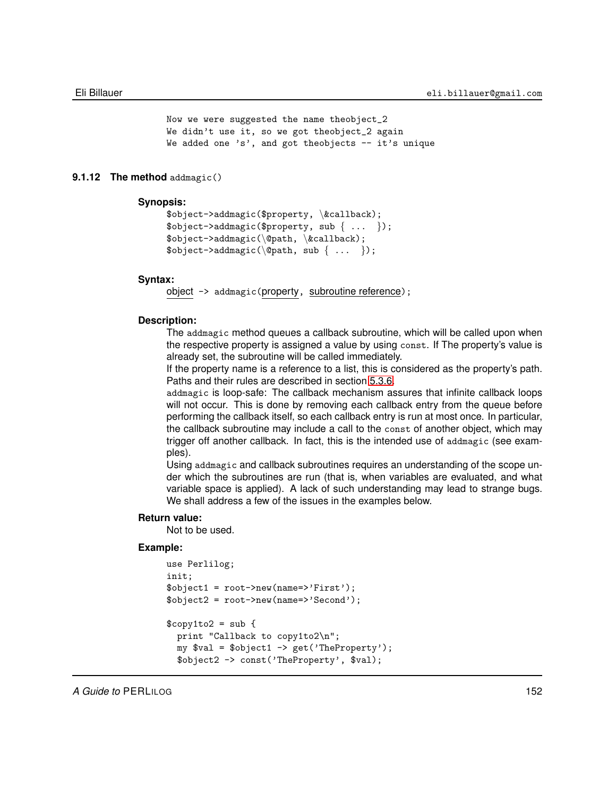```
Now we were suggested the name theobject_2
We didn't use it, so we got theobject_2 again
We added one 's', and got theobjects - it's unique
```
## **9.1.12 The method** addmagic()

## <span id="page-151-0"></span>**Synopsis:**

```
$object->addmagic($property, \&callback);
$object->addmagic($property, sub { ... });
$object->addmagic(\@path, \&callback);
\text{Sobject}\text{-}\text{addmagic}(\text{Qpath}, \text{sub} \{ ... \});
```
#### **Syntax:**

object -> addmagic(property, subroutine reference);

## **Description:**

The addmagic method queues a callback subroutine, which will be called upon when the respective property is assigned a value by using const. If The property's value is already set, the subroutine will be called immediately.

If the property name is a reference to a list, this is considered as the property's path. Paths and their rules are described in section [5.3.6.](#page-57-0)

addmagic is loop-safe: The callback mechanism assures that infinite callback loops will not occur. This is done by removing each callback entry from the queue before performing the callback itself, so each callback entry is run at most once. In particular, the callback subroutine may include a call to the const of another object, which may trigger off another callback. In fact, this is the intended use of addmagic (see examples).

Using addmagic and callback subroutines requires an understanding of the scope under which the subroutines are run (that is, when variables are evaluated, and what variable space is applied). A lack of such understanding may lead to strange bugs. We shall address a few of the issues in the examples below.

### **Return value:**

Not to be used.

```
use Perlilog;
init;
$object1 = root->new(name=>'First');
$object2 = root->new(name=>'Second');
$copy1to2 = sub { }print "Callback to copy1to2\n";
  my $val = $object1 -> get('TheProperty');
  $object2 -> const('TheProperty', $val);
```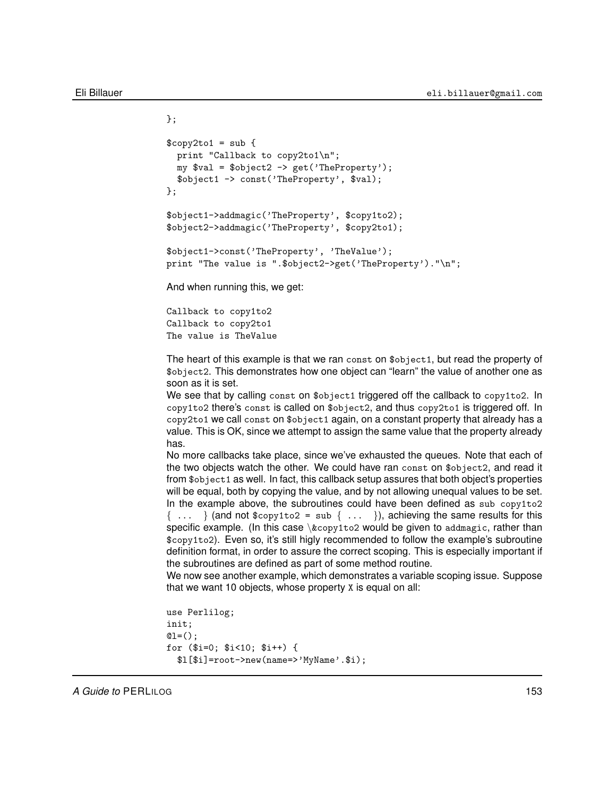};

```
$copy2to1 = sub {
  print "Callback to copy2to1\n";
  my yal = \text{object2} \rightarrow \text{get('TheProperty');}$object1 -> const('TheProperty', $val);
};
$object1->addmagic('TheProperty', $copy1to2);
$object2->addmagic('TheProperty', $copy2to1);
$object1->const('TheProperty', 'TheValue');
print "The value is ".$object2->get('TheProperty')."\n";
And when running this, we get:
```
Callback to copy1to2 Callback to copy2to1 The value is TheValue

The heart of this example is that we ran const on \$object1, but read the property of \$object2. This demonstrates how one object can "learn" the value of another one as soon as it is set.

We see that by calling const on \$object1 triggered off the callback to copy1to2. In copy1to2 there's const is called on \$object2, and thus copy2to1 is triggered off. In copy2to1 we call const on \$object1 again, on a constant property that already has a value. This is OK, since we attempt to assign the same value that the property already has.

No more callbacks take place, since we've exhausted the queues. Note that each of the two objects watch the other. We could have ran const on \$object2, and read it from \$object1 as well. In fact, this callback setup assures that both object's properties will be equal, both by copying the value, and by not allowing unequal values to be set. In the example above, the subroutines could have been defined as sub copy1to2  $\{\ldots\}$  (and not \$copy1to2 = sub  $\{\ldots\}$ ), achieving the same results for this specific example. (In this case  $\&$ copy1to2 would be given to addmagic, rather than \$copy1to2). Even so, it's still higly recommended to follow the example's subroutine definition format, in order to assure the correct scoping. This is especially important if the subroutines are defined as part of some method routine.

We now see another example, which demonstrates a variable scoping issue. Suppose that we want 10 objects, whose property X is equal on all:

```
use Perlilog;
init;
Q1 = ();
for ($i=0; $i<10; $i++) {
  $l[$i]=root->new(name=>'MyName'.$i);
```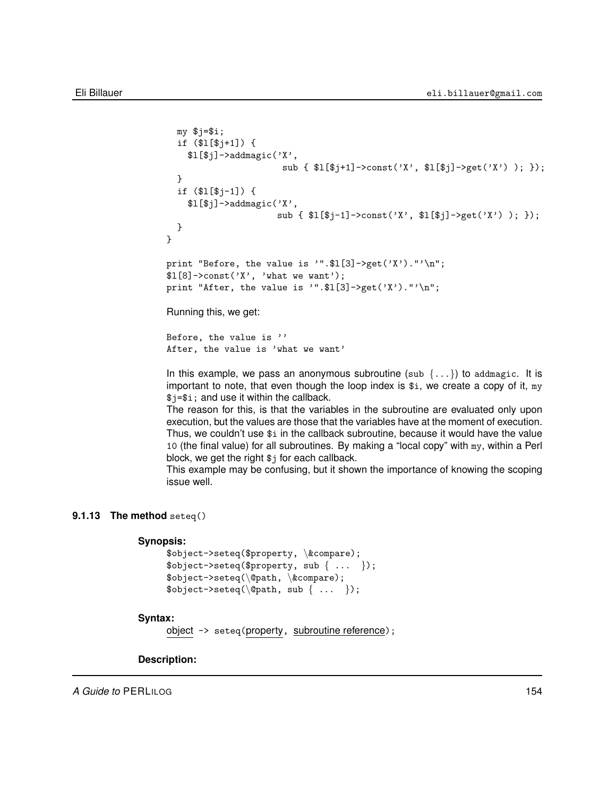```
my $j=$i;
  if ($l[$j+1]) {
    $1[$j]->addmagic('X',
                      sub { $1[$j+1]->const('X', $1[$j]->get('X') ); });
  }
  if ($l[$j-1]) {
    $1[$j]->addmagic('X',
                      sub { $l[$j-1]->const('X', $l[$j]->get('X') ); });
  }
}
print "Before, the value is '".$1[3]->get('X')."'\n";
$1[8]-\text{const}('X', 'what we want');print "After, the value is '".$1[3]->get('X')."'\n";
Running this, we get:
```
Before, the value is '' After, the value is 'what we want'

In this example, we pass an anonymous subroutine (sub  $\{\ldots\}$ ) to addmagic. It is important to note, that even though the loop index is  $\hat{s}$ i, we create a copy of it, my \$j=\$i; and use it within the callback.

The reason for this, is that the variables in the subroutine are evaluated only upon execution, but the values are those that the variables have at the moment of execution. Thus, we couldn't use \$i in the callback subroutine, because it would have the value 10 (the final value) for all subroutines. By making a "local copy" with my, within a Perl block, we get the right \$j for each callback.

<span id="page-153-0"></span>This example may be confusing, but it shown the importance of knowing the scoping issue well.

## **9.1.13 The method** seteq()

### **Synopsis:**

```
$object->seteq($property, \&compare);
\text{Sobject}\rightarrow \text{seteq}(\text{property}, \text{sub} \{ ... \});
$object->seteq(\@path, \&compare);
\text{Sobject}\text{-}\text{Depth}, \text{sub } \{ \ldots \};
```
## **Syntax:**

```
object -> seteq(property, subroutine reference);
```
**Description:**

*A Guide to* PERLILOG 154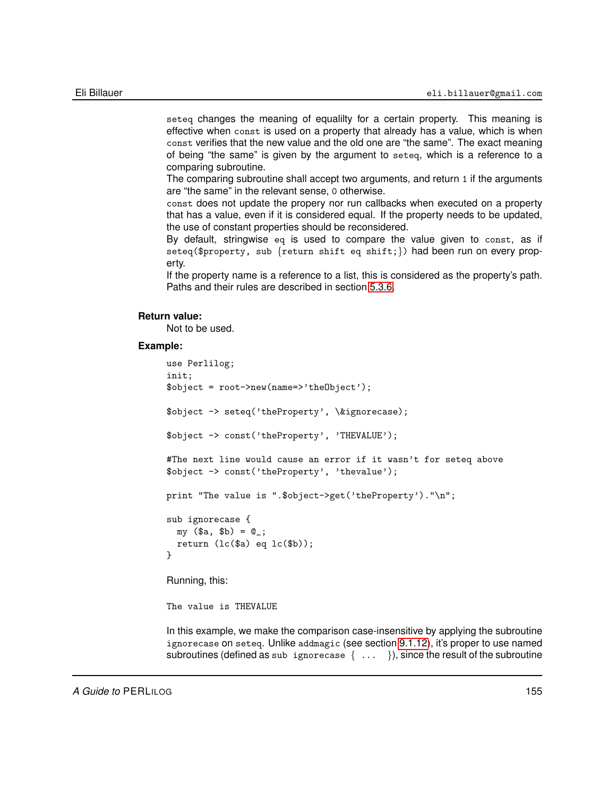seteq changes the meaning of equalilty for a certain property. This meaning is effective when const is used on a property that already has a value, which is when const verifies that the new value and the old one are "the same". The exact meaning of being "the same" is given by the argument to seteq, which is a reference to a comparing subroutine.

The comparing subroutine shall accept two arguments, and return 1 if the arguments are "the same" in the relevant sense, 0 otherwise.

const does not update the propery nor run callbacks when executed on a property that has a value, even if it is considered equal. If the property needs to be updated, the use of constant properties should be reconsidered.

By default, stringwise eq is used to compare the value given to const, as if seteq(\$property, sub {return shift eq shift;}) had been run on every property.

If the property name is a reference to a list, this is considered as the property's path. Paths and their rules are described in section [5.3.6.](#page-57-0)

### **Return value:**

Not to be used.

### **Example:**

```
use Perlilog;
init;
$object = root->new(name=>'theObject');
$object -> seteq('theProperty', \&ignorecase);
$object -> const('theProperty', 'THEVALUE');
#The next line would cause an error if it wasn't for seteq above
$object -> const('theProperty', 'thevalue');
print "The value is ".$object->get('theProperty')."\n";
sub ignorecase {
 my (\$a, \$b) = @_{i};return (lc(\$a) eq lc(\$b));
}
Running, this:
The value is THEVALUE
```
In this example, we make the comparison case-insensitive by applying the subroutine ignorecase on seteq. Unlike addmagic (see section [9.1.12\)](#page-151-0), it's proper to use named subroutines (defined as sub ignorecase  $\{ \ldots \}$ ), since the result of the subroutine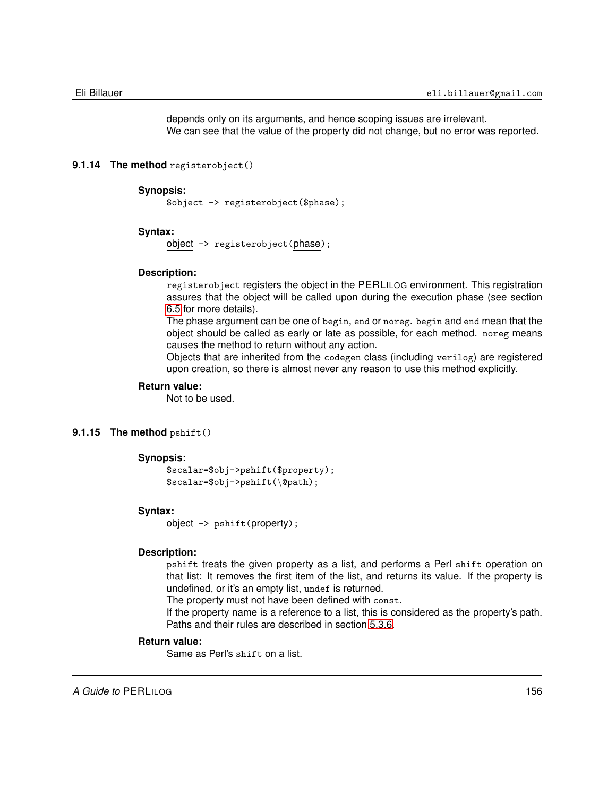depends only on its arguments, and hence scoping issues are irrelevant. We can see that the value of the property did not change, but no error was reported.

## **9.1.14 The method** registerobject()

#### **Synopsis:**

\$object -> registerobject(\$phase);

## **Syntax:**

object -> registerobject(phase);

## **Description:**

registerobject registers the object in the PERLILOG environment. This registration assures that the object will be called upon during the execution phase (see section [6.5](#page-74-0) for more details).

The phase argument can be one of begin, end or noreg. begin and end mean that the object should be called as early or late as possible, for each method. noreg means causes the method to return without any action.

Objects that are inherited from the codegen class (including verilog) are registered upon creation, so there is almost never any reason to use this method explicitly.

## **Return value:**

Not to be used.

## **9.1.15 The method** pshift()

### **Synopsis:**

```
$scalar=$obj->pshift($property);
$scalar=$obj->pshift(\@path);
```
## **Syntax:**

object -> pshift(property);

### **Description:**

pshift treats the given property as a list, and performs a Perl shift operation on that list: It removes the first item of the list, and returns its value. If the property is undefined, or it's an empty list, undef is returned.

The property must not have been defined with const.

If the property name is a reference to a list, this is considered as the property's path. Paths and their rules are described in section [5.3.6.](#page-57-0)

### **Return value:**

Same as Perl's shift on a list.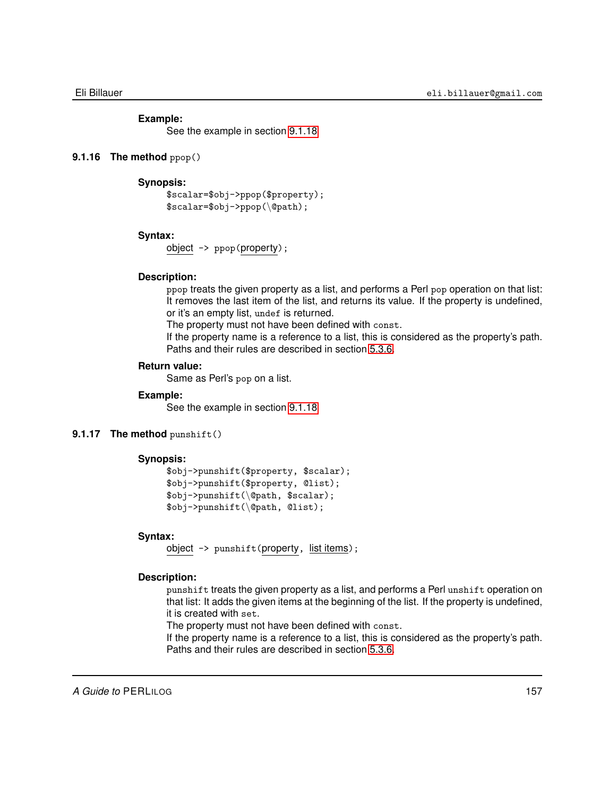### **Example:**

See the example in section [9.1.18](#page-157-0)

## **9.1.16 The method** ppop()

## **Synopsis:**

```
$scalar=$obj->ppop($property);
$scalar=$obj->ppop(\@path);
```
### **Syntax:**

object -> ppop(property);

## **Description:**

ppop treats the given property as a list, and performs a Perl pop operation on that list: It removes the last item of the list, and returns its value. If the property is undefined, or it's an empty list, undef is returned.

The property must not have been defined with const.

If the property name is a reference to a list, this is considered as the property's path. Paths and their rules are described in section [5.3.6.](#page-57-0)

## **Return value:**

Same as Perl's pop on a list.

### **Example:**

See the example in section [9.1.18](#page-157-0)

## **9.1.17 The method** punshift()

### **Synopsis:**

```
$obj->punshift($property, $scalar);
$obj->punshift($property, @list);
$obj->punshift(\@path, $scalar);
$obj->punshift(\@path, @list);
```
## **Syntax:**

object -> punshift(property, list items);

### **Description:**

punshift treats the given property as a list, and performs a Perl unshift operation on that list: It adds the given items at the beginning of the list. If the property is undefined, it is created with set.

The property must not have been defined with const.

If the property name is a reference to a list, this is considered as the property's path. Paths and their rules are described in section [5.3.6.](#page-57-0)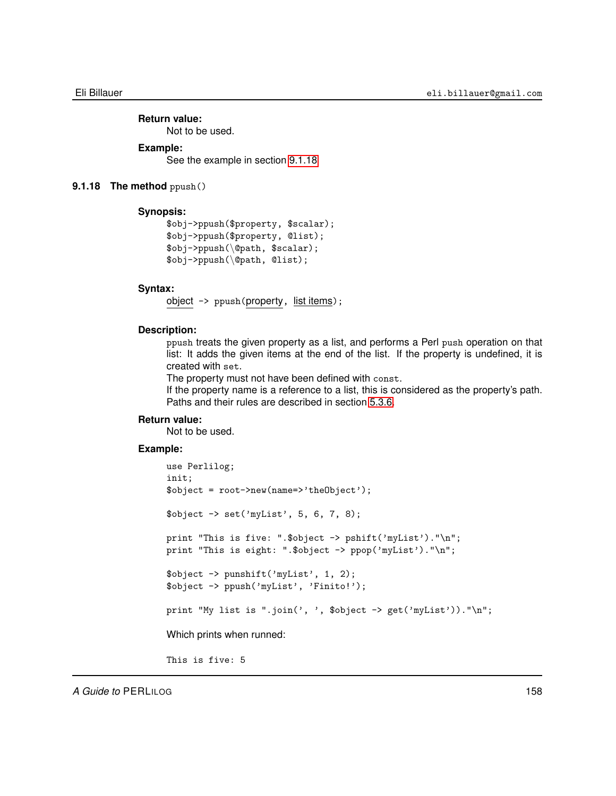### **Return value:** Not to be used.

## **Example:**

<span id="page-157-0"></span>See the example in section [9.1.18](#page-157-0)

## **9.1.18 The method** ppush()

## **Synopsis:**

```
$obj->ppush($property, $scalar);
$obj->ppush($property, @list);
$obj->ppush(\@path, $scalar);
$obj->ppush(\@path, @list);
```
### **Syntax:**

object -> ppush(property, list items);

### **Description:**

ppush treats the given property as a list, and performs a Perl push operation on that list: It adds the given items at the end of the list. If the property is undefined, it is created with set.

The property must not have been defined with const.

If the property name is a reference to a list, this is considered as the property's path. Paths and their rules are described in section [5.3.6.](#page-57-0)

## **Return value:**

Not to be used.

## **Example:**

```
use Perlilog;
init;
$object = root->new(name=>'theObject');
$object -> set('myList', 5, 6, 7, 8);
print "This is five: ".$object -> pshift('myList')."\n";
print "This is eight: ".$object -> ppop('myList')."\n";
$object -> punshift('myList', 1, 2);
$object -> ppush('myList', 'Finito!');
print "My list is ".join(', ', $object -> get('myList'))."\n";
Which prints when runned:
```
This is five: 5

*A Guide to* PERLILOG 158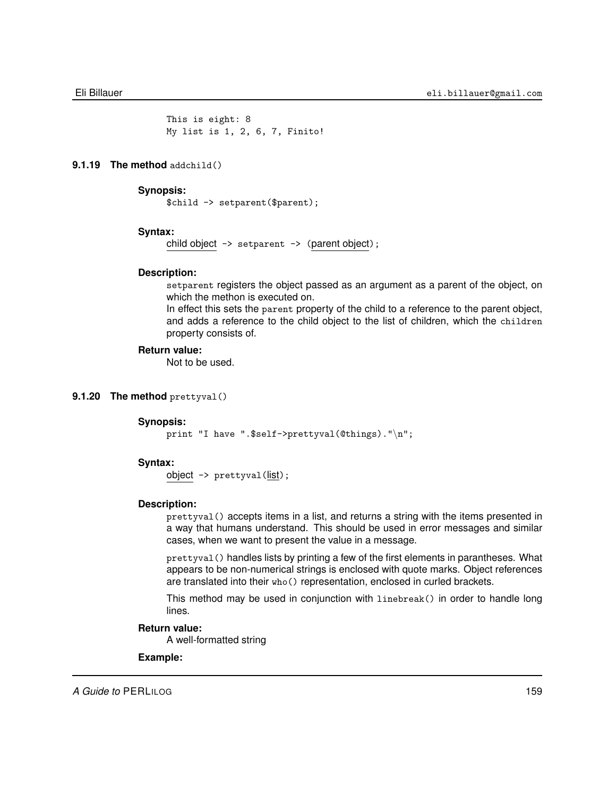This is eight: 8 My list is 1, 2, 6, 7, Finito!

## **9.1.19 The method** addchild()

#### **Synopsis:**

\$child -> setparent(\$parent);

### **Syntax:**

child object -> setparent -> (parent object);

### **Description:**

setparent registers the object passed as an argument as a parent of the object, on which the methon is executed on.

In effect this sets the parent property of the child to a reference to the parent object, and adds a reference to the child object to the list of children, which the children property consists of.

## **Return value:**

Not to be used.

## **9.1.20 The method** prettyval()

#### **Synopsis:**

print "I have ".\$self->prettyval(@things)."\n";

### **Syntax:**

object  $\rightarrow$  prettyval ( $\frac{list}{s}$ );

### **Description:**

prettyval() accepts items in a list, and returns a string with the items presented in a way that humans understand. This should be used in error messages and similar cases, when we want to present the value in a message.

prettyval() handles lists by printing a few of the first elements in parantheses. What appears to be non-numerical strings is enclosed with quote marks. Object references are translated into their who() representation, enclosed in curled brackets.

This method may be used in conjunction with linebreak() in order to handle long lines.

### **Return value:**

A well-formatted string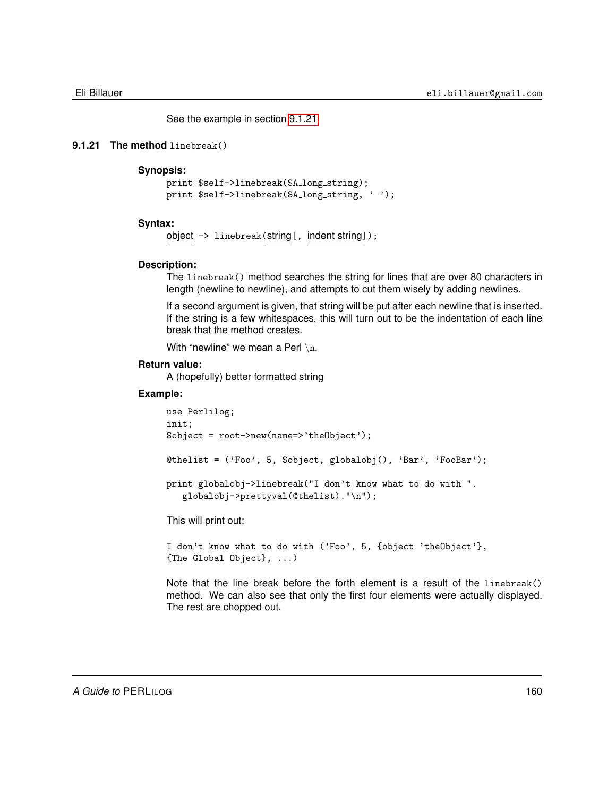<span id="page-159-0"></span>See the example in section [9.1.21](#page-159-0)

## **9.1.21 The method** linebreak()

## **Synopsis:**

```
print $self->linebreak($A_long_string);
print $self->linebreak($A_long_string, '');
```
## **Syntax:**

```
object -> linebreak(string[, indent string]);
```
### **Description:**

The linebreak() method searches the string for lines that are over 80 characters in length (newline to newline), and attempts to cut them wisely by adding newlines.

If a second argument is given, that string will be put after each newline that is inserted. If the string is a few whitespaces, this will turn out to be the indentation of each line break that the method creates.

With "newline" we mean a Perl  $\n\lambda$ n.

## **Return value:**

A (hopefully) better formatted string

## **Example:**

```
use Perlilog;
init;
$object = root->new(name=>'theObject');
@thelist = ('Foo', 5, $object, globalobj(), 'Bar', 'FooBar');
print globalobj->linebreak("I don't know what to do with ".
   globalobj->prettyval(@thelist)."\n");
```
This will print out:

```
I don't know what to do with ('Foo', 5, {object 'theObject'},
{The Global Object}, ...)
```
Note that the line break before the forth element is a result of the linebreak() method. We can also see that only the first four elements were actually displayed. The rest are chopped out.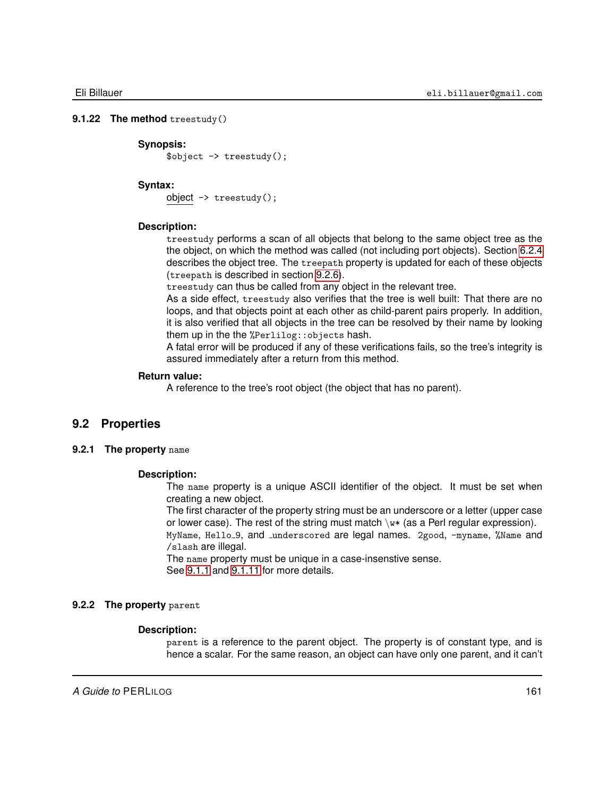### **9.1.22 The method** treestudy()

## <span id="page-160-0"></span>**Synopsis:**

\$object -> treestudy();

#### **Syntax:**

object -> treestudy();

### **Description:**

treestudy performs a scan of all objects that belong to the same object tree as the the object, on which the method was called (not including port objects). Section [6.2.4](#page-63-0) describes the object tree. The treepath property is updated for each of these objects (treepath is described in section [9.2.6\)](#page-162-0).

treestudy can thus be called from any object in the relevant tree.

As a side effect, treestudy also verifies that the tree is well built: That there are no loops, and that objects point at each other as child-parent pairs properly. In addition, it is also verified that all objects in the tree can be resolved by their name by looking them up in the the %Perlilog::objects hash.

A fatal error will be produced if any of these verifications fails, so the tree's integrity is assured immediately after a return from this method.

## **Return value:**

A reference to the tree's root object (the object that has no parent).

## **9.2 Properties**

### **9.2.1 The property** name

### **Description:**

The name property is a unique ASCII identifier of the object. It must be set when creating a new object.

The first character of the property string must be an underscore or a letter (upper case or lower case). The rest of the string must match  $\wedge w*$  (as a Perl regular expression).

MyName, Hello<sub>-9</sub>, and iunderscored are legal names. 2good, -myname, %Name and /slash are illegal.

The name property must be unique in a case-insenstive sense. See [9.1.1](#page-141-1) and [9.1.11](#page-150-0) for more details.

#### **9.2.2 The property** parent

### **Description:**

parent is a reference to the parent object. The property is of constant type, and is hence a scalar. For the same reason, an object can have only one parent, and it can't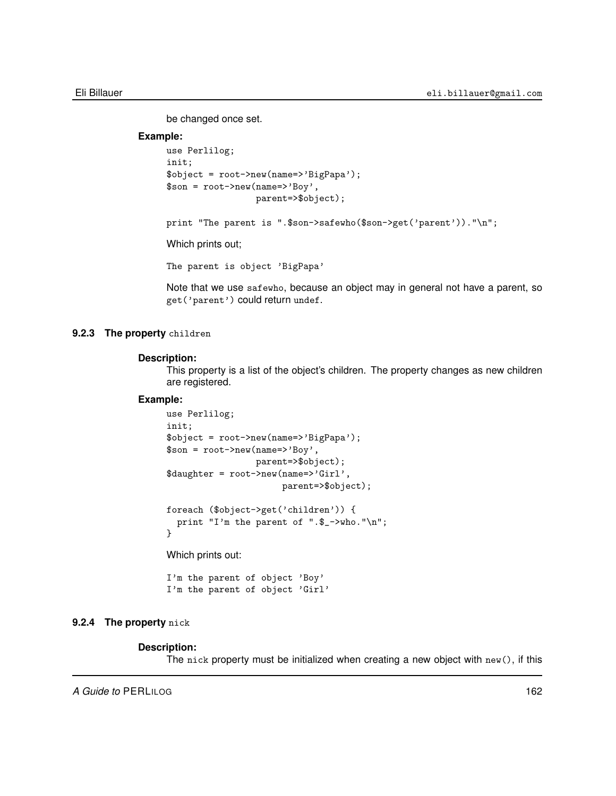be changed once set.

## **Example:**

```
use Perlilog;
init;
$object = root->new(name=>'BigPapa');
$son = root->new(name=>'Boy',
                 parent=>$object);
print "The parent is ".$son->safewho($son->get('parent'))."\n";
```
Which prints out;

The parent is object 'BigPapa'

Note that we use safewho, because an object may in general not have a parent, so get('parent') could return undef.

## **9.2.3 The property** children

### **Description:**

This property is a list of the object's children. The property changes as new children are registered.

#### **Example:**

```
use Perlilog;
init;
$object = root->new(name=>'BigPapa');
$son = root->new(name=>'Boy',
                 parent=>$object);
$daughter = root->new(name=>'Girl',
                      parent=>$object);
foreach ($object->get('children')) {
```
print "I'm the parent of ".\$\_->who."\n";

Which prints out:

I'm the parent of object 'Boy' I'm the parent of object 'Girl'

## **9.2.4 The property** nick

### **Description:**

}

The nick property must be initialized when creating a new object with  $new()$ , if this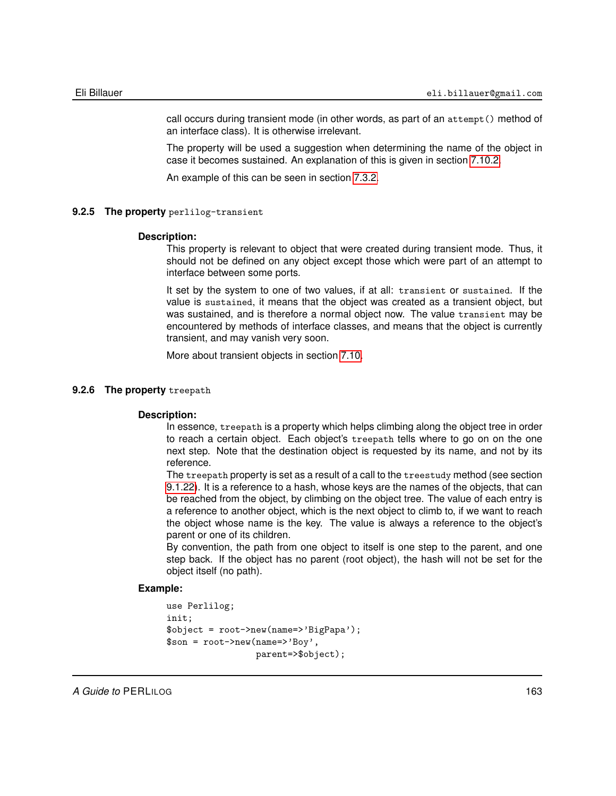call occurs during transient mode (in other words, as part of an attempt() method of an interface class). It is otherwise irrelevant.

The property will be used a suggestion when determining the name of the object in case it becomes sustained. An explanation of this is given in section [7.10.2.](#page-126-0)

An example of this can be seen in section [7.3.2.](#page-96-0)

### **9.2.5 The property** perlilog-transient

### **Description:**

This property is relevant to object that were created during transient mode. Thus, it should not be defined on any object except those which were part of an attempt to interface between some ports.

It set by the system to one of two values, if at all: transient or sustained. If the value is sustained, it means that the object was created as a transient object, but was sustained, and is therefore a normal object now. The value transient may be encountered by methods of interface classes, and means that the object is currently transient, and may vanish very soon.

<span id="page-162-0"></span>More about transient objects in section [7.10.](#page-125-0)

### **9.2.6 The property** treepath

## **Description:**

In essence, treepath is a property which helps climbing along the object tree in order to reach a certain object. Each object's treepath tells where to go on on the one next step. Note that the destination object is requested by its name, and not by its reference.

The treepath property is set as a result of a call to the treestudy method (see section [9.1.22\)](#page-160-0). It is a reference to a hash, whose keys are the names of the objects, that can be reached from the object, by climbing on the object tree. The value of each entry is a reference to another object, which is the next object to climb to, if we want to reach the object whose name is the key. The value is always a reference to the object's parent or one of its children.

By convention, the path from one object to itself is one step to the parent, and one step back. If the object has no parent (root object), the hash will not be set for the object itself (no path).

```
use Perlilog;
init;
$object = root->new(name=>'BigPapa');
$son = root->new(name=>'Boy',
                 parent=>$object);
```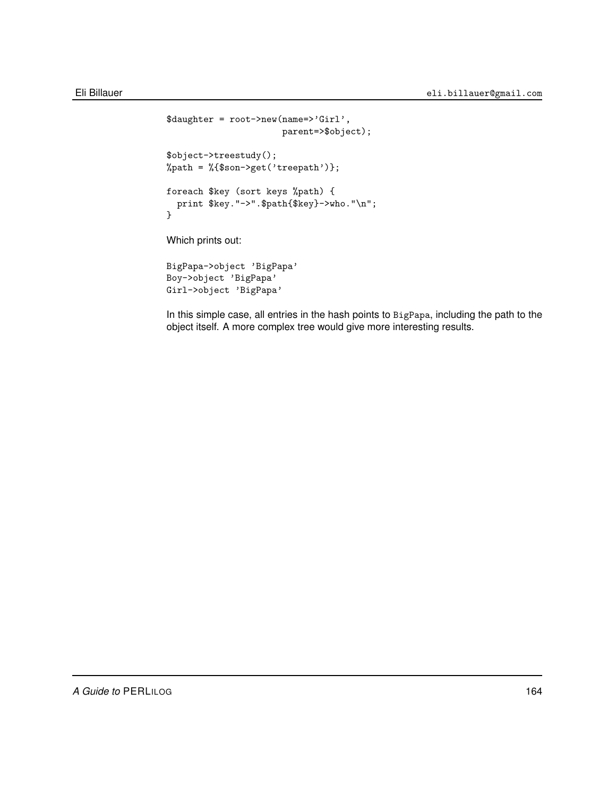```
$daughter = root->new(name=>'Girl',
                      parent=>$object);
$object->treestudy();
%path = %{$son->get('treepath')};
foreach $key (sort keys %path) {
 print $key."->".$path{$key}->who."\n";
}
Which prints out:
BigPapa->object 'BigPapa'
Boy->object 'BigPapa'
```
Girl->object 'BigPapa'

In this simple case, all entries in the hash points to BigPapa, including the path to the object itself. A more complex tree would give more interesting results.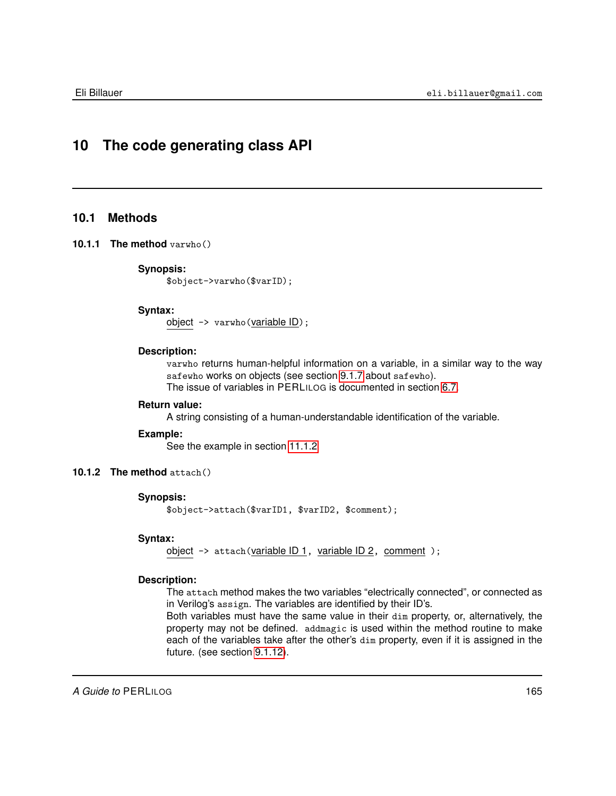# **10 The code generating class API**

## **10.1 Methods**

## **10.1.1 The method** varwho()

## **Synopsis:**

\$object->varwho(\$varID);

## **Syntax:**

object -> varwho(variable ID);

### **Description:**

varwho returns human-helpful information on a variable, in a similar way to the way safewho works on objects (see section [9.1.7](#page-146-0) about safewho). The issue of variables in PERLILOG is documented in section [6.7.](#page-77-0)

## **Return value:**

A string consisting of a human-understandable identification of the variable.

### **Example:**

See the example in section [11.1.2](#page-169-0)

## **10.1.2 The method** attach()

## **Synopsis:**

\$object->attach(\$varID1, \$varID2, \$comment);

## **Syntax:**

object -> attach(variable ID 1, variable ID 2, comment );

## **Description:**

The attach method makes the two variables "electrically connected", or connected as in Verilog's assign. The variables are identified by their ID's.

Both variables must have the same value in their dim property, or, alternatively, the property may not be defined. addmagic is used within the method routine to make each of the variables take after the other's dim property, even if it is assigned in the future. (see section [9.1.12\)](#page-151-0).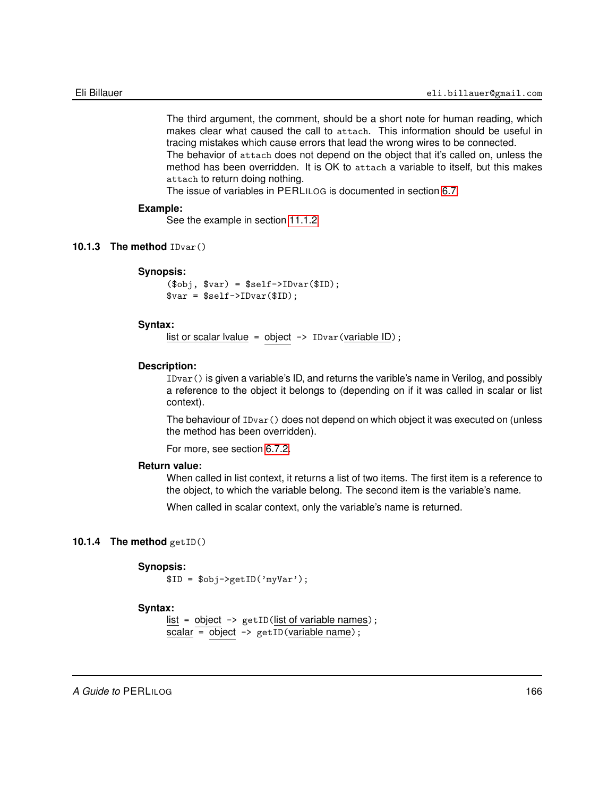The third argument, the comment, should be a short note for human reading, which makes clear what caused the call to attach. This information should be useful in tracing mistakes which cause errors that lead the wrong wires to be connected. The behavior of attach does not depend on the object that it's called on, unless the method has been overridden. It is OK to attach a variable to itself, but this makes attach to return doing nothing.

The issue of variables in PERLILOG is documented in section [6.7.](#page-77-0)

### **Example:**

See the example in section [11.1.2](#page-169-0)

### **10.1.3 The method** IDvar()

### **Synopsis:**

 $($obj, $var) = $self->IDvar($ID);$  $$var = $self->IDvar($ID);$ 

### **Syntax:**

list or scalar lvalue = object  $\rightarrow$  IDvar (variable ID);

### **Description:**

IDvar() is given a variable's ID, and returns the varible's name in Verilog, and possibly a reference to the object it belongs to (depending on if it was called in scalar or list context).

The behaviour of IDvar() does not depend on which object it was executed on (unless the method has been overridden).

For more, see section [6.7.2.](#page-77-1)

## **Return value:**

When called in list context, it returns a list of two items. The first item is a reference to the object, to which the variable belong. The second item is the variable's name.

When called in scalar context, only the variable's name is returned.

## **10.1.4 The method** getID()

### **Synopsis:**

 $$ID = $obj->getID('myVar');$ 

## **Syntax:**

list = object  $\rightarrow$  getID(list of variable names);  $scalar = object \rightarrow getID(variable name);$ 

*A Guide to* PERLILOG 166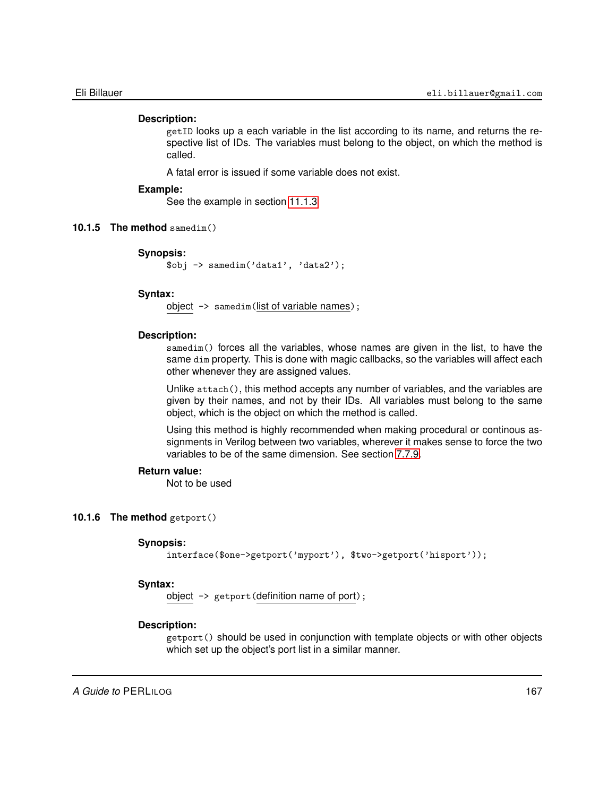### **Description:**

getID looks up a each variable in the list according to its name, and returns the respective list of IDs. The variables must belong to the object, on which the method is called.

A fatal error is issued if some variable does not exist.

## **Example:**

See the example in section [11.1.3](#page-171-0)

## **10.1.5 The method** samedim()

### **Synopsis:**

\$obj -> samedim('data1', 'data2');

#### **Syntax:**

object -> samedim(list of variable names);

#### **Description:**

samedim() forces all the variables, whose names are given in the list, to have the same dim property. This is done with magic callbacks, so the variables will affect each other whenever they are assigned values.

Unlike attach(), this method accepts any number of variables, and the variables are given by their names, and not by their IDs. All variables must belong to the same object, which is the object on which the method is called.

Using this method is highly recommended when making procedural or continous assignments in Verilog between two variables, wherever it makes sense to force the two variables to be of the same dimension. See section [7.7.9.](#page-118-0)

## **Return value:**

Not to be used

### **10.1.6 The method** getport()

#### **Synopsis:**

interface(\$one->getport('myport'), \$two->getport('hisport'));

### **Syntax:**

object -> getport(definition name of port);

### **Description:**

getport() should be used in conjunction with template objects or with other objects which set up the object's port list in a similar manner.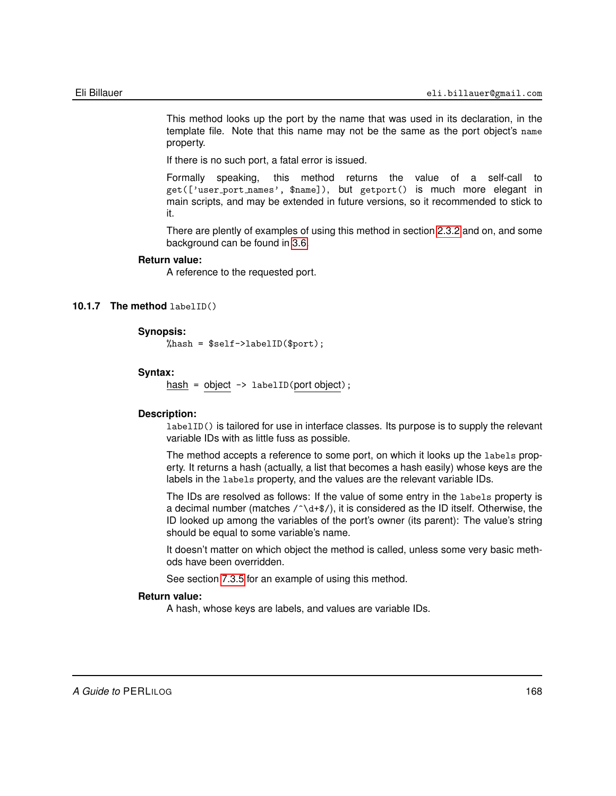This method looks up the port by the name that was used in its declaration, in the template file. Note that this name may not be the same as the port object's name property.

If there is no such port, a fatal error is issued.

Formally speaking, this method returns the value of a self-call to get(['user port names', \$name]), but getport() is much more elegant in main scripts, and may be extended in future versions, so it recommended to stick to it.

There are plently of examples of using this method in section [2.3.2](#page-16-0) and on, and some background can be found in [3.6.](#page-44-0)

### **Return value:**

A reference to the requested port.

## **10.1.7 The method** labelID()

### **Synopsis:**

%hash = \$self->labelID(\$port);

### **Syntax:**

 $hash = object \rightarrow labelID(port object);$ 

## **Description:**

labelID() is tailored for use in interface classes. Its purpose is to supply the relevant variable IDs with as little fuss as possible.

The method accepts a reference to some port, on which it looks up the labels property. It returns a hash (actually, a list that becomes a hash easily) whose keys are the labels in the labels property, and the values are the relevant variable IDs.

The IDs are resolved as follows: If the value of some entry in the labels property is a decimal number (matches  $/\gamma$ d+\$/), it is considered as the ID itself. Otherwise, the ID looked up among the variables of the port's owner (its parent): The value's string should be equal to some variable's name.

It doesn't matter on which object the method is called, unless some very basic methods have been overridden.

See section [7.3.5](#page-97-0) for an example of using this method.

## **Return value:**

A hash, whose keys are labels, and values are variable IDs.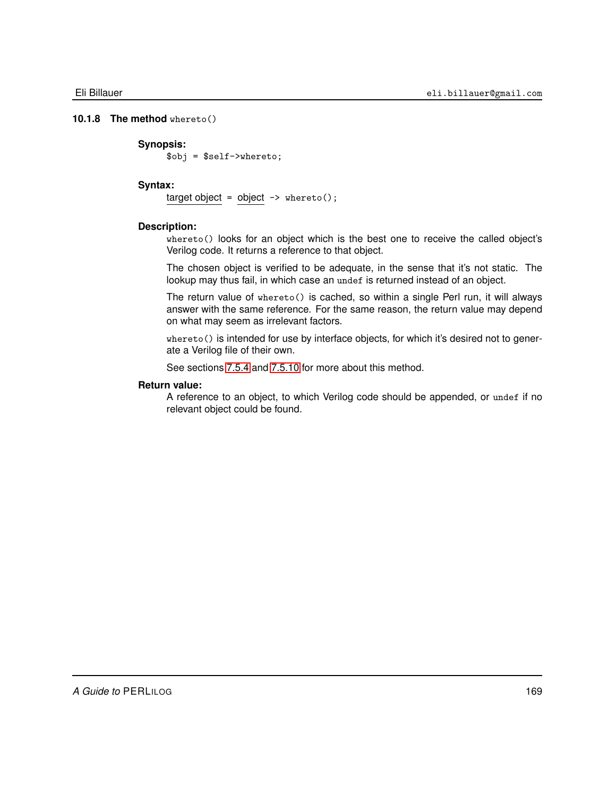## **10.1.8 The method** whereto()

### **Synopsis:**

\$obj = \$self->whereto;

## **Syntax:**

target object = object  $\rightarrow$  whereto();

## **Description:**

whereto() looks for an object which is the best one to receive the called object's Verilog code. It returns a reference to that object.

The chosen object is verified to be adequate, in the sense that it's not static. The lookup may thus fail, in which case an undef is returned instead of an object.

The return value of whereto() is cached, so within a single Perl run, it will always answer with the same reference. For the same reason, the return value may depend on what may seem as irrelevant factors.

whereto() is intended for use by interface objects, for which it's desired not to generate a Verilog file of their own.

See sections [7.5.4](#page-104-0) and [7.5.10](#page-107-0) for more about this method.

## **Return value:**

A reference to an object, to which Verilog code should be appended, or undef if no relevant object could be found.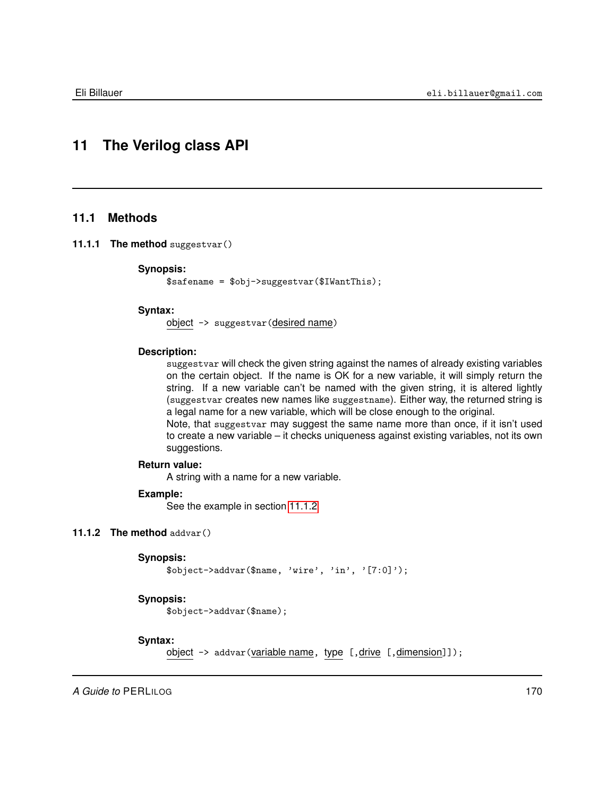# **11 The Verilog class API**

## **11.1 Methods**

**11.1.1 The method** suggestvar()

#### **Synopsis:**

\$safename = \$obj->suggestvar(\$IWantThis);

## **Syntax:**

object -> suggestvar(desired name)

## **Description:**

suggestvar will check the given string against the names of already existing variables on the certain object. If the name is OK for a new variable, it will simply return the string. If a new variable can't be named with the given string, it is altered lightly (suggestvar creates new names like suggestname). Either way, the returned string is a legal name for a new variable, which will be close enough to the original. Note, that suggestvar may suggest the same name more than once, if it isn't used

to create a new variable – it checks uniqueness against existing variables, not its own suggestions.

## **Return value:**

A string with a name for a new variable.

## **Example:**

<span id="page-169-0"></span>See the example in section [11.1.2](#page-169-0)

## **11.1.2 The method** addvar()

```
Synopsis:
```

```
$object->addvar($name, 'wire', 'in', '[7:0]');
```
## **Synopsis:**

\$object->addvar(\$name);

## **Syntax:**

object  $\rightarrow$  addvar (variable name, type [, drive [, dimension]]);

*A Guide to* PERLILOG 170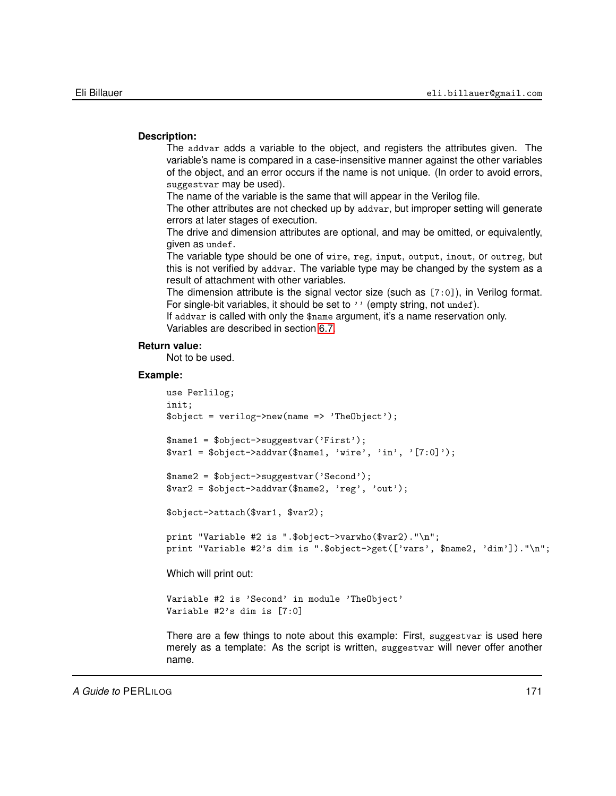## **Description:**

The addvar adds a variable to the object, and registers the attributes given. The variable's name is compared in a case-insensitive manner against the other variables of the object, and an error occurs if the name is not unique. (In order to avoid errors, suggestvar may be used).

The name of the variable is the same that will appear in the Verilog file.

The other attributes are not checked up by addvar, but improper setting will generate errors at later stages of execution.

The drive and dimension attributes are optional, and may be omitted, or equivalently, given as undef.

The variable type should be one of wire, reg, input, output, inout, or outreg, but this is not verified by addvar. The variable type may be changed by the system as a result of attachment with other variables.

The dimension attribute is the signal vector size (such as [7:0]), in Verilog format. For single-bit variables, it should be set to '' (empty string, not undef).

If addvar is called with only the \$name argument, it's a name reservation only. Variables are described in section [6.7.](#page-77-0)

## **Return value:**

Not to be used.

```
use Perlilog;
init;
\text{Sobject} = \text{verilog}\text{-}\text{new}(\text{name} = \text{?} \text{TheObject'});$name1 = $object->suggestvar('First');
$var1 = $object->addvar($name1, 'wire', 'in', '[7:0]');$name2 = $object->suggestvar('Second');
$var2 = $object->addvar($name2, 'reg', 'out');
$object->attach($var1, $var2);
print "Variable #2 is ".$object->varwho($var2)."\n";
print "Variable #2's dim is ".$object->get(['vars', $name2, 'dim'])."\n";
Which will print out:
Variable #2 is 'Second' in module 'TheObject'
Variable #2's dim is [7:0]
There are a few things to note about this example: First, suggestvar is used here
merely as a template: As the script is written, suggestvar will never offer another
name.
```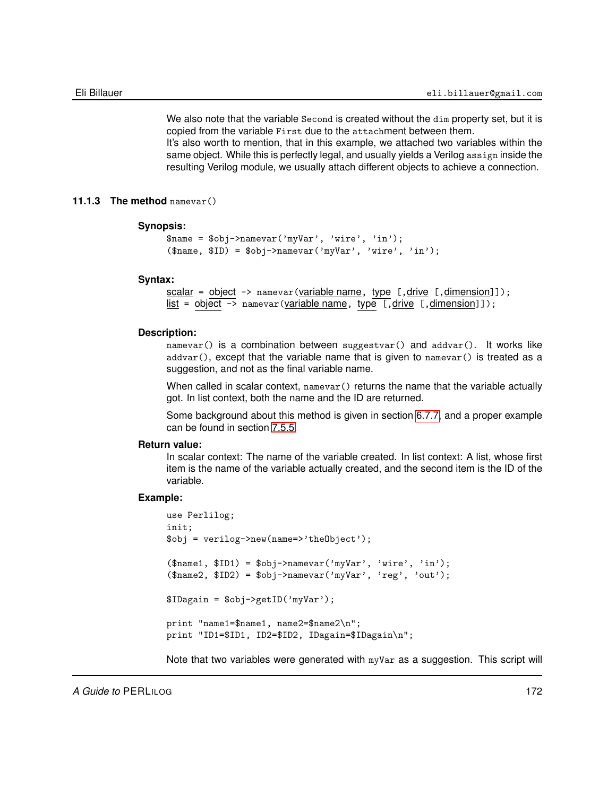We also note that the variable Second is created without the dim property set, but it is copied from the variable First due to the attachment between them. It's also worth to mention, that in this example, we attached two variables within the same object. While this is perfectly legal, and usually yields a Verilog assign inside the resulting Verilog module, we usually attach different objects to achieve a connection.

## **11.1.3 The method** namevar()

### <span id="page-171-0"></span>**Synopsis:**

```
\text{Image} = \text{Sobj-}namevar('myVar', 'wire', 'in');
(\text{Shame}, \text{SID}) = \text{Sobj-}namevar('myVar', 'wire', 'in');
```
#### **Syntax:**

```
scalar = object \rightarrow namevar(variable name, type [,drive [,dimension]]);
list = object \rightarrow namevar (variable name, type [, drive [, dimension]]);
```
## **Description:**

namevar() is a combination between suggestvar() and addvar(). It works like  $addvar()$ , except that the variable name that is given to  $namevar()$  is treated as a suggestion, and not as the final variable name.

When called in scalar context, namevar () returns the name that the variable actually got. In list context, both the name and the ID are returned.

Some background about this method is given in section [6.7.7,](#page-82-0) and a proper example can be found in section [7.5.5.](#page-104-1)

#### **Return value:**

In scalar context: The name of the variable created. In list context: A list, whose first item is the name of the variable actually created, and the second item is the ID of the variable.

## **Example:**

```
use Perlilog;
init;
$obj = verilog->new(name=>'theObject');
($name1, $ID1) = $obj->namevar('myVar', 'wire', 'in');
($name2, $ID2) = $obj->namevar('myVar', 'reg', 'out');
$IDagain = $obj->getID('myVar');
print "name1=$name1, name2=$name2\n";
print "ID1=$ID1, ID2=$ID2, IDagain=$IDagain\n";
```
Note that two variables were generated with myVar as a suggestion. This script will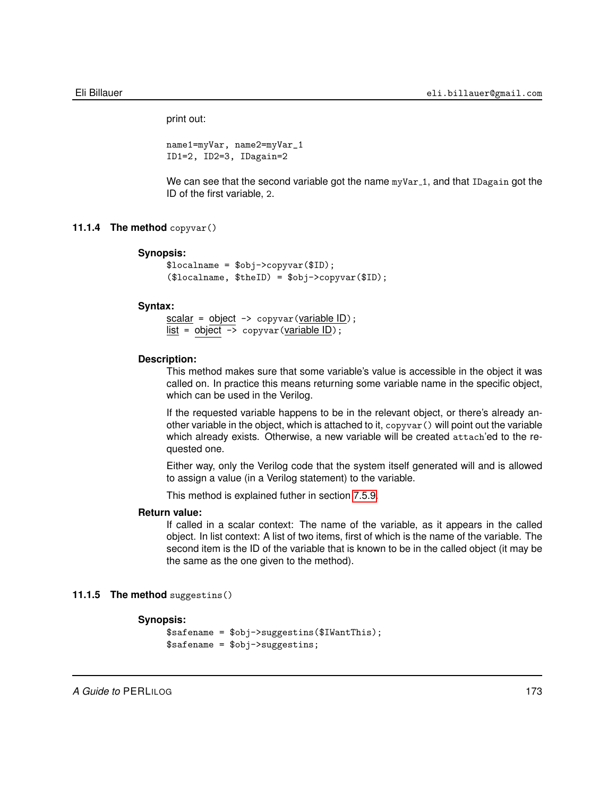print out:

name1=myVar, name2=myVar\_1 ID1=2, ID2=3, IDagain=2

We can see that the second variable got the name myVar<sub>-1</sub>, and that IDagain got the ID of the first variable, 2.

## **11.1.4 The method** copyvar()

#### **Synopsis:**

```
$localname = $obj->copyvar($ID);
($localname, $theID) = $obj->copyvar($ID);
```
### **Syntax:**

 $scalar = object \rightarrow copyvar(variable ID);$  $list = object \rightarrow copyvar(variable ID);$ 

#### **Description:**

This method makes sure that some variable's value is accessible in the object it was called on. In practice this means returning some variable name in the specific object, which can be used in the Verilog.

If the requested variable happens to be in the relevant object, or there's already another variable in the object, which is attached to it, copyvar() will point out the variable which already exists. Otherwise, a new variable will be created attach'ed to the requested one.

Either way, only the Verilog code that the system itself generated will and is allowed to assign a value (in a Verilog statement) to the variable.

This method is explained futher in section [7.5.9.](#page-106-0)

## **Return value:**

If called in a scalar context: The name of the variable, as it appears in the called object. In list context: A list of two items, first of which is the name of the variable. The second item is the ID of the variable that is known to be in the called object (it may be the same as the one given to the method).

## **11.1.5 The method** suggestins()

## **Synopsis:**

```
$safename = $obj->suggestins($IWantThis);
$safename = $obj->suggestins;
```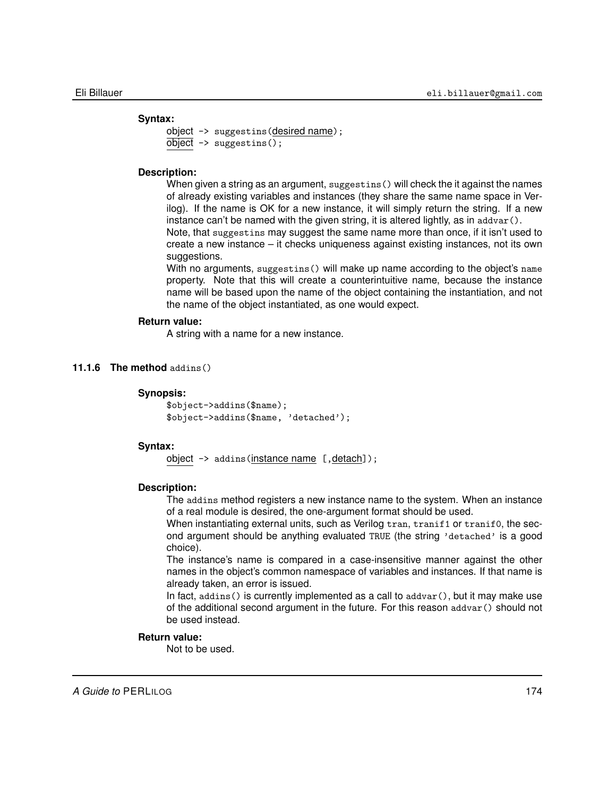### **Syntax:**

```
object -> suggestins(desired name);
object \rightarrow suggesting();
```
## **Description:**

When given a string as an argument, suggestins() will check the it against the names of already existing variables and instances (they share the same name space in Verilog). If the name is OK for a new instance, it will simply return the string. If a new instance can't be named with the given string, it is altered lightly, as in addvar().

Note, that suggestins may suggest the same name more than once, if it isn't used to create a new instance – it checks uniqueness against existing instances, not its own suggestions.

With no arguments, suggestins() will make up name according to the object's name property. Note that this will create a counterintuitive name, because the instance name will be based upon the name of the object containing the instantiation, and not the name of the object instantiated, as one would expect.

## **Return value:**

A string with a name for a new instance.

## **11.1.6 The method** addins()

### **Synopsis:**

```
$object->addins($name);
$object->addins($name, 'detached');
```
## **Syntax:**

object -> addins (instance name [, detach]);

## **Description:**

The addins method registers a new instance name to the system. When an instance of a real module is desired, the one-argument format should be used.

When instantiating external units, such as Verilog tran, tranif1 or tranif0, the second argument should be anything evaluated TRUE (the string 'detached' is a good choice).

The instance's name is compared in a case-insensitive manner against the other names in the object's common namespace of variables and instances. If that name is already taken, an error is issued.

In fact,  $adains()$  is currently implemented as a call to  $adavar()$ , but it may make use of the additional second argument in the future. For this reason addvar() should not be used instead.

## **Return value:**

Not to be used.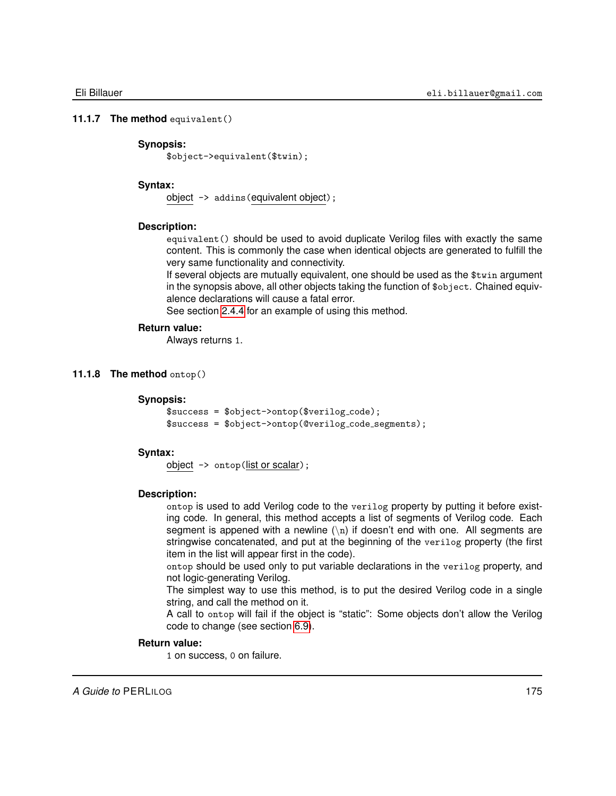### **11.1.7 The method** equivalent()

## **Synopsis:**

\$object->equivalent(\$twin);

## **Syntax:**

object -> addins(equivalent object);

## **Description:**

equivalent() should be used to avoid duplicate Verilog files with exactly the same content. This is commonly the case when identical objects are generated to fulfill the very same functionality and connectivity.

If several objects are mutually equivalent, one should be used as the \$twin argument in the synopsis above, all other objects taking the function of \$object. Chained equivalence declarations will cause a fatal error.

See section [2.4.4](#page-28-0) for an example of using this method.

### **Return value:**

Always returns 1.

### **11.1.8 The method** ontop()

## **Synopsis:**

```
$success = $object->ontop($verilog_code);$success = $object->ontop(@verilog code segments);
```
## **Syntax:**

object -> ontop(list or scalar);

### **Description:**

ontop is used to add Verilog code to the verilog property by putting it before existing code. In general, this method accepts a list of segments of Verilog code. Each segment is appened with a newline  $(\nabla n)$  if doesn't end with one. All segments are stringwise concatenated, and put at the beginning of the verilog property (the first item in the list will appear first in the code).

ontop should be used only to put variable declarations in the verilog property, and not logic-generating Verilog.

The simplest way to use this method, is to put the desired Verilog code in a single string, and call the method on it.

A call to ontop will fail if the object is "static": Some objects don't allow the Verilog code to change (see section [6.9\)](#page-84-0).

### **Return value:**

1 on success, 0 on failure.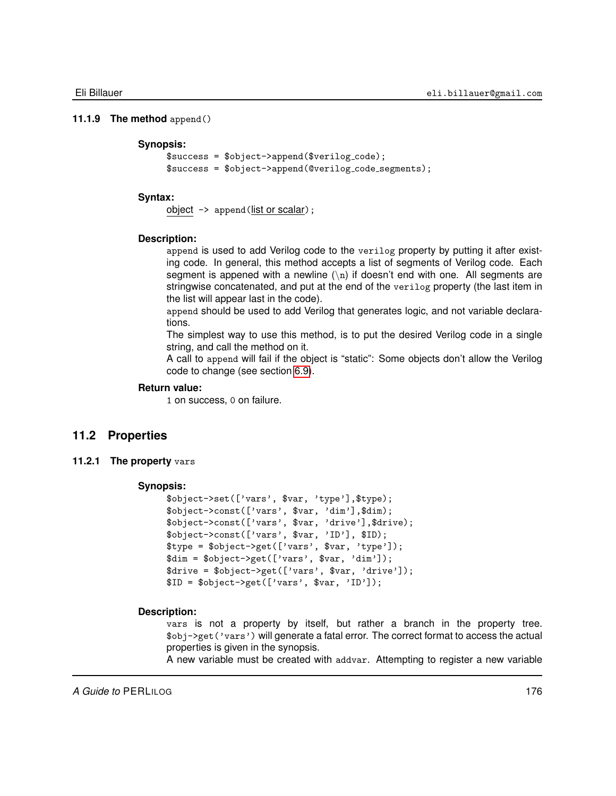### **11.1.9 The method** append()

### **Synopsis:**

```
$success = $object->append($verilog_code);$success = $object->append(@verilog code segments);
```
## **Syntax:**

object -> append(list or scalar);

### **Description:**

append is used to add Verilog code to the verilog property by putting it after existing code. In general, this method accepts a list of segments of Verilog code. Each segment is appened with a newline  $(\nabla n)$  if doesn't end with one. All segments are stringwise concatenated, and put at the end of the verilog property (the last item in the list will appear last in the code).

append should be used to add Verilog that generates logic, and not variable declarations.

The simplest way to use this method, is to put the desired Verilog code in a single string, and call the method on it.

A call to append will fail if the object is "static": Some objects don't allow the Verilog code to change (see section [6.9\)](#page-84-0).

## **Return value:**

1 on success, 0 on failure.

## **11.2 Properties**

**11.2.1 The property** vars

### **Synopsis:**

```
$object->set(['vars', $var, 'type'],$type);
$object->const(['vars', $var, 'dim'],$dim);
$object->const(['vars', $var, 'drive'],$drive);
$object->const(['vars', $var, 'ID'], $ID);
$type = $object->get(['vars', $var, 'type']);
$dim = $object->get(['vars', $var, 'dim']);
\text{4}drive = \text{6}bject->get(['vars', \text{4}var, 'drive']);
$ID = $object->get(['vars', $var, 'ID']);
```
### **Description:**

vars is not a property by itself, but rather a branch in the property tree. \$obj->get('vars') will generate a fatal error. The correct format to access the actual properties is given in the synopsis.

A new variable must be created with addvar. Attempting to register a new variable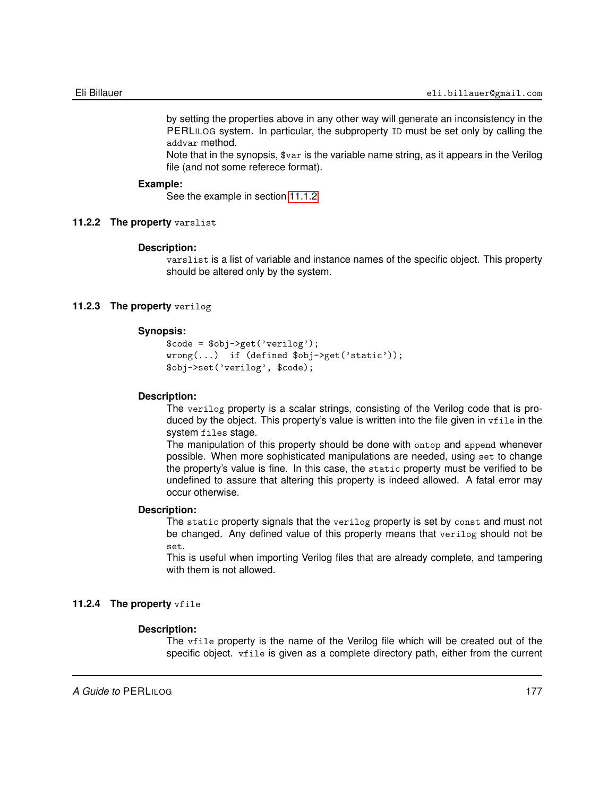by setting the properties above in any other way will generate an inconsistency in the PERLILOG system. In particular, the subproperty ID must be set only by calling the addvar method.

Note that in the synopsis, \$var is the variable name string, as it appears in the Verilog file (and not some referece format).

### **Example:**

See the example in section [11.1.2](#page-169-0)

### **11.2.2 The property** varslist

### **Description:**

varslist is a list of variable and instance names of the specific object. This property should be altered only by the system.

## **11.2.3 The property** verilog

## **Synopsis:**

```
$code = $obj->get('verilog');
wrong(...) if (defined $obj->get('static'));
$obj->set('verilog', $code);
```
### **Description:**

The verilog property is a scalar strings, consisting of the Verilog code that is produced by the object. This property's value is written into the file given in vfile in the system files stage.

The manipulation of this property should be done with ontop and append whenever possible. When more sophisticated manipulations are needed, using set to change the property's value is fine. In this case, the static property must be verified to be undefined to assure that altering this property is indeed allowed. A fatal error may occur otherwise.

### **Description:**

The static property signals that the verilog property is set by const and must not be changed. Any defined value of this property means that verilog should not be set.

This is useful when importing Verilog files that are already complete, and tampering with them is not allowed.

## **11.2.4 The property** vfile

### **Description:**

The vfile property is the name of the Verilog file which will be created out of the specific object. vfile is given as a complete directory path, either from the current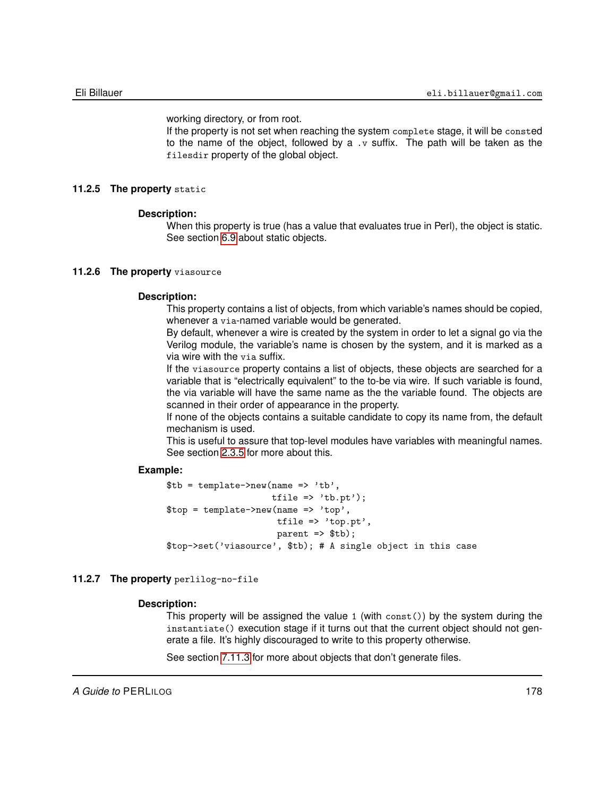working directory, or from root.

If the property is not set when reaching the system complete stage, it will be consted to the name of the object, followed by a  $\cdot$  suffix. The path will be taken as the filesdir property of the global object.

## **11.2.5 The property** static

## **Description:**

When this property is true (has a value that evaluates true in Perl), the object is static. See section [6.9](#page-84-0) about static objects.

## **11.2.6 The property** viasource

## **Description:**

This property contains a list of objects, from which variable's names should be copied, whenever a via-named variable would be generated.

By default, whenever a wire is created by the system in order to let a signal go via the Verilog module, the variable's name is chosen by the system, and it is marked as a via wire with the via suffix.

If the viasource property contains a list of objects, these objects are searched for a variable that is "electrically equivalent" to the to-be via wire. If such variable is found, the via variable will have the same name as the the variable found. The objects are scanned in their order of appearance in the property.

If none of the objects contains a suitable candidate to copy its name from, the default mechanism is used.

This is useful to assure that top-level modules have variables with meaningful names. See section [2.3.5](#page-20-0) for more about this.

## **Example:**

 $$tb = template->new(name => 'tb',$ tfile  $\Rightarrow$  'tb.pt');  $$top = template->new(name => 'top',$ tfile => 'top.pt',  $parent \Rightarrow$   $$tb$ ; \$top->set('viasource', \$tb); # A single object in this case

## **11.2.7 The property** perlilog-no-file

## **Description:**

This property will be assigned the value 1 (with const()) by the system during the instantiate() execution stage if it turns out that the current object should not generate a file. It's highly discouraged to write to this property otherwise.

See section [7.11.3](#page-130-0) for more about objects that don't generate files.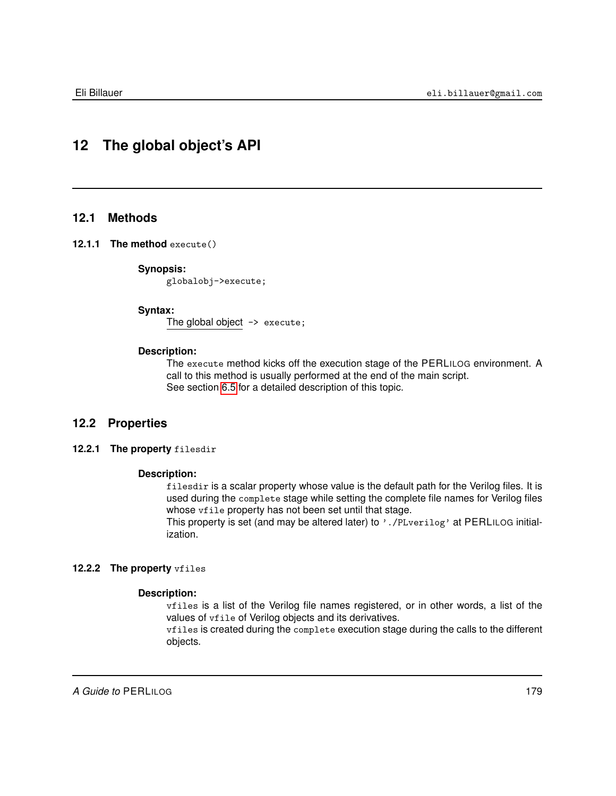# **12 The global object's API**

## **12.1 Methods**

## **12.1.1 The method** execute()

## **Synopsis:**

globalobj->execute;

### **Syntax:**

The global object  $\rightarrow$  execute;

## **Description:**

The execute method kicks off the execution stage of the PERLILOG environment. A call to this method is usually performed at the end of the main script. See section [6.5](#page-74-0) for a detailed description of this topic.

## **12.2 Properties**

### **12.2.1 The property** filesdir

## **Description:**

filesdir is a scalar property whose value is the default path for the Verilog files. It is used during the complete stage while setting the complete file names for Verilog files whose  $\texttt{write}$  property has not been set until that stage.

This property is set (and may be altered later) to '. /PLverilog' at PERLILOG initialization.

## **12.2.2 The property** vfiles

### **Description:**

vfiles is a list of the Verilog file names registered, or in other words, a list of the values of vfile of Verilog objects and its derivatives.

vfiles is created during the complete execution stage during the calls to the different objects.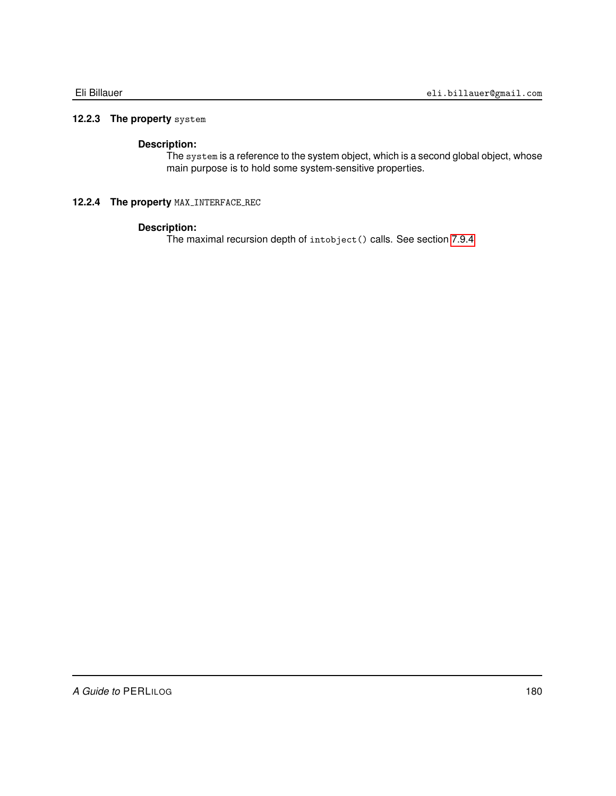## **12.2.3 The property** system

## **Description:**

The system is a reference to the system object, which is a second global object, whose main purpose is to hold some system-sensitive properties.

## **12.2.4 The property MAX\_INTERFACE\_REC**

## **Description:**

The maximal recursion depth of intobject() calls. See section [7.9.4](#page-124-0)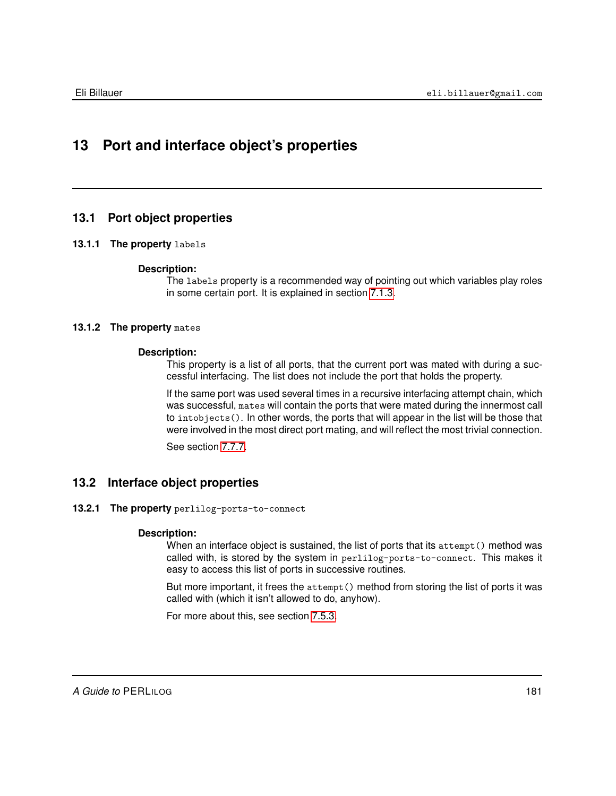# **13 Port and interface object's properties**

### **13.1 Port object properties**

#### **13.1.1 The property** labels

#### **Description:**

The labels property is a recommended way of pointing out which variables play roles in some certain port. It is explained in section [7.1.3.](#page-92-0)

#### **13.1.2 The property** mates

#### **Description:**

This property is a list of all ports, that the current port was mated with during a successful interfacing. The list does not include the port that holds the property.

If the same port was used several times in a recursive interfacing attempt chain, which was successful, mates will contain the ports that were mated during the innermost call to intobjects(). In other words, the ports that will appear in the list will be those that were involved in the most direct port mating, and will reflect the most trivial connection.

See section [7.7.7.](#page-117-0)

#### **13.2 Interface object properties**

**13.2.1 The property** perlilog-ports-to-connect

#### **Description:**

When an interface object is sustained, the list of ports that its attempt () method was called with, is stored by the system in perlilog-ports-to-connect. This makes it easy to access this list of ports in successive routines.

But more important, it frees the attempt() method from storing the list of ports it was called with (which it isn't allowed to do, anyhow).

For more about this, see section [7.5.3.](#page-103-0)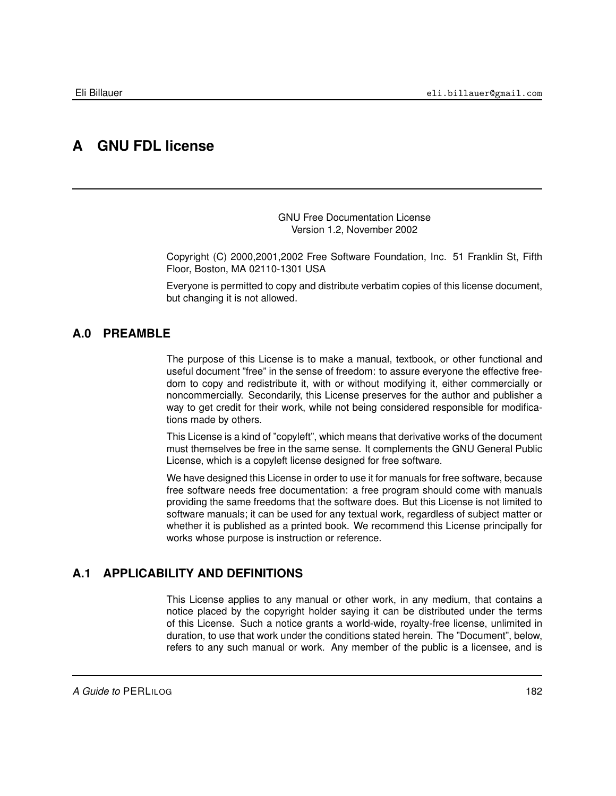# **A GNU FDL license**

GNU Free Documentation License Version 1.2, November 2002

Copyright (C) 2000,2001,2002 Free Software Foundation, Inc. 51 Franklin St, Fifth Floor, Boston, MA 02110-1301 USA

Everyone is permitted to copy and distribute verbatim copies of this license document, but changing it is not allowed.

### **A.0 PREAMBLE**

The purpose of this License is to make a manual, textbook, or other functional and useful document "free" in the sense of freedom: to assure everyone the effective freedom to copy and redistribute it, with or without modifying it, either commercially or noncommercially. Secondarily, this License preserves for the author and publisher a way to get credit for their work, while not being considered responsible for modifications made by others.

This License is a kind of "copyleft", which means that derivative works of the document must themselves be free in the same sense. It complements the GNU General Public License, which is a copyleft license designed for free software.

We have designed this License in order to use it for manuals for free software, because free software needs free documentation: a free program should come with manuals providing the same freedoms that the software does. But this License is not limited to software manuals; it can be used for any textual work, regardless of subject matter or whether it is published as a printed book. We recommend this License principally for works whose purpose is instruction or reference.

### **A.1 APPLICABILITY AND DEFINITIONS**

This License applies to any manual or other work, in any medium, that contains a notice placed by the copyright holder saying it can be distributed under the terms of this License. Such a notice grants a world-wide, royalty-free license, unlimited in duration, to use that work under the conditions stated herein. The "Document", below, refers to any such manual or work. Any member of the public is a licensee, and is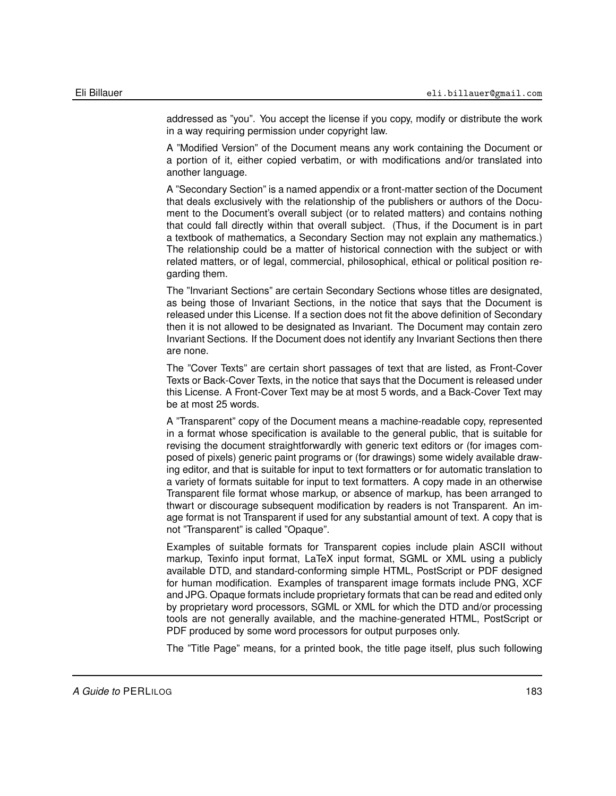addressed as "you". You accept the license if you copy, modify or distribute the work in a way requiring permission under copyright law.

A "Modified Version" of the Document means any work containing the Document or a portion of it, either copied verbatim, or with modifications and/or translated into another language.

A "Secondary Section" is a named appendix or a front-matter section of the Document that deals exclusively with the relationship of the publishers or authors of the Document to the Document's overall subject (or to related matters) and contains nothing that could fall directly within that overall subject. (Thus, if the Document is in part a textbook of mathematics, a Secondary Section may not explain any mathematics.) The relationship could be a matter of historical connection with the subject or with related matters, or of legal, commercial, philosophical, ethical or political position regarding them.

The "Invariant Sections" are certain Secondary Sections whose titles are designated, as being those of Invariant Sections, in the notice that says that the Document is released under this License. If a section does not fit the above definition of Secondary then it is not allowed to be designated as Invariant. The Document may contain zero Invariant Sections. If the Document does not identify any Invariant Sections then there are none.

The "Cover Texts" are certain short passages of text that are listed, as Front-Cover Texts or Back-Cover Texts, in the notice that says that the Document is released under this License. A Front-Cover Text may be at most 5 words, and a Back-Cover Text may be at most 25 words.

A "Transparent" copy of the Document means a machine-readable copy, represented in a format whose specification is available to the general public, that is suitable for revising the document straightforwardly with generic text editors or (for images composed of pixels) generic paint programs or (for drawings) some widely available drawing editor, and that is suitable for input to text formatters or for automatic translation to a variety of formats suitable for input to text formatters. A copy made in an otherwise Transparent file format whose markup, or absence of markup, has been arranged to thwart or discourage subsequent modification by readers is not Transparent. An image format is not Transparent if used for any substantial amount of text. A copy that is not "Transparent" is called "Opaque".

Examples of suitable formats for Transparent copies include plain ASCII without markup, Texinfo input format, LaTeX input format, SGML or XML using a publicly available DTD, and standard-conforming simple HTML, PostScript or PDF designed for human modification. Examples of transparent image formats include PNG, XCF and JPG. Opaque formats include proprietary formats that can be read and edited only by proprietary word processors, SGML or XML for which the DTD and/or processing tools are not generally available, and the machine-generated HTML, PostScript or PDF produced by some word processors for output purposes only.

The "Title Page" means, for a printed book, the title page itself, plus such following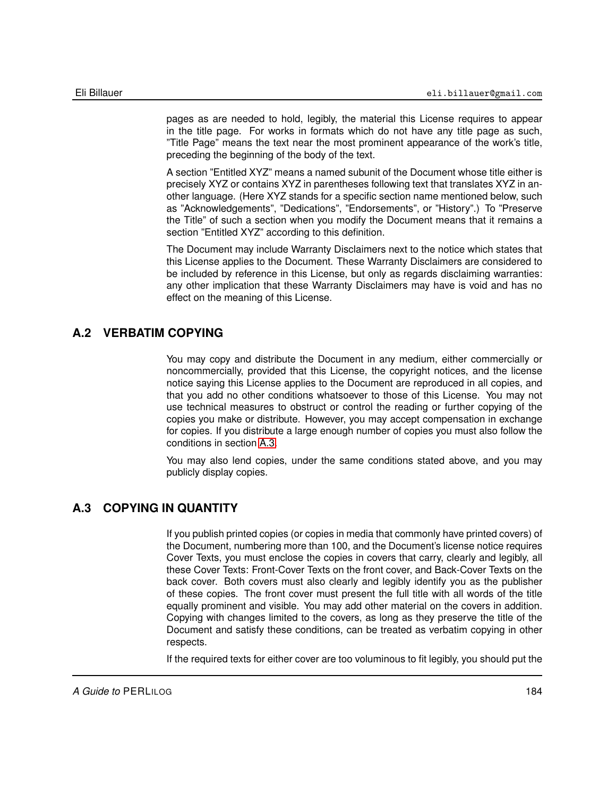pages as are needed to hold, legibly, the material this License requires to appear in the title page. For works in formats which do not have any title page as such, "Title Page" means the text near the most prominent appearance of the work's title, preceding the beginning of the body of the text.

A section "Entitled XYZ" means a named subunit of the Document whose title either is precisely XYZ or contains XYZ in parentheses following text that translates XYZ in another language. (Here XYZ stands for a specific section name mentioned below, such as "Acknowledgements", "Dedications", "Endorsements", or "History".) To "Preserve the Title" of such a section when you modify the Document means that it remains a section "Entitled XYZ" according to this definition.

The Document may include Warranty Disclaimers next to the notice which states that this License applies to the Document. These Warranty Disclaimers are considered to be included by reference in this License, but only as regards disclaiming warranties: any other implication that these Warranty Disclaimers may have is void and has no effect on the meaning of this License.

# **A.2 VERBATIM COPYING**

<span id="page-183-1"></span>You may copy and distribute the Document in any medium, either commercially or noncommercially, provided that this License, the copyright notices, and the license notice saying this License applies to the Document are reproduced in all copies, and that you add no other conditions whatsoever to those of this License. You may not use technical measures to obstruct or control the reading or further copying of the copies you make or distribute. However, you may accept compensation in exchange for copies. If you distribute a large enough number of copies you must also follow the conditions in section [A.3.](#page-183-0)

You may also lend copies, under the same conditions stated above, and you may publicly display copies.

### **A.3 COPYING IN QUANTITY**

<span id="page-183-0"></span>If you publish printed copies (or copies in media that commonly have printed covers) of the Document, numbering more than 100, and the Document's license notice requires Cover Texts, you must enclose the copies in covers that carry, clearly and legibly, all these Cover Texts: Front-Cover Texts on the front cover, and Back-Cover Texts on the back cover. Both covers must also clearly and legibly identify you as the publisher of these copies. The front cover must present the full title with all words of the title equally prominent and visible. You may add other material on the covers in addition. Copying with changes limited to the covers, as long as they preserve the title of the Document and satisfy these conditions, can be treated as verbatim copying in other respects.

If the required texts for either cover are too voluminous to fit legibly, you should put the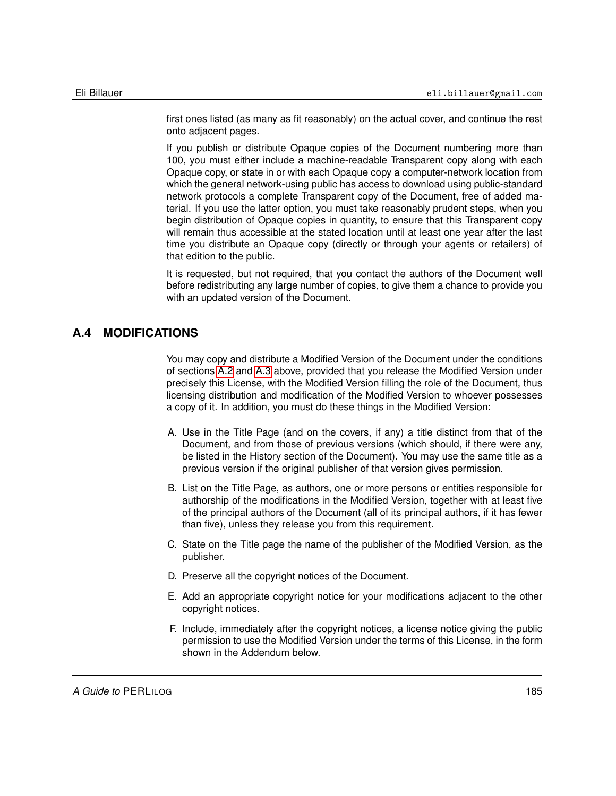first ones listed (as many as fit reasonably) on the actual cover, and continue the rest onto adjacent pages.

If you publish or distribute Opaque copies of the Document numbering more than 100, you must either include a machine-readable Transparent copy along with each Opaque copy, or state in or with each Opaque copy a computer-network location from which the general network-using public has access to download using public-standard network protocols a complete Transparent copy of the Document, free of added material. If you use the latter option, you must take reasonably prudent steps, when you begin distribution of Opaque copies in quantity, to ensure that this Transparent copy will remain thus accessible at the stated location until at least one year after the last time you distribute an Opaque copy (directly or through your agents or retailers) of that edition to the public.

It is requested, but not required, that you contact the authors of the Document well before redistributing any large number of copies, to give them a chance to provide you with an updated version of the Document.

### **A.4 MODIFICATIONS**

<span id="page-184-0"></span>You may copy and distribute a Modified Version of the Document under the conditions of sections [A.2](#page-183-1) and [A.3](#page-183-0) above, provided that you release the Modified Version under precisely this License, with the Modified Version filling the role of the Document, thus licensing distribution and modification of the Modified Version to whoever possesses a copy of it. In addition, you must do these things in the Modified Version:

- A. Use in the Title Page (and on the covers, if any) a title distinct from that of the Document, and from those of previous versions (which should, if there were any, be listed in the History section of the Document). You may use the same title as a previous version if the original publisher of that version gives permission.
- B. List on the Title Page, as authors, one or more persons or entities responsible for authorship of the modifications in the Modified Version, together with at least five of the principal authors of the Document (all of its principal authors, if it has fewer than five), unless they release you from this requirement.
- C. State on the Title page the name of the publisher of the Modified Version, as the publisher.
- D. Preserve all the copyright notices of the Document.
- E. Add an appropriate copyright notice for your modifications adjacent to the other copyright notices.
- F. Include, immediately after the copyright notices, a license notice giving the public permission to use the Modified Version under the terms of this License, in the form shown in the Addendum below.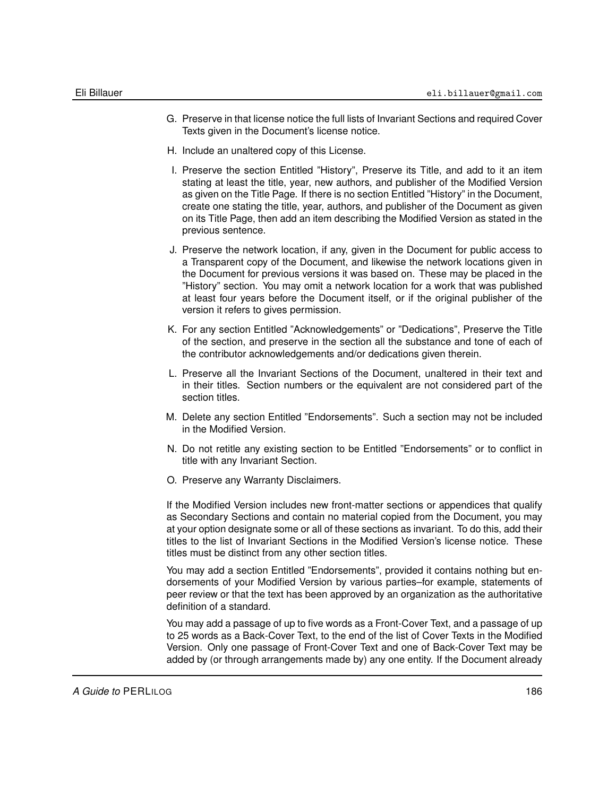- G. Preserve in that license notice the full lists of Invariant Sections and required Cover Texts given in the Document's license notice.
- H. Include an unaltered copy of this License.
- I. Preserve the section Entitled "History", Preserve its Title, and add to it an item stating at least the title, year, new authors, and publisher of the Modified Version as given on the Title Page. If there is no section Entitled "History" in the Document, create one stating the title, year, authors, and publisher of the Document as given on its Title Page, then add an item describing the Modified Version as stated in the previous sentence.
- J. Preserve the network location, if any, given in the Document for public access to a Transparent copy of the Document, and likewise the network locations given in the Document for previous versions it was based on. These may be placed in the "History" section. You may omit a network location for a work that was published at least four years before the Document itself, or if the original publisher of the version it refers to gives permission.
- K. For any section Entitled "Acknowledgements" or "Dedications", Preserve the Title of the section, and preserve in the section all the substance and tone of each of the contributor acknowledgements and/or dedications given therein.
- L. Preserve all the Invariant Sections of the Document, unaltered in their text and in their titles. Section numbers or the equivalent are not considered part of the section titles.
- M. Delete any section Entitled "Endorsements". Such a section may not be included in the Modified Version.
- N. Do not retitle any existing section to be Entitled "Endorsements" or to conflict in title with any Invariant Section.
- O. Preserve any Warranty Disclaimers.

If the Modified Version includes new front-matter sections or appendices that qualify as Secondary Sections and contain no material copied from the Document, you may at your option designate some or all of these sections as invariant. To do this, add their titles to the list of Invariant Sections in the Modified Version's license notice. These titles must be distinct from any other section titles.

You may add a section Entitled "Endorsements", provided it contains nothing but endorsements of your Modified Version by various parties–for example, statements of peer review or that the text has been approved by an organization as the authoritative definition of a standard.

You may add a passage of up to five words as a Front-Cover Text, and a passage of up to 25 words as a Back-Cover Text, to the end of the list of Cover Texts in the Modified Version. Only one passage of Front-Cover Text and one of Back-Cover Text may be added by (or through arrangements made by) any one entity. If the Document already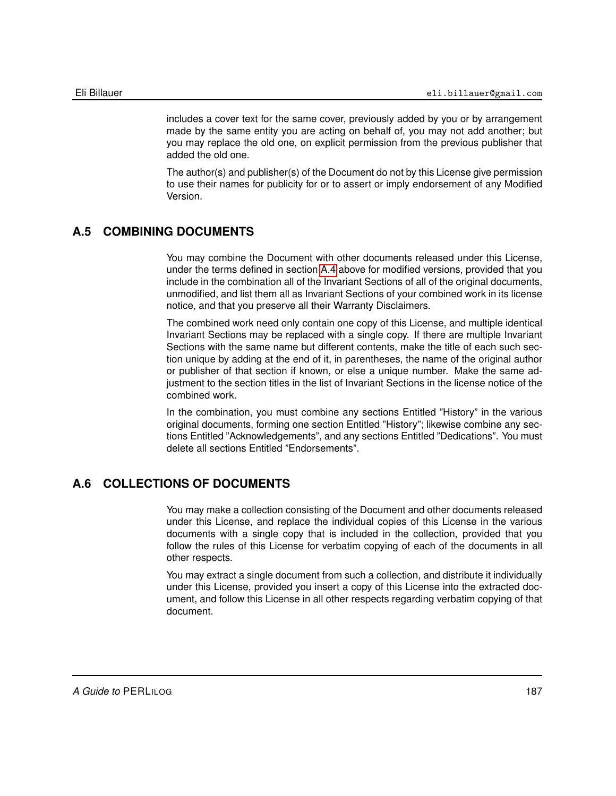includes a cover text for the same cover, previously added by you or by arrangement made by the same entity you are acting on behalf of, you may not add another; but you may replace the old one, on explicit permission from the previous publisher that added the old one.

The author(s) and publisher(s) of the Document do not by this License give permission to use their names for publicity for or to assert or imply endorsement of any Modified Version.

# **A.5 COMBINING DOCUMENTS**

You may combine the Document with other documents released under this License, under the terms defined in section [A.4](#page-184-0) above for modified versions, provided that you include in the combination all of the Invariant Sections of all of the original documents, unmodified, and list them all as Invariant Sections of your combined work in its license notice, and that you preserve all their Warranty Disclaimers.

The combined work need only contain one copy of this License, and multiple identical Invariant Sections may be replaced with a single copy. If there are multiple Invariant Sections with the same name but different contents, make the title of each such section unique by adding at the end of it, in parentheses, the name of the original author or publisher of that section if known, or else a unique number. Make the same adjustment to the section titles in the list of Invariant Sections in the license notice of the combined work.

In the combination, you must combine any sections Entitled "History" in the various original documents, forming one section Entitled "History"; likewise combine any sections Entitled "Acknowledgements", and any sections Entitled "Dedications". You must delete all sections Entitled "Endorsements".

#### **A.6 COLLECTIONS OF DOCUMENTS**

You may make a collection consisting of the Document and other documents released under this License, and replace the individual copies of this License in the various documents with a single copy that is included in the collection, provided that you follow the rules of this License for verbatim copying of each of the documents in all other respects.

You may extract a single document from such a collection, and distribute it individually under this License, provided you insert a copy of this License into the extracted document, and follow this License in all other respects regarding verbatim copying of that document.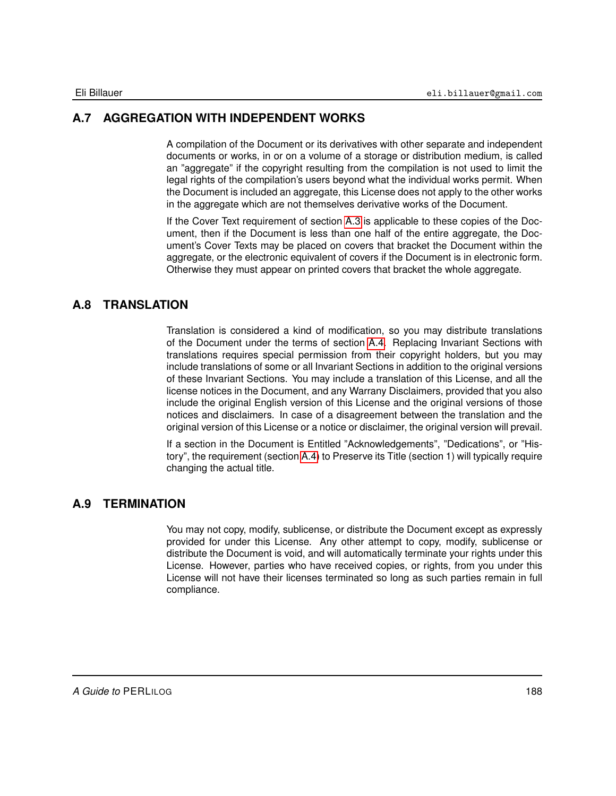# **A.7 AGGREGATION WITH INDEPENDENT WORKS**

A compilation of the Document or its derivatives with other separate and independent documents or works, in or on a volume of a storage or distribution medium, is called an "aggregate" if the copyright resulting from the compilation is not used to limit the legal rights of the compilation's users beyond what the individual works permit. When the Document is included an aggregate, this License does not apply to the other works in the aggregate which are not themselves derivative works of the Document.

If the Cover Text requirement of section [A.3](#page-183-0) is applicable to these copies of the Document, then if the Document is less than one half of the entire aggregate, the Document's Cover Texts may be placed on covers that bracket the Document within the aggregate, or the electronic equivalent of covers if the Document is in electronic form. Otherwise they must appear on printed covers that bracket the whole aggregate.

## **A.8 TRANSLATION**

Translation is considered a kind of modification, so you may distribute translations of the Document under the terms of section [A.4.](#page-184-0) Replacing Invariant Sections with translations requires special permission from their copyright holders, but you may include translations of some or all Invariant Sections in addition to the original versions of these Invariant Sections. You may include a translation of this License, and all the license notices in the Document, and any Warrany Disclaimers, provided that you also include the original English version of this License and the original versions of those notices and disclaimers. In case of a disagreement between the translation and the original version of this License or a notice or disclaimer, the original version will prevail.

If a section in the Document is Entitled "Acknowledgements", "Dedications", or "History", the requirement (section [A.4\)](#page-184-0) to Preserve its Title (section 1) will typically require changing the actual title.

### **A.9 TERMINATION**

You may not copy, modify, sublicense, or distribute the Document except as expressly provided for under this License. Any other attempt to copy, modify, sublicense or distribute the Document is void, and will automatically terminate your rights under this License. However, parties who have received copies, or rights, from you under this License will not have their licenses terminated so long as such parties remain in full compliance.